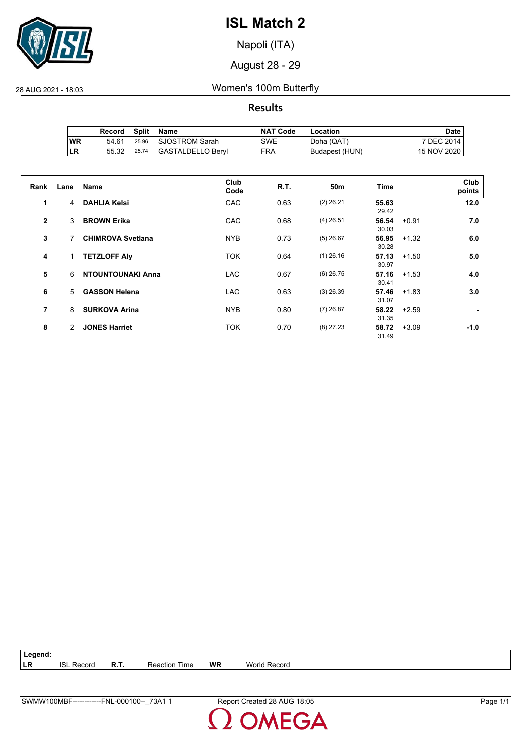

Napoli (ITA)

August 28 - 29

28 AUG 2021 - 18:03 Women's 100m Butterfly

**Results**

|           | Record | Split | Name                 | <b>NAT Code</b> | Location       | Date i      |
|-----------|--------|-------|----------------------|-----------------|----------------|-------------|
| <b>WR</b> | 54.61  |       | 25.96 SJOSTROM Sarah | SWE             | Doha (QAT)     | 7 DEC 2014  |
| ILR       | 55.32  | 25.74 | GASTALDELLO Beryl    | FRA             | Budapest (HUN) | 15 NOV 2020 |

| Rank         | Lane | <b>Name</b>              | Club<br>Code | R.T. | 50m         | Time                      | Club<br>points |
|--------------|------|--------------------------|--------------|------|-------------|---------------------------|----------------|
| 1            | 4    | <b>DAHLIA Kelsi</b>      | CAC          | 0.63 | $(2)$ 26.21 | 55.63<br>29.42            | 12.0           |
| $\mathbf{2}$ | 3    | <b>BROWN Erika</b>       | CAC          | 0.68 | $(4)$ 26.51 | 56.54<br>$+0.91$<br>30.03 | 7.0            |
| 3            | 7    | <b>CHIMROVA Svetlana</b> | <b>NYB</b>   | 0.73 | $(5)$ 26.67 | 56.95<br>$+1.32$<br>30.28 | 6.0            |
| 4            |      | <b>TETZLOFF Aly</b>      | <b>TOK</b>   | 0.64 | $(1)$ 26.16 | 57.13<br>$+1.50$<br>30.97 | 5.0            |
| 5            | 6    | <b>NTOUNTOUNAKI Anna</b> | <b>LAC</b>   | 0.67 | $(6)$ 26.75 | 57.16<br>$+1.53$<br>30.41 | 4.0            |
| 6            | 5    | <b>GASSON Helena</b>     | <b>LAC</b>   | 0.63 | $(3)$ 26.39 | 57.46<br>$+1.83$<br>31.07 | 3.0            |
| 7            | 8    | <b>SURKOVA Arina</b>     | <b>NYB</b>   | 0.80 | $(7)$ 26.87 | 58.22<br>$+2.59$<br>31.35 |                |
| 8            | 2    | <b>JONES Harriet</b>     | <b>TOK</b>   | 0.70 | $(8)$ 27.23 | $+3.09$<br>58.72<br>31.49 | $-1.0$         |

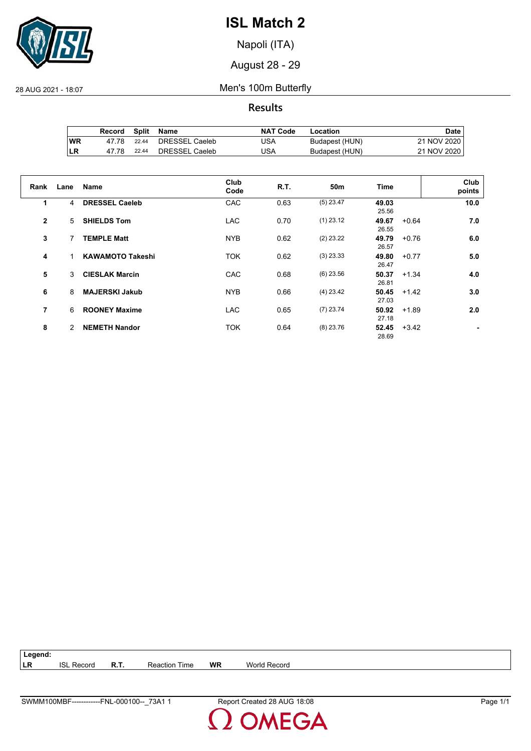

Napoli (ITA)

August 28 - 29

28 AUG 2021 - 18:07 Men's 100m Butterfly

**Results**

|     | Record | Split | Name           | <b>NAT Code</b> | Location       | Date        |
|-----|--------|-------|----------------|-----------------|----------------|-------------|
| 'WR | 47 78  | 22.44 | DRESSEL Caeleb | USA             | Budapest (HUN) | 21 NOV 2020 |
| ILR | 47.78  | 22.44 | DRESSEL Caeleb | USA             | Budapest (HUN) | 21 NOV 2020 |

| Rank           | Lane | <b>Name</b>             | Club<br>Code | <b>R.T.</b> | 50m         | Time                      | Club<br>points |
|----------------|------|-------------------------|--------------|-------------|-------------|---------------------------|----------------|
| 1              | 4    | <b>DRESSEL Caeleb</b>   | CAC          | 0.63        | $(5)$ 23.47 | 49.03<br>25.56            | 10.0           |
| $\overline{2}$ | 5.   | <b>SHIELDS Tom</b>      | <b>LAC</b>   | 0.70        | $(1)$ 23.12 | 49.67<br>$+0.64$<br>26.55 | 7.0            |
| 3              | 7    | <b>TEMPLE Matt</b>      | <b>NYB</b>   | 0.62        | $(2)$ 23.22 | 49.79<br>$+0.76$<br>26.57 | 6.0            |
| 4              | 1    | <b>KAWAMOTO Takeshi</b> | <b>TOK</b>   | 0.62        | $(3)$ 23.33 | 49.80<br>$+0.77$<br>26.47 | 5.0            |
| 5              | 3    | <b>CIESLAK Marcin</b>   | CAC          | 0.68        | $(6)$ 23.56 | 50.37<br>$+1.34$<br>26.81 | 4.0            |
| 6              | 8    | <b>MAJERSKI Jakub</b>   | <b>NYB</b>   | 0.66        | $(4)$ 23.42 | 50.45<br>$+1.42$<br>27.03 | 3.0            |
| $\overline{7}$ | 6    | <b>ROONEY Maxime</b>    | <b>LAC</b>   | 0.65        | $(7)$ 23.74 | 50.92<br>$+1.89$<br>27.18 | 2.0            |
| 8              | 2    | <b>NEMETH Nandor</b>    | <b>TOK</b>   | 0.64        | $(8)$ 23.76 | 52.45<br>$+3.42$<br>28.69 |                |

| Legend: |                   |             |                      |           |              |
|---------|-------------------|-------------|----------------------|-----------|--------------|
| ∣LR     | <b>ISL Record</b> | <b>R.T.</b> | <b>Reaction Time</b> | <b>WR</b> | World Record |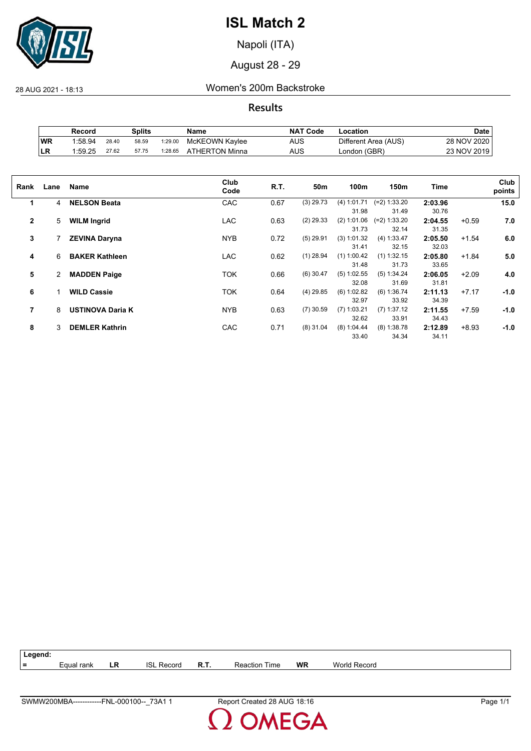

Napoli (ITA)

August 28 - 29

28 AUG 2021 - 18:13 Women's 200m Backstroke

**Results**

|           | Record  |       | Splits |         | Name           | <b>NAT Code</b> | -ocation             | Date        |
|-----------|---------|-------|--------|---------|----------------|-----------------|----------------------|-------------|
| WR        | 1:58.94 | 28.40 | 58.59  | 1:29.00 | McKEOWN Kaylee | AUS             | Different Area (AUS) | 28 NOV 2020 |
| <b>LR</b> | 1:59.25 | 27.62 | 57.75  | 1:28.65 | ATHERTON Minna | AUS             | London (GBR)         | 23 NOV 2019 |

| Rank         | Lane | Name                    | Club<br>Code | R.T. | 50m         | 100m                          | 150m                             | Time                      |         | Club<br>points |
|--------------|------|-------------------------|--------------|------|-------------|-------------------------------|----------------------------------|---------------------------|---------|----------------|
| 1            | 4    | <b>NELSON Beata</b>     | CAC          | 0.67 | $(3)$ 29.73 | (4) 1:01.71                   | $(=2)$ 1:33.20                   | 2:03.96                   |         | 15.0           |
| $\mathbf{2}$ | 5    | <b>WILM Ingrid</b>      | <b>LAC</b>   | 0.63 | $(2)$ 29.33 | 31.98<br>(2) 1:01.06<br>31.73 | 31.49<br>$(=2)$ 1:33.20<br>32.14 | 30.76<br>2:04.55<br>31.35 | $+0.59$ | 7.0            |
| 3            |      | <b>ZEVINA Daryna</b>    | <b>NYB</b>   | 0.72 | $(5)$ 29.91 | (3) 1:01.32<br>31.41          | (4) 1:33.47<br>32.15             | 2:05.50<br>32.03          | $+1.54$ | 6.0            |
| 4            | 6    | <b>BAKER Kathleen</b>   | <b>LAC</b>   | 0.62 | $(1)$ 28.94 | $(1)$ 1:00.42<br>31.48        | $(1)$ 1:32.15<br>31.73           | 2:05.80<br>33.65          | $+1.84$ | 5.0            |
| 5            | 2    | <b>MADDEN Paige</b>     | <b>TOK</b>   | 0.66 | $(6)$ 30.47 | $(5)$ 1:02.55<br>32.08        | (5) 1:34.24<br>31.69             | 2:06.05<br>31.81          | $+2.09$ | 4.0            |
| 6            | 1    | <b>WILD Cassie</b>      | <b>TOK</b>   | 0.64 | $(4)$ 29.85 | $(6)$ 1:02.82<br>32.97        | (6) 1:36.74<br>33.92             | 2:11.13<br>34.39          | $+7.17$ | $-1.0$         |
| 7            | 8    | <b>USTINOVA Daria K</b> | <b>NYB</b>   | 0.63 | $(7)$ 30.59 | $(7)$ 1:03.21<br>32.62        | $(7)$ 1:37.12<br>33.91           | 2:11.55<br>34.43          | $+7.59$ | $-1.0$         |
| 8            | 3    | <b>DEMLER Kathrin</b>   | <b>CAC</b>   | 0.71 | $(8)$ 31.04 | (8) 1:04.44<br>33.40          | $(8)$ 1:38.78<br>34.34           | 2:12.89<br>34.11          | $+8.93$ | $-1.0$         |

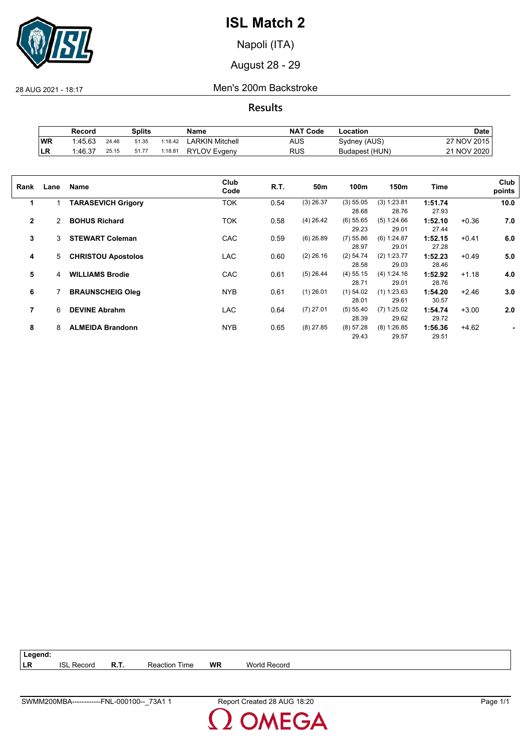

Napoli (ITA)

August 28 - 29

28 AUG 2021 - 18:17 Men's 200m Backstroke

**Results**

|           | Record  |       | <b>Splits</b> |         | Name                | <b>NAT Code</b> | Location       | Date          |
|-----------|---------|-------|---------------|---------|---------------------|-----------------|----------------|---------------|
| <b>WR</b> | 1:45.63 | 24.46 | 51.35         | 1:18.42 | LARKIN Mitchell     | AUS             | Sydney (AUS)   | 27 NOV 2015   |
| ILR       | 1:46.37 | 25.15 | 51.77         | 1:18.81 | <b>RYLOV Evgeny</b> | RUS             | Budapest (HUN) | 21 NOV 2020 L |

| Rank           | Lane | Name                      | Club<br>Code | R.T. | 50m         | 100m                 | 150m                   | Time             |         | Club<br>points |
|----------------|------|---------------------------|--------------|------|-------------|----------------------|------------------------|------------------|---------|----------------|
| 1              |      | <b>TARASEVICH Grigory</b> | <b>TOK</b>   | 0.54 | $(3)$ 26.37 | (3) 55.05<br>28.68   | (3) 1:23.81<br>28.76   | 1:51.74<br>27.93 |         | 10.0           |
| $\overline{2}$ | 2    | <b>BOHUS Richard</b>      | <b>TOK</b>   | 0.58 | $(4)$ 26.42 | $(6)$ 55.65<br>29.23 | (5) 1:24.66<br>29.01   | 1:52.10<br>27.44 | $+0.36$ | 7.0            |
| 3              | 3    | <b>STEWART Coleman</b>    | CAC          | 0.59 | $(6)$ 26.89 | $(7)$ 55.86<br>28.97 | (6) 1:24.87<br>29.01   | 1:52.15<br>27.28 | $+0.41$ | 6.0            |
| 4              | 5    | <b>CHRISTOU Apostolos</b> | <b>LAC</b>   | 0.60 | $(2)$ 26.16 | (2) 54.74<br>28.58   | (2) 1:23.77<br>29.03   | 1:52.23<br>28.46 | $+0.49$ | 5.0            |
| 5              | 4    | <b>WILLIAMS Brodie</b>    | CAC          | 0.61 | $(5)$ 26.44 | $(4)$ 55.15<br>28.71 | (4) 1:24.16<br>29.01   | 1:52.92<br>28.76 | $+1.18$ | 4.0            |
| 6              |      | <b>BRAUNSCHEIG Oleg</b>   | <b>NYB</b>   | 0.61 | $(1)$ 26.01 | $(1)$ 54.02<br>28.01 | $(1)$ 1:23.63<br>29.61 | 1:54.20<br>30.57 | $+2.46$ | 3.0            |
| 7              | 6    | <b>DEVINE Abrahm</b>      | <b>LAC</b>   | 0.64 | $(7)$ 27.01 | (5) 55.40<br>28.39   | $(7)$ 1:25.02<br>29.62 | 1:54.74<br>29.72 | $+3.00$ | 2.0            |
| 8              | 8    | <b>ALMEIDA Brandonn</b>   | <b>NYB</b>   | 0.65 | $(8)$ 27.85 | (8) 57.28<br>29.43   | $(8)$ 1:26.85<br>29.57 | 1:56.36<br>29.51 | $+4.62$ |                |

**Legend: LR** ISL Record **R.T.** Reaction Time **WR** World Record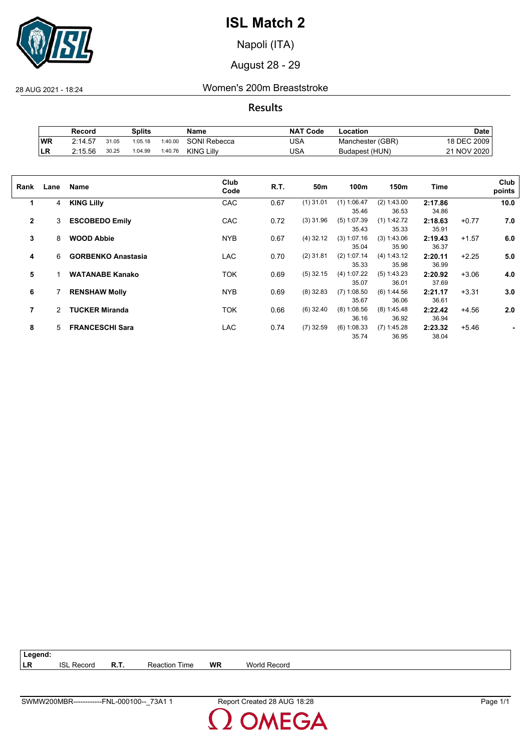

Napoli (ITA)

August 28 - 29

28 AUG 2021 - 18:24 Women's 200m Breaststroke

**Results**

|           | Record  |       | Splits  |         | Name                | <b>NAT</b><br>ˈ Code | -ocation         | <b>Date</b>            |
|-----------|---------|-------|---------|---------|---------------------|----------------------|------------------|------------------------|
| <b>WR</b> | 2:14.57 | 31.05 | 1:05.18 | 1:40.00 | <b>SONI Rebecca</b> | USA                  | Manchester (GBR) | 18 DEC 2009            |
| ΙLR       | 2:15.56 | 30.25 | 1:04.99 | 1:40.76 | <b>KING Lilly</b>   | USA                  | Budapest (HUN)   | <b>NOV 2020</b><br>າ 1 |

| Rank         | Lane         | Name                      | Club<br>Code | R.T. | 50m         | 100m          | 150m          | Time    |         | Club<br>points |
|--------------|--------------|---------------------------|--------------|------|-------------|---------------|---------------|---------|---------|----------------|
| 1            | 4            | <b>KING Lilly</b>         | CAC          | 0.67 | $(1)$ 31.01 | $(1)$ 1:06.47 | (2) 1:43.00   | 2:17.86 |         | 10.0           |
|              |              |                           |              |      |             | 35.46         | 36.53         | 34.86   |         |                |
| $\mathbf{2}$ | 3            | <b>ESCOBEDO Emily</b>     | <b>CAC</b>   | 0.72 | $(3)$ 31.96 | $(5)$ 1:07.39 | (1) 1:42.72   | 2:18.63 | $+0.77$ | 7.0            |
|              |              |                           |              |      |             | 35.43         | 35.33         | 35.91   |         |                |
| 3            | 8            | <b>WOOD Abbie</b>         | <b>NYB</b>   | 0.67 | $(4)$ 32.12 | (3) 1:07.16   | (3) 1:43.06   | 2:19.43 | $+1.57$ | 6.0            |
|              |              |                           |              |      |             | 35.04         | 35.90         | 36.37   |         |                |
| 4            | 6            | <b>GORBENKO Anastasia</b> | LAC          | 0.70 | $(2)$ 31.81 | $(2)$ 1:07.14 | (4) 1:43.12   | 2:20.11 | $+2.25$ | 5.0            |
|              |              |                           |              |      |             | 35.33         | 35.98         | 36.99   |         |                |
| 5            |              | <b>WATANABE Kanako</b>    | TOK          | 0.69 | $(5)$ 32.15 | (4) 1:07.22   | $(5)$ 1:43.23 | 2:20.92 | $+3.06$ | 4.0            |
|              |              |                           |              |      |             | 35.07         | 36.01         | 37.69   |         |                |
| 6            |              | <b>RENSHAW Molly</b>      | <b>NYB</b>   | 0.69 | $(8)$ 32.83 | $(7)$ 1:08.50 | (6) 1:44.56   | 2:21.17 | $+3.31$ | 3.0            |
|              |              |                           |              |      |             | 35.67         | 36.06         | 36.61   |         |                |
| 7            | $\mathbf{2}$ | <b>TUCKER Miranda</b>     | TOK          | 0.66 | $(6)$ 32.40 | $(8)$ 1:08.56 | (8) 1:45.48   | 2:22.42 | $+4.56$ | 2.0            |
|              |              |                           |              |      |             | 36.16         | 36.92         | 36.94   |         |                |
| 8            | 5            | <b>FRANCESCHI Sara</b>    | <b>LAC</b>   | 0.74 | $(7)$ 32.59 | (6) 1:08.33   | $(7)$ 1:45.28 | 2:23.32 | $+5.46$ |                |
|              |              |                           |              |      |             | 35.74         | 36.95         | 38.04   |         |                |

**Legend: LR** ISL Record **R.T.** Reaction Time **WR** World Record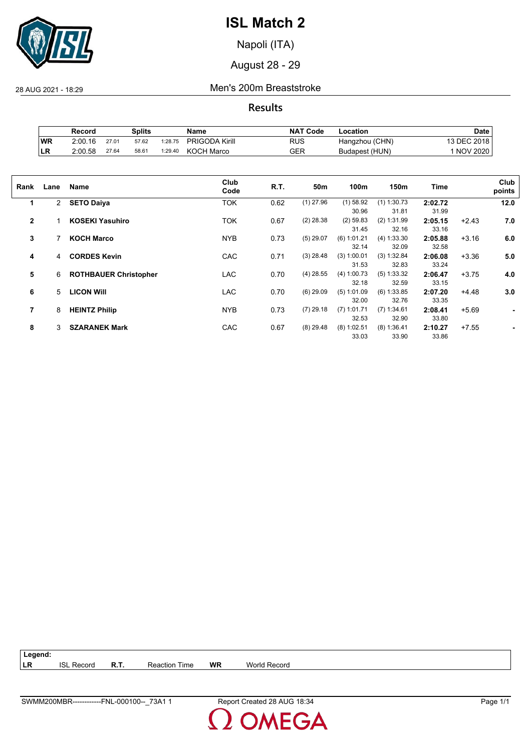

Napoli (ITA)

August 28 - 29

28 AUG 2021 - 18:29 Men's 200m Breaststroke

**Results**

|           | Record  |       | Splits |         | Name                  | <b>NAT Code</b> | ∟ocation       | <b>Date</b>     |
|-----------|---------|-------|--------|---------|-----------------------|-----------------|----------------|-----------------|
| <b>WR</b> | 2:00.16 | 27.01 | 57.62  | 1:28.75 | <b>PRIGODA Kirill</b> | RUS             | Hangzhou (CHN) | 13 DEC 2018     |
| ILR       | 2:00.58 | 27.64 | 58.61  | 1:29.40 | <b>KOCH Marco</b>     | GER             | Budapest (HUN) | <b>NOV 2020</b> |

| Rank           | Lane         | Name                         | Club<br>Code | R.T. | 50m         | 100m          | 150m          | Time    |         | Club<br>points |
|----------------|--------------|------------------------------|--------------|------|-------------|---------------|---------------|---------|---------|----------------|
| 1              | $\mathbf{2}$ | <b>SETO Daiya</b>            | <b>TOK</b>   | 0.62 | $(1)$ 27.96 | $(1)$ 58.92   | $(1)$ 1:30.73 | 2:02.72 |         | 12.0           |
|                |              |                              |              |      |             | 30.96         | 31.81         | 31.99   |         |                |
| $\overline{2}$ |              | <b>KOSEKI Yasuhiro</b>       | <b>TOK</b>   | 0.67 | $(2)$ 28.38 | $(2)$ 59.83   | (2) 1:31.99   | 2:05.15 | $+2.43$ | 7.0            |
|                |              |                              |              |      |             | 31.45         | 32.16         | 33.16   |         |                |
| 3              |              | <b>KOCH Marco</b>            | <b>NYB</b>   | 0.73 | $(5)$ 29.07 | $(6)$ 1:01.21 | (4) 1:33.30   | 2:05.88 | $+3.16$ | 6.0            |
|                |              |                              |              |      |             | 32.14         | 32.09         | 32.58   |         |                |
| 4              | 4            | <b>CORDES Kevin</b>          | CAC          | 0.71 | $(3)$ 28.48 | (3) 1:00.01   | (3) 1:32.84   | 2:06.08 | $+3.36$ | 5.0            |
|                |              |                              |              |      |             | 31.53         | 32.83         | 33.24   |         |                |
| 5              | 6            | <b>ROTHBAUER Christopher</b> | LAC          | 0.70 | $(4)$ 28.55 | (4) 1:00.73   | (5) 1:33.32   | 2:06.47 | $+3.75$ | 4.0            |
|                |              |                              |              |      |             | 32.18         | 32.59         | 33.15   |         |                |
| 6              | 5            | <b>LICON WIII</b>            | LAC          | 0.70 | $(6)$ 29.09 | $(5)$ 1:01.09 | $(6)$ 1:33.85 | 2:07.20 | $+4.48$ | 3.0            |
|                |              |                              |              |      |             | 32.00         | 32.76         | 33.35   |         |                |
| 7              | 8            | <b>HEINTZ Philip</b>         | <b>NYB</b>   | 0.73 | $(7)$ 29.18 | $(7)$ 1:01.71 | (7) 1:34.61   | 2:08.41 | $+5.69$ | ٠              |
|                |              |                              |              |      |             | 32.53         | 32.90         | 33.80   |         |                |
| 8              | 3            | <b>SZARANEK Mark</b>         | CAC          | 0.67 | $(8)$ 29.48 | $(8)$ 1:02.51 | $(8)$ 1:36.41 | 2:10.27 | $+7.55$ |                |
|                |              |                              |              |      |             | 33.03         | 33.90         | 33.86   |         |                |

| $\vert$ Legend: |                   |                      |    |              |
|-----------------|-------------------|----------------------|----|--------------|
| I LR            | <b>ISL Record</b> | <b>Reaction Time</b> | WR | World Record |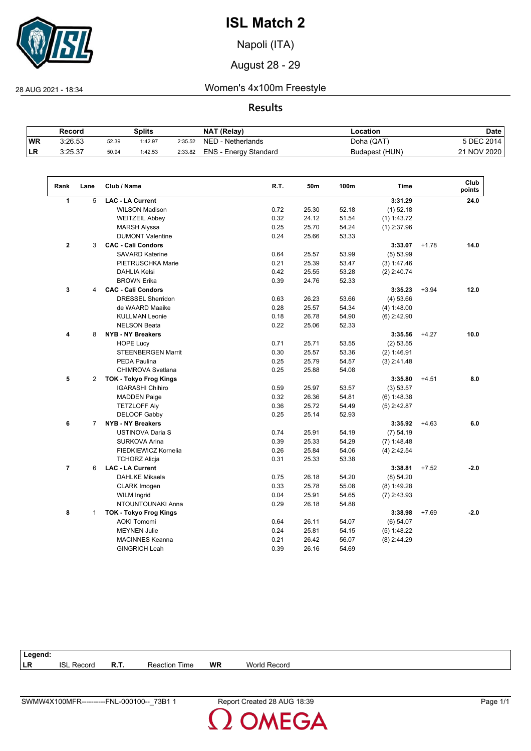

Napoli (ITA)

August 28 - 29

 $\sqrt{2}$ 

28 AUG 2021 - 18:34 Women's 4x100m Freestyle

**Results**

|           | Record  |       | Splits  |         | <b>NAT (Relay)</b>    | Location       | <b>Date</b> |
|-----------|---------|-------|---------|---------|-----------------------|----------------|-------------|
| <b>WR</b> | 3:26.53 | 52.39 | 1:42.97 | 2:35.52 | NED - Netherlands     | Doha (QAT)     | 5 DEC 2014  |
| LR        | 3:25.37 | 50.94 | 1:42.53 | 2:33.82 | ENS - Energy Standard | Budapest (HUN) | 21 NOV 2020 |

| Rank           | Lane           | Club / Name                   | R.T. | 50m   | 100m  | <b>Time</b>   |         | Club<br>points |
|----------------|----------------|-------------------------------|------|-------|-------|---------------|---------|----------------|
| 1              | 5              | <b>LAC - LA Current</b>       |      |       |       | 3:31.29       |         | 24.0           |
|                |                | <b>WILSON Madison</b>         | 0.72 | 25.30 | 52.18 | $(1)$ 52.18   |         |                |
|                |                | <b>WEITZEIL Abbey</b>         | 0.32 | 24.12 | 51.54 | (1) 1:43.72   |         |                |
|                |                | <b>MARSH Alyssa</b>           | 0.25 | 25.70 | 54.24 | $(1)$ 2:37.96 |         |                |
|                |                | <b>DUMONT Valentine</b>       | 0.24 | 25.66 | 53.33 |               |         |                |
| $\mathbf 2$    | 3              | <b>CAC - Cali Condors</b>     |      |       |       | 3:33.07       | $+1.78$ | 14.0           |
|                |                | <b>SAVARD Katerine</b>        | 0.64 | 25.57 | 53.99 | (5) 53.99     |         |                |
|                |                | PIETRUSCHKA Marie             | 0.21 | 25.39 | 53.47 | (3) 1:47.46   |         |                |
|                |                | <b>DAHLIA Kelsi</b>           | 0.42 | 25.55 | 53.28 | $(2)$ 2:40.74 |         |                |
|                |                | <b>BROWN Erika</b>            | 0.39 | 24.76 | 52.33 |               |         |                |
| 3              | 4              | <b>CAC - Cali Condors</b>     |      |       |       | 3:35.23       | $+3.94$ | 12.0           |
|                |                | <b>DRESSEL Sherridon</b>      | 0.63 | 26.23 | 53.66 | (4) 53.66     |         |                |
|                |                | de WAARD Maaike               | 0.28 | 25.57 | 54.34 | (4) 1:48.00   |         |                |
|                |                | <b>KULLMAN Leonie</b>         | 0.18 | 26.78 | 54.90 | $(6)$ 2:42.90 |         |                |
|                |                | <b>NELSON Beata</b>           | 0.22 | 25.06 | 52.33 |               |         |                |
| 4              | 8              | <b>NYB - NY Breakers</b>      |      |       |       | 3:35.56       | $+4.27$ | 10.0           |
|                |                | <b>HOPE Lucy</b>              | 0.71 | 25.71 | 53.55 | (2) 53.55     |         |                |
|                |                | STEENBERGEN Marrit            | 0.30 | 25.57 | 53.36 | (2) 1:46.91   |         |                |
|                |                | <b>PEDA Paulina</b>           | 0.25 | 25.79 | 54.57 | $(3)$ 2:41.48 |         |                |
|                |                | <b>CHIMROVA Svetlana</b>      | 0.25 | 25.88 | 54.08 |               |         |                |
| 5              | $\overline{2}$ | <b>TOK - Tokyo Frog Kings</b> |      |       |       | 3:35.80       | $+4.51$ | 8.0            |
|                |                | <b>IGARASHI Chihiro</b>       | 0.59 | 25.97 | 53.57 | (3) 53.57     |         |                |
|                |                | <b>MADDEN Paige</b>           | 0.32 | 26.36 | 54.81 | $(6)$ 1:48.38 |         |                |
|                |                | <b>TETZLOFF Aly</b>           | 0.36 | 25.72 | 54.49 | $(5)$ 2:42.87 |         |                |
|                |                | DELOOF Gabby                  | 0.25 | 25.14 | 52.93 |               |         |                |
| 6              | $\overline{7}$ | <b>NYB - NY Breakers</b>      |      |       |       | 3:35.92       | $+4.63$ | 6.0            |
|                |                | <b>USTINOVA Daria S</b>       | 0.74 | 25.91 | 54.19 | (7) 54.19     |         |                |
|                |                | <b>SURKOVA Arina</b>          | 0.39 | 25.33 | 54.29 | $(7)$ 1:48.48 |         |                |
|                |                | FIEDKIEWICZ Kornelia          | 0.26 | 25.84 | 54.06 | $(4)$ 2:42.54 |         |                |
|                |                | <b>TCHORZ Alicja</b>          | 0.31 | 25.33 | 53.38 |               |         |                |
| $\overline{7}$ | 6              | <b>LAC - LA Current</b>       |      |       |       | 3:38.81       | $+7.52$ | $-2.0$         |
|                |                | <b>DAHLKE Mikaela</b>         | 0.75 | 26.18 | 54.20 | (8) 54.20     |         |                |
|                |                | CLARK Imogen                  | 0.33 | 25.78 | 55.08 | $(8)$ 1:49.28 |         |                |
|                |                | <b>WILM Ingrid</b>            | 0.04 | 25.91 | 54.65 | $(7)$ 2:43.93 |         |                |
|                |                | NTOUNTOUNAKI Anna             | 0.29 | 26.18 | 54.88 |               |         |                |
| 8              | $\mathbf{1}$   | <b>TOK - Tokyo Frog Kings</b> |      |       |       | 3:38.98       | $+7.69$ | $-2.0$         |
|                |                | <b>AOKI Tomomi</b>            | 0.64 | 26.11 | 54.07 | (6) 54.07     |         |                |
|                |                | <b>MEYNEN Julie</b>           | 0.24 | 25.81 | 54.15 | (5) 1:48.22   |         |                |
|                |                | <b>MACINNES Keanna</b>        | 0.21 | 26.42 | 56.07 | $(8)$ 2:44.29 |         |                |
|                |                | <b>GINGRICH Leah</b>          | 0.39 | 26.16 | 54.69 |               |         |                |
|                |                |                               |      |       |       |               |         |                |

| Legena:   |                   |             |                           |           |                     |
|-----------|-------------------|-------------|---------------------------|-----------|---------------------|
| <b>LR</b> | <b>ISL Record</b> | <b>R.T.</b> | —<br><b>Reaction Time</b> | <b>WR</b> | <b>World Record</b> |
|           |                   |             |                           |           |                     |

**Legend:**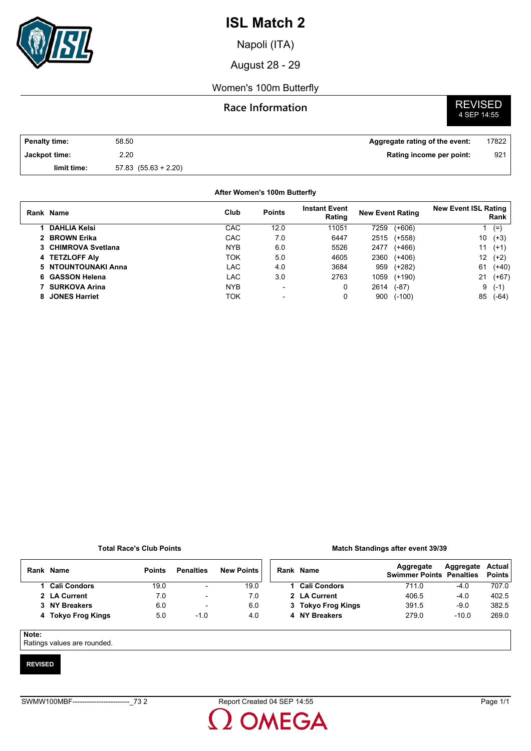

Napoli (ITA)

August 28 - 29

### Women's 100m Butterfly

## **Race Information**

# **REVISED**<br>4 SEP 14:55

| <b>Penalty time:</b> | 58.50                    | Aggregate rating of the event: | 17822 |
|----------------------|--------------------------|--------------------------------|-------|
| Jackpot time:        | 2.20                     | Rating income per point:       | 921   |
| limit time:          | $57.83$ $(55.63 + 2.20)$ |                                |       |

### **After Women's 100m Butterfly**

| Rank Name            | Club       | <b>Points</b>            | <b>Instant Event</b><br>Rating | <b>New Event Rating</b> |          | <b>New Event ISL Rating</b> | Rank    |
|----------------------|------------|--------------------------|--------------------------------|-------------------------|----------|-----------------------------|---------|
| <b>DAHLIA Kelsi</b>  | CAC        | 12.0                     | 11051                          | 7259                    | $(+606)$ |                             | $(=)$   |
| 2 BROWN Erika        | <b>CAC</b> | 7.0                      | 6447                           | 2515                    | (+558)   | 10                          | $(+3)$  |
| 3 CHIMROVA Svetlana  | <b>NYB</b> | 6.0                      | 5526                           | 2477                    | $(+466)$ | 11                          | $(+1)$  |
| 4 TETZLOFF Aly       | TOK        | 5.0                      | 4605                           | 2360                    | $(+406)$ | $12 \overline{ }$           | $(+2)$  |
| 5 NTOUNTOUNAKI Anna  | LAC        | 4.0                      | 3684                           | 959                     | (+282)   | 61                          | $(+40)$ |
| 6 GASSON Helena      | LAC.       | 3.0                      | 2763                           | 1059                    | $(+190)$ | 21                          | (+67)   |
| <b>SURKOVA Arina</b> | <b>NYB</b> | $\overline{\phantom{a}}$ | 0                              | 2614                    | $(-87)$  | 9                           | $(-1)$  |
| 8 JONES Harriet      | ток        | $\blacksquare$           | 0                              | 900                     | $(-100)$ | 85                          | $(-64)$ |

### **Total Race's Club Points**

#### **Match Standings after event 39/39**

| Rank | <b>Name</b>        | <b>Points</b> | <b>Penalties</b>         | <b>New Points</b> | Rank Name           | Aggregate<br><b>Swimmer Points Penalties</b> | Aggregate | <b>Actual</b><br><b>Points</b> |
|------|--------------------|---------------|--------------------------|-------------------|---------------------|----------------------------------------------|-----------|--------------------------------|
|      | 1 Cali Condors     | 19.0          | $\overline{\phantom{a}}$ | 19.0              | <b>Cali Condors</b> | 711.0                                        | $-4.0$    | 707.0                          |
|      | 2 LA Current       | 7.0           | $\overline{\phantom{a}}$ | 7.0               | 2 LA Current        | 406.5                                        | $-4.0$    | 402.5                          |
|      | 3 NY Breakers      | 6.0           | $\overline{\phantom{a}}$ | 6.0               | 3 Tokyo Frog Kings  | 391.5                                        | $-9.0$    | 382.5                          |
|      | 4 Tokyo Frog Kings | 5.0           | $-1.0$                   | 4.0               | 4 NY Breakers       | 279.0                                        | $-10.0$   | 269.0                          |
|      |                    |               |                          |                   |                     |                                              |           |                                |

### **Note:**

Ratings values are rounded.

### **REVISED**

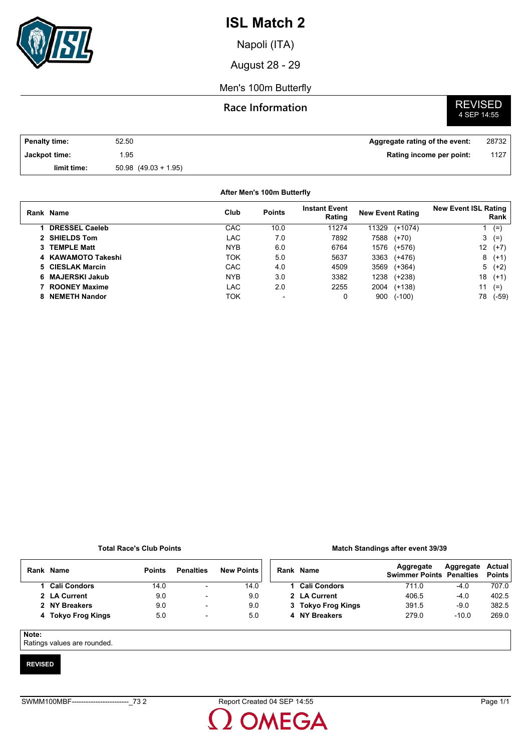

Napoli (ITA)

August 28 - 29

### Men's 100m Butterfly

## **Race Information**

# **REVISED**<br>4 SEP 14:55

| Penalty time: | 52.50                    | Aggregate rating of the event: | 28732 |
|---------------|--------------------------|--------------------------------|-------|
| Jackpot time: | .95                      | Rating income per point:       | 1127  |
| limit time:   | $50.98$ $(49.03 + 1.95)$ |                                |       |

### **After Men's 100m Butterfly**

| Rank Name             | Club       | <b>Points</b>  | <b>Instant Event</b><br>Rating | <b>New Event Rating</b> |           | <b>New Event ISL Rating</b><br>Rank |         |
|-----------------------|------------|----------------|--------------------------------|-------------------------|-----------|-------------------------------------|---------|
| <b>DRESSEL Caeleb</b> | CAC        | 10.0           | 11274                          | 11329                   | $(+1074)$ |                                     | $(=)$   |
| 2 SHIELDS Tom         | LAC        | 7.0            | 7892                           | 7588                    | $(+70)$   | 3                                   | $(=)$   |
| 3 TEMPLE Matt         | <b>NYB</b> | 6.0            | 6764                           | 1576                    | $(+576)$  | 12                                  | $(+7)$  |
| 4 KAWAMOTO Takeshi    | TOK        | 5.0            | 5637                           | 3363                    | $(+476)$  | 8                                   | $(+1)$  |
| 5 CIESLAK Marcin      | <b>CAC</b> | 4.0            | 4509                           | 3569                    | $(+364)$  |                                     | $5(+2)$ |
| 6 MAJERSKI Jakub      | <b>NYB</b> | 3.0            | 3382                           | 1238                    | $(+238)$  | 18                                  | $(+1)$  |
| <b>ROONEY Maxime</b>  | LAC        | 2.0            | 2255                           | 2004                    | $(+138)$  | 11                                  | $(=)$   |
| <b>NEMETH Nandor</b>  | ток        | $\blacksquare$ | 0                              | 900                     | $(-100)$  | 78                                  | $(-59)$ |

### **Total Race's Club Points**

#### **Match Standings after event 39/39**

|       | Rank Name          | <b>Points</b> | <b>Penalties</b>         | <b>New Points</b> |  | Rank Name           | Aggregate<br><b>Swimmer Points Penalties</b> | Aggregate | Actual<br><b>Points</b> |
|-------|--------------------|---------------|--------------------------|-------------------|--|---------------------|----------------------------------------------|-----------|-------------------------|
|       | 1 Cali Condors     | 14.0          | $\overline{\phantom{0}}$ | 14.0              |  | <b>Cali Condors</b> | 711.0                                        | $-4.0$    | 707.0                   |
|       | 2 LA Current       | 9.0           | $\overline{\phantom{0}}$ | 9.0               |  | 2 LA Current        | 406.5                                        | $-4.0$    | 402.5                   |
|       | 2 NY Breakers      | 9.0           | $\overline{\phantom{a}}$ | 9.0               |  | 3 Tokyo Frog Kings  | 391.5                                        | $-9.0$    | 382.5                   |
|       | 4 Tokyo Frog Kings | 5.0           | $\overline{\phantom{a}}$ | 5.0               |  | 4 NY Breakers       | 279.0                                        | $-10.0$   | 269.0                   |
|       |                    |               |                          |                   |  |                     |                                              |           |                         |
| Note: |                    |               |                          |                   |  |                     |                                              |           |                         |

Ratings values are rounded.

### **REVISED**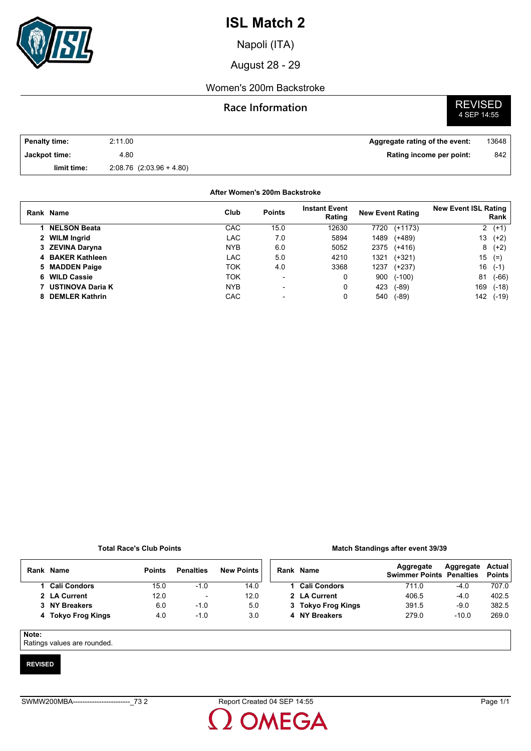

Napoli (ITA)

August 28 - 29

## Women's 200m Backstroke

## **Race Information**

# **REVISED**<br>4 SEP 14:55

| <b>Penalty time:</b> | 2:11.00                      | Aggregate rating of the event: | 13648 |
|----------------------|------------------------------|--------------------------------|-------|
| Jackpot time:        | 4.80                         | Rating income per point:       | 842   |
| limit time:          | $2.08.76$ $(2.03.96 + 4.80)$ |                                |       |

### **After Women's 200m Backstroke**

|   | Rank Name               | Club       | <b>Points</b>            | <b>Instant Event</b><br>Rating | <b>New Event Rating</b> |           | <b>New Event ISL Rating</b> | Rank    |
|---|-------------------------|------------|--------------------------|--------------------------------|-------------------------|-----------|-----------------------------|---------|
|   | <b>NELSON Beata</b>     | CAC        | 15.0                     | 12630                          | 7720                    | $(+1173)$ |                             | $2(+1)$ |
|   | 2 WILM Ingrid           | LAC        | 7.0                      | 5894                           | 1489                    | (+489)    | 13                          | $(+2)$  |
|   | 3 ZEVINA Daryna         | <b>NYB</b> | 6.0                      | 5052                           | 2375                    | (+416)    |                             | $8(+2)$ |
|   | 4 BAKER Kathleen        | LAC        | 5.0                      | 4210                           | 1321                    | $(+321)$  | 15                          | $(=)$   |
|   | 5 MADDEN Paige          | ток        | 4.0                      | 3368                           | 1237                    | $(+237)$  | 16                          | $(-1)$  |
|   | 6 WILD Cassie           | TOK        | $\overline{\phantom{a}}$ | 0                              | 900                     | $(-100)$  | 81                          | $(-66)$ |
|   | <b>USTINOVA Daria K</b> | <b>NYB</b> | $\overline{\phantom{0}}$ | 0                              | 423                     | $(-89)$   | 169                         | $(-18)$ |
| 8 | <b>DEMLER Kathrin</b>   | CAC        |                          | 0                              | 540                     | (-89)     | 142                         | $(-19)$ |

### **Total Race's Club Points**

#### **Match Standings after event 39/39**

|  | Rank Name          | <b>Points</b> | <b>Penalties</b>         | <b>New Points</b> | Rank Nam |        |
|--|--------------------|---------------|--------------------------|-------------------|----------|--------|
|  | 1 Cali Condors     | 15.0          | $-1.0$                   | 14.0              |          | Cali   |
|  | 2 LA Current       | 12.0          | $\overline{\phantom{a}}$ | 12.0              |          | 2 LA   |
|  | 3 NY Breakers      | 6.0           | $-1.0$                   | 5.0               |          | 3 Toky |
|  | 4 Tokyo Frog Kings | 4.0           | $-1.0$                   | 3.0               |          | 4 NY I |
|  |                    |               |                          |                   |          |        |

| Rank Name          | Aggregate<br><b>Swimmer Points Penalties</b> | Aggregate Actual | <b>Points</b> |
|--------------------|----------------------------------------------|------------------|---------------|
| 1 Cali Condors     | 711.0                                        | $-4.0$           | 707.0         |
| 2 LA Current       | 406.5                                        | $-4.0$           | 402.5         |
| 3 Tokyo Frog Kings | 391.5                                        | $-9.0$           | 382.5         |
| 4 NY Breakers      | 279.0                                        | $-10.0$          | 269.0         |
|                    |                                              |                  |               |

### **Note:**

Ratings values are rounded.

### **REVISED**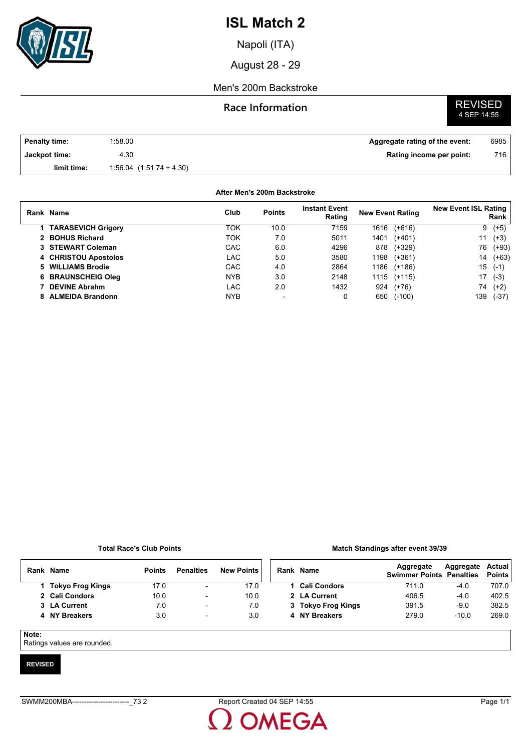

Napoli (ITA)

August 28 - 29

## Men's 200m Backstroke

## **Race Information**

# **REVISED**<br>4 SEP 14:55

| <b>Penalty time:</b> | 1:58.00                      | Aggregate rating of the event: | 6985 |
|----------------------|------------------------------|--------------------------------|------|
| Jackpot time:        | 4.30                         | Rating income per point:       | 716  |
| limit time:          | $1.56.04$ $(1.51.74 + 4.30)$ |                                |      |

### **After Men's 200m Backstroke**

| Rank Name                 | Club       | <b>Points</b> | <b>Instant Event</b><br>Rating | <b>New Event Rating</b> |          | <b>New Event ISL Rating</b> | Rank    |
|---------------------------|------------|---------------|--------------------------------|-------------------------|----------|-----------------------------|---------|
| <b>TARASEVICH Grigory</b> | ток        | 10.0          | 7159                           | 1616                    | $(+616)$ | 9                           | $(+5)$  |
| 2 BOHUS Richard           | ток        | 7.0           | 5011                           | 1401                    | $(+401)$ | 11                          | $(+3)$  |
| 3 STEWART Coleman         | CAC        | 6.0           | 4296                           | 878                     | (+329)   | 76                          | $(+93)$ |
| 4 CHRISTOU Apostolos      | LAC        | 5.0           | 3580                           | 1198                    | $(+361)$ | 14                          | $(+63)$ |
| 5 WILLIAMS Brodie         | CAC        | 4.0           | 2864                           | 1186                    | $(+186)$ | 15                          | $(-1)$  |
| 6 BRAUNSCHEIG Oleg        | <b>NYB</b> | 3.0           | 2148                           | 1115                    | $(+115)$ | 17                          | $(-3)$  |
| <b>DEVINE Abrahm</b>      | LAC        | 2.0           | 1432                           | 924                     | $(+76)$  | 74                          | $(+2)$  |
| 8 ALMEIDA Brandonn        | <b>NYB</b> |               |                                | 650                     | $(-100)$ | 139                         | $(-37)$ |

### **Total Race's Club Points**

#### **Match Standings after event 39/39**

| Rank  | Name             | <b>Points</b> | <b>Penalties</b>         | <b>New Points</b> |  | Rank Name           | Aggregate<br><b>Swimmer Points Penalties</b> | Aggregate | Actual<br><b>Points</b> |
|-------|------------------|---------------|--------------------------|-------------------|--|---------------------|----------------------------------------------|-----------|-------------------------|
|       | Tokyo Frog Kings | 17.0          | ۰.                       | 17.0              |  | <b>Cali Condors</b> | 711.0                                        | $-4.0$    | 707.0                   |
|       | 2 Cali Condors   | 10.0          | ۰                        | 10.0              |  | 2 LA Current        | 406.5                                        | $-4.0$    | 402.5                   |
|       | 3 LA Current     | 7.0           | $\overline{\phantom{a}}$ | 7.0               |  | 3 Tokyo Frog Kings  | 391.5                                        | $-9.0$    | 382.5                   |
|       | 4 NY Breakers    | 3.0           | $\overline{\phantom{a}}$ | 3.0               |  | 4 NY Breakers       | 279.0                                        | $-10.0$   | 269.0                   |
| Note: |                  |               |                          |                   |  |                     |                                              |           |                         |

Ratings values are rounded.

### **REVISED**

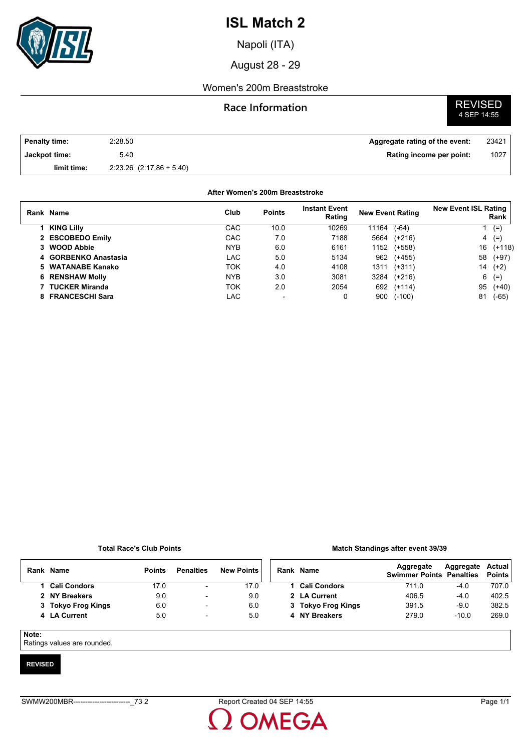

Napoli (ITA)

August 28 - 29

## Women's 200m Breaststroke

## **Race Information**

# **REVISED**<br>4 SEP 14:55

| <b>Penalty time:</b> | 2:28.50                      | Aggregate rating of the event: | 23421 |
|----------------------|------------------------------|--------------------------------|-------|
| Jackpot time:        | 5.40                         | Rating income per point:       | 1027  |
| limit time:          | $2.23.26$ $(2.17.86 + 5.40)$ |                                |       |

### **After Women's 200m Breaststroke**

|    | Rank Name              | Club       | <b>Points</b> | <b>Instant Event</b><br>Rating | <b>New Event Rating</b> |          | <b>New Event ISL Rating</b> | Rank     |
|----|------------------------|------------|---------------|--------------------------------|-------------------------|----------|-----------------------------|----------|
|    | <b>KING Lilly</b>      | CAC        | 10.0          | 10269                          | 11164                   | $(-64)$  |                             | $(=$     |
|    | 2 ESCOBEDO Emily       | CAC        | 7.0           | 7188                           | 5664                    | $(+216)$ | 4                           | $(=)$    |
|    | 3 WOOD Abbie           | <b>NYB</b> | 6.0           | 6161                           | 1152                    | $(+558)$ | 16                          | $(+118)$ |
|    | 4 GORBENKO Anastasia   | LAC        | 5.0           | 5134                           | 962                     | $(+455)$ | 58                          | $(+97)$  |
|    | 5 WATANABE Kanako      | ток        | 4.0           | 4108                           | 1311                    | $(+311)$ | 14                          | $(+2)$   |
|    | <b>6 RENSHAW Molly</b> | <b>NYB</b> | 3.0           | 3081                           | 3284                    | $(+216)$ | 6                           | $(=)$    |
|    | <b>TUCKER Miranda</b>  | TOK        | 2.0           | 2054                           | 692                     | $(+114)$ | 95                          | $(+40)$  |
| 8. | <b>FRANCESCHI Sara</b> | LAC        | -             | 0                              | 900                     | $(-100)$ | 81                          | $(-65)$  |

### **Total Race's Club Points**

### **Match Standings after event 39/39**

| Rank | Name                | <b>Points</b> | <b>Penalties</b>         | <b>New Points</b> | Rank | Name                | Aggregate<br><b>Swimmer Points Penalties</b> | Aggregate | Actual<br><b>Points</b> |
|------|---------------------|---------------|--------------------------|-------------------|------|---------------------|----------------------------------------------|-----------|-------------------------|
|      | <b>Cali Condors</b> | 17.0          | $\overline{\phantom{a}}$ | 17.0              |      | <b>Cali Condors</b> | 711.0                                        | -4.0      | 707.0                   |
|      | 2 NY Breakers       | 9.0           | $\overline{\phantom{0}}$ | 9.0               |      | 2 LA Current        | 406.5                                        | $-4.0$    | 402.5                   |
|      | 3 Tokyo Frog Kings  | 6.0           | $\overline{\phantom{a}}$ | 6.0               |      | 3 Tokyo Frog Kings  | 391.5                                        | $-9.0$    | 382.5                   |
|      | 4 LA Current        | 5.0           | $\overline{\phantom{0}}$ | 5.0               |      | 4 NY Breakers       | 279.0                                        | $-10.0$   | 269.0                   |
|      |                     |               |                          |                   |      |                     |                                              |           |                         |

### **Note:**

Ratings values are rounded.

### **REVISED**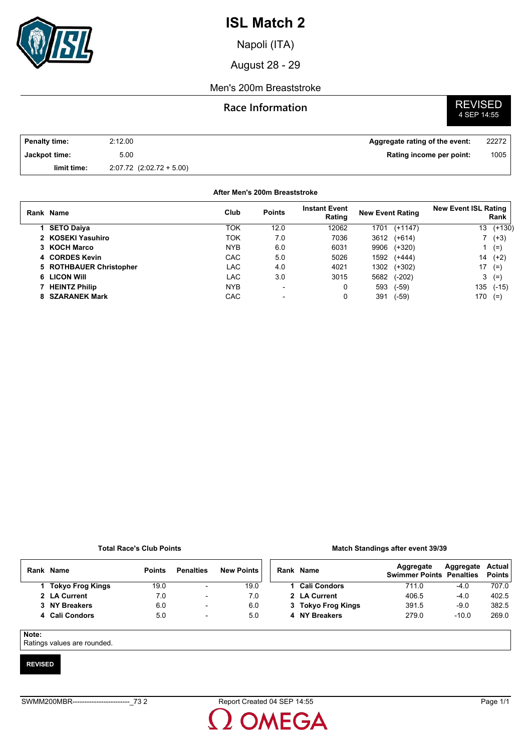

Napoli (ITA)

August 28 - 29

### Men's 200m Breaststroke

## **Race Information**

# **REVISED**<br>4 SEP 14:55

| Penalty time: | 2:12.00                      | Aggregate rating of the event: | 22272 |
|---------------|------------------------------|--------------------------------|-------|
| Jackpot time: | 5.00                         | Rating income per point:       | 1005  |
| limit time:   | $2.07.72$ $(2.02.72 + 5.00)$ |                                |       |

### **After Men's 200m Breaststroke**

| Rank Name               | Club       | <b>Points</b>            | <b>Instant Event</b><br>Rating | <b>New Event Rating</b> |           | <b>New Event ISL Rating</b><br>Rank |               |
|-------------------------|------------|--------------------------|--------------------------------|-------------------------|-----------|-------------------------------------|---------------|
| 1 SETO Daiya            | TOK        | 12.0                     | 12062                          | 1701                    | $(+1147)$ | 13                                  | $(+130)$      |
| 2 KOSEKI Yasuhiro       | TOK        | 7.0                      | 7036                           | 3612                    | $(+614)$  |                                     | $(+3)$        |
| 3 KOCH Marco            | <b>NYB</b> | 6.0                      | 6031                           | 9906                    | (+320)    |                                     | $(=)$         |
| 4 CORDES Kevin          | <b>CAC</b> | 5.0                      | 5026                           | 1592                    | $(+444)$  | 14                                  | $(+2)$        |
| 5 ROTHBAUER Christopher | LAC.       | 4.0                      | 4021                           | 1302                    | $(+302)$  |                                     | $17(=)$       |
| 6 LICON Will            | LAC        | 3.0                      | 3015                           | 5682                    | $(-202)$  |                                     | $3(=)$        |
| 7 HEINTZ Philip         | <b>NYB</b> | $\overline{\phantom{0}}$ | 0                              | 593                     | $(-59)$   |                                     | $135$ $(-15)$ |
| 8 SZARANEK Mark         | CAC        | $\overline{\phantom{0}}$ | 0                              | 391                     | $(-59)$   | 170                                 | $(=)$         |

### **Total Race's Club Points**

#### **Match Standings after event 39/39**

| Rank         | <b>Name</b>             | <b>Points</b> | <b>Penalties</b>         | <b>New Points</b> | Rank Name           | Aggregate<br><b>Swimmer Points Penalties</b> | Aggregate | Actual<br><b>Points</b> |
|--------------|-------------------------|---------------|--------------------------|-------------------|---------------------|----------------------------------------------|-----------|-------------------------|
|              | <b>Tokyo Frog Kings</b> | 19.0          | $\overline{\phantom{a}}$ | 19.0              | <b>Cali Condors</b> | 711.0                                        | $-4.0$    | 707.0                   |
|              | 2 LA Current            | 7.0           | $\overline{\phantom{a}}$ | 7.0               | 2 LA Current        | 406.5                                        | $-4.0$    | 402.5                   |
|              | 3 NY Breakers           | 6.0           | $\overline{\phantom{a}}$ | 6.0               | 3 Tokyo Frog Kings  | 391.5                                        | $-9.0$    | 382.5                   |
|              | 4 Cali Condors          | 5.0           | $\overline{\phantom{a}}$ | 5.0               | 4 NY Breakers       | 279.0                                        | $-10.0$   | 269.0                   |
| $\mathbf{r}$ |                         |               |                          |                   |                     |                                              |           |                         |

### **Note:**

Ratings values are rounded.

### **REVISED**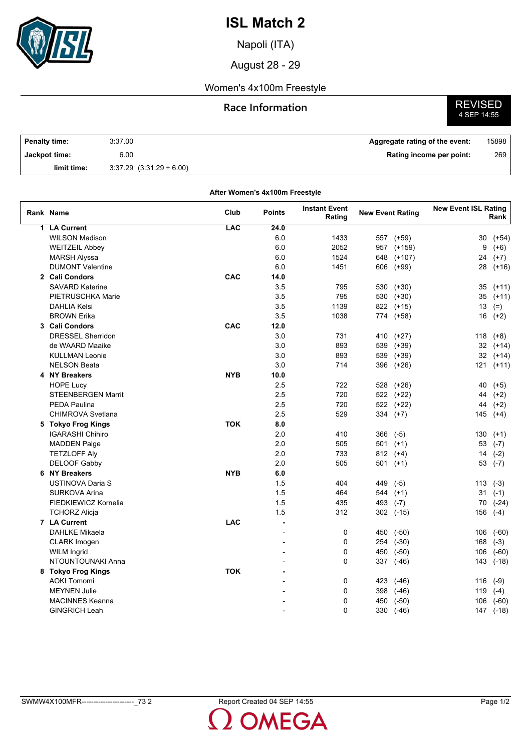

Napoli (ITA)

August 28 - 29

## Women's 4x100m Freestyle

## **Race Information**



| <b>Penalty time:</b> | 3:37.00                      | Aggregate rating of the event: | 15898 |
|----------------------|------------------------------|--------------------------------|-------|
| Jackpot time:        | 6.00                         | Rating income per point:       | 269   |
| limit time:          | $3:37.29$ $(3:31.29 + 6.00)$ |                                |       |

| <b>Instant Event</b><br><b>New Event ISL Rating</b><br>Club<br>Rank Name<br><b>Points</b><br><b>New Event Rating</b><br>Rating<br>Rank<br>LAC<br>1 LA Current<br>24.0<br><b>WILSON Madison</b><br>6.0<br>1433<br>557<br>$(+59)$<br>30<br>$(+54)$<br>6.0<br>2052<br><b>WEITZEIL Abbey</b><br>957<br>$(+159)$<br>9<br>$(+6)$<br>6.0<br>1524<br><b>MARSH Alyssa</b><br>648<br>$(+107)$<br>24<br>$(+7)$<br><b>DUMONT Valentine</b><br>6.0<br>1451<br>606<br>(+99)<br>28<br>$(+16)$<br>CAC<br>2 Cali Condors<br>14.0<br><b>SAVARD Katerine</b><br>3.5<br>795<br>530<br>$(+30)$<br>35<br>$(+11)$<br>PIETRUSCHKA Marie<br>3.5<br>795<br>$(+30)$<br>530<br>35 (+11)<br>3.5<br><b>DAHLIA Kelsi</b><br>1139<br>822 (+15)<br>13<br>$(=)$<br>3.5<br><b>BROWN Erika</b><br>1038<br>774 (+58)<br>16<br>$(+2)$<br>CAC<br>12.0<br>3 Cali Condors<br><b>DRESSEL Sherridon</b><br>3.0<br>731<br>$(+27)$<br>410<br>118<br>$(+8)$<br>de WAARD Maaike<br>3.0<br>893<br>$(+39)$<br>539<br>32<br>$(+14)$<br>3.0<br><b>KULLMAN Leonie</b><br>893<br>539<br>$(+39)$<br>32<br>$(+14)$<br>3.0<br><b>NELSON Beata</b><br>714<br>396 (+26)<br>121<br>$(+11)$<br>4 NY Breakers<br><b>NYB</b><br>10.0<br><b>HOPE Lucy</b><br>2.5<br>722<br>528<br>$(+26)$<br>40<br>$(+5)$<br>2.5<br><b>STEENBERGEN Marrit</b><br>720<br>522 (+22)<br>44<br>$(+2)$<br>2.5<br><b>PEDA Paulina</b><br>720<br>522 (+22)<br>44<br>$(+2)$<br>2.5<br>529<br>$334 (+7)$<br><b>CHIMROVA Svetlana</b><br>145<br>$(+4)$<br><b>TOK</b><br>8.0<br>5 Tokyo Frog Kings<br>2.0<br><b>IGARASHI Chihiro</b><br>410<br>366<br>$(-5)$<br>130<br>$(+1)$<br>2.0<br><b>MADDEN Paige</b><br>505<br>$501$ (+1)<br>53<br>$(-7)$<br>2.0<br><b>TETZLOFF Aly</b><br>733<br>$812(+4)$<br>14<br>$(-2)$<br>DELOOF Gabby<br>2.0<br>505<br>$501$ (+1)<br>53<br>$(-7)$<br><b>NYB</b><br>6.0<br>6 NY Breakers<br>USTINOVA Daria S<br>1.5<br>404<br>449<br>$(-5)$<br>113<br>$(-3)$<br>1.5<br>SURKOVA Arina<br>464<br>$(+1)$<br>31<br>544<br>$(-1)$<br>FIEDKIEWICZ Kornelia<br>1.5<br>435<br>493 (-7)<br>70<br>$(-24)$<br>1.5<br><b>TCHORZ Alicja</b><br>312<br>$302$ $(-15)$<br>156<br>$(-4)$<br>7 LA Current<br><b>LAC</b><br>$\blacksquare$<br><b>DAHLKE Mikaela</b><br>0<br>450<br>$(-50)$<br>106<br>$(-60)$<br>L,<br>$\Omega$<br>$(-30)$<br><b>CLARK</b> Imogen<br>254<br>168<br>$(-3)$<br><b>WILM Ingrid</b><br>$\Omega$<br>450<br>$(-50)$<br>106<br>$(-60)$<br>NTOUNTOUNAKI Anna<br>$\Omega$<br>337 (-46)<br>143 (-18)<br>8 Tokyo Frog Kings<br><b>TOK</b><br>0<br><b>AOKI Tomomi</b><br>423<br>$(-46)$<br>116<br>$(-9)$<br>0<br><b>MEYNEN Julie</b><br>398<br>(-46)<br>119<br>$(-4)$<br><b>MACINNES Keanna</b><br>0<br>450<br>$(-50)$<br>106<br>$(-60)$<br>$\Omega$<br><b>GINGRICH Leah</b><br>147 (-18) |  | After Women's 4x100m Freestyle |     |         |  |
|-----------------------------------------------------------------------------------------------------------------------------------------------------------------------------------------------------------------------------------------------------------------------------------------------------------------------------------------------------------------------------------------------------------------------------------------------------------------------------------------------------------------------------------------------------------------------------------------------------------------------------------------------------------------------------------------------------------------------------------------------------------------------------------------------------------------------------------------------------------------------------------------------------------------------------------------------------------------------------------------------------------------------------------------------------------------------------------------------------------------------------------------------------------------------------------------------------------------------------------------------------------------------------------------------------------------------------------------------------------------------------------------------------------------------------------------------------------------------------------------------------------------------------------------------------------------------------------------------------------------------------------------------------------------------------------------------------------------------------------------------------------------------------------------------------------------------------------------------------------------------------------------------------------------------------------------------------------------------------------------------------------------------------------------------------------------------------------------------------------------------------------------------------------------------------------------------------------------------------------------------------------------------------------------------------------------------------------------------------------------------------------------------------------------------------------------------------------------------------------------------------------------------------------------------------------------------------------------------------------------------------------------------------------------------------------------------------------------------------|--|--------------------------------|-----|---------|--|
|                                                                                                                                                                                                                                                                                                                                                                                                                                                                                                                                                                                                                                                                                                                                                                                                                                                                                                                                                                                                                                                                                                                                                                                                                                                                                                                                                                                                                                                                                                                                                                                                                                                                                                                                                                                                                                                                                                                                                                                                                                                                                                                                                                                                                                                                                                                                                                                                                                                                                                                                                                                                                                                                                                                             |  |                                |     |         |  |
|                                                                                                                                                                                                                                                                                                                                                                                                                                                                                                                                                                                                                                                                                                                                                                                                                                                                                                                                                                                                                                                                                                                                                                                                                                                                                                                                                                                                                                                                                                                                                                                                                                                                                                                                                                                                                                                                                                                                                                                                                                                                                                                                                                                                                                                                                                                                                                                                                                                                                                                                                                                                                                                                                                                             |  |                                |     |         |  |
|                                                                                                                                                                                                                                                                                                                                                                                                                                                                                                                                                                                                                                                                                                                                                                                                                                                                                                                                                                                                                                                                                                                                                                                                                                                                                                                                                                                                                                                                                                                                                                                                                                                                                                                                                                                                                                                                                                                                                                                                                                                                                                                                                                                                                                                                                                                                                                                                                                                                                                                                                                                                                                                                                                                             |  |                                |     |         |  |
|                                                                                                                                                                                                                                                                                                                                                                                                                                                                                                                                                                                                                                                                                                                                                                                                                                                                                                                                                                                                                                                                                                                                                                                                                                                                                                                                                                                                                                                                                                                                                                                                                                                                                                                                                                                                                                                                                                                                                                                                                                                                                                                                                                                                                                                                                                                                                                                                                                                                                                                                                                                                                                                                                                                             |  |                                |     |         |  |
|                                                                                                                                                                                                                                                                                                                                                                                                                                                                                                                                                                                                                                                                                                                                                                                                                                                                                                                                                                                                                                                                                                                                                                                                                                                                                                                                                                                                                                                                                                                                                                                                                                                                                                                                                                                                                                                                                                                                                                                                                                                                                                                                                                                                                                                                                                                                                                                                                                                                                                                                                                                                                                                                                                                             |  |                                |     |         |  |
|                                                                                                                                                                                                                                                                                                                                                                                                                                                                                                                                                                                                                                                                                                                                                                                                                                                                                                                                                                                                                                                                                                                                                                                                                                                                                                                                                                                                                                                                                                                                                                                                                                                                                                                                                                                                                                                                                                                                                                                                                                                                                                                                                                                                                                                                                                                                                                                                                                                                                                                                                                                                                                                                                                                             |  |                                |     |         |  |
|                                                                                                                                                                                                                                                                                                                                                                                                                                                                                                                                                                                                                                                                                                                                                                                                                                                                                                                                                                                                                                                                                                                                                                                                                                                                                                                                                                                                                                                                                                                                                                                                                                                                                                                                                                                                                                                                                                                                                                                                                                                                                                                                                                                                                                                                                                                                                                                                                                                                                                                                                                                                                                                                                                                             |  |                                |     |         |  |
|                                                                                                                                                                                                                                                                                                                                                                                                                                                                                                                                                                                                                                                                                                                                                                                                                                                                                                                                                                                                                                                                                                                                                                                                                                                                                                                                                                                                                                                                                                                                                                                                                                                                                                                                                                                                                                                                                                                                                                                                                                                                                                                                                                                                                                                                                                                                                                                                                                                                                                                                                                                                                                                                                                                             |  |                                |     |         |  |
|                                                                                                                                                                                                                                                                                                                                                                                                                                                                                                                                                                                                                                                                                                                                                                                                                                                                                                                                                                                                                                                                                                                                                                                                                                                                                                                                                                                                                                                                                                                                                                                                                                                                                                                                                                                                                                                                                                                                                                                                                                                                                                                                                                                                                                                                                                                                                                                                                                                                                                                                                                                                                                                                                                                             |  |                                |     |         |  |
|                                                                                                                                                                                                                                                                                                                                                                                                                                                                                                                                                                                                                                                                                                                                                                                                                                                                                                                                                                                                                                                                                                                                                                                                                                                                                                                                                                                                                                                                                                                                                                                                                                                                                                                                                                                                                                                                                                                                                                                                                                                                                                                                                                                                                                                                                                                                                                                                                                                                                                                                                                                                                                                                                                                             |  |                                |     |         |  |
|                                                                                                                                                                                                                                                                                                                                                                                                                                                                                                                                                                                                                                                                                                                                                                                                                                                                                                                                                                                                                                                                                                                                                                                                                                                                                                                                                                                                                                                                                                                                                                                                                                                                                                                                                                                                                                                                                                                                                                                                                                                                                                                                                                                                                                                                                                                                                                                                                                                                                                                                                                                                                                                                                                                             |  |                                |     |         |  |
|                                                                                                                                                                                                                                                                                                                                                                                                                                                                                                                                                                                                                                                                                                                                                                                                                                                                                                                                                                                                                                                                                                                                                                                                                                                                                                                                                                                                                                                                                                                                                                                                                                                                                                                                                                                                                                                                                                                                                                                                                                                                                                                                                                                                                                                                                                                                                                                                                                                                                                                                                                                                                                                                                                                             |  |                                |     |         |  |
|                                                                                                                                                                                                                                                                                                                                                                                                                                                                                                                                                                                                                                                                                                                                                                                                                                                                                                                                                                                                                                                                                                                                                                                                                                                                                                                                                                                                                                                                                                                                                                                                                                                                                                                                                                                                                                                                                                                                                                                                                                                                                                                                                                                                                                                                                                                                                                                                                                                                                                                                                                                                                                                                                                                             |  |                                |     |         |  |
|                                                                                                                                                                                                                                                                                                                                                                                                                                                                                                                                                                                                                                                                                                                                                                                                                                                                                                                                                                                                                                                                                                                                                                                                                                                                                                                                                                                                                                                                                                                                                                                                                                                                                                                                                                                                                                                                                                                                                                                                                                                                                                                                                                                                                                                                                                                                                                                                                                                                                                                                                                                                                                                                                                                             |  |                                |     |         |  |
|                                                                                                                                                                                                                                                                                                                                                                                                                                                                                                                                                                                                                                                                                                                                                                                                                                                                                                                                                                                                                                                                                                                                                                                                                                                                                                                                                                                                                                                                                                                                                                                                                                                                                                                                                                                                                                                                                                                                                                                                                                                                                                                                                                                                                                                                                                                                                                                                                                                                                                                                                                                                                                                                                                                             |  |                                |     |         |  |
|                                                                                                                                                                                                                                                                                                                                                                                                                                                                                                                                                                                                                                                                                                                                                                                                                                                                                                                                                                                                                                                                                                                                                                                                                                                                                                                                                                                                                                                                                                                                                                                                                                                                                                                                                                                                                                                                                                                                                                                                                                                                                                                                                                                                                                                                                                                                                                                                                                                                                                                                                                                                                                                                                                                             |  |                                |     |         |  |
|                                                                                                                                                                                                                                                                                                                                                                                                                                                                                                                                                                                                                                                                                                                                                                                                                                                                                                                                                                                                                                                                                                                                                                                                                                                                                                                                                                                                                                                                                                                                                                                                                                                                                                                                                                                                                                                                                                                                                                                                                                                                                                                                                                                                                                                                                                                                                                                                                                                                                                                                                                                                                                                                                                                             |  |                                |     |         |  |
|                                                                                                                                                                                                                                                                                                                                                                                                                                                                                                                                                                                                                                                                                                                                                                                                                                                                                                                                                                                                                                                                                                                                                                                                                                                                                                                                                                                                                                                                                                                                                                                                                                                                                                                                                                                                                                                                                                                                                                                                                                                                                                                                                                                                                                                                                                                                                                                                                                                                                                                                                                                                                                                                                                                             |  |                                |     |         |  |
|                                                                                                                                                                                                                                                                                                                                                                                                                                                                                                                                                                                                                                                                                                                                                                                                                                                                                                                                                                                                                                                                                                                                                                                                                                                                                                                                                                                                                                                                                                                                                                                                                                                                                                                                                                                                                                                                                                                                                                                                                                                                                                                                                                                                                                                                                                                                                                                                                                                                                                                                                                                                                                                                                                                             |  |                                |     |         |  |
|                                                                                                                                                                                                                                                                                                                                                                                                                                                                                                                                                                                                                                                                                                                                                                                                                                                                                                                                                                                                                                                                                                                                                                                                                                                                                                                                                                                                                                                                                                                                                                                                                                                                                                                                                                                                                                                                                                                                                                                                                                                                                                                                                                                                                                                                                                                                                                                                                                                                                                                                                                                                                                                                                                                             |  |                                |     |         |  |
|                                                                                                                                                                                                                                                                                                                                                                                                                                                                                                                                                                                                                                                                                                                                                                                                                                                                                                                                                                                                                                                                                                                                                                                                                                                                                                                                                                                                                                                                                                                                                                                                                                                                                                                                                                                                                                                                                                                                                                                                                                                                                                                                                                                                                                                                                                                                                                                                                                                                                                                                                                                                                                                                                                                             |  |                                |     |         |  |
|                                                                                                                                                                                                                                                                                                                                                                                                                                                                                                                                                                                                                                                                                                                                                                                                                                                                                                                                                                                                                                                                                                                                                                                                                                                                                                                                                                                                                                                                                                                                                                                                                                                                                                                                                                                                                                                                                                                                                                                                                                                                                                                                                                                                                                                                                                                                                                                                                                                                                                                                                                                                                                                                                                                             |  |                                |     |         |  |
|                                                                                                                                                                                                                                                                                                                                                                                                                                                                                                                                                                                                                                                                                                                                                                                                                                                                                                                                                                                                                                                                                                                                                                                                                                                                                                                                                                                                                                                                                                                                                                                                                                                                                                                                                                                                                                                                                                                                                                                                                                                                                                                                                                                                                                                                                                                                                                                                                                                                                                                                                                                                                                                                                                                             |  |                                |     |         |  |
|                                                                                                                                                                                                                                                                                                                                                                                                                                                                                                                                                                                                                                                                                                                                                                                                                                                                                                                                                                                                                                                                                                                                                                                                                                                                                                                                                                                                                                                                                                                                                                                                                                                                                                                                                                                                                                                                                                                                                                                                                                                                                                                                                                                                                                                                                                                                                                                                                                                                                                                                                                                                                                                                                                                             |  |                                |     |         |  |
|                                                                                                                                                                                                                                                                                                                                                                                                                                                                                                                                                                                                                                                                                                                                                                                                                                                                                                                                                                                                                                                                                                                                                                                                                                                                                                                                                                                                                                                                                                                                                                                                                                                                                                                                                                                                                                                                                                                                                                                                                                                                                                                                                                                                                                                                                                                                                                                                                                                                                                                                                                                                                                                                                                                             |  |                                |     |         |  |
|                                                                                                                                                                                                                                                                                                                                                                                                                                                                                                                                                                                                                                                                                                                                                                                                                                                                                                                                                                                                                                                                                                                                                                                                                                                                                                                                                                                                                                                                                                                                                                                                                                                                                                                                                                                                                                                                                                                                                                                                                                                                                                                                                                                                                                                                                                                                                                                                                                                                                                                                                                                                                                                                                                                             |  |                                |     |         |  |
|                                                                                                                                                                                                                                                                                                                                                                                                                                                                                                                                                                                                                                                                                                                                                                                                                                                                                                                                                                                                                                                                                                                                                                                                                                                                                                                                                                                                                                                                                                                                                                                                                                                                                                                                                                                                                                                                                                                                                                                                                                                                                                                                                                                                                                                                                                                                                                                                                                                                                                                                                                                                                                                                                                                             |  |                                |     |         |  |
|                                                                                                                                                                                                                                                                                                                                                                                                                                                                                                                                                                                                                                                                                                                                                                                                                                                                                                                                                                                                                                                                                                                                                                                                                                                                                                                                                                                                                                                                                                                                                                                                                                                                                                                                                                                                                                                                                                                                                                                                                                                                                                                                                                                                                                                                                                                                                                                                                                                                                                                                                                                                                                                                                                                             |  |                                |     |         |  |
|                                                                                                                                                                                                                                                                                                                                                                                                                                                                                                                                                                                                                                                                                                                                                                                                                                                                                                                                                                                                                                                                                                                                                                                                                                                                                                                                                                                                                                                                                                                                                                                                                                                                                                                                                                                                                                                                                                                                                                                                                                                                                                                                                                                                                                                                                                                                                                                                                                                                                                                                                                                                                                                                                                                             |  |                                |     |         |  |
|                                                                                                                                                                                                                                                                                                                                                                                                                                                                                                                                                                                                                                                                                                                                                                                                                                                                                                                                                                                                                                                                                                                                                                                                                                                                                                                                                                                                                                                                                                                                                                                                                                                                                                                                                                                                                                                                                                                                                                                                                                                                                                                                                                                                                                                                                                                                                                                                                                                                                                                                                                                                                                                                                                                             |  |                                |     |         |  |
|                                                                                                                                                                                                                                                                                                                                                                                                                                                                                                                                                                                                                                                                                                                                                                                                                                                                                                                                                                                                                                                                                                                                                                                                                                                                                                                                                                                                                                                                                                                                                                                                                                                                                                                                                                                                                                                                                                                                                                                                                                                                                                                                                                                                                                                                                                                                                                                                                                                                                                                                                                                                                                                                                                                             |  |                                |     |         |  |
|                                                                                                                                                                                                                                                                                                                                                                                                                                                                                                                                                                                                                                                                                                                                                                                                                                                                                                                                                                                                                                                                                                                                                                                                                                                                                                                                                                                                                                                                                                                                                                                                                                                                                                                                                                                                                                                                                                                                                                                                                                                                                                                                                                                                                                                                                                                                                                                                                                                                                                                                                                                                                                                                                                                             |  |                                |     |         |  |
|                                                                                                                                                                                                                                                                                                                                                                                                                                                                                                                                                                                                                                                                                                                                                                                                                                                                                                                                                                                                                                                                                                                                                                                                                                                                                                                                                                                                                                                                                                                                                                                                                                                                                                                                                                                                                                                                                                                                                                                                                                                                                                                                                                                                                                                                                                                                                                                                                                                                                                                                                                                                                                                                                                                             |  |                                |     |         |  |
|                                                                                                                                                                                                                                                                                                                                                                                                                                                                                                                                                                                                                                                                                                                                                                                                                                                                                                                                                                                                                                                                                                                                                                                                                                                                                                                                                                                                                                                                                                                                                                                                                                                                                                                                                                                                                                                                                                                                                                                                                                                                                                                                                                                                                                                                                                                                                                                                                                                                                                                                                                                                                                                                                                                             |  |                                |     |         |  |
|                                                                                                                                                                                                                                                                                                                                                                                                                                                                                                                                                                                                                                                                                                                                                                                                                                                                                                                                                                                                                                                                                                                                                                                                                                                                                                                                                                                                                                                                                                                                                                                                                                                                                                                                                                                                                                                                                                                                                                                                                                                                                                                                                                                                                                                                                                                                                                                                                                                                                                                                                                                                                                                                                                                             |  |                                |     |         |  |
|                                                                                                                                                                                                                                                                                                                                                                                                                                                                                                                                                                                                                                                                                                                                                                                                                                                                                                                                                                                                                                                                                                                                                                                                                                                                                                                                                                                                                                                                                                                                                                                                                                                                                                                                                                                                                                                                                                                                                                                                                                                                                                                                                                                                                                                                                                                                                                                                                                                                                                                                                                                                                                                                                                                             |  |                                |     |         |  |
|                                                                                                                                                                                                                                                                                                                                                                                                                                                                                                                                                                                                                                                                                                                                                                                                                                                                                                                                                                                                                                                                                                                                                                                                                                                                                                                                                                                                                                                                                                                                                                                                                                                                                                                                                                                                                                                                                                                                                                                                                                                                                                                                                                                                                                                                                                                                                                                                                                                                                                                                                                                                                                                                                                                             |  |                                |     |         |  |
|                                                                                                                                                                                                                                                                                                                                                                                                                                                                                                                                                                                                                                                                                                                                                                                                                                                                                                                                                                                                                                                                                                                                                                                                                                                                                                                                                                                                                                                                                                                                                                                                                                                                                                                                                                                                                                                                                                                                                                                                                                                                                                                                                                                                                                                                                                                                                                                                                                                                                                                                                                                                                                                                                                                             |  |                                |     |         |  |
|                                                                                                                                                                                                                                                                                                                                                                                                                                                                                                                                                                                                                                                                                                                                                                                                                                                                                                                                                                                                                                                                                                                                                                                                                                                                                                                                                                                                                                                                                                                                                                                                                                                                                                                                                                                                                                                                                                                                                                                                                                                                                                                                                                                                                                                                                                                                                                                                                                                                                                                                                                                                                                                                                                                             |  |                                |     |         |  |
|                                                                                                                                                                                                                                                                                                                                                                                                                                                                                                                                                                                                                                                                                                                                                                                                                                                                                                                                                                                                                                                                                                                                                                                                                                                                                                                                                                                                                                                                                                                                                                                                                                                                                                                                                                                                                                                                                                                                                                                                                                                                                                                                                                                                                                                                                                                                                                                                                                                                                                                                                                                                                                                                                                                             |  |                                |     |         |  |
|                                                                                                                                                                                                                                                                                                                                                                                                                                                                                                                                                                                                                                                                                                                                                                                                                                                                                                                                                                                                                                                                                                                                                                                                                                                                                                                                                                                                                                                                                                                                                                                                                                                                                                                                                                                                                                                                                                                                                                                                                                                                                                                                                                                                                                                                                                                                                                                                                                                                                                                                                                                                                                                                                                                             |  |                                | 330 | $(-46)$ |  |

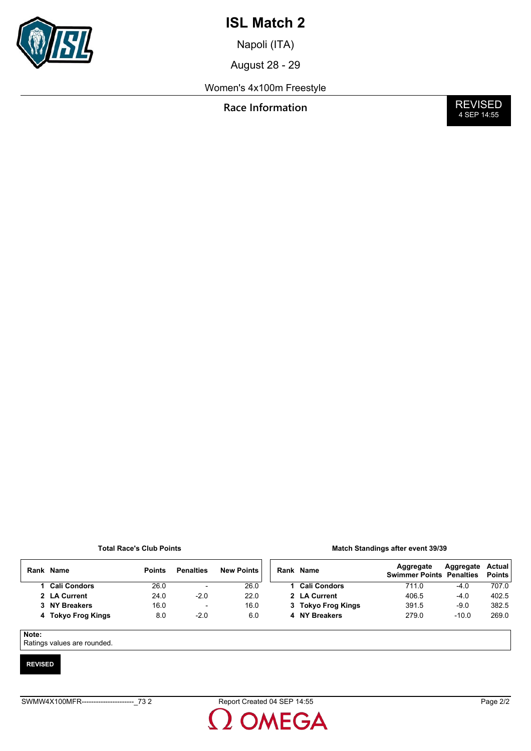

Napoli (ITA)

August 28 - 29

Women's 4x100m Freestyle

**Race Information** 

**REVISED**<br>4 SEP 14:55

### **Total Race's Club Points**

|  | <b>Match Standings after event 39/39</b> |  |  |  |
|--|------------------------------------------|--|--|--|
|--|------------------------------------------|--|--|--|

|       | Rank Name           | <b>Points</b> | <b>Penalties</b>         | <b>New Points</b> | Rank Name           | Aggregate<br><b>Swimmer Points Penalties</b> | Aggregate | Actual<br><b>Points</b> |
|-------|---------------------|---------------|--------------------------|-------------------|---------------------|----------------------------------------------|-----------|-------------------------|
|       | <b>Cali Condors</b> | 26.0          | $\overline{\phantom{0}}$ | 26.0              | <b>Cali Condors</b> | 711.0                                        | $-4.0$    | 707.0                   |
|       | 2 LA Current        | 24.0          | $-2.0$                   | 22.0              | 2 LA Current        | 406.5                                        | $-4.0$    | 402.5                   |
|       | 3 NY Breakers       | 16.0          | $\overline{\phantom{0}}$ | 16.0              | 3 Tokyo Frog Kings  | 391.5                                        | $-9.0$    | 382.5                   |
|       | 4 Tokyo Frog Kings  | 8.0           | $-2.0$                   | 6.0               | 4 NY Breakers       | 279.0                                        | $-10.0$   | 269.0                   |
|       |                     |               |                          |                   |                     |                                              |           |                         |
| Note: |                     |               |                          |                   |                     |                                              |           |                         |

Ratings values are rounded.

### **REVISED**

**OMEGA**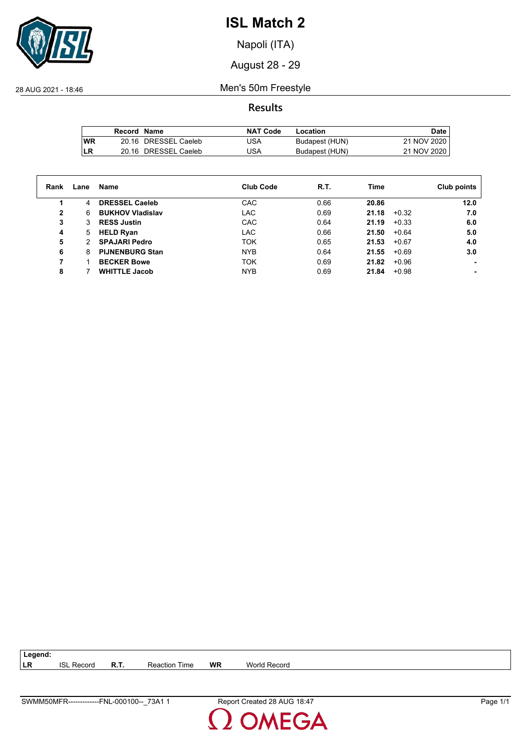

Napoli (ITA)

August 28 - 29

28 AUG 2021 - 18:46 Men's 50m Freestyle

**Results**

|           | Record Name |                      | NAT Code | Location       | Date.       |
|-----------|-------------|----------------------|----------|----------------|-------------|
| <b>WR</b> |             | 20.16 DRESSEL Caeleb | USA      | Budapest (HUN) | 21 NOV 2020 |
| LR        |             | 20.16 DRESSEL Caeleb | USA      | Budapest (HUN) | 21 NOV 2020 |

| Rank | Lane | Name                    | <b>Club Code</b> | R.T. | Time  |         | Club points |
|------|------|-------------------------|------------------|------|-------|---------|-------------|
|      | 4    | <b>DRESSEL Caeleb</b>   | CAC              | 0.66 | 20.86 |         | 12.0        |
| 2    | 6    | <b>BUKHOV Vladislav</b> | <b>LAC</b>       | 0.69 | 21.18 | $+0.32$ | 7.0         |
| 3    | 3    | <b>RESS Justin</b>      | CAC              | 0.64 | 21.19 | $+0.33$ | 6.0         |
| 4    | 5    | <b>HELD Ryan</b>        | <b>LAC</b>       | 0.66 | 21.50 | $+0.64$ | 5.0         |
| 5    | 2    | <b>SPAJARI Pedro</b>    | <b>TOK</b>       | 0.65 | 21.53 | $+0.67$ | 4.0         |
| 6    | 8    | <b>PIJNENBURG Stan</b>  | <b>NYB</b>       | 0.64 | 21.55 | $+0.69$ | 3.0         |
|      |      | <b>BECKER Bowe</b>      | <b>TOK</b>       | 0.69 | 21.82 | $+0.96$ |             |
| 8    |      | <b>WHITTLE Jacob</b>    | <b>NYB</b>       | 0.69 | 21.84 | $+0.98$ |             |

| 73A.<br><b>SWM</b><br>FNL<br>ωO<br>100-<br>,OMFR<br>$n_{\mathsf{N}}$<br>-------<br>.<br>$\overline{\phantom{0}}$ | റ<br>.<br>$\sim$<br>,,,,<br>Re.<br>. .<br>$A1$ $A2$<br>. 1. 1. | ' cane |
|------------------------------------------------------------------------------------------------------------------|----------------------------------------------------------------|--------|

**LR** ISL Record **R.T.** Reaction Time **WR** World Record

**Legend:**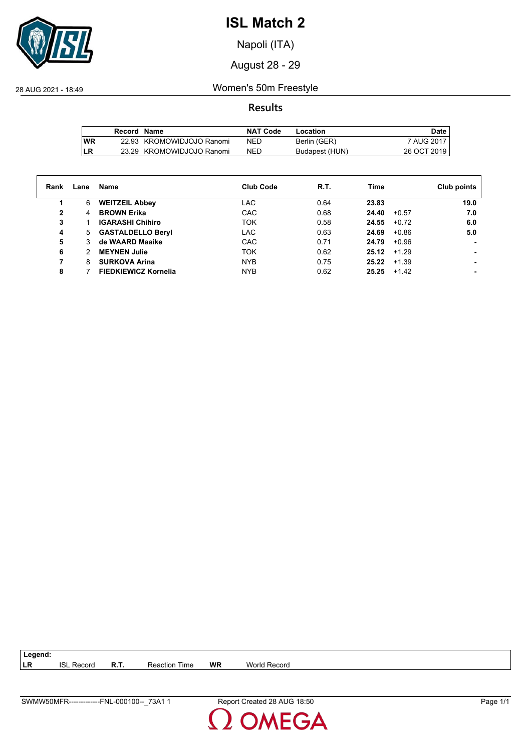

Napoli (ITA)

August 28 - 29

28 AUG 2021 - 18:49 Women's 50m Freestyle

**Results**

|           | Record Name |                           | NAT Code   | Location       | Date         |
|-----------|-------------|---------------------------|------------|----------------|--------------|
| <b>WR</b> |             | 22.93 KROMOWIDJOJO Ranomi | <b>NED</b> | Berlin (GER)   | 7 AUG 2017 I |
| LR        |             | 23.29 KROMOWIDJOJO Ranomi | NED        | Budapest (HUN) | 26 OCT 2019  |

| Rank | Lane | Name                        | <b>Club Code</b> | R.T. | Time           |         | Club points |
|------|------|-----------------------------|------------------|------|----------------|---------|-------------|
| 1.   | 6    | <b>WEITZEIL Abbey</b>       | <b>LAC</b>       | 0.64 | 23.83          |         | 19.0        |
| 2    | 4    | <b>BROWN Erika</b>          | CAC              | 0.68 | 24.40          | $+0.57$ | 7.0         |
| 3    |      | <b>IGARASHI Chihiro</b>     | <b>TOK</b>       | 0.58 | 24.55          | $+0.72$ | 6.0         |
| 4    | 5    | <b>GASTALDELLO Beryl</b>    | <b>LAC</b>       | 0.63 | 24.69          | $+0.86$ | 5.0         |
| 5    | 3    | de WAARD Maaike             | CAC              | 0.71 | 24.79          | $+0.96$ |             |
| 6    | 2    | <b>MEYNEN Julie</b>         | <b>TOK</b>       | 0.62 | $25.12 + 1.29$ |         |             |
|      | 8    | <b>SURKOVA Arina</b>        | <b>NYB</b>       | 0.75 | 25.22          | $+1.39$ |             |
| 8    |      | <b>FIEDKIEWICZ Kornelia</b> | <b>NYB</b>       | 0.62 | 25.25          | $+1.42$ |             |

**LR** ISL Record **R.T.** Reaction Time **WR** World Record

**Legend:**

**DMEGA** 

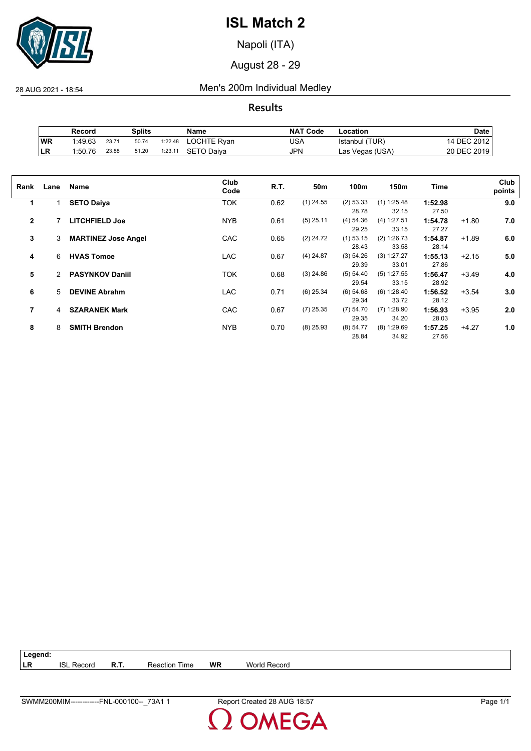

Napoli (ITA)

August 28 - 29

28 AUG 2021 - 18:54 Men's 200m Individual Medley

**Results**

|    | Record  |       | Splits |         | Name        | <b>NAT Code</b> | Location        | Date        |
|----|---------|-------|--------|---------|-------------|-----------------|-----------------|-------------|
| WR | 1.49.63 | 23.71 | 50.74  | 1:22.48 | LOCHTE Ryan | USA             | Istanbul (TUR)  | 14 DEC 2012 |
| LR | 1:50.76 | 23.88 | 51.20  | 1:23.11 | SETO Daiva  | <b>JPN</b>      | Las Vegas (USA) | 20 DEC 2019 |

| Club<br>Club<br>R.T.<br>50 <sub>m</sub><br>100m<br>150m<br>Time<br>Name<br>Rank<br>Lane<br>points<br>Code<br><b>TOK</b><br>$(1)$ 24.55<br>(2) 53.33<br>$(1)$ 1:25.48<br>9.0<br>0.62<br><b>SETO Daiya</b><br>1:52.98<br>1<br>1<br>32.15<br>27.50<br>28.78<br>$\overline{2}$<br><b>NYB</b><br><b>LITCHFIELD Joe</b><br>0.61<br>$(5)$ 25.11<br>(4) 54.36<br>(4) 1:27.51<br>1:54.78<br>$+1.80$<br>7.0<br>29.25<br>33.15<br>27.27<br>3<br><b>CAC</b><br>$(1)$ 53.15<br><b>MARTINEZ Jose Angel</b><br>0.65<br>$(2)$ 24.72<br>(2) 1:26.73<br>$+1.89$<br>6.0<br>3<br>1:54.87<br>28.43<br>33.58<br>28.14<br>$(4)$ 24.87<br>(3) 54.26<br>(3) 1:27.27<br><b>HVAS Tomoe</b><br><b>LAC</b><br>0.67<br>5.0<br>6<br>1:55.13<br>$+2.15$<br>4<br>29.39<br>33.01<br>27.86<br>5<br><b>PASYNKOV Daniil</b><br><b>TOK</b><br>$(3)$ 24.86<br>0.68<br>(5) 54.40<br>$(5)$ 1:27.55<br>$+3.49$<br>4.0<br>$\overline{2}$<br>1:56.47<br>33.15<br>29.54<br>28.92<br>$(6)$ 25.34<br>$(6)$ 54.68<br>(6) 1:28.40<br>6<br><b>DEVINE Abrahm</b><br><b>LAC</b><br>0.71<br>1:56.52<br>$+3.54$<br>3.0<br>5<br>33.72<br>29.34<br>28.12<br>7<br>$(7)$ 25.35<br>(7) 54.70<br><b>SZARANEK Mark</b><br><b>CAC</b><br>$(7)$ 1:28.90<br>$+3.95$<br>0.67<br>1:56.93<br>2.0<br>4<br>29.35<br>34.20<br>28.03<br>8<br><b>NYB</b><br>$+4.27$<br><b>SMITH Brendon</b><br>0.70<br>$(8)$ 25.93<br>(8) 54.77<br>$(8)$ 1:29.69<br>1:57.25<br>1.0<br>8<br>34.92<br>28.84<br>27.56 |  |  |  |  |  |  |
|----------------------------------------------------------------------------------------------------------------------------------------------------------------------------------------------------------------------------------------------------------------------------------------------------------------------------------------------------------------------------------------------------------------------------------------------------------------------------------------------------------------------------------------------------------------------------------------------------------------------------------------------------------------------------------------------------------------------------------------------------------------------------------------------------------------------------------------------------------------------------------------------------------------------------------------------------------------------------------------------------------------------------------------------------------------------------------------------------------------------------------------------------------------------------------------------------------------------------------------------------------------------------------------------------------------------------------------------------------------------------------------------------------------------------|--|--|--|--|--|--|
|                                                                                                                                                                                                                                                                                                                                                                                                                                                                                                                                                                                                                                                                                                                                                                                                                                                                                                                                                                                                                                                                                                                                                                                                                                                                                                                                                                                                                            |  |  |  |  |  |  |
|                                                                                                                                                                                                                                                                                                                                                                                                                                                                                                                                                                                                                                                                                                                                                                                                                                                                                                                                                                                                                                                                                                                                                                                                                                                                                                                                                                                                                            |  |  |  |  |  |  |
|                                                                                                                                                                                                                                                                                                                                                                                                                                                                                                                                                                                                                                                                                                                                                                                                                                                                                                                                                                                                                                                                                                                                                                                                                                                                                                                                                                                                                            |  |  |  |  |  |  |
|                                                                                                                                                                                                                                                                                                                                                                                                                                                                                                                                                                                                                                                                                                                                                                                                                                                                                                                                                                                                                                                                                                                                                                                                                                                                                                                                                                                                                            |  |  |  |  |  |  |
|                                                                                                                                                                                                                                                                                                                                                                                                                                                                                                                                                                                                                                                                                                                                                                                                                                                                                                                                                                                                                                                                                                                                                                                                                                                                                                                                                                                                                            |  |  |  |  |  |  |
|                                                                                                                                                                                                                                                                                                                                                                                                                                                                                                                                                                                                                                                                                                                                                                                                                                                                                                                                                                                                                                                                                                                                                                                                                                                                                                                                                                                                                            |  |  |  |  |  |  |
|                                                                                                                                                                                                                                                                                                                                                                                                                                                                                                                                                                                                                                                                                                                                                                                                                                                                                                                                                                                                                                                                                                                                                                                                                                                                                                                                                                                                                            |  |  |  |  |  |  |
|                                                                                                                                                                                                                                                                                                                                                                                                                                                                                                                                                                                                                                                                                                                                                                                                                                                                                                                                                                                                                                                                                                                                                                                                                                                                                                                                                                                                                            |  |  |  |  |  |  |
|                                                                                                                                                                                                                                                                                                                                                                                                                                                                                                                                                                                                                                                                                                                                                                                                                                                                                                                                                                                                                                                                                                                                                                                                                                                                                                                                                                                                                            |  |  |  |  |  |  |
|                                                                                                                                                                                                                                                                                                                                                                                                                                                                                                                                                                                                                                                                                                                                                                                                                                                                                                                                                                                                                                                                                                                                                                                                                                                                                                                                                                                                                            |  |  |  |  |  |  |
|                                                                                                                                                                                                                                                                                                                                                                                                                                                                                                                                                                                                                                                                                                                                                                                                                                                                                                                                                                                                                                                                                                                                                                                                                                                                                                                                                                                                                            |  |  |  |  |  |  |
|                                                                                                                                                                                                                                                                                                                                                                                                                                                                                                                                                                                                                                                                                                                                                                                                                                                                                                                                                                                                                                                                                                                                                                                                                                                                                                                                                                                                                            |  |  |  |  |  |  |
|                                                                                                                                                                                                                                                                                                                                                                                                                                                                                                                                                                                                                                                                                                                                                                                                                                                                                                                                                                                                                                                                                                                                                                                                                                                                                                                                                                                                                            |  |  |  |  |  |  |
|                                                                                                                                                                                                                                                                                                                                                                                                                                                                                                                                                                                                                                                                                                                                                                                                                                                                                                                                                                                                                                                                                                                                                                                                                                                                                                                                                                                                                            |  |  |  |  |  |  |
|                                                                                                                                                                                                                                                                                                                                                                                                                                                                                                                                                                                                                                                                                                                                                                                                                                                                                                                                                                                                                                                                                                                                                                                                                                                                                                                                                                                                                            |  |  |  |  |  |  |
|                                                                                                                                                                                                                                                                                                                                                                                                                                                                                                                                                                                                                                                                                                                                                                                                                                                                                                                                                                                                                                                                                                                                                                                                                                                                                                                                                                                                                            |  |  |  |  |  |  |
|                                                                                                                                                                                                                                                                                                                                                                                                                                                                                                                                                                                                                                                                                                                                                                                                                                                                                                                                                                                                                                                                                                                                                                                                                                                                                                                                                                                                                            |  |  |  |  |  |  |

**Legend: LR** ISL Record **R.T.** Reaction Time **WR** World Record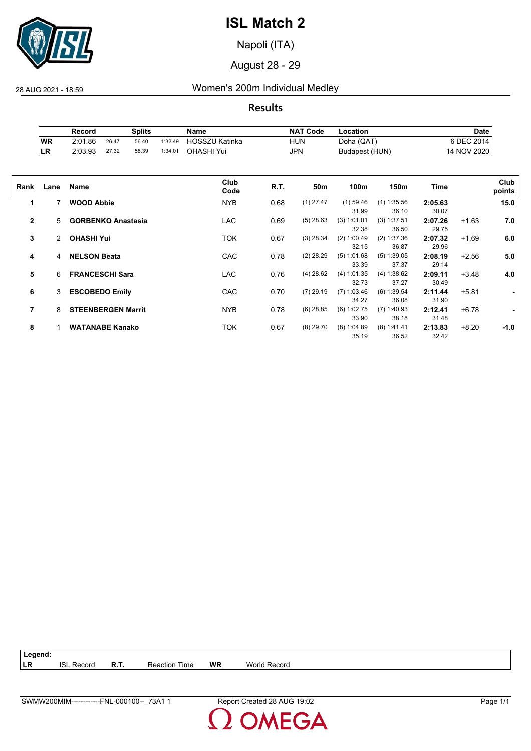

Napoli (ITA)

August 28 - 29

28 AUG 2021 - 18:59 Women's 200m Individual Medley

**Results**

|     | Record  |       | Splits |         | Name           | <b>NAT Code</b> | Location       | Date        |
|-----|---------|-------|--------|---------|----------------|-----------------|----------------|-------------|
| WR  | 2:01.86 | 26.47 | 56.40  | 1:32.49 | HOSSZU Katinka | HUN             | Doha (QAT)     | 5 DEC 2014  |
| ∣LR | 2:03.93 | 27.32 | 58.39  | 1:34.01 | OHASHI Yui     | JPN             | Budapest (HUN) | 14 NOV 2020 |

| Rank         | Lane | Name                      | Club<br>Code | R.T. | 50m         | 100m          | 150m          | Time    |         | Club<br>points |
|--------------|------|---------------------------|--------------|------|-------------|---------------|---------------|---------|---------|----------------|
| 1            |      | <b>WOOD Abbie</b>         | <b>NYB</b>   | 0.68 | $(1)$ 27.47 | $(1)$ 59.46   | $(1)$ 1:35.56 | 2:05.63 |         | 15.0           |
|              |      |                           |              |      |             | 31.99         | 36.10         | 30.07   |         |                |
| $\mathbf{2}$ | 5    | <b>GORBENKO Anastasia</b> | <b>LAC</b>   | 0.69 | $(5)$ 28.63 | (3) 1:01.01   | (3) 1:37.51   | 2:07.26 | $+1.63$ | 7.0            |
|              |      |                           |              |      |             | 32.38         | 36.50         | 29.75   |         |                |
| 3            | 2    | <b>OHASHI Yui</b>         | TOK          | 0.67 | $(3)$ 28.34 | (2) 1:00.49   | (2) 1:37.36   | 2:07.32 | $+1.69$ | 6.0            |
|              |      |                           |              |      |             | 32.15         | 36.87         | 29.96   |         |                |
| 4            | 4    | <b>NELSON Beata</b>       | CAC          | 0.78 | $(2)$ 28.29 | (5) 1:01.68   | $(5)$ 1:39.05 | 2:08.19 | $+2.56$ | 5.0            |
|              |      |                           |              |      |             | 33.39         | 37.37         | 29.14   |         |                |
| 5            | 6    | <b>FRANCESCHI Sara</b>    | <b>LAC</b>   | 0.76 | $(4)$ 28.62 | (4) 1:01.35   | (4) 1:38.62   | 2:09.11 | $+3.48$ | 4.0            |
|              |      |                           |              |      |             | 32.73         | 37.27         | 30.49   |         |                |
| 6            | 3    | <b>ESCOBEDO Emily</b>     | CAC          | 0.70 | $(7)$ 29.19 | $(7)$ 1:03.46 | (6) 1:39.54   | 2:11.44 | $+5.81$ | ٠              |
|              |      |                           |              |      |             | 34.27         | 36.08         | 31.90   |         |                |
| 7            | 8    | <b>STEENBERGEN Marrit</b> | <b>NYB</b>   | 0.78 | $(6)$ 28.85 | $(6)$ 1:02.75 | $(7)$ 1:40.93 | 2:12.41 | $+6.78$ | ۰              |
|              |      |                           |              |      |             | 33.90         | 38.18         | 31.48   |         |                |
| 8            |      | <b>WATANABE Kanako</b>    | ток          | 0.67 | $(8)$ 29.70 | (8) 1:04.89   | $(8)$ 1:41.41 | 2:13.83 | $+8.20$ | $-1.0$         |
|              |      |                           |              |      |             | 35.19         | 36.52         | 32.42   |         |                |
|              |      |                           |              |      |             |               |               |         |         |                |

| $\vert$ Legend: |            |             |                      |    |              |
|-----------------|------------|-------------|----------------------|----|--------------|
| <b>ILR</b>      | ISI Record | <b>R.T.</b> | <b>Reaction Time</b> | WR | World Record |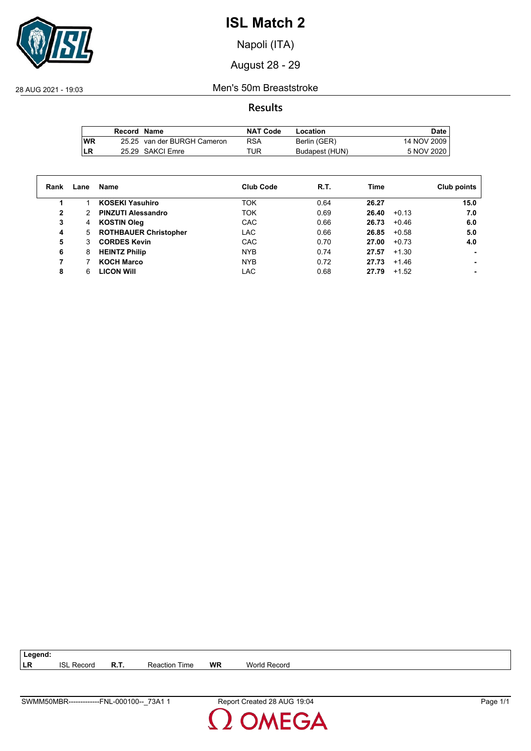

Napoli (ITA)

August 28 - 29

28 AUG 2021 - 19:03 Men's 50m Breaststroke

**Results**

|      | Record Name |                             | <b>NAT Code</b> | Location       | Date        |
|------|-------------|-----------------------------|-----------------|----------------|-------------|
| l WR |             | 25.25 van der BURGH Cameron | RSA             | Berlin (GER)   | 14 NOV 2009 |
| ILR  |             | 25.29 SAKCI Emre            | TUR             | Budapest (HUN) | 5 NOV 2020  |

| Rank | Lane | Name                         | <b>Club Code</b> | R.T. | Time             | Club points |
|------|------|------------------------------|------------------|------|------------------|-------------|
|      |      | <b>KOSEKI Yasuhiro</b>       | TOK              | 0.64 | 26.27            | 15.0        |
| 2    |      | <b>PINZUTI Alessandro</b>    | TOK              | 0.69 | $+0.13$<br>26.40 | 7.0         |
| 3    | 4    | <b>KOSTIN Oleg</b>           | CAC              | 0.66 | 26.73<br>$+0.46$ | 6.0         |
| 4    | 5    | <b>ROTHBAUER Christopher</b> | <b>LAC</b>       | 0.66 | 26.85<br>$+0.58$ | 5.0         |
| 5    | 3.   | <b>CORDES Kevin</b>          | CAC              | 0.70 | 27.00<br>$+0.73$ | 4.0         |
| 6    | 8    | <b>HEINTZ Philip</b>         | <b>NYB</b>       | 0.74 | $+1.30$<br>27.57 |             |
|      |      | <b>KOCH Marco</b>            | <b>NYB</b>       | 0.72 | $+1.46$<br>27.73 |             |
| 8    | 6    | <b>LICON WIII</b>            | LAC              | 0.68 | 27.79<br>$+1.52$ |             |

| SWMM50MBR-------------<br>73A1<br>FNL-000100-- | ` 19:04<br>Report Created 28 AUG | Page |
|------------------------------------------------|----------------------------------|------|

**LR** ISL Record **R.T.** Reaction Time **WR** World Record

**Legend:**

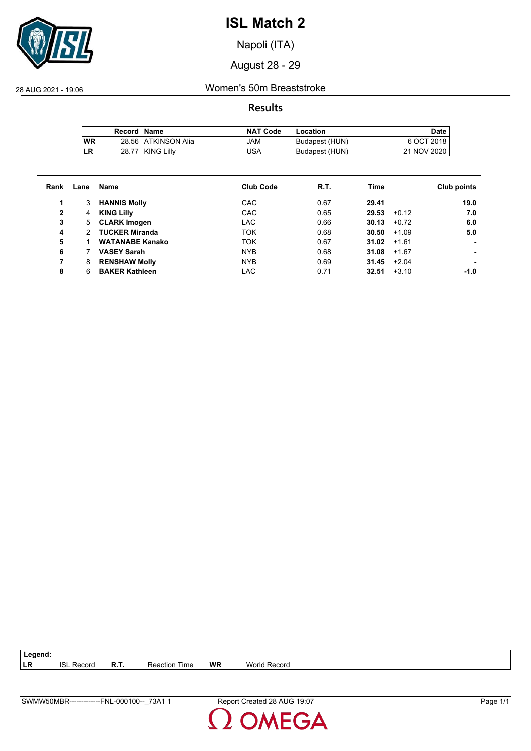

Napoli (ITA)

August 28 - 29

28 AUG 2021 - 19:06 Women's 50m Breaststroke

**Results**

|           | Record Name |                     | <b>NAT Code</b> | Location       | Date        |
|-----------|-------------|---------------------|-----------------|----------------|-------------|
| <b>WR</b> |             | 28.56 ATKINSON Alia | MAL             | Budapest (HUN) | 6 OCT 2018  |
| LR        |             | 28.77 KING Lilly    | USA             | Budapest (HUN) | 21 NOV 2020 |

| Rank | Lane                 | Name                   | <b>Club Code</b> | R.T. | Time  |         | Club points |
|------|----------------------|------------------------|------------------|------|-------|---------|-------------|
| 1.   | 3                    | <b>HANNIS Molly</b>    | CAC              | 0.67 | 29.41 |         | 19.0        |
| 2    | 4                    | <b>KING Lilly</b>      | CAC              | 0.65 | 29.53 | $+0.12$ | 7.0         |
| 3    | 5                    | <b>CLARK Imogen</b>    | <b>LAC</b>       | 0.66 | 30.13 | $+0.72$ | 6.0         |
| 4    | $\mathcal{P} \equiv$ | <b>TUCKER Miranda</b>  | <b>TOK</b>       | 0.68 | 30.50 | $+1.09$ | 5.0         |
| 5    |                      | <b>WATANABE Kanako</b> | <b>TOK</b>       | 0.67 | 31.02 | $+1.61$ |             |
| 6    |                      | <b>VASEY Sarah</b>     | <b>NYB</b>       | 0.68 | 31.08 | $+1.67$ |             |
|      | 8                    | <b>RENSHAW Molly</b>   | <b>NYB</b>       | 0.69 | 31.45 | $+2.04$ |             |
| 8    | 6                    | <b>BAKER Kathleen</b>  | <b>LAC</b>       | 0.71 | 32.51 | $+3.10$ | $-1.0$      |

**LR** ISL Record **R.T.** Reaction Time **WR** World Record

**Legend:**

**DMEGA**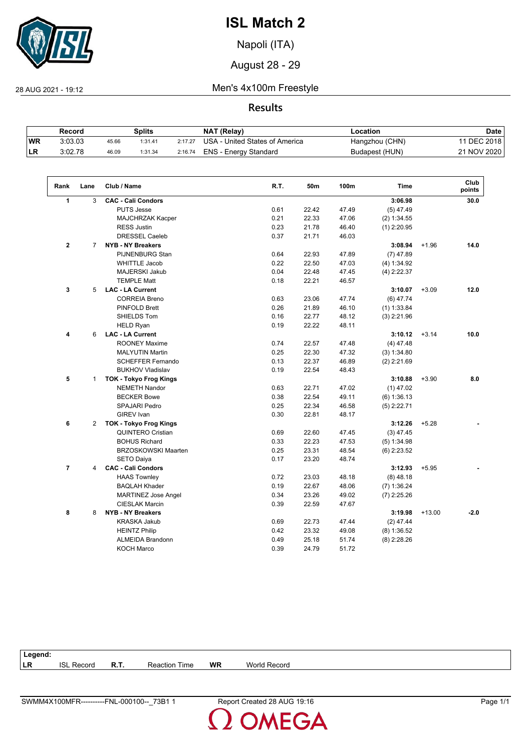

Napoli (ITA)

August 28 - 29

28 AUG 2021 - 19:12 Men's 4x100m Freestyle

## **Results**

|           | Record  |       | Splits  |         | NAT (Relay)                    | ∟ocation       | Date         |
|-----------|---------|-------|---------|---------|--------------------------------|----------------|--------------|
| <b>WR</b> | 3:03.03 | 45.66 | 1:31.41 | 2:17.27 | USA - United States of America | Hangzhou (CHN) | 11 DEC 2018, |
| ILR.      | 3.02.78 | 46.09 | 1:31.34 | 2:16.74 | ENS - Energy Standard          | Budapest (HUN) | 21 NOV 2020  |

| Rank                     | Lane           | Club / Name                   | R.T. | 50m   | 100m  | <b>Time</b>   |          | Club<br>points |
|--------------------------|----------------|-------------------------------|------|-------|-------|---------------|----------|----------------|
| 1                        | 3              | <b>CAC - Cali Condors</b>     |      |       |       | 3:06.98       |          | 30.0           |
|                          |                | <b>PUTS Jesse</b>             | 0.61 | 22.42 | 47.49 | $(5)$ 47.49   |          |                |
|                          |                | MAJCHRZAK Kacper              | 0.21 | 22.33 | 47.06 | (2) 1:34.55   |          |                |
|                          |                | <b>RESS Justin</b>            | 0.23 | 21.78 | 46.40 | $(1)$ 2:20.95 |          |                |
|                          |                | <b>DRESSEL Caeleb</b>         | 0.37 | 21.71 | 46.03 |               |          |                |
| $\overline{2}$           | 7              | <b>NYB - NY Breakers</b>      |      |       |       | 3:08.94       | $+1.96$  | 14.0           |
|                          |                | <b>PIJNENBURG Stan</b>        | 0.64 | 22.93 | 47.89 | $(7)$ 47.89   |          |                |
|                          |                | <b>WHITTLE Jacob</b>          | 0.22 | 22.50 | 47.03 | (4) 1:34.92   |          |                |
|                          |                | <b>MAJERSKI Jakub</b>         | 0.04 | 22.48 | 47.45 | $(4)$ 2:22.37 |          |                |
|                          |                | <b>TEMPLE Matt</b>            | 0.18 | 22.21 | 46.57 |               |          |                |
| 3                        | 5              | <b>LAC - LA Current</b>       |      |       |       | 3:10.07       | $+3.09$  | 12.0           |
|                          |                | <b>CORREIA Breno</b>          | 0.63 | 23.06 | 47.74 | $(6)$ 47.74   |          |                |
|                          |                | <b>PINFOLD Brett</b>          | 0.26 | 21.89 | 46.10 | $(1)$ 1:33.84 |          |                |
|                          |                | SHIELDS Tom                   | 0.16 | 22.77 | 48.12 | $(3)$ 2:21.96 |          |                |
|                          |                | <b>HELD Ryan</b>              | 0.19 | 22.22 | 48.11 |               |          |                |
| 4                        | 6              | <b>LAC - LA Current</b>       |      |       |       | 3:10.12       | $+3.14$  | 10.0           |
|                          |                | <b>ROONEY Maxime</b>          | 0.74 | 22.57 | 47.48 | $(4)$ 47.48   |          |                |
|                          |                | <b>MALYUTIN Martin</b>        | 0.25 | 22.30 | 47.32 | (3) 1:34.80   |          |                |
|                          |                | <b>SCHEFFER Fernando</b>      | 0.13 | 22.37 | 46.89 | $(2)$ 2:21.69 |          |                |
|                          |                | <b>BUKHOV Vladislav</b>       | 0.19 | 22.54 | 48.43 |               |          |                |
| 5                        | $\mathbf{1}$   | <b>TOK - Tokyo Frog Kings</b> |      |       |       | 3:10.88       | $+3.90$  | 8.0            |
|                          |                | <b>NEMETH Nandor</b>          | 0.63 | 22.71 | 47.02 | $(1)$ 47.02   |          |                |
|                          |                | <b>BECKER Bowe</b>            | 0.38 | 22.54 | 49.11 | (6) 1:36.13   |          |                |
|                          |                | <b>SPAJARI Pedro</b>          | 0.25 | 22.34 | 46.58 | $(5)$ 2:22.71 |          |                |
|                          |                | <b>GIREV</b> Ivan             | 0.30 | 22.81 | 48.17 |               |          |                |
| 6                        | $\overline{2}$ | <b>TOK - Tokyo Frog Kings</b> |      |       |       | 3:12.26       | $+5.28$  |                |
|                          |                | <b>QUINTERO Cristian</b>      | 0.69 | 22.60 | 47.45 | $(3)$ 47.45   |          |                |
|                          |                | <b>BOHUS Richard</b>          | 0.33 | 22.23 | 47.53 | (5) 1:34.98   |          |                |
|                          |                | <b>BRZOSKOWSKI Maarten</b>    | 0.25 | 23.31 | 48.54 | $(6)$ 2:23.52 |          |                |
|                          |                | <b>SETO Daiya</b>             | 0.17 | 23.20 | 48.74 |               |          |                |
| $\overline{\phantom{a}}$ | 4              | <b>CAC - Cali Condors</b>     |      |       |       | 3:12.93       | $+5.95$  |                |
|                          |                | <b>HAAS Townley</b>           | 0.72 | 23.03 | 48.18 | $(8)$ 48.18   |          |                |
|                          |                | <b>BAQLAH Khader</b>          | 0.19 | 22.67 | 48.06 | (7) 1:36.24   |          |                |
|                          |                | <b>MARTINEZ Jose Angel</b>    | 0.34 | 23.26 | 49.02 | $(7)$ 2:25.26 |          |                |
|                          |                | <b>CIESLAK Marcin</b>         | 0.39 | 22.59 | 47.67 |               |          |                |
| 8                        | 8              | <b>NYB - NY Breakers</b>      |      |       |       | 3:19.98       | $+13.00$ | $-2.0$         |
|                          |                | <b>KRASKA Jakub</b>           | 0.69 | 22.73 | 47.44 | $(2)$ 47.44   |          |                |
|                          |                | <b>HEINTZ Philip</b>          | 0.42 | 23.32 | 49.08 | (8) 1:36.52   |          |                |
|                          |                | <b>ALMEIDA Brandonn</b>       | 0.49 | 25.18 | 51.74 | $(8)$ 2:28.26 |          |                |
|                          |                | <b>KOCH Marco</b>             | 0.39 | 24.79 | 51.72 |               |          |                |

| Legend: |            |      |                      |           |                     |
|---------|------------|------|----------------------|-----------|---------------------|
| LR      | ISI Record | R.T. | <b>Reaction Time</b> | <b>WR</b> | <b>World Record</b> |
|         |            |      |                      |           |                     |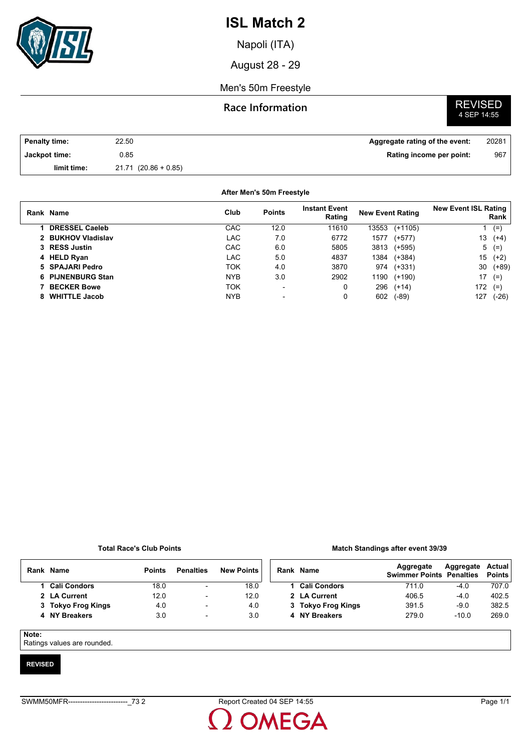

Napoli (ITA)

August 28 - 29

### Men's 50m Freestyle

## **Race Information**

# **REVISED**<br>4 SEP 14:55

| <b>Penalty time:</b> | 22.50                  | Aggregate rating of the event: | 20281 |
|----------------------|------------------------|--------------------------------|-------|
| Jackpot time:        | 0.85                   | Rating income per point:       | 967   |
| limit time:          | $21.71$ (20.86 + 0.85) |                                |       |

### **After Men's 50m Freestyle**

|   | Rank Name             | Club       | <b>Points</b>            | <b>Instant Event</b><br>Rating | <b>New Event Rating</b> |           | <b>New Event ISL Rating</b> | Rank    |
|---|-----------------------|------------|--------------------------|--------------------------------|-------------------------|-----------|-----------------------------|---------|
|   | <b>DRESSEL Caeleb</b> | CAC        | 12.0                     | 11610                          | 13553                   | $(+1105)$ |                             | $(=)$   |
|   | 2 BUKHOV Vladislav    | LAC        | 7.0                      | 6772                           | 1577                    | $(+577)$  | 13                          | $(+4)$  |
|   | 3 RESS Justin         | <b>CAC</b> | 6.0                      | 5805                           | 3813                    | (+595)    | 5                           | $(=)$   |
|   | 4 HELD Ryan           | LAC.       | 5.0                      | 4837                           | 1384                    | $(+384)$  | 15                          | $(+2)$  |
|   | 5 SPAJARI Pedro       | TOK        | 4.0                      | 3870                           | 974                     | $(+331)$  | 30                          | $(+89)$ |
|   | 6 PIJNENBURG Stan     | <b>NYB</b> | 3.0                      | 2902                           | 1190                    | $(+190)$  | 17                          | $(=)$   |
|   | <b>BECKER Bowe</b>    | ток        | $\overline{\phantom{a}}$ | 0                              | 296                     | $(+14)$   | 172                         | $(=)$   |
| 8 | <b>WHITTLE Jacob</b>  | <b>NYB</b> | -                        | 0                              | 602                     | $(-89)$   | 127                         | $(-26)$ |

### **Total Race's Club Points**

#### **Match Standings after event 39/39**

| Rank | Name               | <b>Points</b> | <b>Penalties</b>         | <b>New Points</b> |  | Rank Name           | Aggregate<br><b>Swimmer Points Penalties</b> | Aggregate | Actual<br><b>Points</b> |
|------|--------------------|---------------|--------------------------|-------------------|--|---------------------|----------------------------------------------|-----------|-------------------------|
|      | 1 Cali Condors     | 18.0          | $\blacksquare$           | 18.0              |  | <b>Cali Condors</b> | 711.0                                        | $-4.0$    | 707.0                   |
|      | 2 LA Current       | 12.0          | ۰                        | 12.0              |  | 2 LA Current        | 406.5                                        | $-4.0$    | 402.5                   |
|      | 3 Tokyo Frog Kings | 4.0           | $\overline{\phantom{a}}$ | 4.0               |  | 3 Tokyo Frog Kings  | 391.5                                        | $-9.0$    | 382.5                   |
|      | 4 NY Breakers      | 3.0           | $\overline{\phantom{0}}$ | 3.0               |  | 4 NY Breakers       | 279.0                                        | $-10.0$   | 269.0                   |
|      |                    |               |                          |                   |  |                     |                                              |           |                         |

### **Note:**

Ratings values are rounded.

### **REVISED**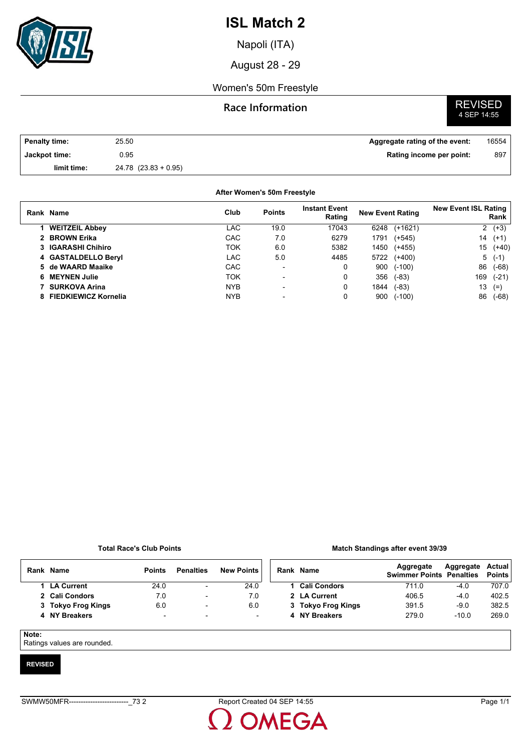

Napoli (ITA)

August 28 - 29

### Women's 50m Freestyle

## **Race Information**



| <b>Penalty time:</b> | 25.50                    | Aggregate rating of the event: | 16554 |
|----------------------|--------------------------|--------------------------------|-------|
| Jackpot time:        | 0.95                     | Rating income per point:       | 897   |
| limit time:          | $24.78$ $(23.83 + 0.95)$ |                                |       |

### **After Women's 50m Freestyle**

|    | Rank Name                   | Club       | <b>Points</b>            | <b>Instant Event</b><br>Rating | <b>New Event Rating</b> |           | <b>New Event ISL Rating</b> | Rank     |
|----|-----------------------------|------------|--------------------------|--------------------------------|-------------------------|-----------|-----------------------------|----------|
|    | <b>WEITZEIL Abbey</b>       | LAC        | 19.0                     | 17043                          | 6248                    | $(+1621)$ |                             | $2(+3)$  |
|    | 2 BROWN Erika               | CAC        | 7.0                      | 6279                           | 1791                    | $(+545)$  | 14                          | $(+1)$   |
|    | 3 IGARASHI Chihiro          | ток        | 6.0                      | 5382                           | 1450                    | (+455)    | 15                          | $(+40)$  |
|    | 4 GASTALDELLO Beryl         | LAC        | 5.0                      | 4485                           | 5722                    | (+400)    |                             | $5( -1)$ |
|    | 5 de WAARD Maaike           | <b>CAC</b> | $\blacksquare$           | 0                              | 900                     | $(-100)$  | 86                          | (-68)    |
|    | 6 MEYNEN Julie              | TOK        |                          | 0                              | 356                     | $(-83)$   | 169                         | $(-21)$  |
|    | <b>SURKOVA Arina</b>        | <b>NYB</b> | $\overline{\phantom{a}}$ | 0                              | 1844                    | $(-83)$   | 13                          | $(=)$    |
| 8. | <b>FIEDKIEWICZ Kornelia</b> | <b>NYB</b> | $\blacksquare$           | 0                              | 900                     | $(-100)$  | 86                          | (-68)    |

### **Total Race's Club Points**

#### **Match Standings after event 39/39**

| Rank | <b>Name</b>        | <b>Points</b>            | <b>Penalties</b>         | <b>New Points</b>        | Rank Name           | Aggregate<br><b>Swimmer Points Penalties</b> | Aggregate | Actual<br><b>Points</b> |
|------|--------------------|--------------------------|--------------------------|--------------------------|---------------------|----------------------------------------------|-----------|-------------------------|
|      | <b>LA Current</b>  | 24.0                     | $\overline{\phantom{a}}$ | 24.0                     | <b>Cali Condors</b> | 711.0                                        | $-4.0$    | 707.0                   |
|      | 2 Cali Condors     | 7.0                      | ٠                        | 7.0                      | 2 LA Current        | 406.5                                        | $-4.0$    | 402.5                   |
|      | 3 Tokyo Frog Kings | 6.0                      | $\blacksquare$           | 6.0                      | 3 Tokyo Frog Kings  | 391.5                                        | $-9.0$    | 382.5                   |
|      | 4 NY Breakers      | $\overline{\phantom{0}}$ | $\overline{\phantom{a}}$ | $\overline{\phantom{0}}$ | 4 NY Breakers       | 279.0                                        | $-10.0$   | 269.0                   |

### **Note:**

Ratings values are rounded.

### **REVISED**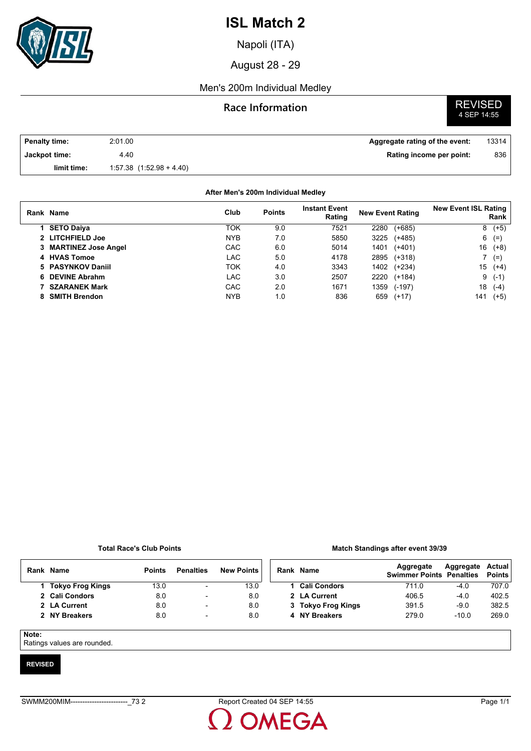

Napoli (ITA)

August 28 - 29

## Men's 200m Individual Medley

## **Race Information**

# **REVISED**<br>4 SEP 14:55

| <b>Penalty time:</b> | 2:01.00                      | Aggregate rating of the event: | 13314 |
|----------------------|------------------------------|--------------------------------|-------|
| Jackpot time:        | 4.40                         | Rating income per point:       | 836   |
| limit time:          | $1.57.38$ $(1.52.98 + 4.40)$ |                                |       |

### **After Men's 200m Individual Medley**

| Rank Name             | Club       | <b>Points</b> | <b>Instant Event</b><br>Rating | <b>New Event Rating</b> |          | <b>New Event ISL Rating</b> | Rank   |
|-----------------------|------------|---------------|--------------------------------|-------------------------|----------|-----------------------------|--------|
| <b>SETO Daiya</b>     | TOK        | 9.0           | 7521                           | 2280                    | $(+685)$ | 8                           | $(+5)$ |
| 2 LITCHFIELD Joe      | <b>NYB</b> | 7.0           | 5850                           | 3225                    | $(+485)$ | 6                           | $(=)$  |
| 3 MARTINEZ Jose Angel | CAC        | 6.0           | 5014                           | 1401                    | $(+401)$ | 16                          | $(+8)$ |
| 4 HVAS Tomoe          | LAC        | 5.0           | 4178                           | 2895                    | $(+318)$ |                             | $(=)$  |
| 5 PASYNKOV Daniil     | TOK        | 4.0           | 3343                           | 1402                    | $(+234)$ | 15                          | $(+4)$ |
| 6 DEVINE Abrahm       | LAC        | 3.0           | 2507                           | 2220                    | $(+184)$ | 9                           | $(-1)$ |
| <b>SZARANEK Mark</b>  | CAC        | 2.0           | 1671                           | 1359                    | $(-197)$ | 18                          | $(-4)$ |
| <b>SMITH Brendon</b>  | <b>NYB</b> | 1.0           | 836                            | 659                     | $(+17)$  | 141                         | (+5)   |

### **Total Race's Club Points**

#### **Match Standings after event 39/39**

|       | Rank Name            | <b>Points</b> | <b>Penalties</b>         | <b>New Points</b> |  | Rank Name           | Aggregate<br><b>Swimmer Points Penalties</b> | Aggregate | Actual<br><b>Points</b> |
|-------|----------------------|---------------|--------------------------|-------------------|--|---------------------|----------------------------------------------|-----------|-------------------------|
|       | 1   Tokyo Frog Kings | 13.0          | $\overline{\phantom{0}}$ | 13.0              |  | <b>Cali Condors</b> | 711.0                                        | $-4.0$    | 707.0                   |
|       | 2 Cali Condors       | 8.0           | $\overline{\phantom{0}}$ | 8.0               |  | 2 LA Current        | 406.5                                        | $-4.0$    | 402.5                   |
|       | 2 LA Current         | 8.0           | $\overline{\phantom{a}}$ | 8.0               |  | 3 Tokyo Frog Kings  | 391.5                                        | $-9.0$    | 382.5                   |
|       | 2 NY Breakers        | 8.0           | $\overline{\phantom{0}}$ | 8.0               |  | 4 NY Breakers       | 279.0                                        | $-10.0$   | 269.0                   |
|       |                      |               |                          |                   |  |                     |                                              |           |                         |
| Note: |                      |               |                          |                   |  |                     |                                              |           |                         |

Ratings values are rounded.

### **REVISED**

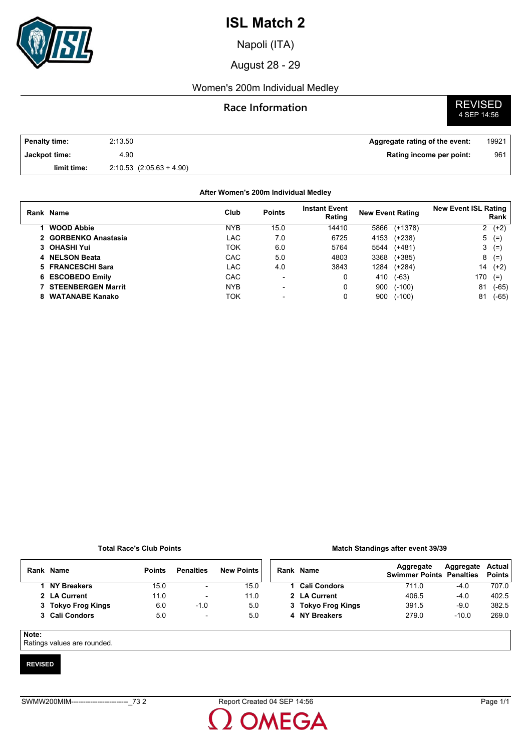

Napoli (ITA)

August 28 - 29

## Women's 200m Individual Medley

## **Race Information**

**REVISED**<br>4 SEP 14:56

| <b>Penalty time:</b> | 2:13.50                      | Aggregate rating of the event: | 19921 |
|----------------------|------------------------------|--------------------------------|-------|
| Jackpot time:        | 4.90                         | Rating income per point:       | 961   |
| limit time:          | $2:10.53$ $(2.05.63 + 4.90)$ |                                |       |

## **After Women's 200m Individual Medley**

|   | Rank Name                 | Club       | <b>Points</b>            | <b>Instant Event</b><br>Rating | <b>New Event Rating</b> |           | <b>New Event ISL Rating</b> | Rank    |
|---|---------------------------|------------|--------------------------|--------------------------------|-------------------------|-----------|-----------------------------|---------|
|   | <b>WOOD Abbie</b>         | <b>NYB</b> | 15.0                     | 14410                          | 5866                    | $(+1378)$ |                             | $2(+2)$ |
|   | 2 GORBENKO Anastasia      | LAC        | 7.0                      | 6725                           | 4153                    | $(+238)$  |                             | $5(=)$  |
|   | 3 OHASHI Yui              | ток        | 6.0                      | 5764                           | 5544                    | $(+481)$  |                             | $3(=)$  |
|   | 4 NELSON Beata            | CAC        | 5.0                      | 4803                           | 3368                    | $(+385)$  | 8                           | $(=)$   |
|   | 5 FRANCESCHI Sara         | LAC        | 4.0                      | 3843                           | 1284                    | $(+284)$  | 14                          | $(+2)$  |
|   | 6 ESCOBEDO Emily          | <b>CAC</b> | $\overline{\phantom{0}}$ | 0                              | 410                     | (-63)     | 170                         | $(=)$   |
|   | <b>STEENBERGEN Marrit</b> | <b>NYB</b> | $\overline{\phantom{a}}$ | 0                              | 900                     | $(-100)$  | 81                          | (-65)   |
| 8 | <b>WATANABE Kanako</b>    | ток        | -                        |                                | 900                     | $(-100)$  | 81                          | (-65)   |

### **Total Race's Club Points**

### **Match Standings after event 39/39**

|       | Rank Name          | <b>Points</b> | <b>Penalties</b>         | <b>New Points</b> |   | Rank Name           | Aggregate<br><b>Swimmer Points Penalties</b> | Aggregate | Actual<br><b>Points</b> |
|-------|--------------------|---------------|--------------------------|-------------------|---|---------------------|----------------------------------------------|-----------|-------------------------|
|       | 1 NY Breakers      | 15.0          | $\overline{\phantom{a}}$ | 15.0              |   | <b>Cali Condors</b> | 711.0                                        | $-4.0$    | 707.0                   |
|       | 2 LA Current       | 11.0          | $\overline{\phantom{a}}$ | 11.0              |   | 2 LA Current        | 406.5                                        | $-4.0$    | 402.5                   |
|       | 3 Tokyo Frog Kings | 6.0           | $-1.0$                   | 5.0               |   | 3 Tokyo Frog Kings  | 391.5                                        | $-9.0$    | 382.5                   |
|       | 3 Cali Condors     | 5.0           | $\overline{\phantom{a}}$ | 5.0               | 4 | <b>NY Breakers</b>  | 279.0                                        | $-10.0$   | 269.0                   |
|       |                    |               |                          |                   |   |                     |                                              |           |                         |
| Note: |                    |               |                          |                   |   |                     |                                              |           |                         |

Ratings values are rounded.

### **REVISED**

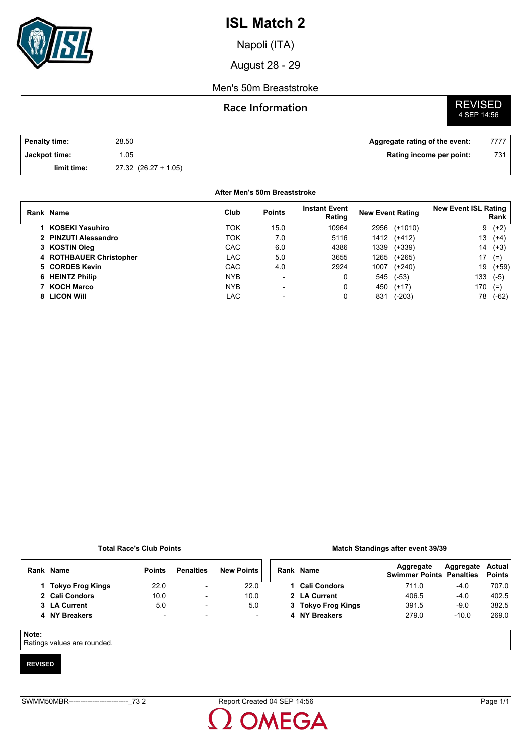

Napoli (ITA)

August 28 - 29

### Men's 50m Breaststroke

## **Race Information**

# **REVISED**<br>4 SEP 14:56

| Penalty time: | 28.50                    | Aggregate rating of the event: | 7777 |
|---------------|--------------------------|--------------------------------|------|
| Jackpot time: | .05                      | Rating income per point:       | 731  |
| limit time:   | $27.32$ $(26.27 + 1.05)$ |                                |      |

### **After Men's 50m Breaststroke**

| Rank Name               | Club       | <b>Points</b>            | <b>Instant Event</b><br>Rating | <b>New Event Rating</b> |           | <b>New Event ISL Rating</b> | Rank    |
|-------------------------|------------|--------------------------|--------------------------------|-------------------------|-----------|-----------------------------|---------|
| KOSEKI Yasuhiro         | <b>TOK</b> | 15.0                     | 10964                          | 2956                    | $(+1010)$ | 9                           | $(+2)$  |
| 2 PINZUTI Alessandro    | ток        | 7.0                      | 5116                           | 1412 (+412)             |           | 13                          | $(+4)$  |
| 3 KOSTIN Oleg           | CAC        | 6.0                      | 4386                           | 1339                    | (+339)    | 14                          | $(+3)$  |
| 4 ROTHBAUER Christopher | LAC        | 5.0                      | 3655                           | 1265                    | $(+265)$  | 17                          | $(=)$   |
| 5 CORDES Kevin          | CAC        | 4.0                      | 2924                           | 1007                    | $(+240)$  | 19                          | $(+59)$ |
| 6 HEINTZ Philip         | <b>NYB</b> | $\overline{\phantom{0}}$ |                                | 545                     | $(-53)$   | 133                         | $(-5)$  |
| 7 KOCH Marco            | <b>NYB</b> | $\overline{\phantom{0}}$ | 0                              | 450                     | $(+17)$   | 170                         | $(=)$   |
| 8 LICON WIII            | LAC        |                          |                                | 831                     | $(-203)$  | 78                          | $(-62)$ |

### **Total Race's Club Points**

#### **Match Standings after event 39/39**

|  | Rank Name          | <b>Points</b>            | <b>Penalties</b>         | <b>New Points</b>        | Rank Name          | Aggregate<br><b>Swimmer Points Penalties</b> | Aggregate | Actual<br><b>Points</b> |
|--|--------------------|--------------------------|--------------------------|--------------------------|--------------------|----------------------------------------------|-----------|-------------------------|
|  | 1 Tokyo Frog Kings | 22.0                     |                          | 22.0                     | 1 Cali Condors     | 711.0                                        | $-4.0$    | 707.0                   |
|  | 2 Cali Condors     | 10.0                     |                          | 10.0                     | 2 LA Current       | 406.5                                        | $-4.0$    | 402.5                   |
|  | 3 LA Current       | 5.0                      | $\overline{\phantom{0}}$ | 5.0                      | 3 Tokyo Frog Kings | 391.5                                        | $-9.0$    | 382.5                   |
|  | 4 NY Breakers      | $\overline{\phantom{a}}$ | $\overline{\phantom{0}}$ | $\overline{\phantom{a}}$ | 4 NY Breakers      | 279.0                                        | $-10.0$   | 269.0                   |
|  |                    |                          |                          |                          |                    |                                              |           |                         |

### **Note:**

Ratings values are rounded.

### **REVISED**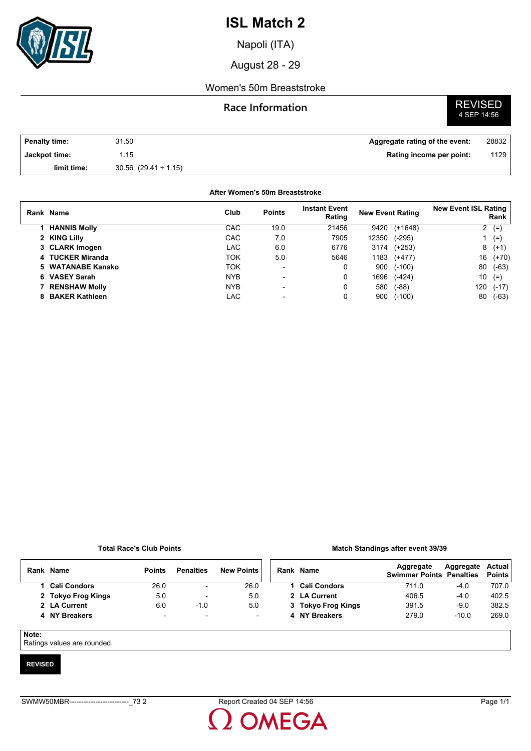

Napoli (ITA)

August 28 - 29

## Women's 50m Breaststroke

## **Race Information**

# **REVISED**<br>4 SEP 14:56

| <b>Penalty time:</b> | 31.50                    | Aggregate rating of the event: | 28832 |
|----------------------|--------------------------|--------------------------------|-------|
| Jackpot time:        | .15                      | Rating income per point:       | 1129  |
| limit time:          | $30.56$ $(29.41 + 1.15)$ |                                |       |

### **After Women's 50m Breaststroke**

| Rank Name           | Club       | <b>Points</b>            | <b>Instant Event</b><br>Rating | <b>New Event Rating</b> |           | <b>New Event ISL Rating</b> | Rank    |
|---------------------|------------|--------------------------|--------------------------------|-------------------------|-----------|-----------------------------|---------|
| <b>HANNIS Molly</b> | CAC        | 19.0                     | 21456                          | 9420                    | $(+1648)$ | 2                           | $(=)$   |
| 2 KING Lilly        | CAC        | 7.0                      | 7905                           | 12350                   | $(-295)$  |                             | $(=)$   |
| 3 CLARK Imogen      | <b>LAC</b> | 6.0                      | 6776                           | 3174                    | $(+253)$  |                             | $8(+1)$ |
| 4 TUCKER Miranda    | TOK        | 5.0                      | 5646                           | 1183                    | $(+477)$  | 16                          | $(+70)$ |
| 5 WATANABE Kanako   | TOK        | $\overline{\phantom{0}}$ | 0                              | 900                     | $(-100)$  | 80                          | $(-63)$ |
| 6 VASEY Sarah       | <b>NYB</b> | $\overline{\phantom{0}}$ | 0                              | 1696                    | $(-424)$  | 10                          | $(=)$   |
| 7 RENSHAW Molly     | <b>NYB</b> | $\blacksquare$           | 0                              | 580                     | $(-88)$   | 120                         | $(-17)$ |
| 8 BAKER Kathleen    | LAC        |                          | 0                              | 900                     | $(-100)$  | 80                          | $(-63)$ |

### **Total Race's Club Points**

#### **Match Standings after event 39/39**

|       | Rank Name          | <b>Points</b>            | <b>Penalties</b>         | <b>New Points</b> | Rank Name           | Aggregate<br><b>Swimmer Points Penalties</b> | Aggregate | Actual<br><b>Points</b> |
|-------|--------------------|--------------------------|--------------------------|-------------------|---------------------|----------------------------------------------|-----------|-------------------------|
|       | 1 Cali Condors     | 26.0                     | $\overline{\phantom{a}}$ | 26.0              | <b>Cali Condors</b> | 711.0                                        | $-4.0$    | 707.0                   |
|       | 2 Tokyo Frog Kings | 5.0                      | $\overline{\phantom{0}}$ | 5.0               | 2 LA Current        | 406.5                                        | -4.0      | 402.5                   |
|       | 2 LA Current       | 6.0                      | $-1.0$                   | 5.0               | 3 Tokyo Frog Kings  | 391.5                                        | -9.0      | 382.5                   |
|       | 4 NY Breakers      | $\overline{\phantom{0}}$ | $\overline{\phantom{a}}$ | -                 | 4 NY Breakers       | 279.0                                        | $-10.0$   | 269.0                   |
|       |                    |                          |                          |                   |                     |                                              |           |                         |
| Note: |                    |                          |                          |                   |                     |                                              |           |                         |

Ratings values are rounded.

### **REVISED**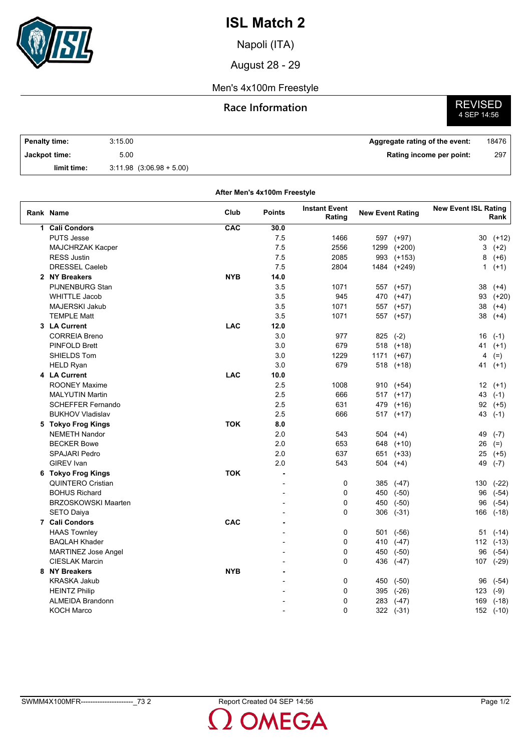

Napoli (ITA)

August 28 - 29

## Men's 4x100m Freestyle

## **Race Information**



| Penalty time: | 3:15.00                      | Aggregate rating of the event: | 18476 |
|---------------|------------------------------|--------------------------------|-------|
| Jackpot time: | 5.00                         | Rating income per point:       | 297   |
| limit time:   | $3.11.98$ $(3.06.98 + 5.00)$ |                                |       |

| After Men's 4x100m Freestyle |            |                |                                |                         |               |                                     |           |  |  |  |
|------------------------------|------------|----------------|--------------------------------|-------------------------|---------------|-------------------------------------|-----------|--|--|--|
| Rank Name                    | Club       | <b>Points</b>  | <b>Instant Event</b><br>Rating | <b>New Event Rating</b> |               | <b>New Event ISL Rating</b><br>Rank |           |  |  |  |
| 1 Cali Condors               | CAC        | 30.0           |                                |                         |               |                                     |           |  |  |  |
| <b>PUTS Jesse</b>            |            | 7.5            | 1466                           | 597                     | $(+97)$       | 30                                  | $(+12)$   |  |  |  |
| MAJCHRZAK Kacper             |            | 7.5            | 2556                           | 1299                    | $(+200)$      | 3                                   | $(+2)$    |  |  |  |
| <b>RESS Justin</b>           |            | 7.5            | 2085                           | 993                     | $(+153)$      | 8                                   | $(+6)$    |  |  |  |
| <b>DRESSEL Caeleb</b>        |            | 7.5            | 2804                           | 1484                    | (+249)        | $\mathbf{1}$                        | $(+1)$    |  |  |  |
| 2 NY Breakers                | <b>NYB</b> | 14.0           |                                |                         |               |                                     |           |  |  |  |
| PIJNENBURG Stan              |            | 3.5            | 1071                           |                         | 557 (+57)     | 38                                  | $(+4)$    |  |  |  |
| <b>WHITTLE Jacob</b>         |            | 3.5            | 945                            |                         | 470 (+47)     | 93                                  | $(+20)$   |  |  |  |
| MAJERSKI Jakub               |            | 3.5            | 1071                           |                         | 557 (+57)     | 38                                  | $(+4)$    |  |  |  |
| <b>TEMPLE Matt</b>           |            | 3.5            | 1071                           |                         | 557 (+57)     | 38                                  | $(+4)$    |  |  |  |
| 3 LA Current                 | <b>LAC</b> | 12.0           |                                |                         |               |                                     |           |  |  |  |
| <b>CORREIA Breno</b>         |            | 3.0            | 977                            |                         | $825$ (-2)    | 16                                  | $(-1)$    |  |  |  |
| <b>PINFOLD Brett</b>         |            | 3.0            | 679                            |                         | 518 (+18)     | 41                                  | $(+1)$    |  |  |  |
| SHIELDS Tom                  |            | 3.0            | 1229                           | 1171                    | $(+67)$       | 4                                   | $(=)$     |  |  |  |
| <b>HELD Ryan</b>             |            | 3.0            | 679                            | 518                     | (+18)         | 41                                  | $(+1)$    |  |  |  |
| 4 LA Current                 | <b>LAC</b> | 10.0           |                                |                         |               |                                     |           |  |  |  |
| <b>ROONEY Maxime</b>         |            | 2.5            | 1008                           | 910                     | (+54)         |                                     | $12(+1)$  |  |  |  |
| <b>MALYUTIN Martin</b>       |            | 2.5            | 666                            |                         | $517$ (+17)   | 43                                  | $(-1)$    |  |  |  |
| <b>SCHEFFER Fernando</b>     |            | 2.5            | 631                            | 479                     | $(+16)$       |                                     | $92 (+5)$ |  |  |  |
| <b>BUKHOV Vladislav</b>      |            | 2.5            | 666                            |                         | $517$ $(+17)$ | 43                                  | $(-1)$    |  |  |  |
| 5 Tokyo Frog Kings           | <b>TOK</b> | 8.0            |                                |                         |               |                                     |           |  |  |  |
| <b>NEMETH Nandor</b>         |            | 2.0            | 543                            | 504                     | $(+4)$        | 49                                  | $(-7)$    |  |  |  |
| <b>BECKER Bowe</b>           |            | 2.0            | 653                            |                         | 648 (+10)     | 26                                  | $(=)$     |  |  |  |
| <b>SPAJARI Pedro</b>         |            | 2.0            | 637                            |                         | 651 (+33)     | 25                                  | $(+5)$    |  |  |  |
| <b>GIREV</b> Ivan            |            | 2.0            | 543                            | 504                     | $(+4)$        | 49                                  | $(-7)$    |  |  |  |
| 6 Tokyo Frog Kings           | <b>TOK</b> | ä,             |                                |                         |               |                                     |           |  |  |  |
| <b>QUINTERO Cristian</b>     |            | $\overline{a}$ | 0                              | 385                     | $(-47)$       | 130                                 | $(-22)$   |  |  |  |
| <b>BOHUS Richard</b>         |            |                | 0                              | 450                     | $(-50)$       | 96                                  | $(-54)$   |  |  |  |
| <b>BRZOSKOWSKI Maarten</b>   |            |                | 0                              | 450                     | $(-50)$       | 96                                  | $(-54)$   |  |  |  |
| <b>SETO Daiya</b>            |            |                | $\Omega$                       | 306                     | $(-31)$       | 166                                 | $(-18)$   |  |  |  |
| 7 Cali Condors               | CAC        |                |                                |                         |               |                                     |           |  |  |  |
| <b>HAAS Townley</b>          |            |                | 0                              | 501                     | $(-56)$       | 51                                  | $(-14)$   |  |  |  |
| <b>BAQLAH Khader</b>         |            |                | 0                              | 410                     | $(-47)$       | 112                                 | $(-13)$   |  |  |  |
| <b>MARTINEZ Jose Angel</b>   |            |                | 0                              | 450                     | $(-50)$       | 96                                  | $(-54)$   |  |  |  |
| <b>CIESLAK Marcin</b>        |            |                | $\Omega$                       | 436                     | $(-47)$       |                                     | 107 (-29) |  |  |  |
| 8 NY Breakers                | <b>NYB</b> |                |                                |                         |               |                                     |           |  |  |  |
| <b>KRASKA Jakub</b>          |            |                | 0                              | 450                     | $(-50)$       | 96                                  | $(-54)$   |  |  |  |
| <b>HEINTZ Philip</b>         |            |                | 0                              | 395                     | $(-26)$       | 123                                 | $(-9)$    |  |  |  |
| <b>ALMEIDA Brandonn</b>      |            |                | 0                              | 283                     | $(-47)$       | 169                                 | $(-18)$   |  |  |  |
| <b>KOCH Marco</b>            |            |                | $\Omega$                       |                         | 322 (-31)     |                                     | 152 (-10) |  |  |  |
|                              |            |                |                                |                         |               |                                     |           |  |  |  |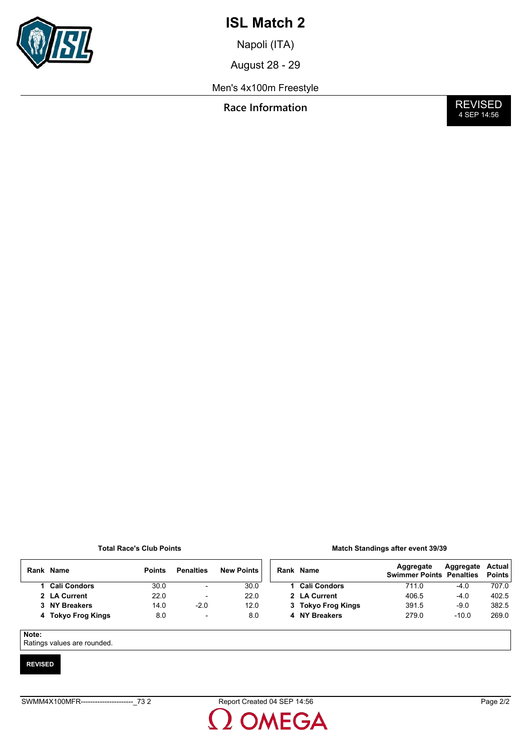

Napoli (ITA)

August 28 - 29

## Men's 4x100m Freestyle

**Race Information** 

**REVISED**<br>4 SEP 14:56

### **Total Race's Club Points**

| <b>Match Standings after event 39/39</b> |  |  |  |
|------------------------------------------|--|--|--|
|------------------------------------------|--|--|--|

|       | Rank Name                   | <b>Points</b> | <b>Penalties</b>         | <b>New Points</b> | Rank Name           | Aggregate<br><b>Swimmer Points Penalties</b> | Aggregate | <b>Actual</b><br><b>Points</b> |
|-------|-----------------------------|---------------|--------------------------|-------------------|---------------------|----------------------------------------------|-----------|--------------------------------|
|       | 1 Cali Condors              | 30.0          | $\overline{\phantom{a}}$ | 30.0              | <b>Cali Condors</b> | 711.0                                        | -4.0      | 707.0                          |
|       | 2 LA Current                | 22.0          | $\overline{\phantom{a}}$ | 22.0              | 2 LA Current        | 406.5                                        | -4.0      | 402.5                          |
|       | 3 NY Breakers               | 14.0          | $-2.0$                   | 12.0              | 3 Tokyo Frog Kings  | 391.5                                        | $-9.0$    | 382.5                          |
|       | 4 Tokyo Frog Kings          | 8.0           | $\overline{\phantom{a}}$ | 8.0               | 4 NY Breakers       | 279.0                                        | $-10.0$   | 269.0                          |
| Note: | Ratings values are rounded. |               |                          |                   |                     |                                              |           |                                |

### **REVISED**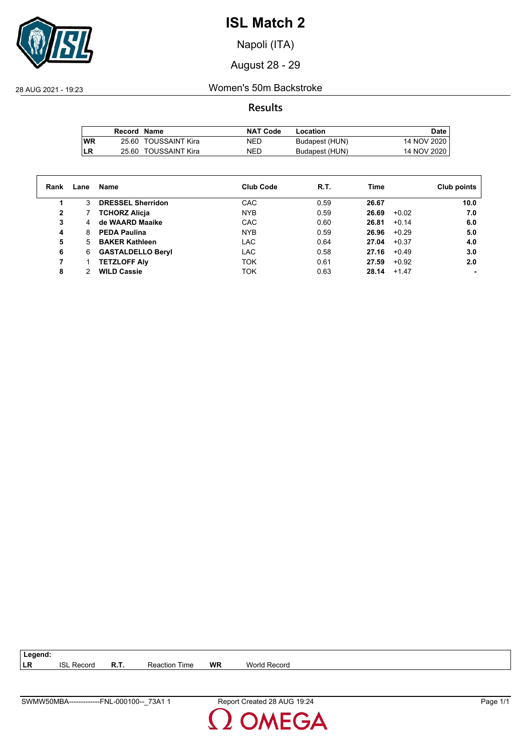

Napoli (ITA)

August 28 - 29

28 AUG 2021 - 19:23 Women's 50m Backstroke

**Results**

|            | Record Name |                      | <b>NAT Code</b> | Location       | Date        |
|------------|-------------|----------------------|-----------------|----------------|-------------|
| <b>IWR</b> |             | 25.60 TOUSSAINT Kira | NED             | Budapest (HUN) | 14 NOV 2020 |
| <b>ILR</b> |             | 25.60 TOUSSAINT Kira | NED             | Budapest (HUN) | 14 NOV 2020 |

| Rank | Lane | Name                     | <b>Club Code</b> | R.T. | Time             | Club points    |
|------|------|--------------------------|------------------|------|------------------|----------------|
|      | 3    | <b>DRESSEL Sherridon</b> | CAC              | 0.59 | 26.67            | 10.0           |
| 2    |      | <b>TCHORZ Alicja</b>     | <b>NYB</b>       | 0.59 | 26.69<br>$+0.02$ | 7.0            |
| 3    | 4    | de WAARD Maaike          | CAC              | 0.60 | 26.81<br>$+0.14$ | 6.0            |
| 4    | 8    | <b>PEDA Paulina</b>      | <b>NYB</b>       | 0.59 | 26.96<br>$+0.29$ | 5.0            |
| 5    | 5.   | <b>BAKER Kathleen</b>    | <b>LAC</b>       | 0.64 | $+0.37$<br>27.04 | 4.0            |
| 6    | 6    | <b>GASTALDELLO Beryl</b> | <b>LAC</b>       | 0.58 | 27.16<br>$+0.49$ | 3.0            |
|      |      | <b>TETZLOFF Alv</b>      | <b>TOK</b>       | 0.61 | 27.59            | 2.0<br>$+0.92$ |
| 8    |      | <b>WILD Cassie</b>       | <b>TOK</b>       | 0.63 | 28.14<br>$+1.47$ | $\blacksquare$ |
|      |      |                          |                  |      |                  |                |

**LR** ISL Record **R.T.** Reaction Time **WR** World Record

**Legend:**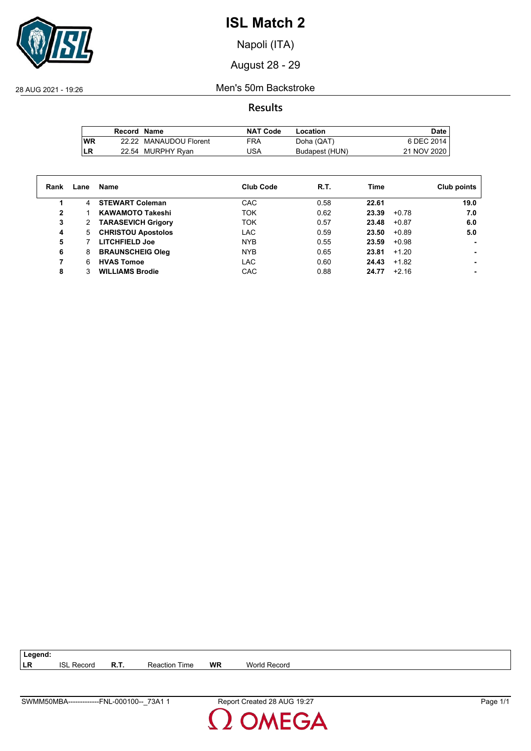

Napoli (ITA)

August 28 - 29

28 AUG 2021 - 19:26 Men's 50m Backstroke

**Results**

|           | Record Name |                        | <b>NAT Code</b> | Location       | Date,       |
|-----------|-------------|------------------------|-----------------|----------------|-------------|
| <b>WR</b> |             | 22.22 MANAUDOU Florent | <b>FRA</b>      | Doha (QAT)     | 6 DEC 2014  |
| LR        |             | 22.54 MURPHY Ryan      | USA             | Budapest (HUN) | 21 NOV 2020 |

| Rank         | Lane | Name                      | Club Code  | R.T. | Time             | Club points |
|--------------|------|---------------------------|------------|------|------------------|-------------|
|              | 4    | <b>STEWART Coleman</b>    | CAC        | 0.58 | 22.61            | 19.0        |
| $\mathbf{2}$ |      | <b>KAWAMOTO Takeshi</b>   | <b>TOK</b> | 0.62 | 23.39<br>$+0.78$ | 7.0         |
| 3            | 2    | <b>TARASEVICH Grigory</b> | <b>TOK</b> | 0.57 | 23.48<br>$+0.87$ | 6.0         |
| 4            | 5    | <b>CHRISTOU Apostolos</b> | LAC        | 0.59 | $+0.89$<br>23.50 | 5.0         |
| 5            |      | <b>LITCHFIELD Joe</b>     | <b>NYB</b> | 0.55 | 23.59<br>$+0.98$ |             |
| 6            | 8    | <b>BRAUNSCHEIG Oleg</b>   | <b>NYB</b> | 0.65 | 23.81<br>$+1.20$ |             |
|              | 6    | <b>HVAS Tomoe</b>         | LAC        | 0.60 | 24.43<br>$+1.82$ |             |
| 8            |      | <b>WILLIAMS Brodie</b>    | CAC        | 0.88 | $+2.16$<br>24.77 |             |

**LR** ISL Record **R.T.** Reaction Time **WR** World Record

**Legend:**

**DMEGA** 

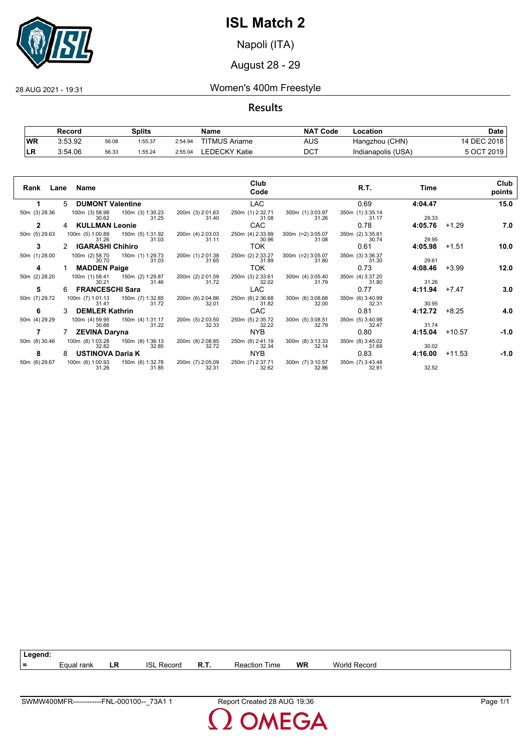

Napoli (ITA)

## August 28 - 29

28 AUG 2021 - 19:31 Women's 400m Freestyle

## **Results**

|           | Record  |       | Splits  |         | Name                  | <b>NAT Code</b> | Location           | Date        |
|-----------|---------|-------|---------|---------|-----------------------|-----------------|--------------------|-------------|
| <b>WR</b> | 3:53.92 | 56.08 | 1:55.37 | 2:54.94 | <b>TITMUS Ariarne</b> | AUS             | Hangzhou (CHN)     | 14 DEC 2018 |
| LR        | 3:54.06 | 56.33 | 1:55.24 | 2:55.04 | LEDECKY Katie         | <b>DCT</b>      | Indianapolis (USA) | 5 OCT 2019  |

| Rank          | Lane Name                                              | Club<br>Code                                           | R.T.                                                        | Time    | Club<br>points     |
|---------------|--------------------------------------------------------|--------------------------------------------------------|-------------------------------------------------------------|---------|--------------------|
|               | <b>DUMONT Valentine</b><br>5                           | <b>LAC</b>                                             | 0.69                                                        | 4:04.47 | 15.0               |
| 50m (3) 28.36 | 100m (3) 58.98 150m (3) 1:30.23<br>31.25<br>30.62      | 250m (1) 2:32.71<br>200m (3) 2:01.63<br>31.40<br>31.08 | 300m (1) 3:03.97<br>350m (1) 3:35.14<br>31.26<br>31.17      | 29.33   |                    |
| $\mathbf{2}$  | <b>KULLMAN Leonie</b>                                  | CAC                                                    | 0.78                                                        | 4:05.76 | $+1.29$<br>7.0     |
| 50m (5) 29.63 | 100m (5) 1:00.89<br>150m (5) 1:31.92<br>31.03<br>31.26 | 250m (4) 2:33.99<br>200m (4) 2:03.03<br>31.11<br>30.96 | $300m$ (=2) $3:05.07$<br>350m (2) 3:35.81<br>31.08<br>30.74 | 29.95   |                    |
| 3             | <b>IGARASHI Chihiro</b>                                | <b>TOK</b>                                             | 0.61                                                        | 4:05.98 | $+1.51$<br>10.0    |
| 50m (1) 28.00 | 100m (2) 58.70<br>150m (1) 1:29.73<br>31.03<br>30.70   | 200m (1) 2:01.38<br>250m (2) 2:33.27<br>31.65<br>31.89 | 300m (=2) 3:05.07<br>350m (3) 3:36.37<br>31.80<br>31.30     | 29.61   |                    |
| 4             | <b>MADDEN Paige</b>                                    | <b>TOK</b>                                             | 0.73                                                        | 4:08.46 | $+3.99$<br>12.0    |
| 50m (2) 28.20 | 100m (1) 58.41<br>150m (2) 1:29.87<br>31.46<br>30.21   | 250m (3) 2:33.61<br>200m (2) 2:01.59<br>31.72<br>32.02 | 300m (4) 3:05.40<br>350m (4) 3:37.20<br>31.79<br>31.80      | 31.26   |                    |
| 5             | <b>FRANCESCHI Sara</b>                                 | <b>LAC</b>                                             | 0.77                                                        | 4:11.94 | 3.0<br>$+7.47$     |
| 50m (7) 29.72 | 100m (7) 1:01.13<br>150m (7) 1:32.85<br>31.72<br>31.41 | 200m (6) 2:04.86<br>250m (6) 2:36.68<br>32.01<br>31.82 | 300m (6) 3:08.68<br>350m (6) 3:40.99<br>32.00<br>32.31      | 30.95   |                    |
| 6             | <b>DEMLER Kathrin</b><br>3.                            | <b>CAC</b>                                             | 0.81                                                        | 4:12.72 | 4.0<br>$+8.25$     |
| 50m (4) 29.29 | 100m (4) 59.95<br>150m (4) 1:31.17<br>30.66<br>31.22   | 250m (5) 2:35.72<br>200m (5) 2:03.50<br>32.33<br>32.22 | 300m (5) 3:08.51<br>350m (5) 3:40.98<br>32.79<br>32.47      | 31.74   |                    |
|               | <b>ZEVINA Daryna</b>                                   | <b>NYB</b>                                             | 0.80                                                        | 4:15.04 | $+10.57$<br>$-1.0$ |
| 50m (8) 30.46 | 100m (8) 1:03.28<br>150m (8) 1:36.13<br>32.82<br>32.85 | 200m (8) 2:08.85<br>250m (8) 2:41.19<br>32.72<br>32.34 | 300m (8) 3:13.33<br>350m (8) 3:45.02<br>32.14<br>31.69      | 30.02   |                    |
| 8             | <b>USTINOVA Daria K</b><br>8                           | <b>NYB</b>                                             | 0.83                                                        | 4:16.00 | $+11.53$<br>$-1.0$ |
| 50m (6) 29.67 | 100m (6) 1:00.93<br>150m (6) 1:32.78<br>31.26<br>31.85 | 250m (7) 2:37.71<br>200m (7) 2:05.09<br>32.31<br>32.62 | 300m (7) 3:10.57<br>350m (7) 3:43.48<br>32.86<br>32.91      | 32.52   |                    |

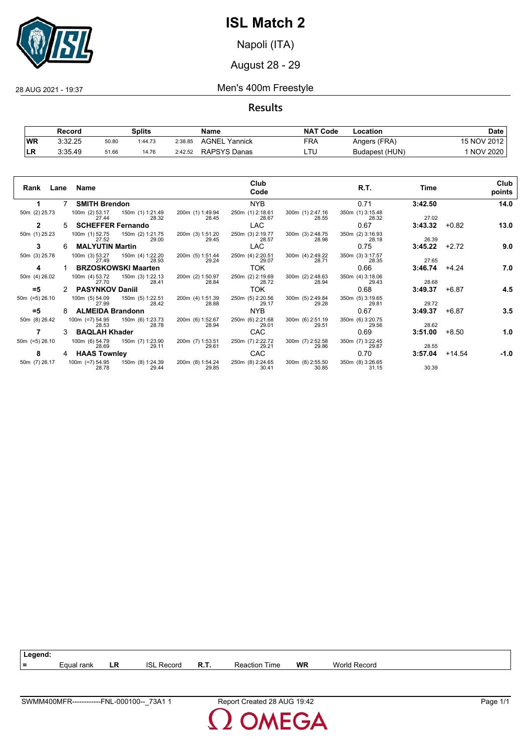

Napoli (ITA)

August 28 - 29

### 28 AUG 2021 - 19:37 Men's 400m Freestyle

**Results**

|           | Record  |       | <b>Splits</b> |         | Name             | <b>NAT Code</b> | Location       | Date            |
|-----------|---------|-------|---------------|---------|------------------|-----------------|----------------|-----------------|
| WR        | 3:32.25 | 50.80 | 1:44.73       | 2:38.85 | AGNEL<br>Yannick | FRA             | Angers (FRA)   | 15 NOV 2012     |
| <b>LR</b> | 3:35.49 | 51.66 | 14.76         | 2:42.52 | RAPSYS Danas     | ᄂᆝ              | Budapest (HUN) | <b>NOV 2020</b> |

| Rank Lane Name   |    |                          |                                             |                           | Club<br>Code              |                           | R.T.                      | Time    |         | Club<br>points |
|------------------|----|--------------------------|---------------------------------------------|---------------------------|---------------------------|---------------------------|---------------------------|---------|---------|----------------|
| 1.               |    | 7 SMITH Brendon          |                                             |                           | NYB                       |                           | 0.71                      | 3:42.50 |         | 14.0           |
| 50m (2) 25.73    |    | 27.44                    | 100m (2) 53.17 150m (1) 1:21.49<br>28.32    | 200m (1) 1:49.94<br>28.45 | 250m (1) 2:18.61<br>28.67 | 300m (1) 2:47.16<br>28.55 | 350m (1) 3:15.48<br>28.32 | 27.02   |         |                |
| $\mathbf{2}$     | 5. | <b>SCHEFFER Fernando</b> |                                             |                           | LAC                       |                           | 0.67                      | 3:43.32 | $+0.82$ | 13.0           |
| 50m (1) 25.23    |    | 27.52                    | 100m (1) 52.75 150m (2) 1:21.75<br>29.00    | 200m (3) 1:51.20<br>29.45 | 250m (3) 2:19.77<br>28.57 | 300m (3) 2:48.75<br>28.98 | 350m (2) 3:16.93<br>28.18 | 26.39   |         |                |
| 3                | 6  | <b>MALYUTIN Martin</b>   |                                             |                           | LAC                       |                           | 0.75                      | 3:45.22 | $+2.72$ | 9.0            |
| 50m (3) 25.78    |    | 27.49                    | 100m (3) 53.27 150m (4) 1:22.20<br>28.93    | 200m (5) 1:51.44<br>29.24 | 250m (4) 2:20.51<br>29.07 | 300m (4) 2:49.22<br>28.71 | 350m (3) 3:17.57<br>28.35 | 27.65   |         |                |
| 4                |    |                          | <b>BRZOSKOWSKI Maarten</b>                  |                           | TOK                       |                           | 0.66                      | 3:46.74 | $+4.24$ | 7.0            |
| 50m (4) 26.02    |    | 100m (4) 53.72<br>27.70  | 150m (3) 1:22.13<br>28.41                   | 200m (2) 1:50.97<br>28.84 | 250m (2) 2:19.69<br>28.72 | 300m (2) 2:48.63<br>28.94 | 350m (4) 3:18.06<br>29.43 | 28.68   |         |                |
| $= 5$            |    | 2 PASYNKOV Daniil        |                                             |                           | TOK                       |                           | 0.68                      | 3:49.37 | +6.87   | 4.5            |
| 50m (=5) 26.10   |    | 100m (5) 54.09<br>27.99  | 150m (5) 1:22.51<br>28.42                   | 200m (4) 1:51.39<br>28.88 | 250m (5) 2:20.56<br>29.17 | 300m (5) 2:49.84<br>29.28 | 350m (5) 3:19.65<br>29.81 | 29.72   |         |                |
| $= 5$            | 8  | <b>ALMEIDA Brandonn</b>  |                                             |                           | NYB.                      |                           | 0.67                      | 3:49.37 | +6.87   | 3.5            |
| 50m (8) 26.42    |    | 28.53                    | 100m (=7) 54.95   150m (6) 1:23.73<br>28.78 | 200m (6) 1:52.67<br>28.94 | 250m (6) 2:21.68<br>29.01 | 300m (6) 2:51.19<br>29.51 | 350m (6) 3:20.75<br>29.56 | 28.62   |         |                |
|                  |    | 3 BAQLAH Khader          |                                             |                           | CAC                       |                           | 0.69                      | 3:51.00 | +8.50   | 1.0            |
| $50m$ (=5) 26.10 |    | 28.69                    | 100m (6) 54.79   150m (7) 1:23.90<br>29.11  | 200m (7) 1:53.51<br>29.61 | 250m (7) 2:22.72<br>29.21 | 300m (7) 2:52.58<br>29.86 | 350m (7) 3:22.45<br>29.87 | 28.55   |         |                |
| 8                |    | 4 HAAS Townley           |                                             |                           | CAC                       |                           | 0.70                      | 3:57.04 | +14.54  | $-1.0$         |
| 50m (7) 26.17    |    | 28.78                    | 100m (=7) 54.95   150m (8) 1:24.39<br>29.44 | 200m (8) 1:54.24<br>29.85 | 250m (8) 2:24.65<br>30.41 | 300m (8) 2:55.50<br>30.85 | 350m (8) 3:26.65<br>31.15 | 30.39   |         |                |

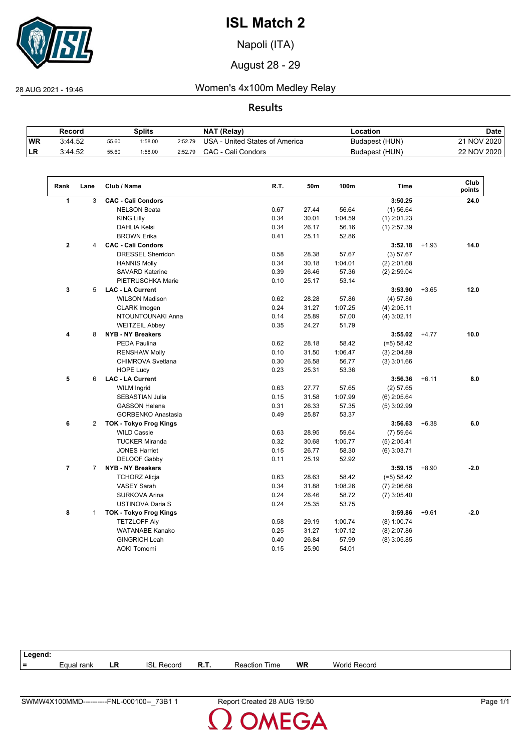

Napoli (ITA)

August 28 - 29

28 AUG 2021 - 19:46 Women's 4x100m Medley Relay

## **Results**

|            | Record  |       | Splits |         | NAT (Relay)                    | -ocation       | Date        |
|------------|---------|-------|--------|---------|--------------------------------|----------------|-------------|
| <b>WR</b>  | 3:44.52 | 55.60 | :58.00 | 2:52.79 | USA - United States of America | Budapest (HUN) | 21 NOV 2020 |
| <b>ILR</b> | 3:44.52 | 55.60 | :58.00 | 2:52.79 | CAC - Cali Condors             | Budapest (HUN) | 22 NOV 2020 |

| Rank           | Lane                 | Club / Name                   | R.T. | 50m   | 100m    | <b>Time</b>   |         | Club<br>points |
|----------------|----------------------|-------------------------------|------|-------|---------|---------------|---------|----------------|
| 1              | 3                    | <b>CAC - Cali Condors</b>     |      |       |         | 3:50.25       |         | 24.0           |
|                |                      | <b>NELSON Beata</b>           | 0.67 | 27.44 | 56.64   | $(1)$ 56.64   |         |                |
|                |                      | <b>KING Lilly</b>             | 0.34 | 30.01 | 1:04.59 | $(1)$ 2:01.23 |         |                |
|                |                      | <b>DAHLIA Kelsi</b>           | 0.34 | 26.17 | 56.16   | $(1)$ 2:57.39 |         |                |
|                |                      | <b>BROWN Erika</b>            | 0.41 | 25.11 | 52.86   |               |         |                |
| $\mathbf{2}$   | 4                    | <b>CAC - Cali Condors</b>     |      |       |         | 3:52.18       | $+1.93$ | 14.0           |
|                |                      | <b>DRESSEL Sherridon</b>      | 0.58 | 28.38 | 57.67   | (3) 57.67     |         |                |
|                |                      | <b>HANNIS Molly</b>           | 0.34 | 30.18 | 1:04.01 | $(2)$ 2:01.68 |         |                |
|                |                      | <b>SAVARD Katerine</b>        | 0.39 | 26.46 | 57.36   | $(2)$ 2:59.04 |         |                |
|                |                      | PIETRUSCHKA Marie             | 0.10 | 25.17 | 53.14   |               |         |                |
| 3              | 5                    | <b>LAC - LA Current</b>       |      |       |         | 3:53.90       | $+3.65$ | 12.0           |
|                |                      | <b>WILSON Madison</b>         | 0.62 | 28.28 | 57.86   | $(4)$ 57.86   |         |                |
|                |                      | <b>CLARK Imogen</b>           | 0.24 | 31.27 | 1:07.25 | $(4)$ 2:05.11 |         |                |
|                |                      | NTOUNTOUNAKI Anna             | 0.14 | 25.89 | 57.00   | $(4)$ 3:02.11 |         |                |
|                |                      | <b>WEITZEIL Abbey</b>         | 0.35 | 24.27 | 51.79   |               |         |                |
| 4              | 8                    | <b>NYB - NY Breakers</b>      |      |       |         | 3:55.02       | $+4.77$ | 10.0           |
|                |                      | PEDA Paulina                  | 0.62 | 28.18 | 58.42   | $(=5) 58.42$  |         |                |
|                |                      | <b>RENSHAW Molly</b>          | 0.10 | 31.50 | 1:06.47 | $(3)$ 2:04.89 |         |                |
|                |                      | CHIMROVA Svetlana             | 0.30 | 26.58 | 56.77   | $(3)$ 3:01.66 |         |                |
|                |                      | <b>HOPE Lucy</b>              | 0.23 | 25.31 | 53.36   |               |         |                |
| 5              | 6                    | <b>LAC - LA Current</b>       |      |       |         | 3:56.36       | $+6.11$ | 8.0            |
|                |                      | <b>WILM Ingrid</b>            | 0.63 | 27.77 | 57.65   | $(2)$ 57.65   |         |                |
|                |                      | <b>SEBASTIAN Julia</b>        | 0.15 | 31.58 | 1:07.99 | $(6)$ 2:05.64 |         |                |
|                |                      | <b>GASSON Helena</b>          | 0.31 | 26.33 | 57.35   | $(5)$ 3:02.99 |         |                |
|                |                      | <b>GORBENKO Anastasia</b>     | 0.49 | 25.87 | 53.37   |               |         |                |
| 6              | $\mathbf{2}^{\circ}$ | <b>TOK - Tokyo Frog Kings</b> |      |       |         | 3:56.63       | $+6.38$ | 6.0            |
|                |                      | <b>WILD Cassie</b>            | 0.63 | 28.95 | 59.64   | $(7)$ 59.64   |         |                |
|                |                      | <b>TUCKER Miranda</b>         | 0.32 | 30.68 | 1:05.77 | $(5)$ 2:05.41 |         |                |
|                |                      | <b>JONES Harriet</b>          | 0.15 | 26.77 | 58.30   | $(6)$ 3:03.71 |         |                |
|                |                      | DELOOF Gabby                  | 0.11 | 25.19 | 52.92   |               |         |                |
| $\overline{7}$ | $\overline{7}$       | <b>NYB - NY Breakers</b>      |      |       |         | 3:59.15       | $+8.90$ | $-2.0$         |
|                |                      | <b>TCHORZ Alicja</b>          | 0.63 | 28.63 | 58.42   | $(=5) 58.42$  |         |                |
|                |                      | <b>VASEY Sarah</b>            | 0.34 | 31.88 | 1:08.26 | $(7)$ 2:06.68 |         |                |
|                |                      | SURKOVA Arina                 | 0.24 | 26.46 | 58.72   | $(7)$ 3:05.40 |         |                |
|                |                      | USTINOVA Daria S              | 0.24 | 25.35 | 53.75   |               |         |                |
| 8              | $\mathbf{1}$         | <b>TOK - Tokyo Frog Kings</b> |      |       |         | 3:59.86       | $+9.61$ | $-2.0$         |
|                |                      | <b>TETZLOFF Aly</b>           | 0.58 | 29.19 | 1:00.74 | $(8)$ 1:00.74 |         |                |
|                |                      | <b>WATANABE Kanako</b>        | 0.25 | 31.27 | 1:07.12 | $(8)$ 2:07.86 |         |                |
|                |                      | <b>GINGRICH Leah</b>          | 0.40 | 26.84 | 57.99   | $(8)$ 3:05.85 |         |                |
|                |                      | <b>AOKI Tomomi</b>            | 0.15 | 25.90 | 54.01   |               |         |                |

| Legend: |            |    |                   |      |                      |           |              |
|---------|------------|----|-------------------|------|----------------------|-----------|--------------|
| $=$     | Equal rank | LR | <b>ISL Record</b> | R.T. | <b>Reaction Time</b> | <b>WR</b> | World Record |
|         |            |    |                   |      |                      |           |              |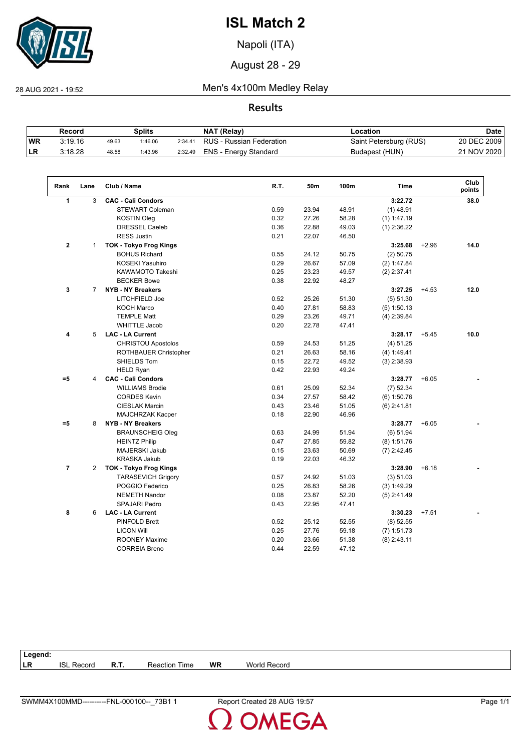

Napoli (ITA)

August 28 - 29

 $\sqrt{2}$ 

28 AUG 2021 - 19:52 Men's 4x100m Medley Relay

**Results**

|           | Record  |       | Splits  |         | NAT (Relay)              | Location               | Date        |
|-----------|---------|-------|---------|---------|--------------------------|------------------------|-------------|
| <b>WR</b> | 3:19.16 | 49.63 | 1:46.06 | 2:34.41 | RUS - Russian Federation | Saint Petersburg (RUS) | 20 DEC 2009 |
| ILR.      | 3:18.28 | 48.58 | 1:43.96 | 2:32.49 | ENS - Energy Standard    | Budapest (HUN)         | 21 NOV 2020 |

| Rank           | Lane           | Club / Name                   | R.T. | 50 <sub>m</sub> | 100m  | <b>Time</b>   |         | Club<br>points |
|----------------|----------------|-------------------------------|------|-----------------|-------|---------------|---------|----------------|
| 1              | 3              | <b>CAC - Cali Condors</b>     |      |                 |       | 3:22.72       |         | 38.0           |
|                |                | <b>STEWART Coleman</b>        | 0.59 | 23.94           | 48.91 | $(1)$ 48.91   |         |                |
|                |                | <b>KOSTIN Oleg</b>            | 0.32 | 27.26           | 58.28 | $(1)$ 1:47.19 |         |                |
|                |                | <b>DRESSEL Caeleb</b>         | 0.36 | 22.88           | 49.03 | $(1)$ 2:36.22 |         |                |
|                |                | <b>RESS Justin</b>            | 0.21 | 22.07           | 46.50 |               |         |                |
| $\mathbf{2}$   | $\mathbf{1}$   | <b>TOK - Tokyo Frog Kings</b> |      |                 |       | 3:25.68       | $+2.96$ | 14.0           |
|                |                | <b>BOHUS Richard</b>          | 0.55 | 24.12           | 50.75 | $(2)$ 50.75   |         |                |
|                |                | <b>KOSEKI Yasuhiro</b>        | 0.29 | 26.67           | 57.09 | (2) 1:47.84   |         |                |
|                |                | KAWAMOTO Takeshi              | 0.25 | 23.23           | 49.57 | $(2)$ 2:37.41 |         |                |
|                |                | <b>BECKER Bowe</b>            | 0.38 | 22.92           | 48.27 |               |         |                |
| 3              | $\overline{7}$ | <b>NYB - NY Breakers</b>      |      |                 |       | 3:27.25       | $+4.53$ | 12.0           |
|                |                | LITCHFIELD Joe                | 0.52 | 25.26           | 51.30 | (5) 51.30     |         |                |
|                |                | <b>KOCH Marco</b>             | 0.40 | 27.81           | 58.83 | $(5)$ 1:50.13 |         |                |
|                |                | <b>TEMPLE Matt</b>            | 0.29 | 23.26           | 49.71 | $(4)$ 2:39.84 |         |                |
|                |                | <b>WHITTLE Jacob</b>          | 0.20 | 22.78           | 47.41 |               |         |                |
| 4              | 5              | <b>LAC - LA Current</b>       |      |                 |       | 3:28.17       | $+5.45$ | 10.0           |
|                |                | <b>CHRISTOU Apostolos</b>     | 0.59 | 24.53           | 51.25 | (4) 51.25     |         |                |
|                |                | ROTHBAUER Christopher         | 0.21 | 26.63           | 58.16 | (4) 1:49.41   |         |                |
|                |                | SHIELDS Tom                   | 0.15 | 22.72           | 49.52 | $(3)$ 2:38.93 |         |                |
|                |                | <b>HELD Ryan</b>              | 0.42 | 22.93           | 49.24 |               |         |                |
| $= 5$          | 4              | <b>CAC - Cali Condors</b>     |      |                 |       | 3:28.77       | $+6.05$ |                |
|                |                | <b>WILLIAMS Brodie</b>        | 0.61 | 25.09           | 52.34 | $(7)$ 52.34   |         |                |
|                |                | <b>CORDES Kevin</b>           | 0.34 | 27.57           | 58.42 | $(6)$ 1:50.76 |         |                |
|                |                | <b>CIESLAK Marcin</b>         | 0.43 | 23.46           | 51.05 | $(6)$ 2:41.81 |         |                |
|                |                | MAJCHRZAK Kacper              | 0.18 | 22.90           | 46.96 |               |         |                |
| $= 5$          | 8              | <b>NYB - NY Breakers</b>      |      |                 |       | 3:28.77       | $+6.05$ |                |
|                |                | <b>BRAUNSCHEIG Oleg</b>       | 0.63 | 24.99           | 51.94 | (6) 51.94     |         |                |
|                |                | <b>HEINTZ Philip</b>          | 0.47 | 27.85           | 59.82 | $(8)$ 1:51.76 |         |                |
|                |                | MAJERSKI Jakub                | 0.15 | 23.63           | 50.69 | $(7)$ 2:42.45 |         |                |
|                |                | <b>KRASKA Jakub</b>           | 0.19 | 22.03           | 46.32 |               |         |                |
| $\overline{7}$ | $\overline{2}$ | <b>TOK - Tokyo Frog Kings</b> |      |                 |       | 3:28.90       | $+6.18$ |                |
|                |                | <b>TARASEVICH Grigory</b>     | 0.57 | 24.92           | 51.03 | (3) 51.03     |         |                |
|                |                | POGGIO Federico               | 0.25 | 26.83           | 58.26 | (3) 1:49.29   |         |                |
|                |                | <b>NEMETH Nandor</b>          | 0.08 | 23.87           | 52.20 | $(5)$ 2:41.49 |         |                |
|                |                | <b>SPAJARI Pedro</b>          | 0.43 | 22.95           | 47.41 |               |         |                |
| 8              | 6              | <b>LAC - LA Current</b>       |      |                 |       | 3:30.23       | $+7.51$ |                |
|                |                | <b>PINFOLD Brett</b>          | 0.52 | 25.12           | 52.55 | $(8)$ 52.55   |         |                |
|                |                | <b>LICON Will</b>             | 0.25 | 27.76           | 59.18 | $(7)$ 1:51.73 |         |                |
|                |                | <b>ROONEY Maxime</b>          | 0.20 | 23.66           | 51.38 | $(8)$ 2:43.11 |         |                |
|                |                | <b>CORREIA Breno</b>          | 0.44 | 22.59           | 47.12 |               |         |                |

| Legend:   |                   |             |                      |           |              |
|-----------|-------------------|-------------|----------------------|-----------|--------------|
| <b>LR</b> | <b>ISL Record</b> | <b>R.T.</b> | <b>Reaction Time</b> | <b>WR</b> | World Record |
|           |                   |             |                      |           |              |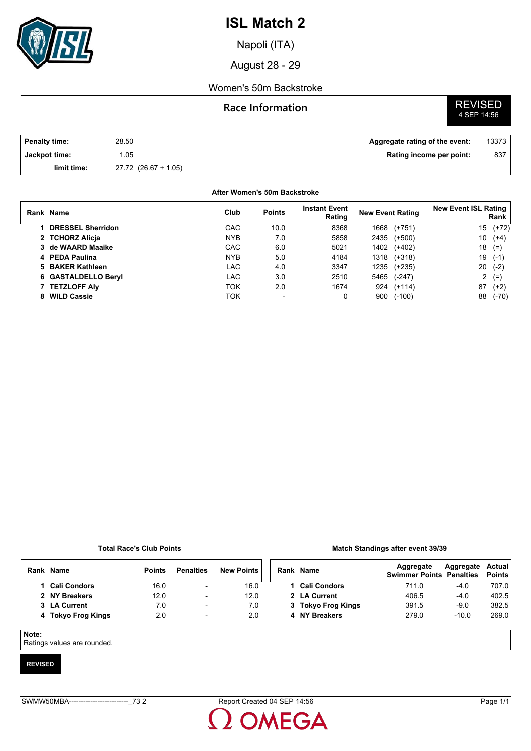

Napoli (ITA)

August 28 - 29

### Women's 50m Backstroke

### **Race Information**

# **REVISED**<br>4 SEP 14:56

| <b>Penalty time:</b> | 28.50                    | Aggregate rating of the event: | 13373 |
|----------------------|--------------------------|--------------------------------|-------|
| Jackpot time:        | 1.05                     | Rating income per point:       | 837   |
| limit time:          | $27.72$ $(26.67 + 1.05)$ |                                |       |

#### **After Women's 50m Backstroke**

|    | Rank Name                | Club       | <b>Points</b>            | <b>Instant Event</b><br>Rating | <b>New Event Rating</b> | <b>New Event ISL Rating</b><br>Rank |
|----|--------------------------|------------|--------------------------|--------------------------------|-------------------------|-------------------------------------|
|    | <b>DRESSEL Sherridon</b> | CAC        | 10.0                     | 8368                           | 1668<br>$(+751)$        | $(+72)$<br>15                       |
|    | 2 TCHORZ Alicja          | <b>NYB</b> | 7.0                      | 5858                           | 2435<br>$(+500)$        | 10<br>$(+4)$                        |
|    | 3 de WAARD Maaike        | CAC        | 6.0                      | 5021                           | 1402<br>(+402)          | 18<br>$(=)$                         |
|    | 4 PEDA Paulina           | <b>NYB</b> | 5.0                      | 4184                           | 1318 (+318)             | 19<br>$(-1)$                        |
|    | 5 BAKER Kathleen         | LAC        | 4.0                      | 3347                           | 1235<br>(+235)          | 20<br>$(-2)$                        |
|    | 6 GASTALDELLO Beryl      | LAC        | 3.0                      | 2510                           | 5465<br>$(-247)$        | 2<br>$(=)$                          |
|    | <b>TETZLOFF Alv</b>      | TOK        | 2.0                      | 1674                           | $(+114)$<br>924         | 87<br>$(+2)$                        |
| 8. | <b>WILD Cassie</b>       | ток        | $\overline{\phantom{0}}$ | 0                              | $(-100)$<br>900         | 88<br>$(-70)$                       |

#### **Total Race's Club Points**

#### **Match Standings after event 39/39**

| Rank  | <b>Name</b>         | <b>Points</b> | <b>Penalties</b>         | <b>New Points</b> |  | Rank Name           | Aggregate<br><b>Swimmer Points Penalties</b> | Aggregate | Actual<br><b>Points</b> |
|-------|---------------------|---------------|--------------------------|-------------------|--|---------------------|----------------------------------------------|-----------|-------------------------|
|       | <b>Cali Condors</b> | 16.0          | $\overline{\phantom{a}}$ | 16.0              |  | <b>Cali Condors</b> | 711.0                                        | -4.0      | 707.0                   |
|       | 2 NY Breakers       | 12.0          | $\blacksquare$           | 12.0              |  | 2 LA Current        | 406.5                                        | $-4.0$    | 402.5                   |
|       | 3 LA Current        | 7.0           | $\overline{\phantom{a}}$ | 7.0               |  | 3 Tokyo Frog Kings  | 391.5                                        | $-9.0$    | 382.5                   |
|       | 4 Tokyo Frog Kings  | 2.0           | $\overline{\phantom{a}}$ | 2.0               |  | 4 NY Breakers       | 279.0                                        | $-10.0$   | 269.0                   |
| Note: |                     |               |                          |                   |  |                     |                                              |           |                         |

Ratings values are rounded.

#### **REVISED**

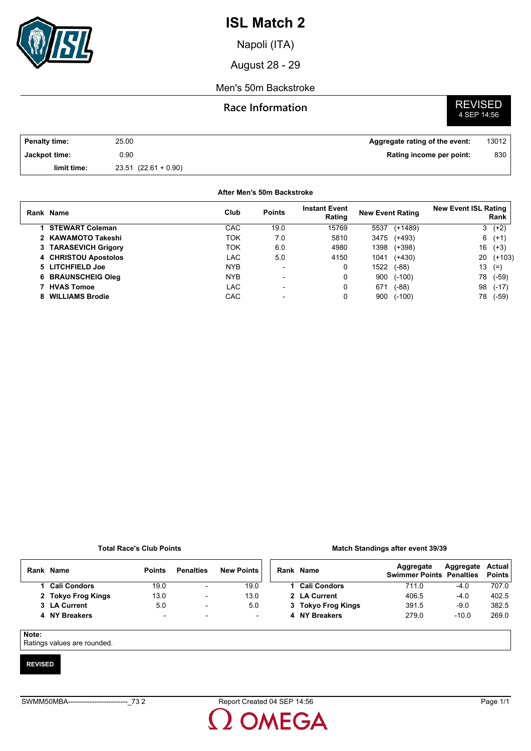

Napoli (ITA)

August 28 - 29

### Men's 50m Backstroke

### **Race Information**

# **REVISED**<br>4 SEP 14:56

| <b>Penalty time:</b> | 25.00                    | Aggregate rating of the event: | 13012 |
|----------------------|--------------------------|--------------------------------|-------|
| Jackpot time:        | 0.90                     | Rating income per point:       | 830   |
| limit time:          | $23.51$ $(22.61 + 0.90)$ |                                |       |

#### **After Men's 50m Backstroke**

| Rank Name                 | Club       | <b>Points</b> | <b>Instant Event</b><br>Rating | <b>New Event Rating</b> |           | <b>New Event ISL Rating</b> | Rank     |
|---------------------------|------------|---------------|--------------------------------|-------------------------|-----------|-----------------------------|----------|
| 1 STEWART Coleman         | CAC        | 19.0          | 15769                          | 5537                    | $(+1489)$ | 3                           | $(+2)$   |
| 2 KAWAMOTO Takeshi        | TOK        | 7.0           | 5810                           | 3475                    | (+493)    | 6                           | $(+1)$   |
| 3 TARASEVICH Grigory      | TOK        | 6.0           | 4980                           | 1398                    | $(+398)$  | 16                          | $(+3)$   |
| 4 CHRISTOU Apostolos      | LAC        | 5.0           | 4150                           | 1041                    | $(+430)$  | 20                          | $(+103)$ |
| 5 LITCHFIELD Joe          | <b>NYB</b> |               | 0                              | 1522                    | $(-88)$   | 13                          | $(=)$    |
| <b>6 BRAUNSCHEIG Oleg</b> | <b>NYB</b> |               | 0                              | 900                     | $(-100)$  | 78                          | $(-59)$  |
| 7 HVAS Tomoe              | LAC.       |               | 0                              | 671                     | $(-88)$   | 98                          | $(-17)$  |
| 8 WILLIAMS Brodie         | CAC        |               | 0                              | 900                     | $(-100)$  | 78                          | $(-59)$  |

#### **Total Race's Club Points**

#### **Match Standings after event 39/39**

|  | Rank Name          | <b>Points</b> | <b>Penalties</b>         | <b>New Points</b> |  | Rank Name  |
|--|--------------------|---------------|--------------------------|-------------------|--|------------|
|  | 1 Cali Condors     | 19.0          | $\blacksquare$           | 19.0              |  | 1 Cali Con |
|  | 2 Tokyo Frog Kings | 13.0          | $\blacksquare$           | 13.0              |  | 2 LA Curre |
|  | 3 LA Current       | 5.0           | $\blacksquare$           | 5.0               |  | 3 Tokyo F  |
|  | 4 NY Breakers      | -             | $\overline{\phantom{0}}$ |                   |  | 4 NY Breal |

| <b>Points</b> |
|---------------|
| 707.0         |
| 402.5         |
| 382.5         |
| 269.0         |
|               |

#### **Note:**

Ratings values are rounded.

#### **REVISED**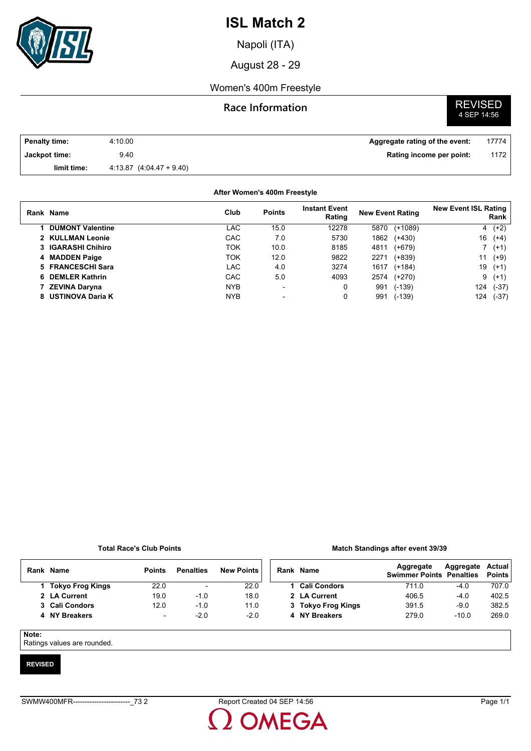

Napoli (ITA)

August 28 - 29

### Women's 400m Freestyle

### **Race Information**

# **REVISED**<br>4 SEP 14:56

| <b>Penalty time:</b> | 4:10.00                      | Aggregate rating of the event: | 17774 |
|----------------------|------------------------------|--------------------------------|-------|
| Jackpot time:        | 9.40                         | Rating income per point:       | 1172  |
| limit time:          | $4.13.87$ $(4.04.47 + 9.40)$ |                                |       |

#### **After Women's 400m Freestyle**

| Rank Name               | Club       | <b>Points</b>            | <b>Instant Event</b><br>Rating | <b>New Event Rating</b> |          | <b>New Event ISL Rating</b><br>Rank |         |
|-------------------------|------------|--------------------------|--------------------------------|-------------------------|----------|-------------------------------------|---------|
| <b>DUMONT Valentine</b> | LAC        | 15.0                     | 12278                          | 5870                    | (+1089)  |                                     | $4(+2)$ |
| 2 KULLMAN Leonie        | CAC        | 7.0                      | 5730                           | 1862                    | (+430)   | 16                                  | $(+4)$  |
| 3 IGARASHI Chihiro      | <b>TOK</b> | 10.0                     | 8185                           | 4811                    | (+679)   |                                     | $7(+1)$ |
| 4 MADDEN Paige          | TOK        | 12.0                     | 9822                           | 2271                    | $(+839)$ | 11                                  | $(+9)$  |
| 5 FRANCESCHI Sara       | LAC        | 4.0                      | 3274                           | 1617                    | $(+184)$ | 19                                  | $(+1)$  |
| 6 DEMLER Kathrin        | CAC        | 5.0                      | 4093                           | 2574                    | (+270)   | 9                                   | $(+1)$  |
| <b>ZEVINA Daryna</b>    | <b>NYB</b> | $\overline{\phantom{0}}$ | 0                              | 991                     | $(-139)$ | 124                                 | $(-37)$ |
| 8 USTINOVA Daria K      | <b>NYB</b> | $\blacksquare$           | 0                              | 991                     | $(-139)$ | 124                                 | $(-37)$ |

#### **Total Race's Club Points**

#### **Match Standings after event 39/39**

| Rank | <b>Name</b>      | <b>Points</b>            | <b>Penalties</b>         | <b>New Points</b> | Rank Name           | Aggregate<br><b>Swimmer Points Penalties</b> | Aggregate | Actual<br><b>Points</b> |
|------|------------------|--------------------------|--------------------------|-------------------|---------------------|----------------------------------------------|-----------|-------------------------|
|      | Tokyo Frog Kings | 22.0                     | $\overline{\phantom{a}}$ | 22.0              | <b>Cali Condors</b> | 711.0                                        | -4.0      | 707.0                   |
|      | 2 LA Current     | 19.0                     | $-1.0$                   | 18.0              | 2 LA Current        | 406.5                                        | $-4.0$    | 402.5                   |
|      | 3 Cali Condors   | 12.0                     | $-1.0$                   | 11.0              | 3 Tokyo Frog Kings  | 391.5                                        | $-9.0$    | 382.5                   |
|      | 4 NY Breakers    | $\overline{\phantom{0}}$ | $-2.0$                   | $-2.0$            | 4 NY Breakers       | 279.0                                        | $-10.0$   | 269.0                   |

**Note:**

Ratings values are rounded.

#### **REVISED**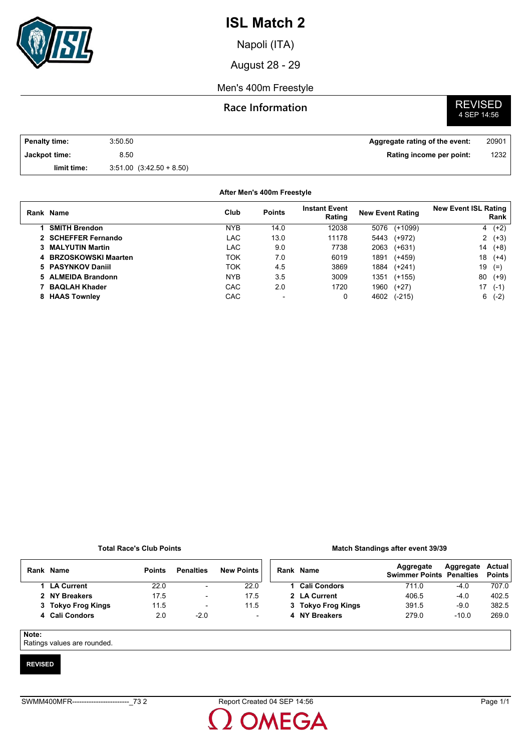

Napoli (ITA)

August 28 - 29

### Men's 400m Freestyle

### **Race Information**

# **REVISED**<br>4 SEP 14:56

| <b>Penalty time:</b> | 3:50.50                      | Aggregate rating of the event: | 20901 |
|----------------------|------------------------------|--------------------------------|-------|
| Jackpot time:        | 8.50                         | Rating income per point:       | 1232  |
| limit time:          | $3.51.00$ $(3.42.50 + 8.50)$ |                                |       |

#### **After Men's 400m Freestyle**

|    | Rank Name             | Club       | <b>Points</b>            | <b>Instant Event</b><br>Rating | <b>New Event Rating</b> | <b>New Event ISL Rating</b><br>Rank |
|----|-----------------------|------------|--------------------------|--------------------------------|-------------------------|-------------------------------------|
|    | <b>SMITH Brendon</b>  | <b>NYB</b> | 14.0                     | 12038                          | 5076<br>(+1099)         | $4(+2)$                             |
|    | 2 SCHEFFER Fernando   | LAC        | 13.0                     | 11178                          | (+972)<br>5443          | $2(+3)$                             |
|    | 3 MALYUTIN Martin     | LAC        | 9.0                      | 7738                           | 2063<br>$(+631)$        | 14<br>$(+8)$                        |
|    | 4 BRZOSKOWSKI Maarten | ток        | 7.0                      | 6019                           | (+459)<br>1891          | 18<br>$(+4)$                        |
|    | 5 PASYNKOV Daniil     | TOK        | 4.5                      | 3869                           | 1884<br>$(+241)$        | 19<br>$(=)$                         |
|    | 5 ALMEIDA Brandonn    | <b>NYB</b> | 3.5                      | 3009                           | $(+155)$<br>1351        | 80<br>$(+9)$                        |
|    | <b>BAQLAH Khader</b>  | CAC        | 2.0                      | 1720                           | 1960<br>$(+27)$         | 17<br>$(-1)$                        |
| 8. | <b>HAAS Townley</b>   | <b>CAC</b> | $\overline{\phantom{0}}$ | 0                              | $(-215)$<br>4602        | $(-2)$<br>6                         |

#### **Total Race's Club Points**

#### **Match Standings after event 39/39**

| Rank | Name               | <b>Points</b> | <b>Penalties</b>         | <b>New Points</b>        | Rank | <b>Name</b>         | Aggregate<br><b>Swimmer Points Penalties</b> | Aggregate | Actual<br><b>Points</b> |
|------|--------------------|---------------|--------------------------|--------------------------|------|---------------------|----------------------------------------------|-----------|-------------------------|
|      | LA Current         | 22.0          | $\blacksquare$           | 22.0                     |      | <b>Cali Condors</b> | 711.0                                        | -4.0      | 707.0                   |
|      | 2 NY Breakers      | 17.5          | $\overline{\phantom{a}}$ | 17.5                     |      | 2 LA Current        | 406.5                                        | $-4.0$    | 402.5                   |
|      | 3 Tokyo Frog Kings | 11.5          | $\overline{\phantom{0}}$ | 11.5                     |      | 3 Tokyo Frog Kings  | 391.5                                        | $-9.0$    | 382.5                   |
|      | 4 Cali Condors     | 2.0           | $-2.0$                   | $\overline{\phantom{a}}$ |      | 4 NY Breakers       | 279.0                                        | $-10.0$   | 269.0                   |

#### **Note:**

Ratings values are rounded.

#### **REVISED**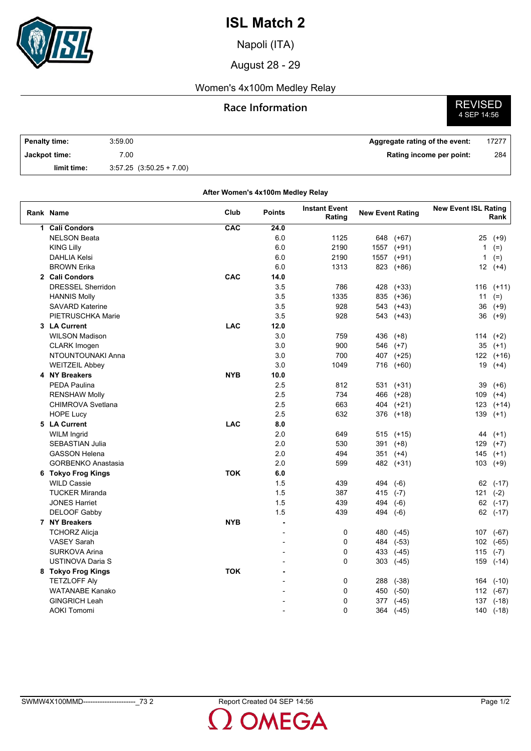

Napoli (ITA)

August 28 - 29

## Women's 4x100m Medley Relay

## **Race Information**

**REVISED**<br>4 SEP 14:56

| <b>Penalty time:</b> | 3:59.00                      | Aggregate rating of the event: | 17277 |
|----------------------|------------------------------|--------------------------------|-------|
| Jackpot time:        | 7.00                         | Rating income per point:       | 284   |
| limit time:          | $3.57.25$ $(3.50.25 + 7.00)$ |                                |       |

|             | After Women's 4x100m Medley Relay |            |                |                                |                         |            |                             |           |  |  |
|-------------|-----------------------------------|------------|----------------|--------------------------------|-------------------------|------------|-----------------------------|-----------|--|--|
|             | Rank Name                         | Club       | <b>Points</b>  | <b>Instant Event</b><br>Rating | <b>New Event Rating</b> |            | <b>New Event ISL Rating</b> | Rank      |  |  |
| $\mathbf 1$ | <b>Cali Condors</b>               | CAC        | 24.0           |                                |                         |            |                             |           |  |  |
|             | <b>NELSON Beata</b>               |            | 6.0            | 1125                           | 648                     | $(+67)$    | 25                          | $(+9)$    |  |  |
|             | <b>KING Lilly</b>                 |            | 6.0            | 2190                           | 1557                    | $(+91)$    | 1                           | $(=)$     |  |  |
|             | <b>DAHLIA Kelsi</b>               |            | 6.0            | 2190                           | 1557                    | $(+91)$    | $\mathbf{1}$                | $(=)$     |  |  |
|             | <b>BROWN Erika</b>                |            | 6.0            | 1313                           | 823                     | $(+86)$    | 12                          | $(+4)$    |  |  |
|             | 2 Cali Condors                    | CAC        | 14.0           |                                |                         |            |                             |           |  |  |
|             | <b>DRESSEL Sherridon</b>          |            | 3.5            | 786                            | 428                     | $(+33)$    |                             | 116 (+11) |  |  |
|             | <b>HANNIS Molly</b>               |            | 3.5            | 1335                           |                         | 835 (+36)  | 11                          | $(=)$     |  |  |
|             | <b>SAVARD Katerine</b>            |            | 3.5            | 928                            |                         | 543 (+43)  | 36                          | $(+9)$    |  |  |
|             | PIETRUSCHKA Marie                 |            | 3.5            | 928                            |                         | 543 (+43)  | 36                          | $(+9)$    |  |  |
|             | 3 LA Current                      | <b>LAC</b> | 12.0           |                                |                         |            |                             |           |  |  |
|             | <b>WILSON Madison</b>             |            | 3.0            | 759                            | 436                     | $(+8)$     | 114                         | $(+2)$    |  |  |
|             | <b>CLARK Imogen</b>               |            | 3.0            | 900                            |                         | 546 (+7)   | 35                          | $(+1)$    |  |  |
|             | NTOUNTOUNAKI Anna                 |            | 3.0            | 700                            | 407                     | $(+25)$    |                             | 122 (+16) |  |  |
|             | <b>WEITZEIL Abbey</b>             |            | 3.0            | 1049                           | 716                     | $(+60)$    | 19                          | $(+4)$    |  |  |
|             | 4 NY Breakers                     | <b>NYB</b> | 10.0           |                                |                         |            |                             |           |  |  |
|             | PEDA Paulina                      |            | 2.5            | 812                            |                         | 531 (+31)  | 39                          | $(+6)$    |  |  |
|             | <b>RENSHAW Molly</b>              |            | 2.5            | 734                            |                         | 466 (+28)  | 109                         | $(+4)$    |  |  |
|             | <b>CHIMROVA Svetlana</b>          |            | 2.5            | 663                            | 404                     | $(+21)$    | 123                         | $(+14)$   |  |  |
|             | <b>HOPE Lucy</b>                  |            | 2.5            | 632                            |                         | 376 (+18)  | 139                         | $(+1)$    |  |  |
|             | 5 LA Current                      | <b>LAC</b> | 8.0            |                                |                         |            |                             |           |  |  |
|             | <b>WILM Ingrid</b>                |            | 2.0            | 649                            | 515                     | $(+15)$    | 44                          | $(+1)$    |  |  |
|             | <b>SEBASTIAN Julia</b>            |            | 2.0            | 530                            | 391                     | $(+8)$     | 129                         | $(+7)$    |  |  |
|             | <b>GASSON Helena</b>              |            | 2.0            | 494                            |                         | $351$ (+4) | 145                         | $(+1)$    |  |  |
|             | <b>GORBENKO Anastasia</b>         |            | 2.0            | 599                            | 482                     | $(+31)$    | 103                         | $(+9)$    |  |  |
|             | 6 Tokyo Frog Kings                | <b>TOK</b> | 6.0            |                                |                         |            |                             |           |  |  |
|             | <b>WILD Cassie</b>                |            | 1.5            | 439                            | 494                     | $(-6)$     | 62                          | $(-17)$   |  |  |
|             | <b>TUCKER Miranda</b>             |            | 1.5            | 387                            | 415 $(-7)$              |            | 121                         | $(-2)$    |  |  |
|             | <b>JONES Harriet</b>              |            | 1.5            | 439                            | 494                     | $(-6)$     | 62                          | $(-17)$   |  |  |
|             | <b>DELOOF Gabby</b>               |            | 1.5            | 439                            | 494                     | $(-6)$     |                             | 62 (-17)  |  |  |
|             | 7 NY Breakers                     | <b>NYB</b> |                |                                |                         |            |                             |           |  |  |
|             | <b>TCHORZ Alicja</b>              |            |                | $\mathbf 0$                    | 480                     |            |                             |           |  |  |
|             | <b>VASEY Sarah</b>                |            | $\overline{a}$ | $\Omega$                       | 484                     | $(-45)$    | 107                         | $(-67)$   |  |  |
|             | <b>SURKOVA Arina</b>              |            |                | $\mathbf 0$                    |                         | $(-53)$    | 102                         | $(-65)$   |  |  |
|             |                                   |            |                |                                |                         | 433 (-45)  | 115                         | $(-7)$    |  |  |
|             | USTINOVA Daria S                  |            |                | 0                              | 303                     | $(-45)$    | 159                         | $(-14)$   |  |  |
|             | 8 Tokyo Frog Kings                | <b>TOK</b> |                |                                |                         |            |                             |           |  |  |
|             | <b>TETZLOFF Alv</b>               |            |                | $\mathbf 0$                    | 288                     | $(-38)$    | 164                         | $(-10)$   |  |  |
|             | <b>WATANABE Kanako</b>            |            |                | $\mathbf 0$                    | 450                     | $(-50)$    |                             | 112 (-67) |  |  |
|             | <b>GINGRICH Leah</b>              |            |                | $\mathbf 0$                    | 377                     | $(-45)$    | 137                         | $(-18)$   |  |  |
|             | <b>AOKI Tomomi</b>                |            |                | 0                              | 364                     | $(-45)$    |                             | 140 (-18) |  |  |

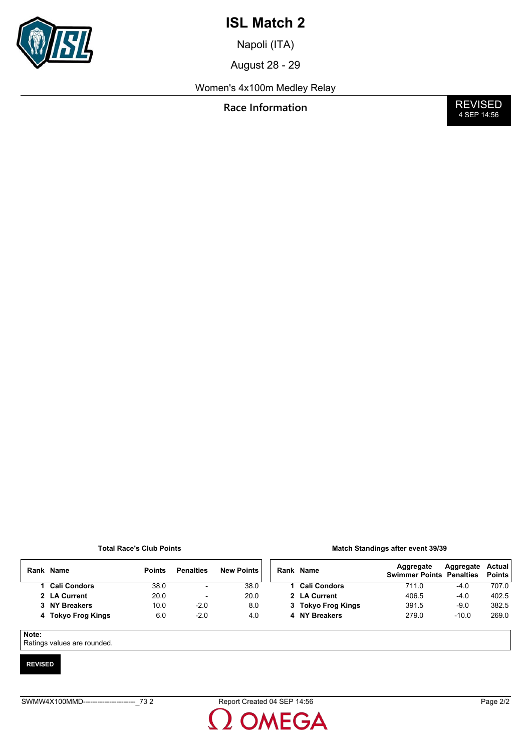

Napoli (ITA)

August 28 - 29

Women's 4x100m Medley Relay

**Race Information** 

**REVISED**<br>4 SEP 14:56

#### **Total Race's Club Points**

| <b>Match Standings after event 39/39</b> |  |  |  |  |
|------------------------------------------|--|--|--|--|
|------------------------------------------|--|--|--|--|

|            | Rank Name          | <b>Points</b> | <b>Penalties</b>         | <b>New Points</b> | Rank Name          | Aggregate<br><b>Swimmer Points Penalties</b> | Aggregate | Actual<br><b>Points</b> |
|------------|--------------------|---------------|--------------------------|-------------------|--------------------|----------------------------------------------|-----------|-------------------------|
|            | 1 Cali Condors     | 38.0          | $\overline{\phantom{a}}$ | 38.0              | 1 Cali Condors     | 711.0                                        | $-4.0$    | 707.0                   |
|            | 2 LA Current       | 20.0          | $\overline{\phantom{0}}$ | 20.0              | 2 LA Current       | 406.5                                        | $-4.0$    | 402.5                   |
|            | 3 NY Breakers      | 10.0          | $-2.0$                   | 8.0               | 3 Tokyo Frog Kings | 391.5                                        | $-9.0$    | 382.5                   |
|            | 4 Tokyo Frog Kings | 6.0           | $-2.0$                   | 4.0               | 4 NY Breakers      | 279.0                                        | $-10.0$   | 269.0                   |
| Note:<br>_ |                    |               |                          |                   |                    |                                              |           |                         |

Ratings values are rounded.

#### **REVISED**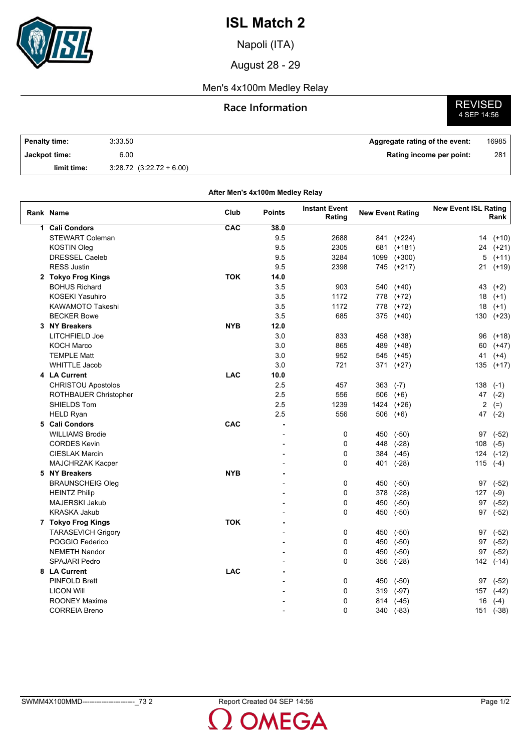

Napoli (ITA)

August 28 - 29

### Men's 4x100m Medley Relay

## **Race Information**

**REVISED**<br>4 SEP 14:56

| <b>Penalty time:</b> | 3:33.50                      | Aggregate rating of the event: | 16985 |
|----------------------|------------------------------|--------------------------------|-------|
| Jackpot time:        | 6.00                         | Rating income per point:       | 281   |
| limit time:          | $3.28.72$ $(3.22.72 + 6.00)$ |                                |       |

| After Men's 4x100m Medley Relay |            |               |                                |                         |            |                             |           |  |  |
|---------------------------------|------------|---------------|--------------------------------|-------------------------|------------|-----------------------------|-----------|--|--|
| Rank Name                       | Club       | <b>Points</b> | <b>Instant Event</b><br>Rating | <b>New Event Rating</b> |            | <b>New Event ISL Rating</b> | Rank      |  |  |
| 1 Cali Condors                  | CAC        | 38.0          |                                |                         |            |                             |           |  |  |
| <b>STEWART Coleman</b>          |            | 9.5           | 2688                           | 841                     | $(+224)$   | 14                          | $(+10)$   |  |  |
| KOSTIN Oleg                     |            | 9.5           | 2305                           |                         | 681 (+181) | 24                          | $(+21)$   |  |  |
| <b>DRESSEL Caeleb</b>           |            | 9.5           | 3284                           | 1099                    | $(+300)$   | 5                           | $(+11)$   |  |  |
| <b>RESS Justin</b>              |            | 9.5           | 2398                           | 745                     | $(+217)$   | 21                          | $(+19)$   |  |  |
| 2 Tokyo Frog Kings              | <b>TOK</b> | 14.0          |                                |                         |            |                             |           |  |  |
| <b>BOHUS Richard</b>            |            | 3.5           | 903                            |                         | 540 (+40)  | 43                          | $(+2)$    |  |  |
| <b>KOSEKI Yasuhiro</b>          |            | 3.5           | 1172                           |                         | 778 (+72)  | 18                          | $(+1)$    |  |  |
| <b>KAWAMOTO Takeshi</b>         |            | 3.5           | 1172                           | 778                     | $(+72)$    | 18                          | $(+1)$    |  |  |
| <b>BECKER Bowe</b>              |            | 3.5           | 685                            | 375                     | $(+40)$    | 130                         | $(+23)$   |  |  |
| 3 NY Breakers                   | <b>NYB</b> | 12.0          |                                |                         |            |                             |           |  |  |
| LITCHFIELD Joe                  |            | 3.0           | 833                            | 458                     | $(+38)$    | 96                          | $(+18)$   |  |  |
| <b>KOCH Marco</b>               |            | 3.0           | 865                            | 489                     | $(+48)$    | 60                          | $(+47)$   |  |  |
| <b>TEMPLE Matt</b>              |            | 3.0           | 952                            |                         | 545 (+45)  | 41                          | $(+4)$    |  |  |
| <b>WHITTLE Jacob</b>            |            | 3.0           | 721                            |                         | 371 (+27)  | 135                         | $(+17)$   |  |  |
| 4 LA Current                    | <b>LAC</b> | 10.0          |                                |                         |            |                             |           |  |  |
| <b>CHRISTOU Apostolos</b>       |            | 2.5           | 457                            | 363                     | $(-7)$     | 138                         | $(-1)$    |  |  |
| ROTHBAUER Christopher           |            | 2.5           | 556                            | 506                     | $(+6)$     | 47                          | $(-2)$    |  |  |
| SHIELDS Tom                     |            | 2.5           | 1239                           |                         | 1424 (+26) | 2                           | $(=)$     |  |  |
| <b>HELD Ryan</b>                |            | 2.5           | 556                            | 506                     | $(+6)$     | 47                          | $(-2)$    |  |  |
| 5 Cali Condors                  | CAC        | ÷             |                                |                         |            |                             |           |  |  |
| <b>WILLIAMS Brodie</b>          |            |               | 0                              | 450                     | $(-50)$    | 97                          | $(-52)$   |  |  |
| <b>CORDES Kevin</b>             |            |               | $\Omega$                       | 448                     | $(-28)$    | 108                         | $(-5)$    |  |  |
| <b>CIESLAK Marcin</b>           |            |               | 0                              |                         | 384 (-45)  | 124                         | $(-12)$   |  |  |
| MAJCHRZAK Kacper                |            |               | 0                              | 401                     | $(-28)$    | 115                         | $(-4)$    |  |  |
| 5 NY Breakers                   | <b>NYB</b> | ä,            |                                |                         |            |                             |           |  |  |
|                                 |            |               | 0                              |                         |            |                             |           |  |  |
| <b>BRAUNSCHEIG Oleg</b>         |            |               | 0                              |                         | 450 (-50)  | 97                          | $(-52)$   |  |  |
| <b>HEINTZ Philip</b>            |            |               | 0                              |                         | 378 (-28)  | 127                         | $(-9)$    |  |  |
| MAJERSKI Jakub                  |            |               |                                | 450                     | $(-50)$    | 97                          | $(-52)$   |  |  |
| <b>KRASKA Jakub</b>             |            |               | 0                              | 450                     | $(-50)$    | 97                          | $(-52)$   |  |  |
| 7 Tokyo Frog Kings              | <b>TOK</b> |               |                                |                         |            |                             |           |  |  |
| <b>TARASEVICH Grigory</b>       |            |               | 0                              | 450                     | $(-50)$    | 97                          | $(-52)$   |  |  |
| POGGIO Federico                 |            |               | $\Omega$                       | 450                     | $(-50)$    | 97                          | $(-52)$   |  |  |
| <b>NEMETH Nandor</b>            |            |               | 0                              | 450                     | $(-50)$    | 97                          | $(-52)$   |  |  |
| <b>SPAJARI Pedro</b>            |            |               | 0                              |                         | 356 (-28)  |                             | 142 (-14) |  |  |
| 8 LA Current                    | <b>LAC</b> |               |                                |                         |            |                             |           |  |  |
| <b>PINFOLD Brett</b>            |            |               | 0                              | 450                     | $(-50)$    | 97                          | $(-52)$   |  |  |
| <b>LICON Will</b>               |            |               | 0                              | 319                     | $(-97)$    | 157                         | $(-42)$   |  |  |
| <b>ROONEY Maxime</b>            |            |               | 0                              | 814                     | $(-45)$    | 16                          | $(-4)$    |  |  |
| <b>CORREIA Breno</b>            |            |               | 0                              | 340                     | $(-83)$    |                             | 151 (-38) |  |  |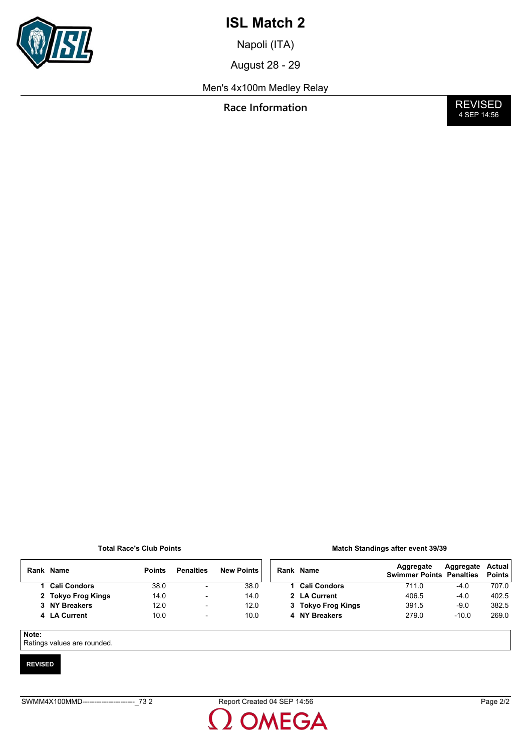

Napoli (ITA)

August 28 - 29

Men's 4x100m Medley Relay

**Race Information** 

**REVISED**<br>4 SEP 14:56

#### **Total Race's Club Points**

| <b>Match Standings after event 39/39</b> |
|------------------------------------------|
|------------------------------------------|

|       | Rank Name           | <b>Points</b> | <b>Penalties</b>         | <b>New Points</b> | Rank Name           | Aggregate<br><b>Swimmer Points Penalties</b> | Aggregate | <b>Actual</b><br><b>Points</b> |
|-------|---------------------|---------------|--------------------------|-------------------|---------------------|----------------------------------------------|-----------|--------------------------------|
|       | <b>Cali Condors</b> | 38.0          | $\overline{\phantom{0}}$ | 38.0              | <b>Cali Condors</b> | 711.0                                        | $-4.0$    | 707.0                          |
|       | 2 Tokyo Frog Kings  | 14.0          | $\overline{\phantom{a}}$ | 14.0              | 2 LA Current        | 406.5                                        | $-4.0$    | 402.5                          |
|       | 3 NY Breakers       | 12.0          | ۰                        | 12.0              | 3 Tokyo Frog Kings  | 391.5                                        | $-9.0$    | 382.5                          |
|       | 4 LA Current        | 10.0          | $\overline{\phantom{a}}$ | 10.0              | 4 NY Breakers       | 279.0                                        | $-10.0$   | 269.0                          |
|       |                     |               |                          |                   |                     |                                              |           |                                |
| Note: |                     |               |                          |                   |                     |                                              |           |                                |

Ratings values are rounded.

#### **REVISED**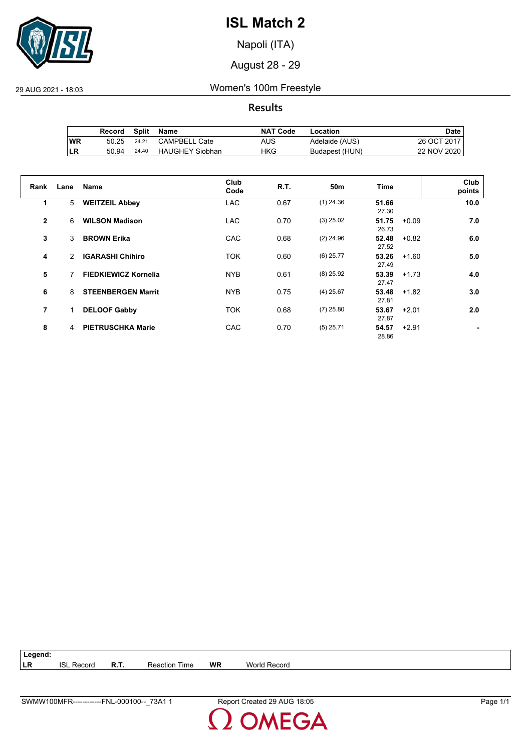

Napoli (ITA)

August 28 - 29

29 AUG 2021 - 18:03 Women's 100m Freestyle

**Results**

|           | Record | Split | Name                   | <b>NAT Code</b> | Location       | Date .      |
|-----------|--------|-------|------------------------|-----------------|----------------|-------------|
| <b>WR</b> | 50.25  | 24.21 | <b>CAMPBELL Cate</b>   | AUS             | Adelaide (AUS) | 26 OCT 2017 |
| ILR       | 50.94  | 24.40 | <b>HAUGHEY Siobhan</b> | HKG             | Budapest (HUN) | 22 NOV 2020 |

| Rank         | Lane          | <b>Name</b>                 | Club<br>Code | R.T. | 50 <sub>m</sub> | Time                      | Club<br>points |
|--------------|---------------|-----------------------------|--------------|------|-----------------|---------------------------|----------------|
| 1            | 5             | <b>WEITZEIL Abbey</b>       | <b>LAC</b>   | 0.67 | $(1)$ 24.36     | 51.66<br>27.30            | 10.0           |
| $\mathbf{2}$ | 6             | <b>WILSON Madison</b>       | <b>LAC</b>   | 0.70 | $(3)$ 25.02     | 51.75<br>$+0.09$<br>26.73 | 7.0            |
| 3            | 3             | <b>BROWN Erika</b>          | CAC          | 0.68 | $(2)$ 24.96     | 52.48<br>$+0.82$<br>27.52 | 6.0            |
| 4            | $\mathcal{P}$ | <b>IGARASHI Chihiro</b>     | <b>TOK</b>   | 0.60 | $(6)$ 25.77     | 53.26<br>$+1.60$<br>27.49 | 5.0            |
| 5            |               | <b>FIEDKIEWICZ Kornelia</b> | <b>NYB</b>   | 0.61 | $(8)$ 25.92     | 53.39<br>$+1.73$<br>27.47 | 4.0            |
| 6            | 8             | <b>STEENBERGEN Marrit</b>   | <b>NYB</b>   | 0.75 | $(4)$ 25.67     | 53.48<br>$+1.82$<br>27.81 | 3.0            |
| 7            |               | <b>DELOOF Gabby</b>         | <b>TOK</b>   | 0.68 | $(7)$ 25.80     | 53.67<br>$+2.01$<br>27.87 | 2.0            |
| 8            | 4             | <b>PIETRUSCHKA Marie</b>    | CAC          | 0.70 | $(5)$ 25.71     | 54.57<br>$+2.91$<br>28.86 | ٠              |

**Legend: LR** ISL Record **R.T.** Reaction Time **WR** World Record

**MEGA**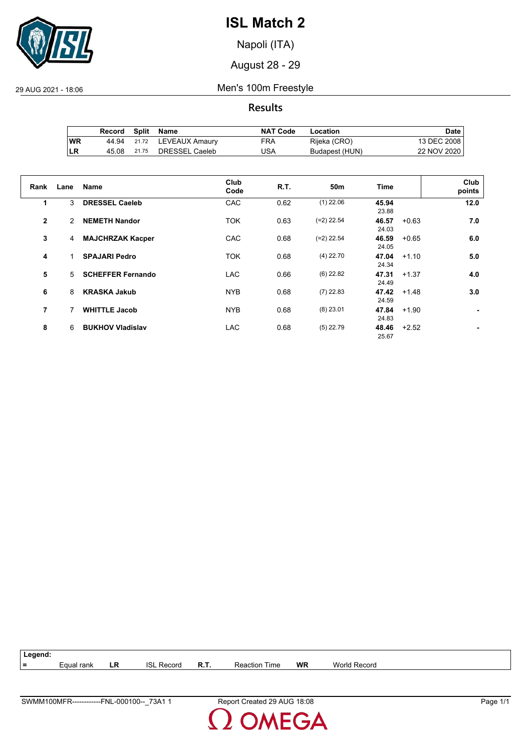

Napoli (ITA)

August 28 - 29

29 AUG 2021 - 18:06 Men's 100m Freestyle

**Results**

|            | Record | Split | Name           | <b>NAT Code</b> | Location       | Date ⊦      |
|------------|--------|-------|----------------|-----------------|----------------|-------------|
| <b>WR</b>  | 44.94  | 21.72 | LEVEAUX Amaury | FRA             | Rijeka (CRO)   | 13 DEC 2008 |
| <b>ILR</b> | 45.08  | 21.75 | DRESSEL Caeleb | USA             | Budapest (HUN) | 22 NOV 2020 |

| Rank           | Lane | <b>Name</b>              | Club<br>Code | R.T. | 50 <sub>m</sub> | Time           |         | Club<br>points |
|----------------|------|--------------------------|--------------|------|-----------------|----------------|---------|----------------|
| 1              | 3    | <b>DRESSEL Caeleb</b>    | CAC          | 0.62 | $(1)$ 22.06     | 45.94<br>23.88 |         | 12.0           |
| $\mathbf{2}$   | 2    | <b>NEMETH Nandor</b>     | <b>TOK</b>   | 0.63 | $(=2)$ 22.54    | 46.57<br>24.03 | $+0.63$ | 7.0            |
| 3              | 4    | <b>MAJCHRZAK Kacper</b>  | CAC          | 0.68 | $(=2)$ 22.54    | 46.59<br>24.05 | $+0.65$ | 6.0            |
| 4              |      | <b>SPAJARI Pedro</b>     | <b>TOK</b>   | 0.68 | $(4)$ 22.70     | 47.04<br>24.34 | $+1.10$ | 5.0            |
| 5              | 5    | <b>SCHEFFER Fernando</b> | <b>LAC</b>   | 0.66 | $(6)$ 22.82     | 47.31<br>24.49 | $+1.37$ | 4.0            |
| 6              | 8    | <b>KRASKA Jakub</b>      | <b>NYB</b>   | 0.68 | $(7)$ 22.83     | 47.42<br>24.59 | $+1.48$ | 3.0            |
| $\overline{7}$ | 7    | <b>WHITTLE Jacob</b>     | <b>NYB</b>   | 0.68 | $(8)$ 23.01     | 47.84<br>24.83 | $+1.90$ |                |
| 8              | 6    | <b>BUKHOV Vladislav</b>  | <b>LAC</b>   | 0.68 | $(5)$ 22.79     | 48.46<br>25.67 | $+2.52$ |                |



MEGA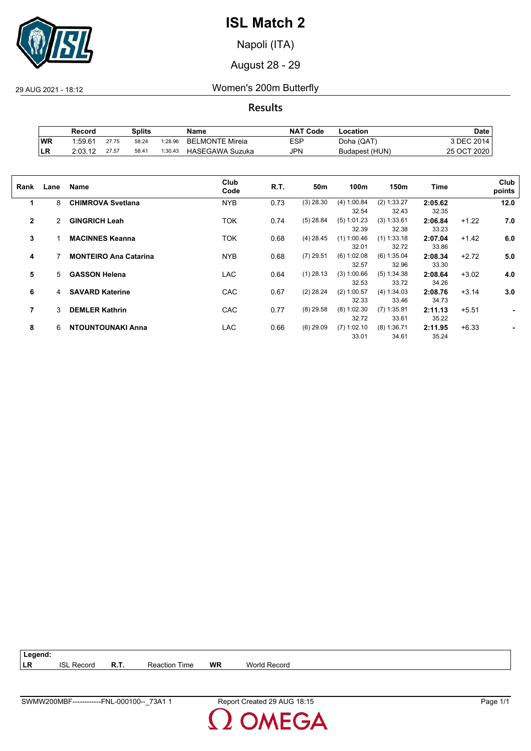

Napoli (ITA)

August 28 - 29

29 AUG 2021 - 18:12 Women's 200m Butterfly

**Results**

|            | Record              |       | Splits |         | Name                   | <b>NAT Code</b> | Location       | Date        |
|------------|---------------------|-------|--------|---------|------------------------|-----------------|----------------|-------------|
| <b>WR</b>  | 1.59.6 <sup>4</sup> | 27.75 | 58.24  | 1:28.96 | <b>BELMONTE Mireia</b> | ESP             | Doha (QAT)     | 3 DEC 2014. |
| <b>ILR</b> | 2:03.12             | 27.57 | 58.41  | 1:30.43 | <b>HASEGAWA Suzuka</b> | JPN             | Budapest (HUN) | 25 OCT 2020 |

| Rank           | Lane | <b>Name</b>                  | Club<br>Code | R.T. | 50m         | 100m                   | 150m                   | Time             |         | Club<br>points |
|----------------|------|------------------------------|--------------|------|-------------|------------------------|------------------------|------------------|---------|----------------|
| 1              | 8    | <b>CHIMROVA Svetlana</b>     | <b>NYB</b>   | 0.73 | $(3)$ 28.30 | (4) 1:00.84<br>32.54   | (2) 1:33.27<br>32.43   | 2:05.62<br>32.35 |         | 12.0           |
| $\overline{2}$ | 2    | <b>GINGRICH Leah</b>         | TOK          | 0.74 | $(5)$ 28.84 | (5) 1:01.23<br>32.39   | (3) 1:33.61<br>32.38   | 2:06.84<br>33.23 | $+1.22$ | 7.0            |
| 3              |      | <b>MACINNES Keanna</b>       | <b>TOK</b>   | 0.68 | $(4)$ 28.45 | $(1)$ 1:00.46<br>32.01 | $(1)$ 1:33.18<br>32.72 | 2:07.04<br>33.86 | $+1.42$ | 6.0            |
| 4              |      | <b>MONTEIRO Ana Catarina</b> | <b>NYB</b>   | 0.68 | $(7)$ 29.51 | $(6)$ 1:02.08<br>32.57 | (6) 1:35.04<br>32.96   | 2:08.34<br>33.30 | $+2.72$ | 5.0            |
| 5              | 5    | <b>GASSON Helena</b>         | <b>LAC</b>   | 0.64 | $(1)$ 28.13 | (3) 1:00.66<br>32.53   | (5) 1:34.38<br>33.72   | 2:08.64<br>34.26 | $+3.02$ | 4.0            |
| 6              | 4    | <b>SAVARD Katerine</b>       | CAC          | 0.67 | $(2)$ 28.24 | $(2)$ 1:00.57<br>32.33 | (4) 1:34.03<br>33.46   | 2:08.76<br>34.73 | $+3.14$ | 3.0            |
| 7              | 3    | <b>DEMLER Kathrin</b>        | CAC          | 0.77 | $(8)$ 29.58 | $(8)$ 1:02.30<br>32.72 | $(7)$ 1:35.91<br>33.61 | 2:11.13<br>35.22 | $+5.51$ | ٠              |
| 8              | 6    | <b>NTOUNTOUNAKI Anna</b>     | <b>LAC</b>   | 0.66 | $(6)$ 29.09 | $(7)$ 1:02.10<br>33.01 | $(8)$ 1:36.71<br>34.61 | 2:11.95<br>35.24 | $+6.33$ |                |

| Legend:    |            |             |                      |           |                     |
|------------|------------|-------------|----------------------|-----------|---------------------|
| <b>ILR</b> | ISI Record | <b>R.T.</b> | <b>Reaction Time</b> | <b>WR</b> | <b>World Record</b> |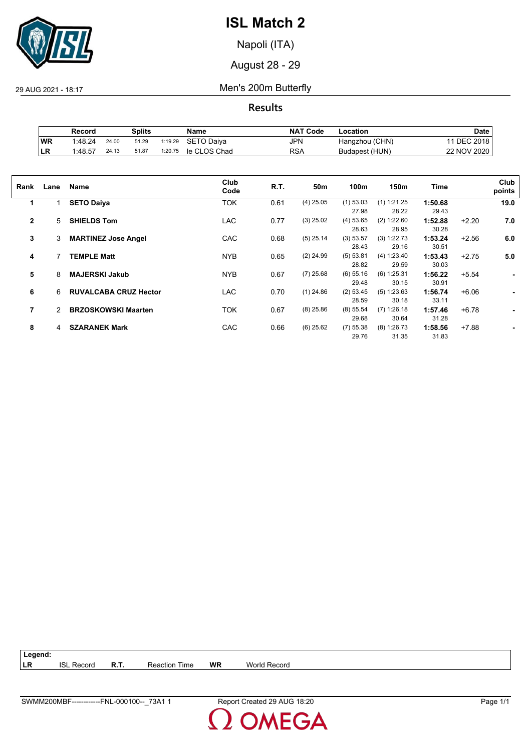

Napoli (ITA)

August 28 - 29

29 AUG 2021 - 18:17 Men's 200m Butterfly

**Results**

|     | Record  |       | Splits |         | Name         | <b>NAT Code</b> | ∟ocation       | Date            |
|-----|---------|-------|--------|---------|--------------|-----------------|----------------|-----------------|
| WR  | 1:48.24 | 24.00 | 51.29  | 1:19.29 | SETO Daiva   | JPN             | Hangzhou (CHN) | <b>DEC 2018</b> |
| ∣LR | 1:48.57 | 24.13 | 51.87  | 1:20.75 | le CLOS Chad | RSA             | Budapest (HUN) | 22 NOV 2020     |

| Rank         | Lane | Name                         | Club<br>Code | R.T. | 50m         | 100m        | 150m          | Time    |         | Club<br>points |
|--------------|------|------------------------------|--------------|------|-------------|-------------|---------------|---------|---------|----------------|
| 1            |      | <b>SETO Daiya</b>            | TOK          | 0.61 | $(4)$ 25.05 | $(1)$ 53.03 | $(1)$ 1:21.25 | 1:50.68 |         | 19.0           |
|              |      |                              |              |      |             | 27.98       | 28.22         | 29.43   |         |                |
| $\mathbf{2}$ | 5    | <b>SHIELDS Tom</b>           | <b>LAC</b>   | 0.77 | $(3)$ 25.02 | (4) 53.65   | (2) 1:22.60   | 1:52.88 | $+2.20$ | 7.0            |
|              |      |                              |              |      |             | 28.63       | 28.95         | 30.28   |         |                |
| 3            | 3    | <b>MARTINEZ Jose Angel</b>   | CAC          | 0.68 | $(5)$ 25.14 | (3) 53.57   | (3) 1:22.73   | 1:53.24 | $+2.56$ | 6.0            |
|              |      |                              |              |      |             | 28.43       | 29.16         | 30.51   |         |                |
| 4            |      | <b>TEMPLE Matt</b>           | <b>NYB</b>   | 0.65 | $(2)$ 24.99 | (5) 53.81   | (4) 1:23.40   | 1:53.43 | $+2.75$ | 5.0            |
|              |      |                              |              |      |             | 28.82       | 29.59         | 30.03   |         |                |
| 5            | 8    | <b>MAJERSKI Jakub</b>        | <b>NYB</b>   | 0.67 | $(7)$ 25.68 | $(6)$ 55.16 | $(6)$ 1:25.31 | 1:56.22 | $+5.54$ | ۰              |
|              |      |                              |              |      |             | 29.48       | 30.15         | 30.91   |         |                |
| 6            | 6    | <b>RUVALCABA CRUZ Hector</b> | <b>LAC</b>   | 0.70 | $(1)$ 24.86 | (2) 53.45   | (5) 1:23.63   | 1:56.74 | $+6.06$ |                |
|              |      |                              |              |      |             | 28.59       | 30.18         | 33.11   |         |                |
| 7            | 2    | <b>BRZOSKOWSKI Maarten</b>   | TOK          | 0.67 | $(8)$ 25.86 | $(8)$ 55.54 | $(7)$ 1:26.18 | 1:57.46 | $+6.78$ |                |
|              |      |                              |              |      |             | 29.68       | 30.64         | 31.28   |         |                |
| 8            | 4    | <b>SZARANEK Mark</b>         | CAC          | 0.66 | $(6)$ 25.62 | $(7)$ 55.38 | (8) 1:26.73   | 1:58.56 | $+7.88$ |                |
|              |      |                              |              |      |             | 29.76       | 31.35         | 31.83   |         |                |
|              |      |                              |              |      |             |             |               |         |         |                |

| $\vert$ Legend: |                   |                      |    |                     |
|-----------------|-------------------|----------------------|----|---------------------|
| <b>ILR</b>      | <b>ISL Record</b> | <b>Reaction Time</b> | WR | <b>World Record</b> |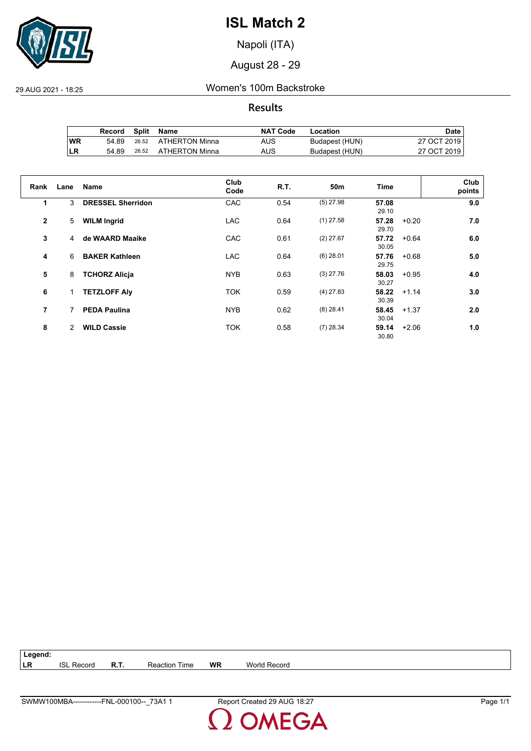

Napoli (ITA)

August 28 - 29

29 AUG 2021 - 18:25 Women's 100m Backstroke

**Results**

|           | Record | Split | Name           | <b>NAT Code</b> | Location       | Date i      |
|-----------|--------|-------|----------------|-----------------|----------------|-------------|
| <b>WR</b> | 54.89  | 26.52 | ATHERTON Minna | AUS             | Budapest (HUN) | 27 OCT 2019 |
| ILR       | 54.89  | 26.52 | ATHERTON Minna | AUS             | Budapest (HUN) | 27 OCT 2019 |

| Rank           | Lane | Name                     | Club<br>Code | R.T. | 50 <sub>m</sub> | Time           |         | Club<br>points |
|----------------|------|--------------------------|--------------|------|-----------------|----------------|---------|----------------|
| 1              | 3    | <b>DRESSEL Sherridon</b> | CAC          | 0.54 | $(5)$ 27.98     | 57.08<br>29.10 |         | 9.0            |
| $\overline{2}$ | 5    | <b>WILM Ingrid</b>       | <b>LAC</b>   | 0.64 | $(1)$ 27.58     | 57.28<br>29.70 | $+0.20$ | 7.0            |
| 3              | 4    | de WAARD Maaike          | CAC          | 0.61 | $(2)$ 27.67     | 57.72<br>30.05 | $+0.64$ | 6.0            |
| 4              | 6    | <b>BAKER Kathleen</b>    | <b>LAC</b>   | 0.64 | $(6)$ 28.01     | 57.76<br>29.75 | $+0.68$ | 5.0            |
| 5              | 8    | <b>TCHORZ Alicja</b>     | <b>NYB</b>   | 0.63 | $(3)$ 27.76     | 58.03<br>30.27 | $+0.95$ | 4.0            |
| 6              | 1.   | <b>TETZLOFF Aly</b>      | <b>TOK</b>   | 0.59 | $(4)$ 27.83     | 58.22<br>30.39 | $+1.14$ | 3.0            |
| 7              | 7    | <b>PEDA Paulina</b>      | <b>NYB</b>   | 0.62 | $(8)$ 28.41     | 58.45<br>30.04 | $+1.37$ | 2.0            |
| 8              | 2    | <b>WILD Cassie</b>       | <b>TOK</b>   | 0.58 | $(7)$ 28.34     | 59.14<br>30.80 | $+2.06$ | 1.0            |

| $\vert$ Legend: |                   |             |                      |           |                     |  |
|-----------------|-------------------|-------------|----------------------|-----------|---------------------|--|
| <b>ILR</b>      | <b>ISL Record</b> | <b>R.T.</b> | <b>Reaction Time</b> | <b>WR</b> | <b>World Record</b> |  |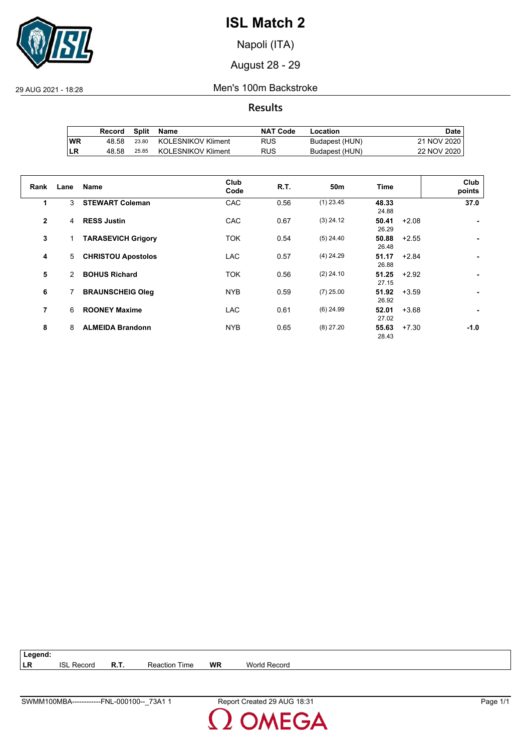

Napoli (ITA)

August 28 - 29

29 AUG 2021 - 18:28 Men's 100m Backstroke

**Results**

|     | Record | Split | Name                      | <b>NAT Code</b> | Location       | Date i      |
|-----|--------|-------|---------------------------|-----------------|----------------|-------------|
| 'WR | 48.58  | 23.80 | KOLESNIKOV Kliment        | <b>RUS</b>      | Budapest (HUN) | 21 NOV 2020 |
| ILR | 48.58  | 25.85 | <b>KOLESNIKOV Kliment</b> | <b>RUS</b>      | Budapest (HUN) | 22 NOV 2020 |

| Rank           | Lane | <b>Name</b>               | Club<br>Code | R.T. | 50 <sub>m</sub> | Time           | Club<br>points    |
|----------------|------|---------------------------|--------------|------|-----------------|----------------|-------------------|
| 1              | 3    | <b>STEWART Coleman</b>    | CAC          | 0.56 | $(1)$ 23.45     | 48.33<br>24.88 | 37.0              |
| $\overline{2}$ | 4    | <b>RESS Justin</b>        | CAC          | 0.67 | $(3)$ 24.12     | 50.41<br>26.29 | $+2.08$           |
| 3              |      | <b>TARASEVICH Grigory</b> | <b>TOK</b>   | 0.54 | $(5)$ 24.40     | 50.88<br>26.48 | $+2.55$           |
| 4              | 5    | <b>CHRISTOU Apostolos</b> | <b>LAC</b>   | 0.57 | $(4)$ 24.29     | 51.17<br>26.88 | $+2.84$           |
| 5              | 2    | <b>BOHUS Richard</b>      | <b>TOK</b>   | 0.56 | $(2)$ 24.10     | 51.25<br>27.15 | $+2.92$           |
| 6              | 7    | <b>BRAUNSCHEIG Oleg</b>   | <b>NYB</b>   | 0.59 | $(7)$ 25.00     | 51.92<br>26.92 | $+3.59$           |
| $\overline{7}$ | 6    | <b>ROONEY Maxime</b>      | <b>LAC</b>   | 0.61 | $(6)$ 24.99     | 52.01<br>27.02 | $+3.68$           |
| 8              | 8    | <b>ALMEIDA Brandonn</b>   | <b>NYB</b>   | 0.65 | $(8)$ 27.20     | 55.63<br>28.43 | $+7.30$<br>$-1.0$ |

| Legend: |                   |             |                      |           |                     |
|---------|-------------------|-------------|----------------------|-----------|---------------------|
| LR      | <b>ISL Record</b> | <b>R.T.</b> | <b>Reaction Time</b> | <b>WR</b> | <b>World Record</b> |
|         |                   |             |                      |           |                     |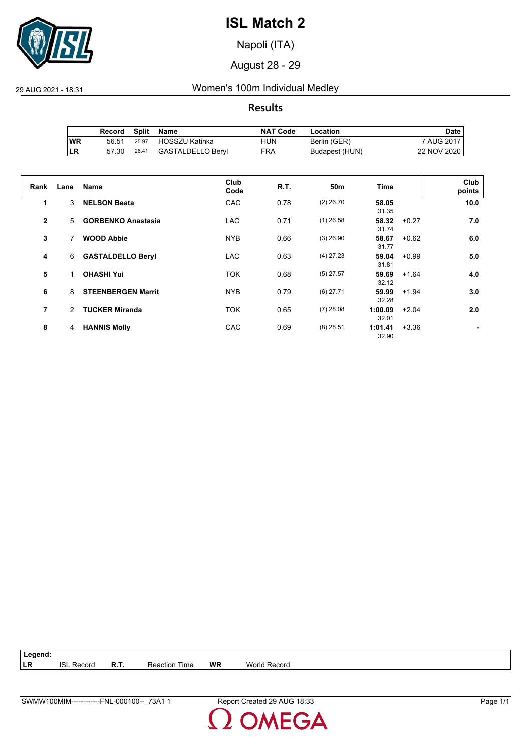

Napoli (ITA)

August 28 - 29

29 AUG 2021 - 18:31 Women's 100m Individual Medley

**Results**

|           | Record |       | Split Name        | <b>NAT Code</b> | Location       | Date i      |
|-----------|--------|-------|-------------------|-----------------|----------------|-------------|
| <b>WR</b> | 56.51  | 25.97 | HOSSZU Katinka    | HUN             | Berlin (GER)   | 7 AUG 2017  |
| ILR       | 57.30  | 26.41 | GASTALDELLO Beryl | FRA             | Budapest (HUN) | 22 NOV 2020 |

| Rank         | Lane          | <b>Name</b>               | Club<br>Code | R.T. | 50 <sub>m</sub> | <b>Time</b>      |         | Club<br>points |
|--------------|---------------|---------------------------|--------------|------|-----------------|------------------|---------|----------------|
| 1            | 3             | <b>NELSON Beata</b>       | CAC          | 0.78 | $(2)$ 26.70     | 58.05<br>31.35   |         | 10.0           |
| $\mathbf{2}$ | 5             | <b>GORBENKO Anastasia</b> | <b>LAC</b>   | 0.71 | $(1)$ 26.58     | 58.32<br>31.74   | $+0.27$ | 7.0            |
| 3            | 7             | <b>WOOD Abbie</b>         | <b>NYB</b>   | 0.66 | $(3)$ 26.90     | 58.67<br>31.77   | $+0.62$ | 6.0            |
| 4            | 6             | <b>GASTALDELLO Beryl</b>  | <b>LAC</b>   | 0.63 | $(4)$ 27.23     | 59.04<br>31.81   | $+0.99$ | 5.0            |
| 5            |               | <b>OHASHI Yui</b>         | <b>TOK</b>   | 0.68 | $(5)$ 27.57     | 59.69<br>32.12   | $+1.64$ | 4.0            |
| 6            | 8             | <b>STEENBERGEN Marrit</b> | <b>NYB</b>   | 0.79 | $(6)$ 27.71     | 59.99<br>32.28   | $+1.94$ | 3.0            |
| 7            | $\mathcal{P}$ | <b>TUCKER Miranda</b>     | <b>TOK</b>   | 0.65 | $(7)$ 28.08     | 1:00.09<br>32.01 | $+2.04$ | 2.0            |
| 8            | 4             | <b>HANNIS Molly</b>       | CAC          | 0.69 | $(8)$ 28.51     | 1:01.41<br>32.90 | $+3.36$ |                |

**Legend: LR** ISL Record **R.T.** Reaction Time **WR** World Record

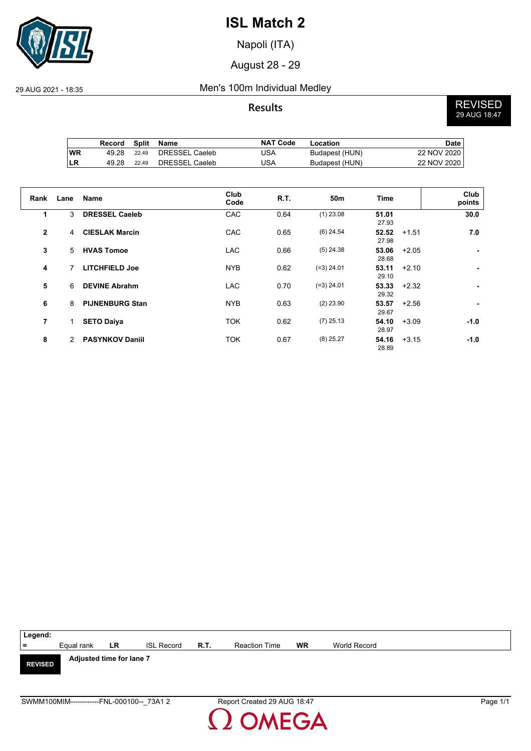

Napoli (ITA)

August 28 - 29

### 29 AUG 2021 - 18:35 Men's 100m Individual Medley

**Results** REVISED 29 AUG 18:47

|           | Record | Split | Name           | <b>NAT Code</b> | Location       | <b>Date</b> |
|-----------|--------|-------|----------------|-----------------|----------------|-------------|
| <b>WR</b> | 49.28  | 22.49 | DRESSEL Caeleb | JSA             | Budapest (HUN) | 22 NOV 2020 |
| ILR       | 49.28  | 22.49 | DRESSEL Caeleb | JSA             | Budapest (HUN) | 22 NOV 2020 |

| Rank         | Lane | Name                   | Club<br>Code | <b>R.T.</b> | 50 <sub>m</sub> | <b>Time</b>    |         | Club<br>points |
|--------------|------|------------------------|--------------|-------------|-----------------|----------------|---------|----------------|
| 1            | 3    | <b>DRESSEL Caeleb</b>  | CAC          | 0.64        | $(1)$ 23.08     | 51.01<br>27.93 |         | 30.0           |
| $\mathbf{2}$ | 4    | <b>CIESLAK Marcin</b>  | CAC          | 0.65        | $(6)$ 24.54     | 52.52<br>27.98 | $+1.51$ | 7.0            |
| 3            | 5    | <b>HVAS Tomoe</b>      | <b>LAC</b>   | 0.66        | $(5)$ 24.38     | 53.06<br>28.68 | $+2.05$ | ٠              |
| 4            |      | <b>LITCHFIELD Joe</b>  | <b>NYB</b>   | 0.62        | $(=3)$ 24.01    | 53.11<br>29.10 | $+2.10$ | ٠              |
| 5            | 6    | <b>DEVINE Abrahm</b>   | <b>LAC</b>   | 0.70        | $(=3)$ 24.01    | 53.33<br>29.32 | $+2.32$ | ۰              |
| 6            | 8    | <b>PIJNENBURG Stan</b> | <b>NYB</b>   | 0.63        | $(2)$ 23.90     | 53.57<br>29.67 | $+2.56$ | ٠              |
| 7            | 1    | <b>SETO Daiya</b>      | <b>TOK</b>   | 0.62        | $(7)$ 25.13     | 54.10<br>28.97 | $+3.09$ | $-1.0$         |
| 8            | 2    | <b>PASYNKOV Daniil</b> | <b>TOK</b>   | 0.67        | $(8)$ 25.27     | 54.16<br>28.89 | $+3.15$ | $-1.0$         |

| Legend:        |                                           |           |                   |      |                             |           |              |  |
|----------------|-------------------------------------------|-----------|-------------------|------|-----------------------------|-----------|--------------|--|
| $\equiv$       | Equal rank                                | <b>LR</b> | <b>ISL Record</b> | R.T. | <b>Reaction Time</b>        | <b>WR</b> | World Record |  |
| <b>REVISED</b> | Adjusted time for lane 7                  |           |                   |      |                             |           |              |  |
|                | SWMM100MIM------------FNL-000100-- 73A1 2 |           |                   |      | Report Created 29 AUG 18:47 |           | Page 1/1     |  |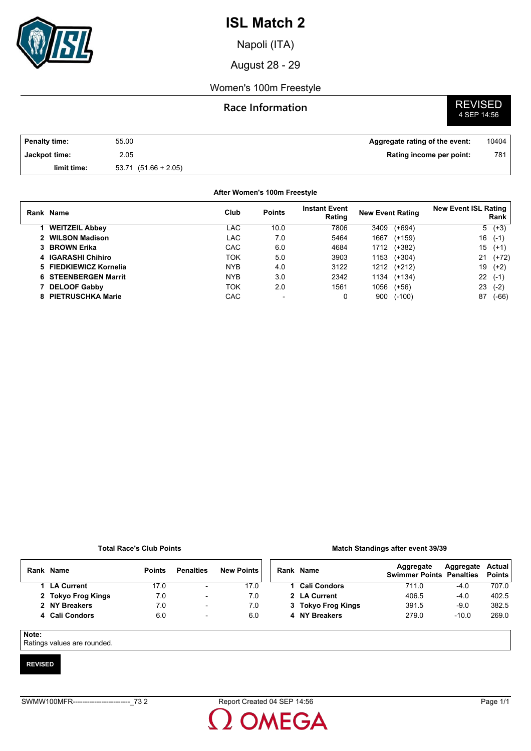

Napoli (ITA)

August 28 - 29

### Women's 100m Freestyle

### **Race Information**

# **REVISED**<br>4 SEP 14:56

| <b>Penalty time:</b> | 55.00                    | Aggregate rating of the event: | 10404 |
|----------------------|--------------------------|--------------------------------|-------|
| Jackpot time:        | 2.05                     | Rating income per point:       | 781   |
| limit time:          | $53.71$ $(51.66 + 2.05)$ |                                |       |

#### **After Women's 100m Freestyle**

| Rank Name                   | Club       | <b>Points</b> | <b>Instant Event</b><br>Rating | <b>New Event Rating</b> | <b>New Event ISL Rating</b><br>Rank |
|-----------------------------|------------|---------------|--------------------------------|-------------------------|-------------------------------------|
| 1 WEITZEIL Abbey            | LAC        | 10.0          | 7806                           | 3409<br>$(+694)$        | $5(+3)$                             |
| 2 WILSON Madison            | LAC        | 7.0           | 5464                           | 1667<br>$(+159)$        | 16<br>$(-1)$                        |
| 3 BROWN Erika               | CAC        | 6.0           | 4684                           | $(+382)$<br>1712        | 15<br>$(+1)$                        |
| 4 IGARASHI Chihiro          | ток        | 5.0           | 3903                           | 1153<br>$(+304)$        | 21<br>$(+72)$                       |
| 5 FIEDKIEWICZ Kornelia      | <b>NYB</b> | 4.0           | 3122                           | 1212<br>(+212)          | 19<br>$(+2)$                        |
| <b>6 STEENBERGEN Marrit</b> | <b>NYB</b> | 3.0           | 2342                           | 1134<br>$(+134)$        | 22<br>$(-1)$                        |
| 7 DELOOF Gabby              | ток        | 2.0           | 1561                           | 1056<br>$(+56)$         | 23<br>$(-2)$                        |
| 8 PIETRUSCHKA Marie         | CAC        |               |                                | $(-100)$<br>900         | 87<br>(-66)                         |

#### **Total Race's Club Points**

#### **Match Standings after event 39/39**

| Rank  | <b>Name</b>        | <b>Points</b> | <b>Penalties</b>         | <b>New Points</b> | Rank Name           | Aggregate<br><b>Swimmer Points Penalties</b> | Aggregate | Actual<br><b>Points</b> |
|-------|--------------------|---------------|--------------------------|-------------------|---------------------|----------------------------------------------|-----------|-------------------------|
|       | 1 LA Current       | 17.0          | $\overline{\phantom{a}}$ | 17.0              | <b>Cali Condors</b> | 711.0                                        | $-4.0$    | 707.0                   |
|       | 2 Tokyo Frog Kings | 7.0           | $\overline{\phantom{a}}$ | 7.0               | 2 LA Current        | 406.5                                        | $-4.0$    | 402.5                   |
|       | 2 NY Breakers      | 7.0           | $\overline{\phantom{0}}$ | 7.0               | 3 Tokyo Frog Kings  | 391.5                                        | $-9.0$    | 382.5                   |
|       | 4 Cali Condors     | 6.0           | $\overline{\phantom{a}}$ | 6.0               | 4 NY Breakers       | 279.0                                        | $-10.0$   | 269.0                   |
| Note: |                    |               |                          |                   |                     |                                              |           |                         |

Ratings values are rounded.

#### **REVISED**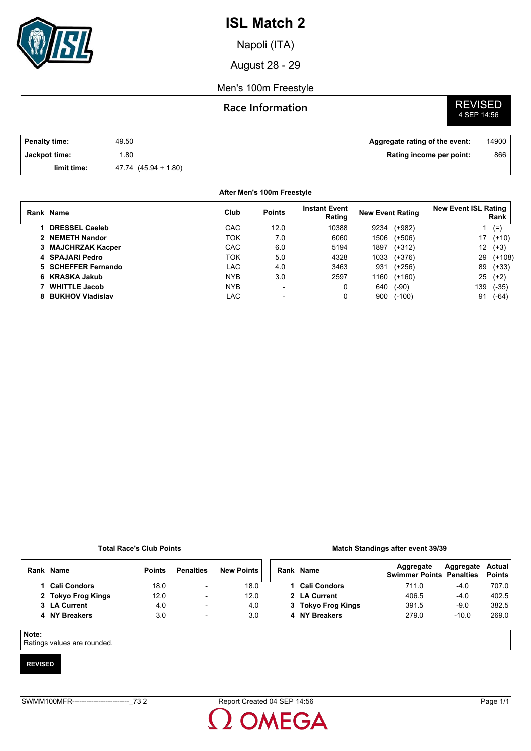

Napoli (ITA)

August 28 - 29

### Men's 100m Freestyle

### **Race Information**

# **REVISED**<br>4 SEP 14:56

| <b>Penalty time:</b> | 49.50                | Aggregate rating of the event: | 14900 |
|----------------------|----------------------|--------------------------------|-------|
| Jackpot time:        | .80                  | Rating income per point:       | 866   |
| limit time:          | 47.74 (45.94 + 1.80) |                                |       |

#### **After Men's 100m Freestyle**

| Rank Name             | Club       | <b>Points</b> | <b>Instant Event</b><br>Rating | <b>New Event Rating</b> |          | <b>New Event ISL Rating</b> | Rank     |
|-----------------------|------------|---------------|--------------------------------|-------------------------|----------|-----------------------------|----------|
| <b>DRESSEL Caeleb</b> | CAC        | 12.0          | 10388                          | 9234                    | $(+982)$ |                             | $(=)$    |
| 2 NEMETH Nandor       | TOK        | 7.0           | 6060                           | 1506                    | $(+506)$ | 17                          | $(+10)$  |
| 3 MAJCHRZAK Kacper    | CAC        | 6.0           | 5194                           | 1897                    | $(+312)$ | 12 <sup>°</sup>             | $(+3)$   |
| 4 SPAJARI Pedro       | TOK        | 5.0           | 4328                           | 1033                    | $(+376)$ | 29                          | $(+108)$ |
| 5 SCHEFFER Fernando   | LAC        | 4.0           | 3463                           | 931                     | $(+256)$ | 89                          | $(+33)$  |
| 6 KRASKA Jakub        | <b>NYB</b> | 3.0           | 2597                           | 1160                    | $(+160)$ | 25                          | $(+2)$   |
| <b>WHITTLE Jacob</b>  | <b>NYB</b> | -             | 0                              | 640                     | $(-90)$  | 139                         | $(-35)$  |
| 8 BUKHOV Vladislav    | LAC        |               | 0                              | 900                     | $(-100)$ | 91                          | (-64)    |

#### **Total Race's Club Points**

#### **Match Standings after event 39/39**

| Rank  | <b>Name</b>         | <b>Points</b> | <b>Penalties</b>         | <b>New Points</b> |  | Rank Name           | Aggregate<br><b>Swimmer Points Penalties</b> | Aggregate | Actual<br><b>Points</b> |
|-------|---------------------|---------------|--------------------------|-------------------|--|---------------------|----------------------------------------------|-----------|-------------------------|
|       | <b>Cali Condors</b> | 18.0          | $\overline{\phantom{a}}$ | 18.0              |  | <b>Cali Condors</b> | 711.0                                        | -4.0      | 707.0                   |
|       | 2 Tokyo Frog Kings  | 12.0          | $\overline{\phantom{a}}$ | 12.0              |  | 2 LA Current        | 406.5                                        | -4.0      | 402.5                   |
|       | 3 LA Current        | 4.0           | $\overline{\phantom{0}}$ | 4.0               |  | 3 Tokyo Frog Kings  | 391.5                                        | $-9.0$    | 382.5                   |
|       | 4 NY Breakers       | 3.0           | ۰                        | 3.0               |  | 4 NY Breakers       | 279.0                                        | $-10.0$   | 269.0                   |
| Note: |                     |               |                          |                   |  |                     |                                              |           |                         |

Ratings values are rounded.

#### **REVISED**

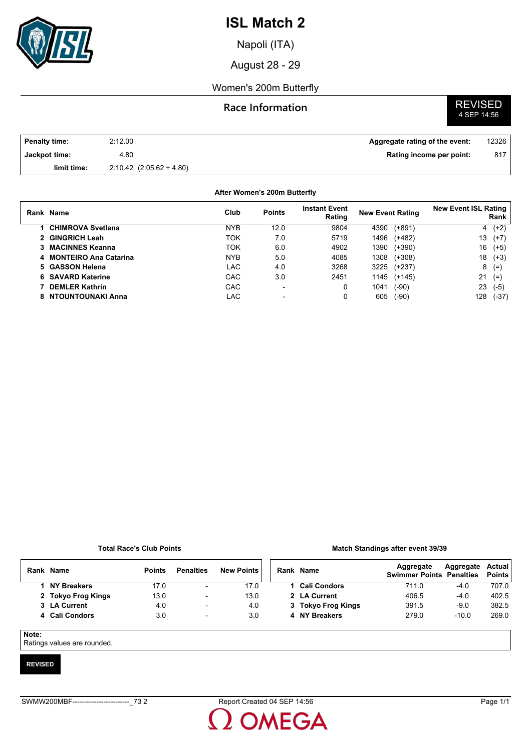

Napoli (ITA)

August 28 - 29

### Women's 200m Butterfly

### **Race Information**

# **REVISED**<br>4 SEP 14:56

| <b>Penalty time:</b> | 2:12.00                      | Aggregate rating of the event: | 12326 |
|----------------------|------------------------------|--------------------------------|-------|
| Jackpot time:        | 4.80                         | Rating income per point:       | 817   |
| limit time:          | $2:10.42$ $(2:05.62 + 4.80)$ |                                |       |

#### **After Women's 200m Butterfly**

| Rank Name                | Club       | <b>Points</b>            | <b>Instant Event</b><br>Rating | <b>New Event Rating</b> | <b>New Event ISL Rating</b><br>Rank |  |
|--------------------------|------------|--------------------------|--------------------------------|-------------------------|-------------------------------------|--|
| <b>CHIMROVA Svetlana</b> | <b>NYB</b> | 12.0                     | 9804                           | $(+891)$<br>4390        | $4(+2)$                             |  |
| 2 GINGRICH Leah          | TOK        | 7.0                      | 5719                           | 1496<br>$(+482)$        | 13<br>$(+7)$                        |  |
| 3 MACINNES Keanna        | TOK        | 6.0                      | 4902                           | 1390<br>$(+390)$        | 16<br>$(+5)$                        |  |
| 4 MONTEIRO Ana Catarina  | <b>NYB</b> | 5.0                      | 4085                           | 1308<br>$(+308)$        | 18<br>$(+3)$                        |  |
| 5 GASSON Helena          | LAC        | 4.0                      | 3268                           | 3225<br>$(+237)$        | 8<br>$(=)$                          |  |
| 6 SAVARD Katerine        | CAC        | 3.0                      | 2451                           | 1145<br>$(+145)$        | 21<br>$(=)$                         |  |
| 7 DEMLER Kathrin         | CAC        | $\overline{\phantom{0}}$ | 0                              | $(-90)$<br>1041         | 23<br>$(-5)$                        |  |
| 8 NTOUNTOUNAKI Anna      | LAC        |                          |                                | 605<br>$(-90)$          | 128<br>$(-37)$                      |  |

#### **Total Race's Club Points**

#### **Match Standings after event 39/39**

| Rank  | <b>Name</b>        | <b>Points</b> | <b>Penalties</b>         | <b>New Points</b> | Rank Name           | Aggregate<br><b>Swimmer Points Penalties</b> | Aggregate | Actual<br><b>Points</b> |
|-------|--------------------|---------------|--------------------------|-------------------|---------------------|----------------------------------------------|-----------|-------------------------|
|       | <b>NY Breakers</b> | 17.0          | $\blacksquare$           | 17.0              | <b>Cali Condors</b> | 711.0                                        | -4.0      | 707.0                   |
|       | 2 Tokyo Frog Kings | 13.0          | $\overline{\phantom{a}}$ | 13.0              | 2 LA Current        | 406.5                                        | -4.0      | 402.5                   |
|       | 3 LA Current       | 4.0           | $\overline{\phantom{0}}$ | 4.0               | 3 Tokyo Frog Kings  | 391.5                                        | $-9.0$    | 382.5                   |
|       | 4 Cali Condors     | 3.0           | ۰                        | 3.0               | 4 NY Breakers       | 279.0                                        | $-10.0$   | 269.0                   |
| Note: |                    |               |                          |                   |                     |                                              |           |                         |

Ratings values are rounded.

#### **REVISED**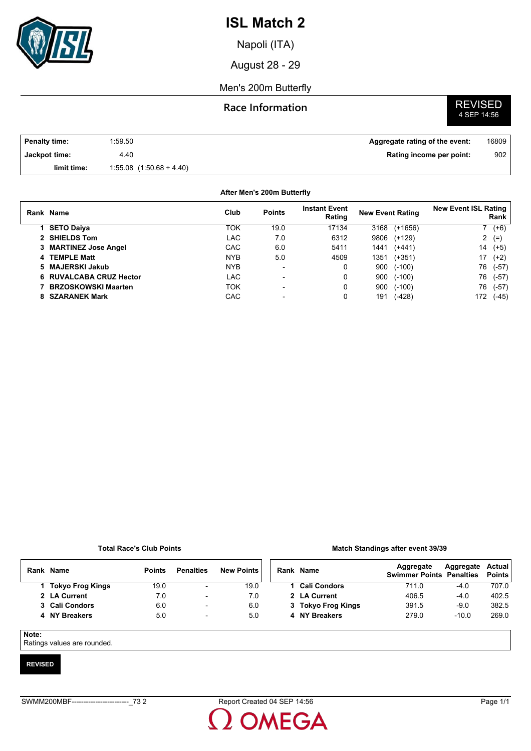

Napoli (ITA)

August 28 - 29

### Men's 200m Butterfly

### **Race Information**

# **REVISED**<br>4 SEP 14:56

| Penalty time: | 1.59.50                      | Aggregate rating of the event: | 16809 |
|---------------|------------------------------|--------------------------------|-------|
| Jackpot time: | 4.40                         | Rating income per point:       | 902   |
| limit time:   | $1:55.08$ $(1:50.68 + 4.40)$ |                                |       |

#### **After Men's 200m Butterfly**

| Rank Name                  | Club       | <b>Points</b>            | <b>Instant Event</b><br>Rating | <b>New Event Rating</b> |           | <b>New Event ISL Rating</b> | Rank    |
|----------------------------|------------|--------------------------|--------------------------------|-------------------------|-----------|-----------------------------|---------|
| <b>SETO Daiya</b>          | TOK        | 19.0                     | 17134                          | 3168                    | $(+1656)$ |                             | $7(+6)$ |
| 2 SHIELDS Tom              | LAC        | 7.0                      | 6312                           | 9806                    | $(+129)$  |                             | 2 $(=)$ |
| 3 MARTINEZ Jose Angel      | CAC        | 6.0                      | 5411                           | 1441                    | $(+441)$  | 14                          | $(+5)$  |
| 4 TEMPLE Matt              | <b>NYB</b> | 5.0                      | 4509                           | 1351                    | $(+351)$  | 17                          | $(+2)$  |
| 5 MAJERSKI Jakub           | <b>NYB</b> | -                        | 0                              | 900                     | $(-100)$  | 76                          | $(-57)$ |
| 6 RUVALCABA CRUZ Hector    | <b>LAC</b> | $\overline{\phantom{0}}$ | 0                              | 900                     | $(-100)$  | 76                          | $(-57)$ |
| <b>BRZOSKOWSKI Maarten</b> | <b>TOK</b> | $\overline{\phantom{0}}$ | 0                              | 900                     | $(-100)$  | 76                          | (-57)   |
| 8 SZARANEK Mark            | <b>CAC</b> |                          | 0                              | 191                     | (-428)    | 172                         | (-45)   |
|                            |            |                          |                                |                         |           |                             |         |

#### **Total Race's Club Points**

#### **Match Standings after event 39/39**

|          | Rank Name               | <b>Points</b> | <b>Penalties</b>         | <b>New Points</b> |  | Rank Name           | Aggregate<br><b>Swimmer Points Penalties</b> | Aggregate | Actual<br><b>Points</b> |
|----------|-------------------------|---------------|--------------------------|-------------------|--|---------------------|----------------------------------------------|-----------|-------------------------|
|          | <b>Tokyo Frog Kings</b> | 19.0          | $\overline{a}$           | 19.0              |  | <b>Cali Condors</b> | 711.0                                        | $-4.0$    | 707.0                   |
|          | 2 LA Current            | 7.0           | $\overline{\phantom{a}}$ | 7.0               |  | 2 LA Current        | 406.5                                        | $-4.0$    | 402.5                   |
|          | 3 Cali Condors          | 6.0           | $\overline{\phantom{a}}$ | 6.0               |  | 3 Tokyo Frog Kings  | 391.5                                        | $-9.0$    | 382.5                   |
|          | 4 NY Breakers           | 5.0           | $\overline{\phantom{a}}$ | 5.0               |  | 4 NY Breakers       | 279.0                                        | $-10.0$   | 269.0                   |
| $\cdots$ |                         |               |                          |                   |  |                     |                                              |           |                         |

**Note:**

Ratings values are rounded.

#### **REVISED**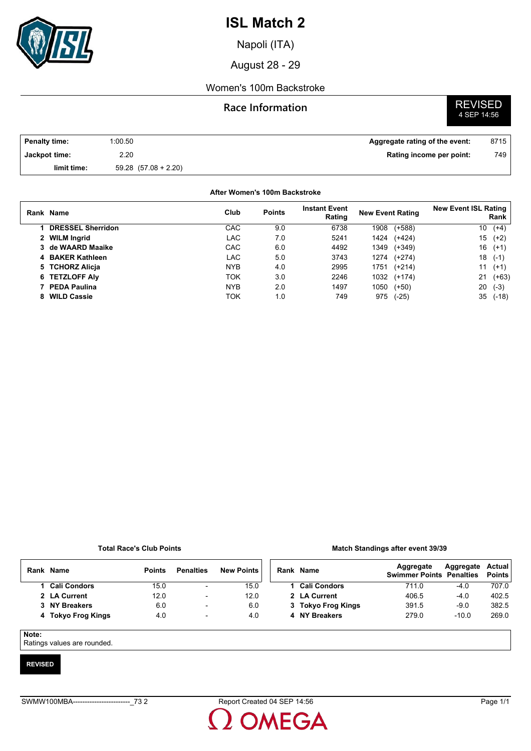

Napoli (ITA)

August 28 - 29

### Women's 100m Backstroke

### **Race Information**

# **REVISED**<br>4 SEP 14:56

| <b>Penalty time:</b> | 1:00.50                  | Aggregate rating of the event: | 8715 |
|----------------------|--------------------------|--------------------------------|------|
| Jackpot time:        | 2.20                     | Rating income per point:       | 749  |
| limit time:          | $59.28$ $(57.08 + 2.20)$ |                                |      |

#### **After Women's 100m Backstroke**

|   | Rank Name                | Club       | <b>Points</b> | <b>Instant Event</b><br>Rating | <b>New Event Rating</b> |             | <b>New Event ISL Rating</b> | Rank    |
|---|--------------------------|------------|---------------|--------------------------------|-------------------------|-------------|-----------------------------|---------|
|   | <b>DRESSEL Sherridon</b> | CAC        | 9.0           | 6738                           | 1908                    | $(+588)$    | 10                          | $(+4)$  |
|   | 2 WILM Ingrid            | LAC        | 7.0           | 5241                           | 1424                    | $(+424)$    | 15                          | $(+2)$  |
|   | 3 de WAARD Maaike        | <b>CAC</b> | 6.0           | 4492                           | 1349                    | $(+349)$    | 16                          | $(+1)$  |
|   | 4 BAKER Kathleen         | LAC.       | 5.0           | 3743                           |                         | 1274 (+274) | 18                          | $(-1)$  |
|   | 5 TCHORZ Alicia          | <b>NYB</b> | 4.0           | 2995                           | 1751                    | $(+214)$    | 11                          | $(+1)$  |
|   | 6 TETZLOFF Aly           | TOK        | 3.0           | 2246                           |                         | 1032 (+174) | 21                          | $(+63)$ |
|   | 7 PEDA Paulina           | <b>NYB</b> | 2.0           | 1497                           | 1050                    | $(+50)$     | 20                          | $(-3)$  |
| 8 | <b>WILD Cassie</b>       | ток        | 1.0           | 749                            | 975                     | $(-25)$     | 35                          | $(-18)$ |

#### **Total Race's Club Points**

#### **Match Standings after event 39/39**

|       | Rank Name          | <b>Points</b> | <b>Penalties</b>         | <b>New Points</b> | Rank Name           | Aggregate<br><b>Swimmer Points Penalties</b> | Aggregate | <b>Actual</b><br><b>Points</b> |
|-------|--------------------|---------------|--------------------------|-------------------|---------------------|----------------------------------------------|-----------|--------------------------------|
|       | 1 Cali Condors     | 15.0          | $\blacksquare$           | 15.0              | <b>Cali Condors</b> | 711.0                                        | $-4.0$    | 707.0                          |
|       | 2 LA Current       | 12.0          | $\overline{\phantom{a}}$ | 12.0              | 2 LA Current        | 406.5                                        | $-4.0$    | 402.5                          |
|       | 3 NY Breakers      | 6.0           | $\blacksquare$           | 6.0               | 3 Tokyo Frog Kings  | 391.5                                        | $-9.0$    | 382.5                          |
|       | 4 Tokyo Frog Kings | 4.0           | $\overline{\phantom{a}}$ | 4.0               | 4 NY Breakers       | 279.0                                        | $-10.0$   | 269.0                          |
|       |                    |               |                          |                   |                     |                                              |           |                                |
| Note: |                    |               |                          |                   |                     |                                              |           |                                |

Ratings values are rounded.

#### **REVISED**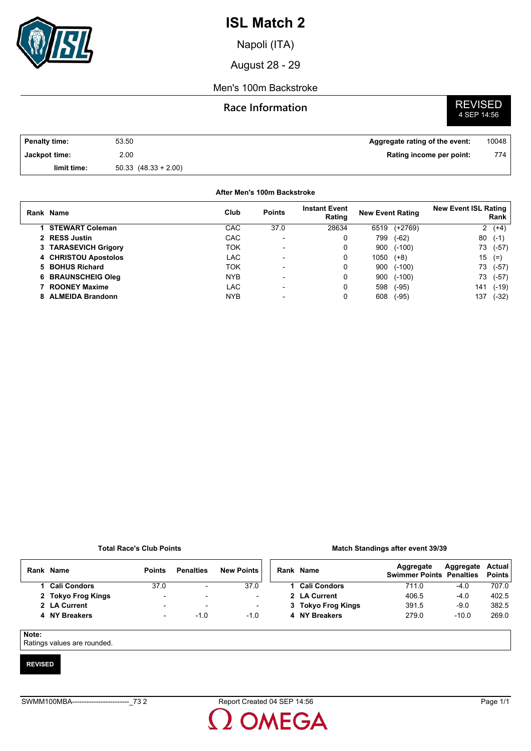

Napoli (ITA)

August 28 - 29

### Men's 100m Backstroke

### **Race Information**

# **REVISED**<br>4 SEP 14:56

| <b>Penalty time:</b> | 53.50                    | Aggregate rating of the event: | 10048 |
|----------------------|--------------------------|--------------------------------|-------|
| Jackpot time:        | 2.00                     | Rating income per point:       | 774   |
| limit time:          | $50.33$ $(48.33 + 2.00)$ |                                |       |

#### **After Men's 100m Backstroke**

| Rank Name              | Club       | <b>Points</b>            | <b>Instant Event</b><br>Rating | <b>New Event Rating</b> |          | <b>New Event ISL Rating</b> | Rank    |
|------------------------|------------|--------------------------|--------------------------------|-------------------------|----------|-----------------------------|---------|
| <b>STEWART Coleman</b> | <b>CAC</b> | 37.0                     | 28634                          | 6519                    | (+2769)  |                             | $2(+4)$ |
| 2 RESS Justin          | CAC        |                          |                                | 799                     | $(-62)$  | 80                          | $(-1)$  |
| 3 TARASEVICH Grigory   | TOK        | -                        | 0                              | 900                     | $(-100)$ | 73                          | $(-57)$ |
| 4 CHRISTOU Apostolos   | LAC        | $\overline{\phantom{0}}$ | 0                              | 1050                    | $(+8)$   | 15                          | $(=)$   |
| 5 BOHUS Richard        | <b>TOK</b> | $\overline{\phantom{0}}$ | 0                              | 900                     | $(-100)$ | 73                          | (-57)   |
| 6 BRAUNSCHEIG Oleg     | <b>NYB</b> |                          |                                | 900                     | $(-100)$ | 73                          | (-57)   |
| 7 ROONEY Maxime        | LAC        |                          |                                | 598                     | $(-95)$  | 141                         | (-19)   |
| 8 ALMEIDA Brandonn     | <b>NYB</b> |                          |                                | 608                     | $(-95)$  | 137                         | (-32)   |

#### **Total Race's Club Points**

#### **Match Standings after event 39/39**

| Rank Name          | <b>Points</b> | <b>Penalties</b> | <b>New Points</b> |
|--------------------|---------------|------------------|-------------------|
| 1 Cali Condors     | 37.0          |                  | 370               |
| 2 Tokyo Frog Kings |               |                  |                   |
| 2 LA Current       | -             |                  |                   |
| 4 NY Breakers      |               | -10              | -10               |

| Rank Name          | Aggregate<br><b>Swimmer Points Penalties</b> | Aggregate Actual | <b>Points</b> |
|--------------------|----------------------------------------------|------------------|---------------|
| 1 Cali Condors     | 711.0                                        | $-4.0$           | 707.0         |
| 2 LA Current       | 406.5                                        | $-4.0$           | 402.5         |
| 3 Tokyo Frog Kings | 391.5                                        | $-9.0$           | 382.5         |
| 4 NY Breakers      | 279.0                                        | $-10.0$          | 269.0         |
|                    |                                              |                  |               |

#### **Note:**

Ratings values are rounded.

#### **REVISED**

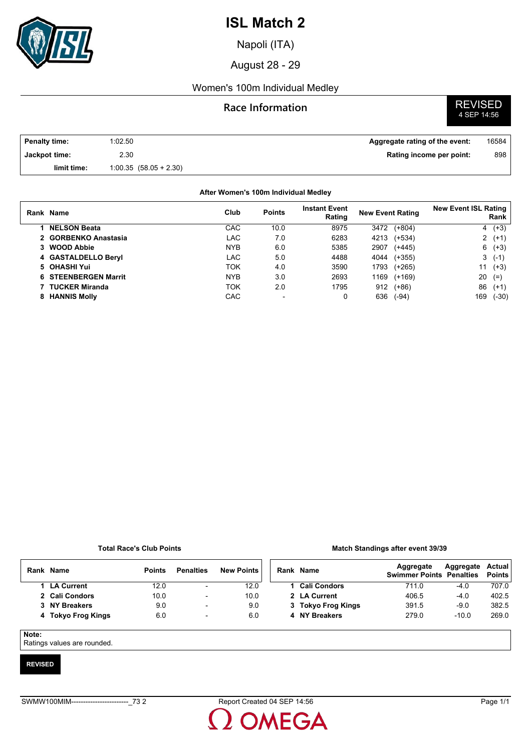

Napoli (ITA)

August 28 - 29

### Women's 100m Individual Medley

## **Race Information** REVISED



| <b>Penalty time:</b> | 1:02.50                 | Aggregate rating of the event: | 16584 |
|----------------------|-------------------------|--------------------------------|-------|
| Jackpot time:        | 2.30                    | Rating income per point:       | 898   |
| limit time:          | $1:00.35(58.05 + 2.30)$ |                                |       |

#### **Rank Name Points Instant Event Rating New Event Rating New Event ISL Rating Rank After Women's 100m Individual Medley Club 1 NELSON Beata** CAC 10.0 8975 3472 (+804) 4 (+3) **2 GORBENKO Anastasia** LAC 7.0 6283 4213 (+534) 2 (+1) **3 WOOD Abbie** NYB 6.0 5385 2907 (+445) 6 (+3) **4 GASTALDELLO Beryl** LAC 5.0 4488 4044 (+355) 3 (-1) **5 OHASHI Yui** TOK 4.0 3590 1793 (+265) 11 (+3) **6 STEENBERGEN Marrit** NYB 3.0 2693 1169 (+169) 20 (=) **7 TUCKER Miranda** TOK 2.0 1795 912 (+86) 86 (+1) **8 HANNIS Molly CAC** - 0 636 (-94) 169 (-94) 169 (-94) 169 (-94) 169 (-94) 169 (-94) 169 (-94) 169 (-94) 169 (-94) 169 (-94) 169 (-94) 169 (-94) 169 (-94) 169 (-94) 169 (-94) 169 (-94) 169 (-94) 169 (-94) 169 (-94) 169 (

#### **Total Race's Club Points**

#### **Match Standings after event 39/39**

| Rank  | <b>Name</b>        | <b>Points</b> | <b>Penalties</b>         | <b>New Points</b> |  | Rank Name           | Aggregate<br><b>Swimmer Points Penalties</b> | Aggregate | Actual<br><b>Points</b> |
|-------|--------------------|---------------|--------------------------|-------------------|--|---------------------|----------------------------------------------|-----------|-------------------------|
|       | <b>LA Current</b>  | 12.0          | $\overline{\phantom{a}}$ | 12.0              |  | <b>Cali Condors</b> | 711.0                                        | $-4.0$    | 707.0                   |
|       | 2 Cali Condors     | 10.0          | $\overline{\phantom{0}}$ | 10.0              |  | 2 LA Current        | 406.5                                        | $-4.0$    | 402.5                   |
|       | 3 NY Breakers      | 9.0           | $\overline{\phantom{0}}$ | 9.0               |  | 3 Tokyo Frog Kings  | 391.5                                        | $-9.0$    | 382.5                   |
|       | 4 Tokyo Frog Kings | 6.0           | $\overline{\phantom{a}}$ | 6.0               |  | 4 NY Breakers       | 279.0                                        | $-10.0$   | 269.0                   |
| Note: |                    |               |                          |                   |  |                     |                                              |           |                         |

#### **Note:**

Ratings values are rounded.

#### **REVISED**

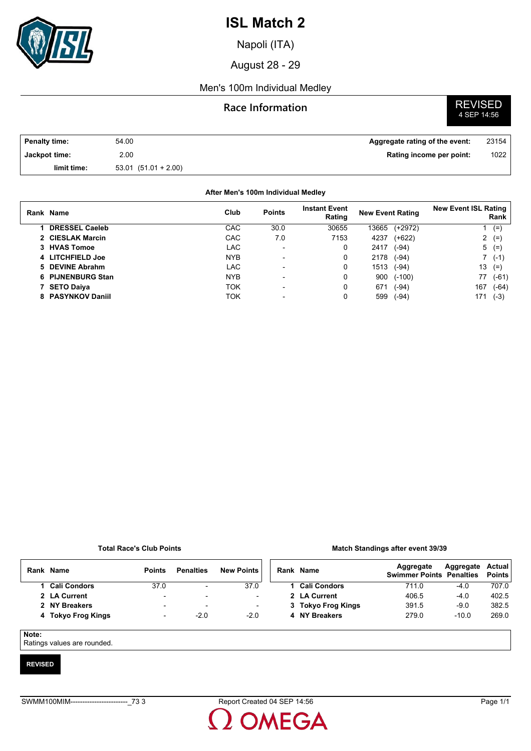

Napoli (ITA)

August 28 - 29

### Men's 100m Individual Medley

### **Race Information**

# **REVISED**<br>4 SEP 14:56

| <b>Penalty time:</b> | 54.00                 | Aggregate rating of the event: | 23154 |
|----------------------|-----------------------|--------------------------------|-------|
| Jackpot time:        | 2.00                  | Rating income per point:       | 1022  |
| limit time:          | $53.01(51.01 + 2.00)$ |                                |       |

| After Men's 100m Individual Medley |            |                          |                                |                         |           |                             |          |
|------------------------------------|------------|--------------------------|--------------------------------|-------------------------|-----------|-----------------------------|----------|
| Rank Name                          | Club       | <b>Points</b>            | <b>Instant Event</b><br>Rating | <b>New Event Rating</b> |           | <b>New Event ISL Rating</b> | Rank     |
| <b>DRESSEL Caeleb</b>              | CAC        | 30.0                     | 30655                          | 13665                   | $(+2972)$ |                             | $(=)$    |
| 2 CIESLAK Marcin                   | CAC        | 7.0                      | 7153                           | 4237                    | $(+622)$  |                             | $2 (=)$  |
| 3 HVAS Tomoe                       | <b>LAC</b> | $\blacksquare$           | 0                              | 2417                    | $(-94)$   |                             | $5(=)$   |
| 4 LITCHFIELD Joe                   | <b>NYB</b> | $\overline{\phantom{0}}$ | 0                              | 2178                    | $(-94)$   |                             | $7( -1)$ |
| 5 DEVINE Abrahm                    | LAC        |                          | 0                              | 1513                    | $(-94)$   | 13                          | $(=)$    |
| 6 PIJNENBURG Stan                  | <b>NYB</b> | $\overline{\phantom{0}}$ | 0                              | 900                     | $(-100)$  | 77                          | $(-61)$  |
| 7 SETO Daiya                       | ток        | $\blacksquare$           | 0                              | 671                     | $(-94)$   | 167                         | $(-64)$  |
| 8 PASYNKOV Daniil                  | ток        |                          | 0                              | 599                     | $(-94)$   | 171                         | $(-3)$   |

#### **Total Race's Club Points**

#### **Match Standings after event 39/39**

| Rank Name          | <b>Points</b> | <b>Penalties</b> | <b>New Points</b> |
|--------------------|---------------|------------------|-------------------|
| 1 Cali Condors     | 37.0          |                  | 37.0              |
| 2 LA Current       | -             | -                |                   |
| 2 NY Breakers      | -             |                  |                   |
| 4 Tokyo Frog Kings | -             | -20              | -20               |

| Rank Name          | Aggregate<br><b>Swimmer Points Penalties</b> | Aggregate Actual | <b>Points</b> |
|--------------------|----------------------------------------------|------------------|---------------|
| 1 Cali Condors     | 711.0                                        | $-4.0$           | 707.0         |
| 2 LA Current       | 406.5                                        | $-4.0$           | 402.5         |
| 3 Tokyo Frog Kings | 391.5                                        | $-9.0$           | 382.5         |
| 4 NY Breakers      | 279.0                                        | $-10.0$          | 269.0         |
|                    |                                              |                  |               |

#### **Note:**

Ratings values are rounded.

#### **REVISED**

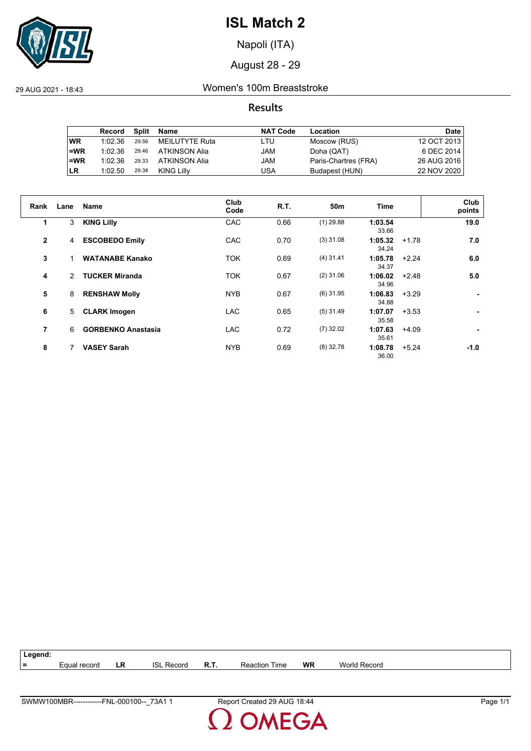

Napoli (ITA)

### August 28 - 29

29 AUG 2021 - 18:43 Women's 100m Breaststroke

### **Results**

|           | Record  | Split | Name           | <b>NAT Code</b> | Location             | <b>Date</b> |
|-----------|---------|-------|----------------|-----------------|----------------------|-------------|
| <b>WR</b> | 1:02.36 | 29.56 | MEILUTYTE Ruta | LTU             | Moscow (RUS)         | 12 OCT 2013 |
| $=WR$     | 1:02.36 | 29.46 | ATKINSON Alia  | JAM             | Doha (QAT)           | 6 DEC 2014  |
| $=WR$     | 1:02.36 | 29.33 | ATKINSON Alia  | JAM             | Paris-Chartres (FRA) | 26 AUG 2016 |
| <b>LR</b> | 1:02.50 | 29.38 | KING Lilly     | USA             | Budapest (HUN)       | 22 NOV 2020 |

| Rank         | Lane          | <b>Name</b>               | Club<br>Code | R.T. | 50m         | Time             |         | Club<br>points |
|--------------|---------------|---------------------------|--------------|------|-------------|------------------|---------|----------------|
| 1            | 3             | <b>KING Lilly</b>         | CAC          | 0.66 | $(1)$ 29.88 | 1:03.54<br>33.66 |         | 19.0           |
| $\mathbf{2}$ | 4             | <b>ESCOBEDO Emily</b>     | CAC          | 0.70 | $(3)$ 31.08 | 1:05.32<br>34.24 | $+1.78$ | 7.0            |
| 3            |               | <b>WATANABE Kanako</b>    | <b>TOK</b>   | 0.69 | $(4)$ 31.41 | 1:05.78<br>34.37 | $+2.24$ | 6.0            |
| 4            | $\mathcal{P}$ | <b>TUCKER Miranda</b>     | <b>TOK</b>   | 0.67 | $(2)$ 31.06 | 1:06.02<br>34.96 | $+2.48$ | 5.0            |
| 5            | 8             | <b>RENSHAW Molly</b>      | <b>NYB</b>   | 0.67 | $(6)$ 31.95 | 1:06.83<br>34.88 | $+3.29$ |                |
| 6            | 5             | <b>CLARK Imogen</b>       | <b>LAC</b>   | 0.65 | $(5)$ 31.49 | 1:07.07<br>35.58 | $+3.53$ |                |
| 7            | 6             | <b>GORBENKO Anastasia</b> | <b>LAC</b>   | 0.72 | $(7)$ 32.02 | 1:07.63<br>35.61 | $+4.09$ |                |
| 8            |               | <b>VASEY Sarah</b>        | <b>NYB</b>   | 0.69 | $(8)$ 32.78 | 1:08.78<br>36.00 | $+5.24$ | $-1.0$         |



MEGA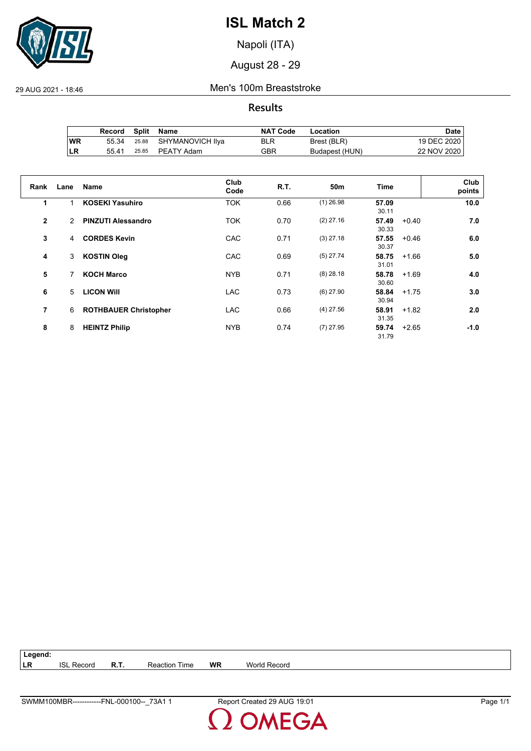

Napoli (ITA)

August 28 - 29

29 AUG 2021 - 18:46 Men's 100m Breaststroke

**Results**

|     | Record | Split | Name                   | <b>NAT Code</b> | Location       | Date i      |
|-----|--------|-------|------------------------|-----------------|----------------|-------------|
| ∣WR | 55.34  |       | 25.88 SHYMANOVICH IIya | <b>BLR</b>      | Brest (BLR)    | 19 DEC 2020 |
| ∣LR | 55.41  |       | 25.85 PEATY Adam       | GBR             | Budapest (HUN) | 22 NOV 2020 |

| Rank         | Lane | <b>Name</b>                  | Club<br>Code | <b>R.T.</b> | 50 <sub>m</sub> | <b>Time</b>               | Club<br>points |
|--------------|------|------------------------------|--------------|-------------|-----------------|---------------------------|----------------|
| 1            |      | <b>KOSEKI Yasuhiro</b>       | <b>TOK</b>   | 0.66        | $(1)$ 26.98     | 57.09<br>30.11            | 10.0           |
| $\mathbf{2}$ | 2    | <b>PINZUTI Alessandro</b>    | <b>TOK</b>   | 0.70        | $(2)$ 27.16     | 57.49<br>$+0.40$<br>30.33 | 7.0            |
| 3            | 4    | <b>CORDES Kevin</b>          | CAC          | 0.71        | $(3)$ 27.18     | 57.55<br>$+0.46$<br>30.37 | 6.0            |
| 4            | 3    | <b>KOSTIN Oleg</b>           | CAC          | 0.69        | $(5)$ 27.74     | 58.75<br>$+1.66$<br>31.01 | 5.0            |
| 5            | 7    | <b>KOCH Marco</b>            | <b>NYB</b>   | 0.71        | $(8)$ 28.18     | 58.78<br>$+1.69$<br>30.60 | 4.0            |
| 6            | 5    | <b>LICON WIII</b>            | <b>LAC</b>   | 0.73        | $(6)$ 27.90     | 58.84<br>$+1.75$<br>30.94 | 3.0            |
| 7            | 6    | <b>ROTHBAUER Christopher</b> | <b>LAC</b>   | 0.66        | $(4)$ 27.56     | 58.91<br>$+1.82$<br>31.35 | 2.0            |
| 8            | 8    | <b>HEINTZ Philip</b>         | <b>NYB</b>   | 0.74        | $(7)$ 27.95     | 59.74<br>$+2.65$<br>31.79 | $-1.0$         |

**Legend: LR** ISL Record **R.T.** Reaction Time **WR** World Record

**MEGA**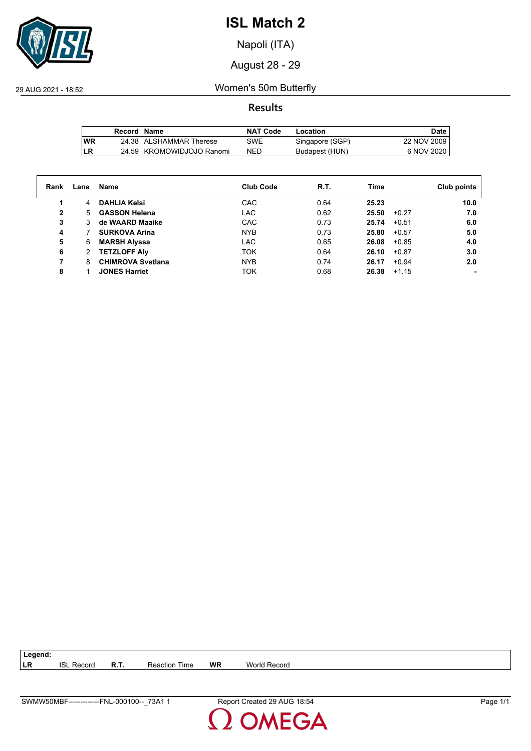

Napoli (ITA)

August 28 - 29

29 AUG 2021 - 18:52 Women's 50m Butterfly

**Results**

|           | Record Name |                           | <b>NAT Code</b> | Location        | Date        |
|-----------|-------------|---------------------------|-----------------|-----------------|-------------|
| <b>WR</b> |             | 24.38 ALSHAMMAR Therese   | SWE             | Singapore (SGP) | 22 NOV 2009 |
| LR        |             | 24.59 KROMOWIDJOJO Ranomi | NED             | Budapest (HUN)  | 6 NOV 2020  |

| Rank | Lane | Name                     | <b>Club Code</b> | R.T. | Time             | Club points |
|------|------|--------------------------|------------------|------|------------------|-------------|
|      | 4    | <b>DAHLIA Kelsi</b>      | CAC              | 0.64 | 25.23            | 10.0        |
| 2    | 5    | <b>GASSON Helena</b>     | <b>LAC</b>       | 0.62 | 25.50<br>$+0.27$ | 7.0         |
| 3    | 3    | de WAARD Maaike          | CAC              | 0.73 | 25.74<br>$+0.51$ | 6.0         |
| 4    |      | <b>SURKOVA Arina</b>     | <b>NYB</b>       | 0.73 | 25.80<br>$+0.57$ | 5.0         |
| 5    | 6    | <b>MARSH Alyssa</b>      | <b>LAC</b>       | 0.65 | 26.08<br>$+0.85$ | 4.0         |
| 6    | 2    | <b>TETZLOFF AIV</b>      | <b>TOK</b>       | 0.64 | 26.10<br>$+0.87$ | 3.0         |
| 7    | 8    | <b>CHIMROVA Svetlana</b> | <b>NYB</b>       | 0.74 | $+0.94$<br>26.17 | 2.0         |
| 8    |      | <b>JONES Harriet</b>     | <b>TOK</b>       | 0.68 | 26.38<br>$+1.15$ |             |

**LR** ISL Record **R.T.** Reaction Time **WR** World Record

**Legend:**

**DMEGA**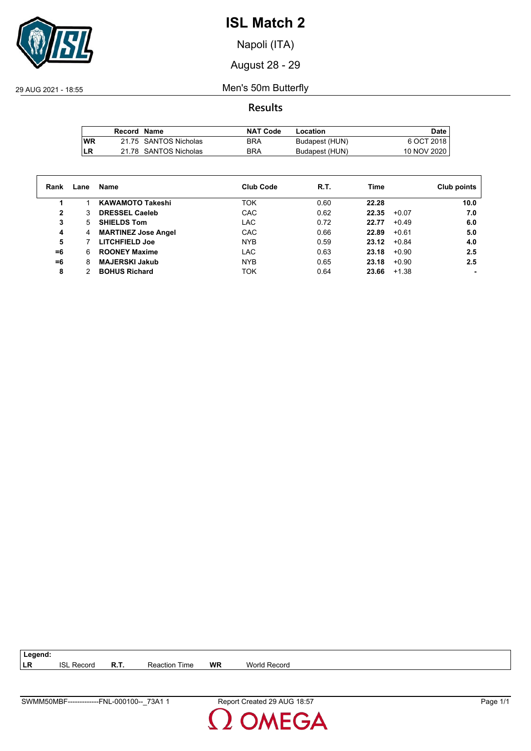

Napoli (ITA)

August 28 - 29

29 AUG 2021 - 18:55 Men's 50m Butterfly

**Results**

|            | Record Name |                       | <b>NAT Code</b> | Location       | Date,       |
|------------|-------------|-----------------------|-----------------|----------------|-------------|
| <b>IWR</b> |             | 21.75 SANTOS Nicholas | BRA             | Budapest (HUN) | 6 OCT 2018  |
| LR         |             | 21.78 SANTOS Nicholas | <b>BRA</b>      | Budapest (HUN) | 10 NOV 2020 |

| Rank | Lane | Name                       | <b>Club Code</b> | R.T. | Time             | Club points |
|------|------|----------------------------|------------------|------|------------------|-------------|
|      |      | <b>KAWAMOTO Takeshi</b>    | <b>TOK</b>       | 0.60 | 22.28            | 10.0        |
| 2    | 3    | <b>DRESSEL Caeleb</b>      | CAC              | 0.62 | 22.35<br>$+0.07$ | 7.0         |
| 3    | 5.   | <b>SHIELDS Tom</b>         | LAC              | 0.72 | 22.77<br>$+0.49$ | 6.0         |
| 4    | 4    | <b>MARTINEZ Jose Angel</b> | CAC              | 0.66 | 22.89<br>$+0.61$ | 5.0         |
| 5    |      | <b>LITCHFIELD Joe</b>      | NYB.             | 0.59 | $+0.84$<br>23.12 | 4.0         |
| =6   | 6    | <b>ROONEY Maxime</b>       | LAC              | 0.63 | 23.18<br>$+0.90$ | 2.5         |
| =6   | 8    | <b>MAJERSKI Jakub</b>      | <b>NYB</b>       | 0.65 | 23.18<br>$+0.90$ | 2.5         |
| 8    |      | <b>BOHUS Richard</b>       | <b>TOK</b>       | 0.64 | 23.66<br>$+1.38$ |             |

| $\vert$ Legend: |                   |             |                      |    |                     |
|-----------------|-------------------|-------------|----------------------|----|---------------------|
| I LR            | <b>ISL Record</b> | <b>R.T.</b> | <b>Reaction Time</b> | WR | <b>World Record</b> |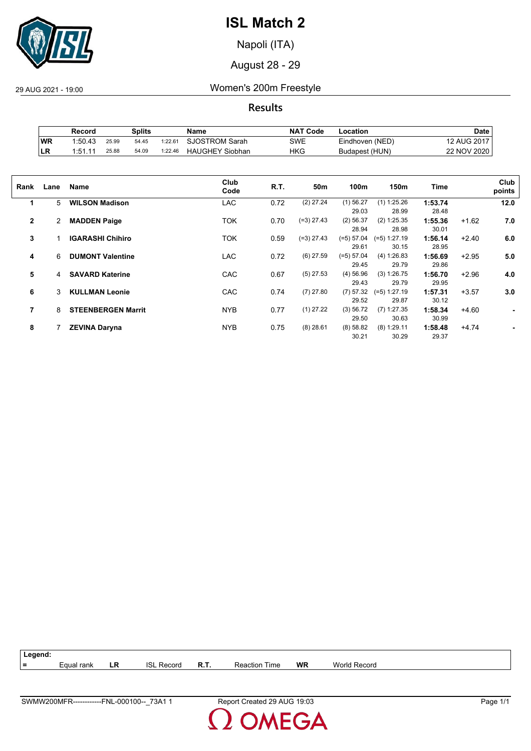

Napoli (ITA)

August 28 - 29

29 AUG 2021 - 19:00 Women's 200m Freestyle

**Results**

|           | Record  |       | Splits |         | Name                   | <b>NAT Code</b> | -ocation        | Date        |
|-----------|---------|-------|--------|---------|------------------------|-----------------|-----------------|-------------|
| <b>WR</b> | 1:50.43 | 25.99 | 54.45  | 1:22.61 | <b>SJOSTROM Sarah</b>  | SWE             | Eindhoven (NED) | 12 AUG 2017 |
| ILR       | 1:51.11 | 25.88 | 54.09  | 1:22.46 | <b>HAUGHEY Siobhan</b> | HKG             | Budapest (HUN)  | 22 NOV 2020 |

| Rank           | Lane | Name                      | Club<br>Code | R.T. | 50m          | 100m                  | 150m                    | Time             |         | Club<br>points |
|----------------|------|---------------------------|--------------|------|--------------|-----------------------|-------------------------|------------------|---------|----------------|
| 1              | 5    | <b>WILSON Madison</b>     | LAC          | 0.72 | $(2)$ 27.24  | $(1)$ 56.27<br>29.03  | $(1)$ 1:25.26<br>28.99  | 1:53.74<br>28.48 |         | 12.0           |
| $\mathbf{2}$   | 2    | <b>MADDEN Paige</b>       | TOK          | 0.70 | $(=3)$ 27.43 | $(2)$ 56.37<br>28.94  | (2) 1:25.35<br>28.98    | 1:55.36<br>30.01 | $+1.62$ | 7.0            |
| 3              |      | <b>IGARASHI Chihiro</b>   | TOK          | 0.59 | $(=3)$ 27.43 | (=5) 57.04<br>29.61   | $(=5)$ 1:27.19<br>30.15 | 1:56.14<br>28.95 | $+2.40$ | 6.0            |
| 4              | 6    | <b>DUMONT Valentine</b>   | <b>LAC</b>   | 0.72 | $(6)$ 27.59  | $(=5) 57.04$<br>29.45 | (4) 1:26.83<br>29.79    | 1:56.69<br>29.86 | $+2.95$ | 5.0            |
| 5              | 4    | <b>SAVARD Katerine</b>    | CAC          | 0.67 | $(5)$ 27.53  | $(4)$ 56.96<br>29.43  | (3) 1:26.75<br>29.79    | 1:56.70<br>29.95 | $+2.96$ | 4.0            |
| 6              | 3    | <b>KULLMAN Leonie</b>     | CAC          | 0.74 | $(7)$ 27.80  | (7) 57.32<br>29.52    | $(=5)$ 1:27.19<br>29.87 | 1:57.31<br>30.12 | $+3.57$ | 3.0            |
| $\overline{7}$ | 8    | <b>STEENBERGEN Marrit</b> | <b>NYB</b>   | 0.77 | $(1)$ 27.22  | (3) 56.72<br>29.50    | $(7)$ 1:27.35<br>30.63  | 1:58.34<br>30.99 | $+4.60$ | ۰              |
| 8              |      | <b>ZEVINA Daryna</b>      | <b>NYB</b>   | 0.75 | $(8)$ 28.61  | (8) 58.82<br>30.21    | $(8)$ 1:29.11<br>30.29  | 1:58.48<br>29.37 | $+4.74$ |                |



MEGA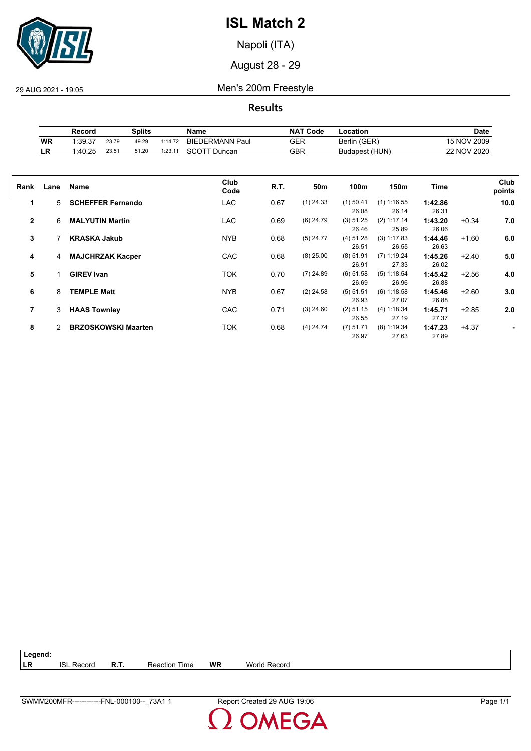

Napoli (ITA)

August 28 - 29

29 AUG 2021 - 19:05 Men's 200m Freestyle

**Results**

|           | Record  |       | Splits |         | Name                   | <b>NAT Code</b> | -ocation       | Date        |
|-----------|---------|-------|--------|---------|------------------------|-----------------|----------------|-------------|
| WR        | 1:39.37 | 23.79 | 49.29  | 1:14.72 | <b>BIEDERMANN Paul</b> | GER             | Berlin (GER)   | 15 NOV 2009 |
| <b>LR</b> | 1:40.25 | 23.51 | 51.20  | 1:23.11 | SCOTT Duncan           | GBR             | Budapest (HUN) | 22 NOV 2020 |

| Rank           | Lane | Name                       | Club<br>Code | R.T. | 50m         | 100m        | 150m          | Time    |         | Club<br>points |
|----------------|------|----------------------------|--------------|------|-------------|-------------|---------------|---------|---------|----------------|
| 1              | 5.   | <b>SCHEFFER Fernando</b>   | LAC          | 0.67 | $(1)$ 24.33 | $(1)$ 50.41 | $(1)$ 1:16.55 | 1:42.86 |         | 10.0           |
|                |      |                            |              |      |             | 26.08       | 26.14         | 26.31   |         |                |
| $\overline{2}$ | 6    | <b>MALYUTIN Martin</b>     | LAC          | 0.69 | $(6)$ 24.79 | (3) 51.25   | (2) 1:17.14   | 1:43.20 | $+0.34$ | 7.0            |
|                |      |                            |              |      |             | 26.46       | 25.89         | 26.06   |         |                |
| 3              |      | <b>KRASKA Jakub</b>        | <b>NYB</b>   | 0.68 | $(5)$ 24.77 | (4) 51.28   | (3) 1:17.83   | 1:44.46 | $+1.60$ | 6.0            |
|                |      |                            |              |      |             | 26.51       | 26.55         | 26.63   |         |                |
| 4              | 4    | <b>MAJCHRZAK Kacper</b>    | CAC          | 0.68 | $(8)$ 25.00 | $(8)$ 51.91 | $(7)$ 1:19.24 | 1:45.26 | $+2.40$ | 5.0            |
|                |      |                            |              |      |             | 26.91       | 27.33         | 26.02   |         |                |
| 5              |      | <b>GIREV Ivan</b>          | <b>TOK</b>   | 0.70 | $(7)$ 24.89 | $(6)$ 51.58 | $(5)$ 1:18.54 | 1:45.42 | $+2.56$ | 4.0            |
|                |      |                            |              |      |             | 26.69       | 26.96         | 26.88   |         |                |
| 6              | 8    | <b>TEMPLE Matt</b>         | <b>NYB</b>   | 0.67 | $(2)$ 24.58 | (5) 51.51   | $(6)$ 1:18.58 | 1:45.46 | $+2.60$ | 3.0            |
|                |      |                            |              |      |             | 26.93       | 27.07         | 26.88   |         |                |
| 7              | 3    | <b>HAAS Townley</b>        | CAC          | 0.71 | $(3)$ 24.60 | $(2)$ 51.15 | (4) 1:18.34   | 1:45.71 | $+2.85$ | 2.0            |
|                |      |                            |              |      |             | 26.55       | 27.19         | 27.37   |         |                |
| 8              | 2    | <b>BRZOSKOWSKI Maarten</b> | <b>TOK</b>   | 0.68 | $(4)$ 24.74 | $(7)$ 51.71 | $(8)$ 1:19.34 | 1:47.23 | $+4.37$ |                |
|                |      |                            |              |      |             | 26.97       | 27.63         | 27.89   |         |                |
|                |      |                            |              |      |             |             |               |         |         |                |

| $ $ Legend: |                   |             |                      |    |              |
|-------------|-------------------|-------------|----------------------|----|--------------|
| l LR        | <b>ISL Record</b> | <b>R.T.</b> | <b>Reaction Time</b> | WR | World Record |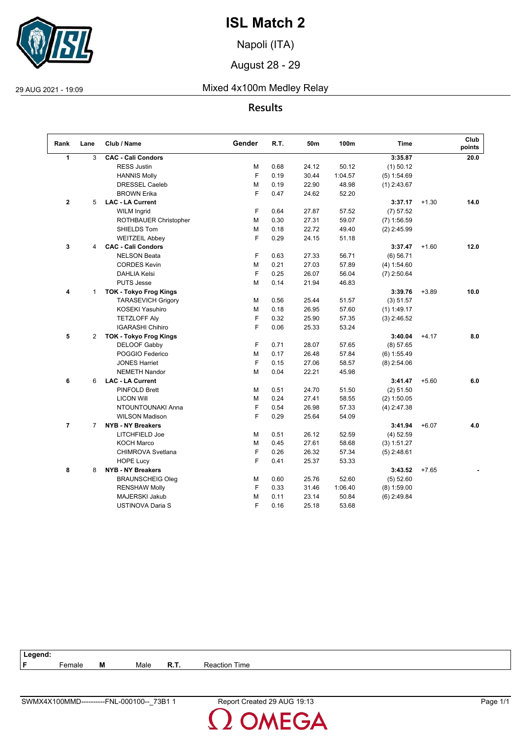

Napoli (ITA)

August 28 - 29

## 29 AUG 2021 - 19:09 Mixed 4x100m Medley Relay

## **Results**

| Rank           | Lane           | Club / Name                   | Gender | R.T. | 50m   | 100m    | <b>Time</b>   |         | Club<br>points |
|----------------|----------------|-------------------------------|--------|------|-------|---------|---------------|---------|----------------|
| $\mathbf{1}$   | 3              | <b>CAC - Cali Condors</b>     |        |      |       |         | 3:35.87       |         | 20.0           |
|                |                | <b>RESS Justin</b>            | М      | 0.68 | 24.12 | 50.12   | $(1)$ 50.12   |         |                |
|                |                | <b>HANNIS Molly</b>           | F      | 0.19 | 30.44 | 1:04.57 | (5) 1:54.69   |         |                |
|                |                | <b>DRESSEL Caeleb</b>         | М      | 0.19 | 22.90 | 48.98   | $(1)$ 2:43.67 |         |                |
|                |                | <b>BROWN Erika</b>            | F      | 0.47 | 24.62 | 52.20   |               |         |                |
| $\mathbf 2$    | 5              | <b>LAC - LA Current</b>       |        |      |       |         | 3:37.17       | $+1.30$ | 14.0           |
|                |                | <b>WILM Ingrid</b>            | F      | 0.64 | 27.87 | 57.52   | (7) 57.52     |         |                |
|                |                | ROTHBAUER Christopher         | М      | 0.30 | 27.31 | 59.07   | $(7)$ 1:56.59 |         |                |
|                |                | SHIELDS Tom                   | М      | 0.18 | 22.72 | 49.40   | $(2)$ 2:45.99 |         |                |
|                |                | <b>WEITZEIL Abbey</b>         | F      | 0.29 | 24.15 | 51.18   |               |         |                |
| 3              | 4              | <b>CAC - Cali Condors</b>     |        |      |       |         | 3:37.47       | $+1.60$ | 12.0           |
|                |                | <b>NELSON Beata</b>           | F      | 0.63 | 27.33 | 56.71   | (6) 56.71     |         |                |
|                |                | <b>CORDES Kevin</b>           | М      | 0.21 | 27.03 | 57.89   | (4) 1:54.60   |         |                |
|                |                | <b>DAHLIA Kelsi</b>           | F      | 0.25 | 26.07 | 56.04   | $(7)$ 2:50.64 |         |                |
|                |                | <b>PUTS Jesse</b>             | М      | 0.14 | 21.94 | 46.83   |               |         |                |
| 4              | $\mathbf{1}$   | <b>TOK - Tokyo Frog Kings</b> |        |      |       |         | 3:39.76       | $+3.89$ | 10.0           |
|                |                | <b>TARASEVICH Grigory</b>     | М      | 0.56 | 25.44 | 51.57   | (3) 51.57     |         |                |
|                |                | <b>KOSEKI Yasuhiro</b>        | М      | 0.18 | 26.95 | 57.60   | $(1)$ 1:49.17 |         |                |
|                |                | <b>TETZLOFF Aly</b>           | F      | 0.32 | 25.90 | 57.35   | $(3)$ 2:46.52 |         |                |
|                |                | <b>IGARASHI Chihiro</b>       | F      | 0.06 | 25.33 | 53.24   |               |         |                |
| 5              | $\overline{2}$ | <b>TOK - Tokyo Frog Kings</b> |        |      |       |         | 3:40.04       | $+4.17$ | 8.0            |
|                |                | DELOOF Gabby                  | F      | 0.71 | 28.07 | 57.65   | (8) 57.65     |         |                |
|                |                | POGGIO Federico               | М      | 0.17 | 26.48 | 57.84   | $(6)$ 1:55.49 |         |                |
|                |                | <b>JONES Harriet</b>          | F      | 0.15 | 27.06 | 58.57   | $(8)$ 2:54.06 |         |                |
|                |                | <b>NEMETH Nandor</b>          | М      | 0.04 | 22.21 | 45.98   |               |         |                |
| 6              | 6              | <b>LAC - LA Current</b>       |        |      |       |         | 3:41.47       | $+5.60$ | 6.0            |
|                |                | <b>PINFOLD Brett</b>          | М      | 0.51 | 24.70 | 51.50   | (2) 51.50     |         |                |
|                |                | <b>LICON Will</b>             | М      | 0.24 | 27.41 | 58.55   | $(2)$ 1:50.05 |         |                |
|                |                | NTOUNTOUNAKI Anna             | F      | 0.54 | 26.98 | 57.33   | $(4)$ 2:47.38 |         |                |
|                |                | <b>WILSON Madison</b>         | F      | 0.29 | 25.64 | 54.09   |               |         |                |
| $\overline{7}$ | $\overline{7}$ | <b>NYB - NY Breakers</b>      |        |      |       |         | 3:41.94       | $+6.07$ | 4.0            |
|                |                | LITCHFIELD Joe                | М      | 0.51 | 26.12 | 52.59   | $(4)$ 52.59   |         |                |
|                |                | <b>KOCH Marco</b>             | М      | 0.45 | 27.61 | 58.68   | (3) 1:51.27   |         |                |
|                |                | CHIMROVA Svetlana             | F      | 0.26 | 26.32 | 57.34   | $(5)$ 2:48.61 |         |                |
|                |                | <b>HOPE Lucy</b>              | F      | 0.41 | 25.37 | 53.33   |               |         |                |
| 8              | 8              | <b>NYB - NY Breakers</b>      |        |      |       |         | 3:43.52       | $+7.65$ |                |
|                |                | <b>BRAUNSCHEIG Oleg</b>       | М      | 0.60 | 25.76 | 52.60   | (5) 52.60     |         |                |
|                |                | <b>RENSHAW Molly</b>          | F      | 0.33 | 31.46 | 1:06.40 | $(8)$ 1:59.00 |         |                |
|                |                | MAJERSKI Jakub                | М      | 0.11 | 23.14 | 50.84   | $(6)$ 2:49.84 |         |                |
|                |                | <b>USTINOVA Daria S</b>       | F      | 0.16 | 25.18 | 53.68   |               |         |                |

| ∟egend: |                    |   |      |      |                  |
|---------|--------------------|---|------|------|------------------|
| Е       | <sup>∶</sup> emale | M | Male | R.T. | Time<br>Reaction |
|         |                    |   |      |      |                  |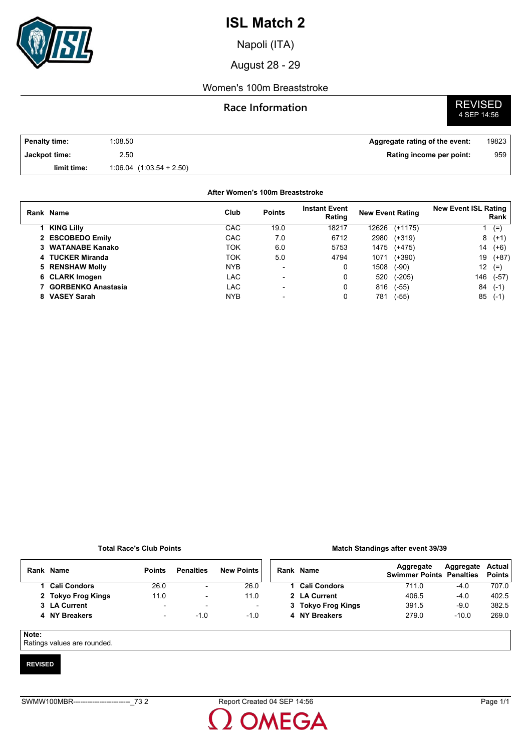

Napoli (ITA)

August 28 - 29

### Women's 100m Breaststroke

### **Race Information**

# **REVISED**<br>4 SEP 14:56

| <b>Penalty time:</b> | 1:08.50                      | Aggregate rating of the event: | 19823 |
|----------------------|------------------------------|--------------------------------|-------|
| Jackpot time:        | 2.50                         | Rating income per point:       | 959   |
| limit time:          | $1:06.04$ $(1:03.54 + 2.50)$ |                                |       |

#### **After Women's 100m Breaststroke**

| Rank Name            | Club       | <b>Points</b>            | <b>Instant Event</b><br>Rating | <b>New Event Rating</b> |           | <b>New Event ISL Rating</b> | Rank    |
|----------------------|------------|--------------------------|--------------------------------|-------------------------|-----------|-----------------------------|---------|
| <b>KING Lilly</b>    | CAC        | 19.0                     | 18217                          | 12626                   | $(+1175)$ |                             | $(=)$   |
| 2 ESCOBEDO Emily     | CAC        | 7.0                      | 6712                           | 2980                    | $(+319)$  |                             | $8(+1)$ |
| 3 WATANABE Kanako    | TOK        | 6.0                      | 5753                           | 1475                    | $(+475)$  | 14                          | $(+6)$  |
| 4 TUCKER Miranda     | TOK        | 5.0                      | 4794                           | 1071                    | $(+390)$  | 19                          | $(+87)$ |
| 5 RENSHAW Molly      | <b>NYB</b> | $\overline{\phantom{a}}$ | 0                              | 1508                    | (-90)     | 12                          | $(=)$   |
| 6 CLARK Imogen       | LAC        | $\overline{\phantom{0}}$ | 0                              | 520                     | $(-205)$  | 146                         | $(-57)$ |
| 7 GORBENKO Anastasia | LAC        | $\blacksquare$           | 0                              | 816                     | (-55)     | 84                          | $(-1)$  |
| <b>VASEY Sarah</b>   | <b>NYB</b> | $\overline{\phantom{0}}$ | 0                              | 781                     | (-55)     | 85                          | $(-1)$  |

#### **Total Race's Club Points**

#### **Match Standings after event 39/39**

| Rank Name          | <b>Points</b> | <b>Penalties</b> | <b>New Points</b> |
|--------------------|---------------|------------------|-------------------|
| 1 Cali Condors     | 26.0          |                  | 26.0              |
| 2 Tokyo Frog Kings | 11.0          |                  | 11 $\Omega$       |
| 3 LA Current       | ۰             | -                |                   |
| 4 NY Breakers      | -             | -1 0             | -10               |

| Rank Name          | Aggregate<br><b>Swimmer Points Penalties</b> | Aggregate Actual | <b>Points</b> |
|--------------------|----------------------------------------------|------------------|---------------|
| 1 Cali Condors     | 711.0                                        | $-4.0$           | 707.0         |
| 2 LA Current       | 406.5                                        | $-4.0$           | 402.5         |
| 3 Tokyo Frog Kings | 391.5                                        | $-9.0$           | 382.5         |
| 4 NY Breakers      | 279.0                                        | $-10.0$          | 269.0         |
|                    |                                              |                  |               |

#### **Note:**

Ratings values are rounded.

#### **REVISED**

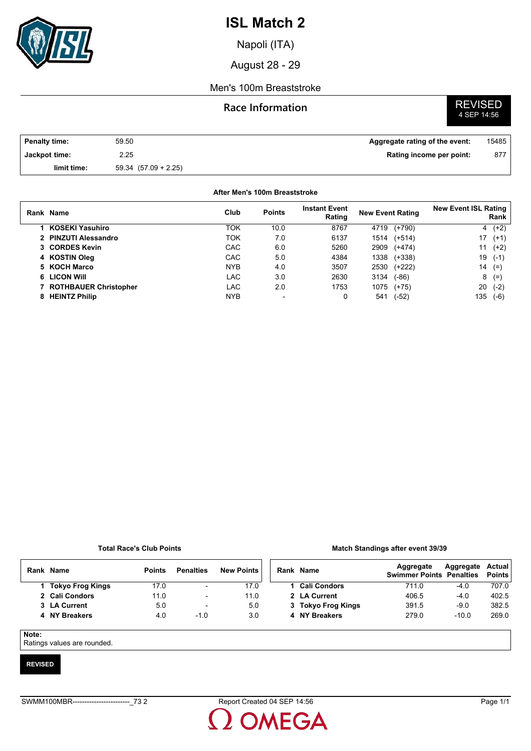

Napoli (ITA)

August 28 - 29

### Men's 100m Breaststroke

### **Race Information**



| <b>Penalty time:</b> | 59.50                    | Aggregate rating of the event: | 15485 |
|----------------------|--------------------------|--------------------------------|-------|
| Jackpot time:        | 2.25                     | Rating income per point:       | 877   |
| limit time:          | $59.34$ $(57.09 + 2.25)$ |                                |       |

#### **After Men's 100m Breaststroke**

| Rank Name               | Club       | <b>Points</b> | <b>Instant Event</b><br>Rating | <b>New Event Rating</b> | <b>New Event ISL Rating</b><br>Rank |
|-------------------------|------------|---------------|--------------------------------|-------------------------|-------------------------------------|
| KOSEKI Yasuhiro         | TOK        | 10.0          | 8767                           | $(+790)$<br>4719        | $(+2)$<br>4                         |
| 2 PINZUTI Alessandro    | ток        | 7.0           | 6137                           | $(+514)$<br>1514        | 17<br>$(+1)$                        |
| 3 CORDES Kevin          | CAC        | 6.0           | 5260                           | 2909<br>$(+474)$        | 11<br>$(+2)$                        |
| 4 KOSTIN Oleg           | CAC        | 5.0           | 4384                           | 1338<br>$(+338)$        | 19<br>$(-1)$                        |
| 5 KOCH Marco            | <b>NYB</b> | 4.0           | 3507                           | 2530<br>(+222)          | 14<br>$(=)$                         |
| 6 LICON WIII            | <b>LAC</b> | 3.0           | 2630                           | 3134<br>$(-86)$         | 8<br>$(=)$                          |
| 7 ROTHBAUER Christopher | LAC        | 2.0           | 1753                           | 1075<br>$(+75)$         | 20<br>$(-2)$                        |
| 8 HEINTZ Philip         | <b>NYB</b> |               | 0                              | (-52)<br>541            | 135<br>$(-6)$                       |
|                         |            |               |                                |                         |                                     |

#### **Total Race's Club Points**

#### **Match Standings after event 39/39**

|  | Rank Name          | <b>Points</b> | <b>Penalties</b>         | <b>New Points</b> | Rank |
|--|--------------------|---------------|--------------------------|-------------------|------|
|  | 1 Tokyo Frog Kings | 17.0          | $\overline{\phantom{0}}$ | 17.0              |      |
|  | 2 Cali Condors     | 11.0          | -                        | 11 0              | 2    |
|  | 3 LA Current       | 5.0           | $\overline{\phantom{0}}$ | 5.0               | 3    |
|  | 4 NY Breakers      | 4 N           | -10                      | 3.0               |      |
|  |                    |               |                          |                   |      |

| Rank Name          | Aggregate<br><b>Swimmer Points Penalties</b> | Aggregate Actual | <b>Points</b> |
|--------------------|----------------------------------------------|------------------|---------------|
| 1 Cali Condors     | 711.0                                        | $-4.0$           | 707.0         |
| 2 LA Current       | 406.5                                        | $-4.0$           | 402.5         |
| 3 Tokyo Frog Kings | 391.5                                        | $-90$            | 382.5         |
| 4 NY Breakers      | 279.0                                        | $-10.0$          | 2690          |
|                    |                                              |                  |               |

#### **Note:**

Ratings values are rounded.

#### **REVISED**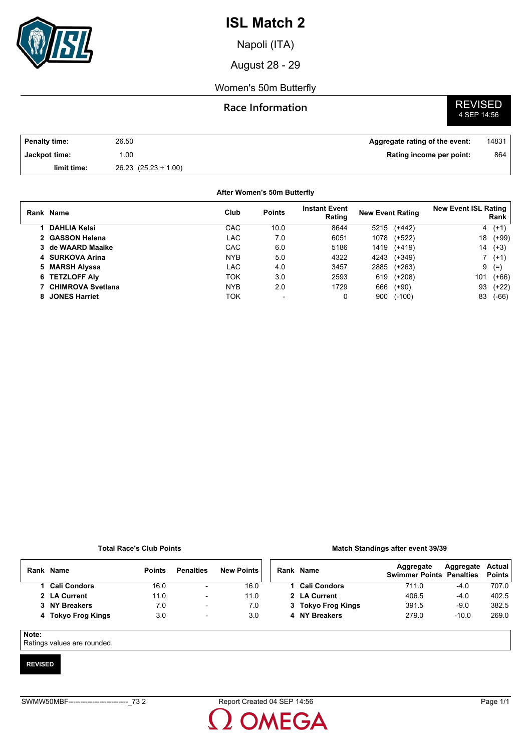

Napoli (ITA)

August 28 - 29

### Women's 50m Butterfly

### **Race Information**

# **REVISED**<br>4 SEP 14:56

| <b>Penalty time:</b> | 26.50                    | Aggregate rating of the event: | 14831 |
|----------------------|--------------------------|--------------------------------|-------|
| Jackpot time:        | .00                      | Rating income per point:       | 864   |
| limit time:          | $26.23$ $(25.23 + 1.00)$ |                                |       |

#### **After Women's 50m Butterfly**

| Rank Name            | Club       | <b>Points</b> | <b>Instant Event</b><br>Rating | <b>New Event Rating</b> |          | <b>New Event ISL Rating</b> | Rank    |
|----------------------|------------|---------------|--------------------------------|-------------------------|----------|-----------------------------|---------|
| <b>DAHLIA Kelsi</b>  | CAC        | 10.0          | 8644                           | 5215                    | $(+442)$ | 4                           | $(+1)$  |
| 2 GASSON Helena      | <b>LAC</b> | 7.0           | 6051                           | 1078                    | (+522)   | 18                          | $(+99)$ |
| 3 de WAARD Maaike    | CAC        | 6.0           | 5186                           | 1419                    | (+419)   | 14                          | $(+3)$  |
| 4 SURKOVA Arina      | <b>NYB</b> | 5.0           | 4322                           | 4243                    | (+349)   |                             | $( +1)$ |
| 5 MARSH Alyssa       | <b>LAC</b> | 4.0           | 3457                           | 2885                    | $(+263)$ | 9                           | $(=)$   |
| 6 TETZLOFF Aly       | TOK        | 3.0           | 2593                           | 619                     | (+208)   | 101                         | $(+66)$ |
| 7 CHIMROVA Svetlana  | <b>NYB</b> | 2.0           | 1729                           | 666                     | $(+90)$  | 93                          | $(+22)$ |
| <b>JONES Harriet</b> | TOK        |               | 0                              | 900                     | $(-100)$ | 83                          | $(-66)$ |

#### **Total Race's Club Points**

#### **Match Standings after event 39/39**

| Rank  | Name                | <b>Points</b> | <b>Penalties</b>         | <b>New Points</b> | Rank Name           | Aggregate<br><b>Swimmer Points Penalties</b> | Aggregate | Actual<br><b>Points</b> |
|-------|---------------------|---------------|--------------------------|-------------------|---------------------|----------------------------------------------|-----------|-------------------------|
|       | <b>Cali Condors</b> | 16.0          | $\overline{\phantom{a}}$ | 16.0              | <b>Cali Condors</b> | 711.0                                        | $-4.0$    | 707.0                   |
|       | 2 LA Current        | 11.0          | ۰                        | 11.0              | 2 LA Current        | 406.5                                        | $-4.0$    | 402.5                   |
|       | 3 NY Breakers       | 7.0           | $\overline{\phantom{a}}$ | 7.0               | 3 Tokyo Frog Kings  | 391.5                                        | $-9.0$    | 382.5                   |
|       | 4 Tokyo Frog Kings  | 3.0           | $\overline{\phantom{a}}$ | 3.0               | 4 NY Breakers       | 279.0                                        | $-10.0$   | 269.0                   |
| Note: |                     |               |                          |                   |                     |                                              |           |                         |

Ratings values are rounded.

#### **REVISED**

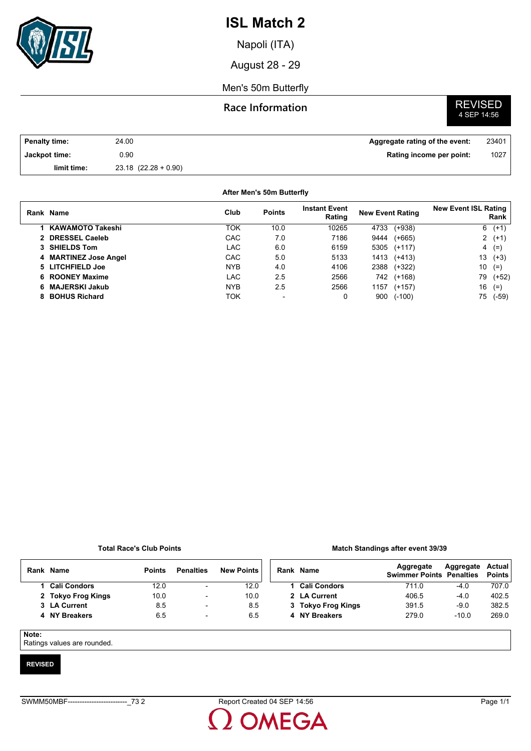

Napoli (ITA)

August 28 - 29

Men's 50m Butterfly

## **Race Information**

# **REVISED**<br>4 SEP 14:56

| Penalty time: | 24.00                    | Aggregate rating of the event: | 23401 |
|---------------|--------------------------|--------------------------------|-------|
| Jackpot time: | 90. (                    | Rating income per point:       | 1027  |
| limit time:   | $23.18$ $(22.28 + 0.90)$ |                                |       |

#### **After Men's 50m Butterfly**

|    | Rank Name             | Club       | <b>Points</b>            | <b>Instant Event</b><br>Rating | <b>New Event Rating</b> |          | <b>New Event ISL Rating</b> | Rank    |
|----|-----------------------|------------|--------------------------|--------------------------------|-------------------------|----------|-----------------------------|---------|
|    | 1 KAWAMOTO Takeshi    | ток        | 10.0                     | 10265                          | 4733                    | $(+938)$ |                             | $6(+1)$ |
|    | 2 DRESSEL Caeleb      | CAC        | 7.0                      | 7186                           | 9444                    | $(+665)$ |                             | $2(+1)$ |
|    | 3 SHIELDS Tom         | LAC        | 6.0                      | 6159                           | 5305                    | $(+117)$ |                             | $4(=)$  |
|    | 4 MARTINEZ Jose Angel | CAC        | 5.0                      | 5133                           | 1413                    | $(+413)$ | 13                          | $(+3)$  |
|    | 5 LITCHFIELD Joe      | <b>NYB</b> | 4.0                      | 4106                           | 2388                    | $(+322)$ | 10                          | $(=)$   |
|    | 6 ROONEY Maxime       | LAC        | 2.5                      | 2566                           | 742.                    | $(+168)$ | 79                          | $(+52)$ |
|    | 6 MAJERSKI Jakub      | <b>NYB</b> | 2.5                      | 2566                           | 1157                    | $(+157)$ | 16                          | $(=)$   |
| 8. | <b>BOHUS Richard</b>  | ток        | $\overline{\phantom{0}}$ | 0                              | 900                     | $(-100)$ | 75                          | (-59)   |

#### **Total Race's Club Points**

#### **Match Standings after event 39/39**

|       | Rank Name          | <b>Points</b> | <b>Penalties</b>         | <b>New Points</b> | Rank Name           | Aggregate<br><b>Swimmer Points Penalties</b> | Aggregate | <b>Actual</b><br><b>Points</b> |
|-------|--------------------|---------------|--------------------------|-------------------|---------------------|----------------------------------------------|-----------|--------------------------------|
|       | 1 Cali Condors     | 12.0          | $\overline{\phantom{0}}$ | 12.0              | <b>Cali Condors</b> | 711.0                                        | $-4.0$    | 707.0                          |
|       | 2 Tokyo Frog Kings | 10.0          | $\overline{\phantom{a}}$ | 10.0              | 2 LA Current        | 406.5                                        | $-4.0$    | 402.5                          |
|       | 3 LA Current       | 8.5           | $\overline{\phantom{a}}$ | 8.5               | 3 Tokyo Frog Kings  | 391.5                                        | $-9.0$    | 382.5                          |
|       | 4 NY Breakers      | 6.5           | $\blacksquare$           | 6.5               | 4 NY Breakers       | 279.0                                        | $-10.0$   | 269.0                          |
| Note: |                    |               |                          |                   |                     |                                              |           |                                |

Ratings values are rounded.

#### **REVISED**

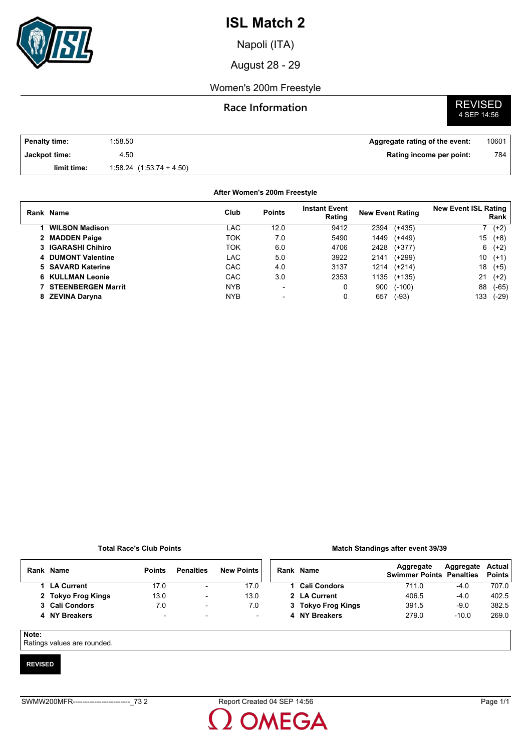

Napoli (ITA)

August 28 - 29

### Women's 200m Freestyle

### **Race Information**

# **REVISED**<br>4 SEP 14:56

| Penalty time: | 1:58.50                      | Aggregate rating of the event: | 10601 |
|---------------|------------------------------|--------------------------------|-------|
| Jackpot time: | 4.50                         | Rating income per point:       | 784   |
| limit time:   | $1:58.24$ $(1:53.74 + 4.50)$ |                                |       |

#### **After Women's 200m Freestyle**

| Rank Name                 | Club       | <b>Points</b>            | <b>Instant Event</b><br>Rating | <b>New Event Rating</b> |          | <b>New Event ISL Rating</b> | Rank   |
|---------------------------|------------|--------------------------|--------------------------------|-------------------------|----------|-----------------------------|--------|
| <b>WILSON Madison</b>     | LAC        | 12.0                     | 9412                           | 2394                    | $(+435)$ |                             | 7 (+2) |
| 2 MADDEN Paige            | TOK        | 7.0                      | 5490                           | 1449                    | $(+449)$ | 15                          | $(+8)$ |
| 3 IGARASHI Chihiro        | ток        | 6.0                      | 4706                           | 2428                    | $(+377)$ | 6                           | $(+2)$ |
| 4 DUMONT Valentine        | LAC        | 5.0                      | 3922                           | 2141                    | $(+299)$ | 10                          | $(+1)$ |
| 5 SAVARD Katerine         | <b>CAC</b> | 4.0                      | 3137                           | 1214                    | $(+214)$ | 18                          | $(+5)$ |
| <b>6 KULLMAN Leonie</b>   | <b>CAC</b> | 3.0                      | 2353                           | 1135                    | $(+135)$ | 21                          | $(+2)$ |
| <b>STEENBERGEN Marrit</b> | <b>NYB</b> | $\overline{\phantom{a}}$ | 0                              | 900                     | $(-100)$ | 88                          | (-65)  |
| 8 ZEVINA Daryna           | <b>NYB</b> | $\overline{\phantom{0}}$ | 0                              | 657                     | $(-93)$  | 133                         | (-29)  |

#### **Total Race's Club Points**

#### **Match Standings after event 39/39**

| Rank Name          | <b>Points</b>            | <b>Penalties</b>         | <b>New Points</b> | Rank Name           | Aggregate<br><b>Swimmer Points Penalties</b> | Aggregate | Actual<br><b>Points</b> |
|--------------------|--------------------------|--------------------------|-------------------|---------------------|----------------------------------------------|-----------|-------------------------|
| 1 LA Current       | 17.0                     | $\overline{\phantom{a}}$ | 17.0              | <b>Cali Condors</b> | 711.0                                        | $-4.0$    | 707.0                   |
| 2 Tokyo Frog Kings | 13.0                     | $\overline{\phantom{a}}$ | 13.0              | 2 LA Current        | 406.5                                        | $-4.0$    | 402.5                   |
| 3 Cali Condors     | 7.0                      | $\overline{\phantom{a}}$ | 7.0               | 3 Tokyo Frog Kings  | 391.5                                        | $-9.0$    | 382.5                   |
| 4 NY Breakers      | $\overline{\phantom{a}}$ | $\overline{\phantom{a}}$ | н.                | 4 NY Breakers       | 279.0                                        | $-10.0$   | 269.0                   |
|                    |                          |                          |                   |                     |                                              |           |                         |

#### **Note:**

Ratings values are rounded.

#### **REVISED**

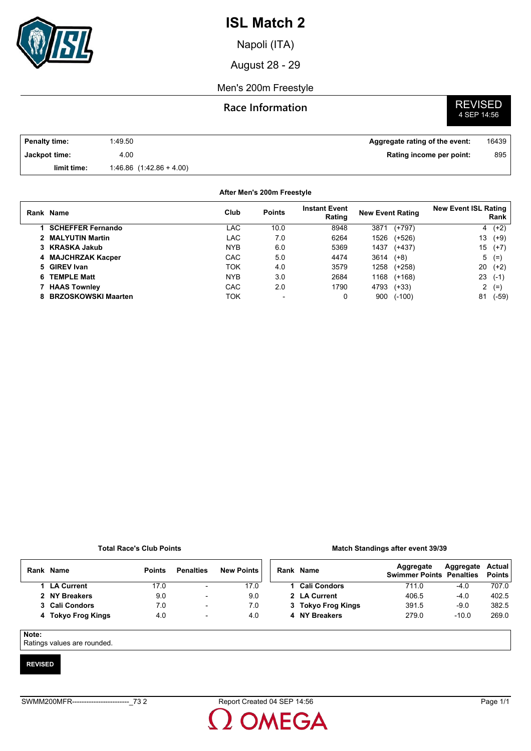

Napoli (ITA)

August 28 - 29

#### Men's 200m Freestyle

#### **Race Information**

# **REVISED**<br>4 SEP 14:56

| <b>Penalty time:</b> | 1:49.50                      | Aggregate rating of the event: | 16439 |
|----------------------|------------------------------|--------------------------------|-------|
| Jackpot time:        | 4.00                         | Rating income per point:       | 895   |
| limit time:          | $1.46.86$ $(1.42.86 + 4.00)$ |                                |       |

#### **After Men's 200m Freestyle**

| Rank Name                | Club       | <b>Points</b> | <b>Instant Event</b><br>Rating | <b>New Event Rating</b> | <b>New Event ISL Rating</b><br>Rank |
|--------------------------|------------|---------------|--------------------------------|-------------------------|-------------------------------------|
| <b>SCHEFFER Fernando</b> | LAC        | 10.0          | 8948                           | $(+797)$<br>3871        | $4(+2)$                             |
| 2 MALYUTIN Martin        | LAC        | 7.0           | 6264                           | 1526<br>$(+526)$        | 13<br>$(+9)$                        |
| 3 KRASKA Jakub           | <b>NYB</b> | 6.0           | 5369                           | 1437<br>$(+437)$        | 15<br>$(+7)$                        |
| 4 MAJCHRZAK Kacper       | CAC        | 5.0           | 4474                           | 3614<br>$(+8)$          | $5(=)$                              |
| 5 GIREV Ivan             | ток        | 4.0           | 3579                           | 1258<br>$(+258)$        | 20<br>$(+2)$                        |
| <b>TEMPLE Matt</b>       | <b>NYB</b> | 3.0           | 2684                           | 1168<br>$(+168)$        | 23<br>$(-1)$                        |
| 7 HAAS Townley           | CAC        | 2.0           | 1790                           | 4793<br>$(+33)$         | $2(=)$                              |
| 8 BRZOSKOWSKI Maarten    | ток        |               | 0                              | 900<br>$(-100)$         | 81<br>(-59)                         |

#### **Total Race's Club Points**

#### **Match Standings after event 39/39**

| Rank  | Name               | <b>Points</b> | <b>Penalties</b>         | <b>New Points</b> | Rank Name           | Aggregate<br><b>Swimmer Points Penalties</b> | Aggregate | Actual<br><b>Points</b> |
|-------|--------------------|---------------|--------------------------|-------------------|---------------------|----------------------------------------------|-----------|-------------------------|
|       | 1 LA Current       | 17.0          | $\overline{\phantom{a}}$ | 17.0              | <b>Cali Condors</b> | 711.0                                        | $-4.0$    | 707.0                   |
|       | 2 NY Breakers      | 9.0           | $\overline{\phantom{0}}$ | 9.0               | 2 LA Current        | 406.5                                        | $-4.0$    | 402.5                   |
|       | 3 Cali Condors     | 7.0           | $\overline{\phantom{0}}$ | 7.0               | 3 Tokyo Frog Kings  | 391.5                                        | $-9.0$    | 382.5                   |
|       | 4 Tokyo Frog Kings | 4.0           | $\overline{\phantom{a}}$ | 4.0               | 4 NY Breakers       | 279.0                                        | $-10.0$   | 269.0                   |
| Note: |                    |               |                          |                   |                     |                                              |           |                         |

Ratings values are rounded.

#### **REVISED**

**OMEGA**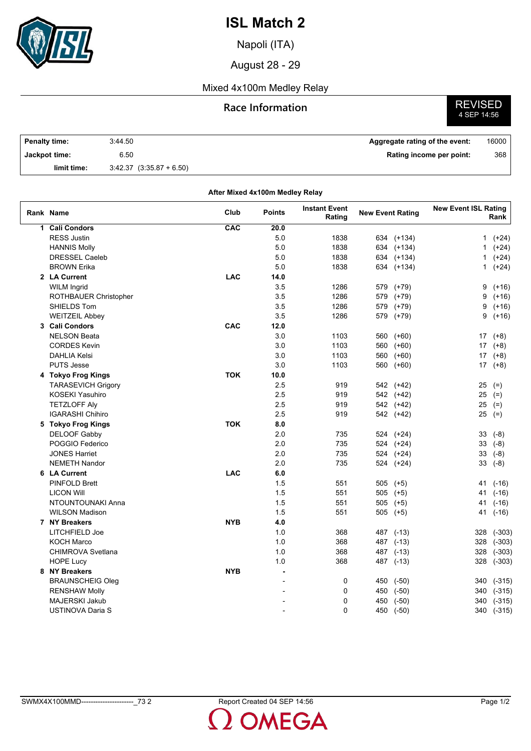

Napoli (ITA)

August 28 - 29

### Mixed 4x100m Medley Relay

### **Race Information**

**REVISED**<br>4 SEP 14:56

| <b>Penalty time:</b> | 3:44.50                      | Aggregate rating of the event: | 16000 |
|----------------------|------------------------------|--------------------------------|-------|
| Jackpot time:        | 6.50                         | Rating income per point:       | 368   |
| limit time:          | $3.42.37$ $(3.35.87 + 6.50)$ |                                |       |

|   | After Mixed 4x100m Medley Relay |            |                |                                |                         |              |                             |           |  |  |  |  |  |
|---|---------------------------------|------------|----------------|--------------------------------|-------------------------|--------------|-----------------------------|-----------|--|--|--|--|--|
|   | Rank Name                       | Club       | <b>Points</b>  | <b>Instant Event</b><br>Rating | <b>New Event Rating</b> |              | <b>New Event ISL Rating</b> | Rank      |  |  |  |  |  |
| 1 | <b>Cali Condors</b>             | CAC        | 20.0           |                                |                         |              |                             |           |  |  |  |  |  |
|   | <b>RESS Justin</b>              |            | 5.0            | 1838                           |                         | 634 (+134)   | 1                           | $(+24)$   |  |  |  |  |  |
|   | <b>HANNIS Molly</b>             |            | 5.0            | 1838                           |                         | 634 (+134)   | 1                           | $(+24)$   |  |  |  |  |  |
|   | <b>DRESSEL Caeleb</b>           |            | 5.0            | 1838                           |                         | 634 (+134)   | 1                           | $(+24)$   |  |  |  |  |  |
|   | <b>BROWN Erika</b>              |            | 5.0            | 1838                           |                         | 634 (+134)   | 1                           | $(+24)$   |  |  |  |  |  |
|   | 2 LA Current                    | <b>LAC</b> | 14.0           |                                |                         |              |                             |           |  |  |  |  |  |
|   | <b>WILM Ingrid</b>              |            | 3.5            | 1286                           | 579                     | $(+79)$      | 9                           | $(+16)$   |  |  |  |  |  |
|   | ROTHBAUER Christopher           |            | 3.5            | 1286                           | 579                     | $(+79)$      | 9                           | $(+16)$   |  |  |  |  |  |
|   | SHIELDS Tom                     |            | 3.5            | 1286                           | 579                     | $(+79)$      | 9                           | $(+16)$   |  |  |  |  |  |
|   | <b>WEITZEIL Abbey</b>           |            | 3.5            | 1286                           | 579                     | $(+79)$      | 9                           | $(+16)$   |  |  |  |  |  |
|   | 3 Cali Condors                  | CAC        | 12.0           |                                |                         |              |                             |           |  |  |  |  |  |
|   | <b>NELSON Beata</b>             |            | 3.0            | 1103                           | 560                     | $(+60)$      | 17                          | $(+8)$    |  |  |  |  |  |
|   | <b>CORDES Kevin</b>             |            | 3.0            | 1103                           | 560                     | $(+60)$      | 17                          | $(+8)$    |  |  |  |  |  |
|   | <b>DAHLIA Kelsi</b>             |            | 3.0            | 1103                           | 560                     | $(+60)$      | 17                          | $(+8)$    |  |  |  |  |  |
|   | <b>PUTS Jesse</b>               |            | 3.0            | 1103                           | 560                     | $(+60)$      |                             | $17( +8)$ |  |  |  |  |  |
|   | 4 Tokyo Frog Kings              | <b>TOK</b> | 10.0           |                                |                         |              |                             |           |  |  |  |  |  |
|   | <b>TARASEVICH Grigory</b>       |            | 2.5            | 919                            |                         | 542 (+42)    | 25                          | $(=)$     |  |  |  |  |  |
|   | <b>KOSEKI Yasuhiro</b>          |            | 2.5            | 919                            |                         | 542 (+42)    |                             | $25$ (=)  |  |  |  |  |  |
|   | <b>TETZLOFF Aly</b>             |            | 2.5            | 919                            |                         | 542 (+42)    |                             | $25$ (=)  |  |  |  |  |  |
|   | <b>IGARASHI Chihiro</b>         |            | 2.5            | 919                            |                         | 542 (+42)    |                             | $25$ (=)  |  |  |  |  |  |
|   | 5 Tokyo Frog Kings              | <b>TOK</b> | 8.0            |                                |                         |              |                             |           |  |  |  |  |  |
|   | DELOOF Gabby                    |            | 2.0            | 735                            |                         | 524 (+24)    | 33                          | $(-8)$    |  |  |  |  |  |
|   | POGGIO Federico                 |            | 2.0            | 735                            |                         | 524 (+24)    | 33                          | $(-8)$    |  |  |  |  |  |
|   | <b>JONES Harriet</b>            |            | 2.0            | 735                            |                         | 524 (+24)    | 33                          | $(-8)$    |  |  |  |  |  |
|   | <b>NEMETH Nandor</b>            |            | 2.0            | 735                            |                         | 524 (+24)    | 33                          | $(-8)$    |  |  |  |  |  |
|   | 6 LA Current                    | <b>LAC</b> | 6.0            |                                |                         |              |                             |           |  |  |  |  |  |
|   | <b>PINFOLD Brett</b>            |            | 1.5            | 551                            |                         | 505 (+5)     | 41                          | $(-16)$   |  |  |  |  |  |
|   | <b>LICON Will</b>               |            | 1.5            | 551                            |                         | $505$ $(+5)$ | 41                          | $(-16)$   |  |  |  |  |  |
|   | NTOUNTOUNAKI Anna               |            | 1.5            | 551                            | 505                     | $(+5)$       | 41                          | $(-16)$   |  |  |  |  |  |
|   | <b>WILSON Madison</b>           |            | 1.5            | 551                            |                         | 505 (+5)     | 41                          | $(-16)$   |  |  |  |  |  |
|   | 7 NY Breakers                   | <b>NYB</b> | 4.0            |                                |                         |              |                             |           |  |  |  |  |  |
|   | LITCHFIELD Joe                  |            | 1.0            | 368                            |                         | 487 (-13)    | 328                         | $(-303)$  |  |  |  |  |  |
|   | <b>KOCH Marco</b>               |            | 1.0            | 368                            |                         | 487 (-13)    | 328                         | $(-303)$  |  |  |  |  |  |
|   | <b>CHIMROVA Svetlana</b>        |            | 1.0            | 368                            |                         | 487 (-13)    | 328                         | $(-303)$  |  |  |  |  |  |
|   | <b>HOPE Lucy</b>                |            | 1.0            | 368                            |                         | 487 (-13)    | 328                         | $(-303)$  |  |  |  |  |  |
|   | 8 NY Breakers                   | <b>NYB</b> | $\overline{a}$ |                                |                         |              |                             |           |  |  |  |  |  |
|   | <b>BRAUNSCHEIG Oleg</b>         |            | $\overline{a}$ | 0                              | 450                     | $(-50)$      | 340                         | $(-315)$  |  |  |  |  |  |
|   | <b>RENSHAW Molly</b>            |            |                | 0                              | 450                     | $(-50)$      | 340                         | $(-315)$  |  |  |  |  |  |
|   | <b>MAJERSKI Jakub</b>           |            |                | 0                              | 450                     | $(-50)$      | 340                         | $(-315)$  |  |  |  |  |  |
|   | <b>USTINOVA Daria S</b>         |            | $\overline{a}$ | 0                              | 450                     | $(-50)$      | 340                         | $(-315)$  |  |  |  |  |  |
|   |                                 |            |                |                                |                         |              |                             |           |  |  |  |  |  |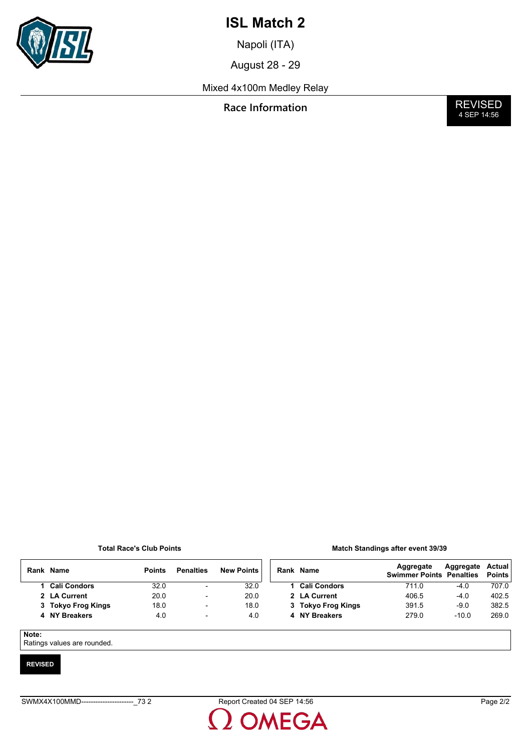

Napoli (ITA)

August 28 - 29

Mixed 4x100m Medley Relay

**Race Information** 

**REVISED**<br>4 SEP 14:56

#### **Total Race's Club Points**

|  | Match Standings after event 39/39 |  |  |
|--|-----------------------------------|--|--|
|  |                                   |  |  |

|       | Rank Name           | <b>Points</b> | <b>Penalties</b>         | <b>New Points</b> | Rank Name           | Aggregate<br><b>Swimmer Points Penalties</b> | Aggregate | Actual<br><b>Points</b> |
|-------|---------------------|---------------|--------------------------|-------------------|---------------------|----------------------------------------------|-----------|-------------------------|
|       | <b>Cali Condors</b> | 32.0          | $\overline{\phantom{0}}$ | 32.0              | <b>Cali Condors</b> | 711.0                                        | $-4.0$    | 707.0                   |
|       | 2 LA Current        | 20.0          | $\overline{\phantom{a}}$ | 20.0              | 2 LA Current        | 406.5                                        | $-4.0$    | 402.5                   |
|       | 3 Tokyo Frog Kings  | 18.0          | $\overline{\phantom{a}}$ | 18.0              | 3 Tokyo Frog Kings  | 391.5                                        | $-9.0$    | 382.5                   |
|       | 4 NY Breakers       | 4.0           | $\overline{\phantom{a}}$ | 4.0               | 4 NY Breakers       | 279.0                                        | $-10.0$   | 269.0                   |
|       |                     |               |                          |                   |                     |                                              |           |                         |
| Note: |                     |               |                          |                   |                     |                                              |           |                         |

Ratings values are rounded.

#### **REVISED**

OMEGA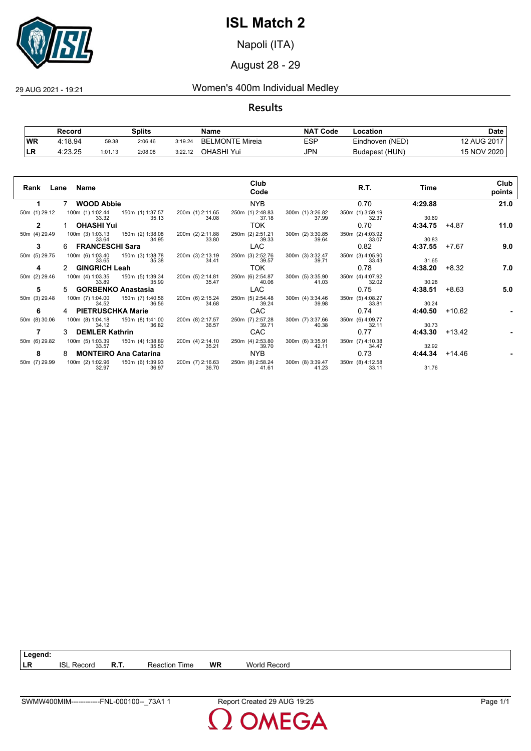

Napoli (ITA)

August 28 - 29

### 29 AUG 2021 - 19:21 Women's 400m Individual Medley

**Results**

|           | Record  |         | <b>Splits</b> |         | Name                   | <b>NAT Code</b> | Location        | Date        |
|-----------|---------|---------|---------------|---------|------------------------|-----------------|-----------------|-------------|
| <b>WR</b> | 4:18.94 | 59.38   | 2:06.46       | 3:19.24 | <b>BELMONTE Mireia</b> | ESP             | Eindhoven (NED) | 12 AUG 2017 |
| 'LR       | 4:23.25 | 1:01.13 | 2:08.08       | 3:22.12 | OHASHI Yui             | JPN             | Budapest (HUN)  | 15 NOV 2020 |

|               | Rank Lane Name                               |                           |                           | Club<br>Code              |                                            | R.T.                      | Time    |          | Club<br>points |
|---------------|----------------------------------------------|---------------------------|---------------------------|---------------------------|--------------------------------------------|---------------------------|---------|----------|----------------|
|               | <b>WOOD Abbie</b>                            |                           |                           | <b>NYB</b>                |                                            | 0.70                      | 4:29.88 |          | 21.0           |
| 50m (1) 29.12 | 100m (1) 1:02.44   150m (1) 1:37.57<br>33.32 | 35.13                     | 200m (1) 2:11.65<br>34.08 | 250m (1) 2:48.83<br>37.18 | 300m (1) 3:26.82<br>37.99                  | 350m (1) 3:59.19<br>32.37 | 30.69   |          |                |
| $\mathbf{2}$  | <b>OHASHI Yui</b>                            |                           |                           | <b>TOK</b>                |                                            | 0.70                      | 4:34.75 | +4.87    | 11.0           |
| 50m (4) 29.49 | 100m (3) 1:03.13  150m (2) 1:38.08<br>33.64  | 34.95                     | 200m (2) 2:11.88<br>33.80 | 250m (2) 2:51.21<br>39.33 | 300m (2) 3:30.85<br>39.64                  | 350m (2) 4:03.92<br>33.07 | 30.83   |          |                |
| 3             | FRANCESCHI Sara                              |                           |                           | LAC.                      |                                            | 0.82                      | 4:37.55 | +7.67    | 9.0            |
| 50m (5) 29.75 | 100m (6) 1:03.40  150m (3) 1:38.78<br>33.65  | 35.38                     | 200m (3) 2:13.19<br>34.41 | 250m (3) 2:52.76<br>39.57 | 300m (3) 3:32.47<br>39.71                  | 350m (3) 4:05.90<br>33.43 | 31.65   |          |                |
| 4             | 2 GINGRICH Leah                              |                           |                           | <b>TOK</b>                |                                            | 0.78                      | 4:38.20 | +8.32    | 7.0            |
| 50m (2) 29.46 | 100m (4) 1:03.35  150m (5) 1:39.34<br>33.89  | 35.99                     | 200m (5) 2:14.81<br>35.47 | 250m (6) 2:54.87<br>40.06 | 300m (5) 3:35.90<br>41.03                  | 350m (4) 4:07.92<br>32.02 | 30.28   |          |                |
| 5             | 5 GORBENKO Anastasia                         |                           |                           | LAC.                      |                                            | 0.75                      | 4:38.51 | $+8.63$  | 5.0            |
| 50m (3) 29.48 | 100m (7) 1:04.00<br>34.52                    | 150m (7) 1:40.56<br>36.56 | 200m (6) 2:15.24<br>34.68 | 250m (5) 2:54.48<br>39.24 | 300m (4) 3:34.46<br>39.98                  | 350m (5) 4:08.27<br>33.81 | 30.24   |          |                |
| 6             | 4 PIETRUSCHKA Marie                          |                           |                           | CAC                       |                                            | 0.74                      | 4:40.50 | $+10.62$ |                |
| 50m (8) 30.06 | 100m (8) 1:04.18  150m (8) 1:41.00<br>34.12  | 36.82                     | 200m (8) 2:17.57<br>36.57 | 250m (7) 2:57.28<br>39.71 | 300m (7) 3:37.66<br>40.38                  | 350m (6) 4:09.77<br>32.11 | 30.73   |          |                |
|               | <b>DEMLER Kathrin</b>                        |                           |                           | CAC                       |                                            | 0.77                      | 4:43.30 | $+13.42$ |                |
| 50m (6) 29.82 | 100m (5) 1:03.39<br>33.57                    | 150m (4) 1:38.89<br>35.50 | 200m (4) 2:14.10<br>35.21 | 250m (4) 2:53.80<br>39.70 | 300m (6) 3:35.91<br>42.11                  | 350m (7) 4:10.38<br>34.47 | 32.92   |          |                |
| 8             | 8 MONTEIRO Ana Catarina                      |                           |                           | NYB                       |                                            | 0.73                      | 4:44.34 | +14.46   |                |
| 50m (7) 29.99 | 100m (2) 1:02.96 150m (6) 1:39.93<br>32.97   | 36.97                     | 200m (7) 2:16.63<br>36.70 | 250m (8) 2:58.24<br>41.61 | 300m (8) 3:39.47 350m (8) 4:12.58<br>41.23 | 33.11                     | 31.76   |          |                |

**DMEGA**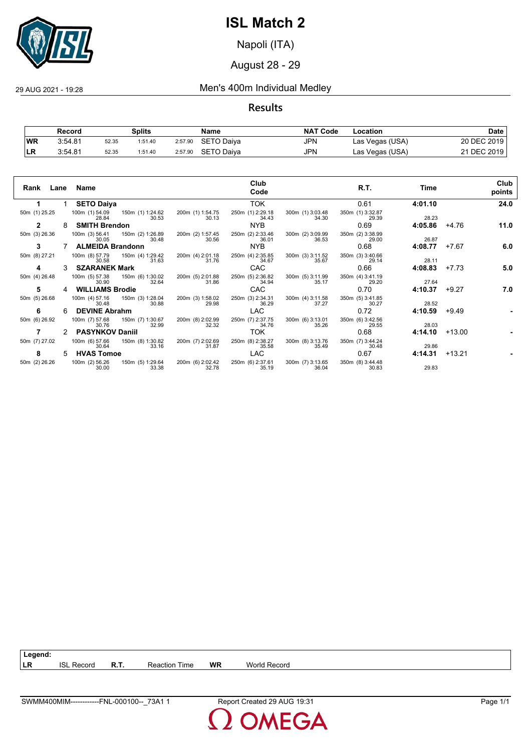

Napoli (ITA)

### August 28 - 29

29 AUG 2021 - 19:28 Men's 400m Individual Medley

#### **Results**

|           | Record  |       | Splits  |         | Name              | <b>NAT Code</b> | Location        | Date        |
|-----------|---------|-------|---------|---------|-------------------|-----------------|-----------------|-------------|
| <b>WR</b> | 3:54.81 | 52.35 | 1:51.40 | 2:57.90 | SETO Daiya        | JPN             | Las Vegas (USA) | 20 DEC 2019 |
|           | 3:54.81 | 52.35 | 1:51.40 | 2:57.90 | <b>SETO Daiva</b> | JPN             | Las Vegas (USA) | 21 DEC 2019 |

| Rank          |    | Lane Name               |                                            |                           | Club<br>Code              |                           | R.T.                      | Time    |          | Club<br>points |
|---------------|----|-------------------------|--------------------------------------------|---------------------------|---------------------------|---------------------------|---------------------------|---------|----------|----------------|
|               |    | <b>SETO Daiya</b>       |                                            |                           | <b>TOK</b>                |                           | 0.61                      | 4:01.10 |          | 24.0           |
| 50m (1) 25.25 |    | 28.84                   | 100m (1) 54.09   150m (1) 1:24.62<br>30.53 | 200m (1) 1:54.75<br>30.13 | 250m (1) 2:29.18<br>34.43 | 300m (1) 3:03.48<br>34.30 | 350m (1) 3:32.87<br>29.39 | 28.23   |          |                |
| 2             | 8  | <b>SMITH Brendon</b>    |                                            |                           | NYB.                      |                           | 0.69                      | 4:05.86 | +4.76    | 11.0           |
| 50m (3) 26.36 |    | 30.05                   | 100m (3) 56.41 150m (2) 1:26.89<br>30.48   | 200m (2) 1:57.45<br>30.56 | 250m (2) 2:33.46<br>36.01 | 300m (2) 3:09.99<br>36.53 | 350m (2) 3:38.99<br>29.00 | 26.87   |          |                |
| 3             |    | <b>ALMEIDA Brandonn</b> |                                            |                           | NYB.                      |                           | 0.68                      | 4:08.77 | +7.67    | 6.0            |
| 50m (8) 27.21 |    | 100m (8) 57.79<br>30.58 | 150m (4) 1:29.42<br>31.63                  | 200m (4) 2:01.18<br>31.76 | 250m (4) 2:35.85<br>34.67 | 300m (3) 3:11.52<br>35.67 | 350m (3) 3:40.66<br>29.14 | 28.11   |          |                |
| 4             |    | <b>SZARANEK Mark</b>    |                                            |                           | CAC                       |                           | 0.66                      | 4:08.83 | $+7.73$  | 5.0            |
| 50m (4) 26.48 |    | 100m (5) 57.38<br>30.90 | 150m (6) 1:30.02<br>32.64                  | 200m (5) 2:01.88<br>31.86 | 250m (5) 2:36.82<br>34.94 | 300m (5) 3:11.99<br>35.17 | 350m (4) 3:41.19<br>29.20 | 27.64   |          |                |
| 5             |    | <b>WILLIAMS Brodie</b>  |                                            |                           | <b>CAC</b>                |                           | 0.70                      | 4:10.37 | $+9.27$  | 7.0            |
| 50m (5) 26.68 |    | 100m (4) 57.16<br>30.48 | 150m (3) 1:28.04<br>30.88                  | 200m (3) 1:58.02<br>29.98 | 250m (3) 2:34.31<br>36.29 | 300m (4) 3:11.58<br>37.27 | 350m (5) 3:41.85<br>30.27 | 28.52   |          |                |
| 6             | 6  | <b>DEVINE Abrahm</b>    |                                            |                           | LAC                       |                           | 0.72                      | 4:10.59 | +9.49    |                |
| 50m (6) 26.92 |    | 100m (7) 57.68<br>30.76 | 150m (7) 1:30.67<br>32.99                  | 200m (8) 2:02.99<br>32.32 | 250m (7) 2:37.75<br>34.76 | 300m (6) 3:13.01<br>35.26 | 350m (6) 3:42.56<br>29.55 | 28.03   |          |                |
|               | 2  | <b>PASYNKOV Daniil</b>  |                                            |                           | TOK                       |                           | 0.68                      | 4:14.10 | $+13.00$ |                |
| 50m (7) 27.02 |    | 100m (6) 57.66<br>30.64 | 150m (8) 1:30.82<br>33.16                  | 200m (7) 2:02.69<br>31.87 | 250m (8) 2:38.27<br>35.58 | 300m (8) 3:13.76<br>35.49 | 350m (7) 3:44.24<br>30.48 | 29.86   |          |                |
| 8             | 5. | <b>HVAS Tomoe</b>       |                                            |                           | <b>LAC</b>                |                           | 0.67                      | 4:14.31 | +13.21   |                |
| 50m (2) 26.26 |    | 100m (2) 56.26<br>30.00 | 150m (5) 1:29.64<br>33.38                  | 200m (6) 2:02.42<br>32.78 | 250m (6) 2:37.61<br>35.19 | 300m (7) 3:13.65<br>36.04 | 350m (8) 3:44.48<br>30.83 | 29.83   |          |                |

**DMEGA**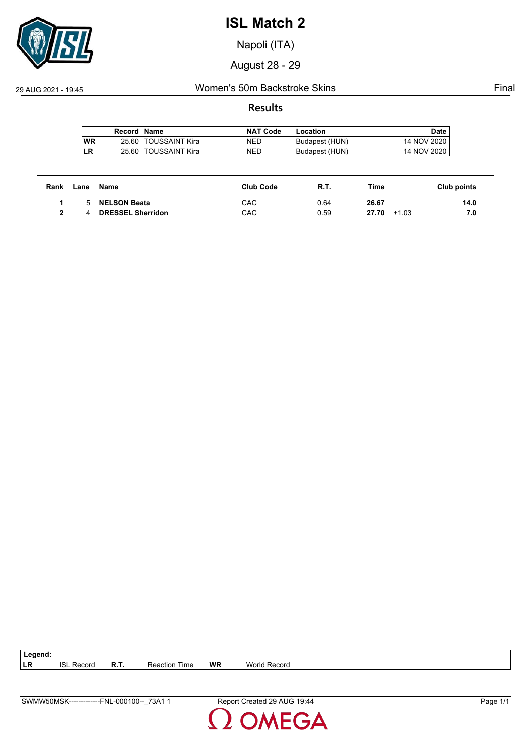

Napoli (ITA)

August 28 - 29

### 29 AUG 2021 - 19:45 Women's 50m Backstroke Skins Final

#### **Results**

|           | Record Name |                      | <b>NAT Code</b> | Location       | Date        |
|-----------|-------------|----------------------|-----------------|----------------|-------------|
| <b>WR</b> |             | 25.60 TOUSSAINT Kira | NED             | Budapest (HUN) | 14 NOV 2020 |
| LR        |             | 25.60 TOUSSAINT Kira | <b>NED</b>      | Budapest (HUN) | 14 NOV 2020 |

| Rank | Lane | Name                     | <b>Club Code</b> | R.T. | Time             | Club points |
|------|------|--------------------------|------------------|------|------------------|-------------|
|      |      | <b>NELSON Beata</b>      | CAC              | 0.64 | 26.67            | 14.0        |
|      |      | <b>DRESSEL Sherridon</b> | CAC              | 0.59 | 27.70<br>$+1.03$ | 7.0         |

| $\vert$ Legend: |                   |                      |    |              |
|-----------------|-------------------|----------------------|----|--------------|
| I LR            | <b>ISL Record</b> | <b>Reaction Time</b> | WR | World Record |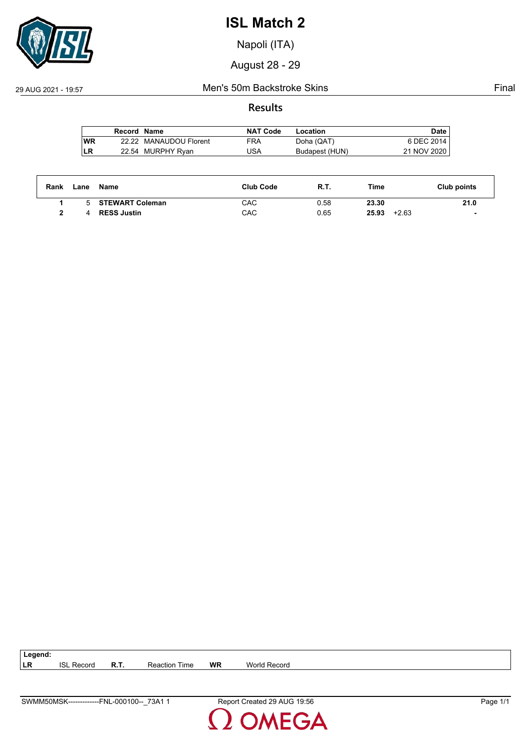

Napoli (ITA)

August 28 - 29

#### 29 AUG 2021 - 19:57 Men's 50m Backstroke Skins Final

#### **Results**

|    | Record Name |                        | <b>NAT Code</b> | Location       | Date        |
|----|-------------|------------------------|-----------------|----------------|-------------|
| WR |             | 22.22 MANAUDOU Florent | FRA             | Doha (QAT)     | 6 DEC 2014  |
| LR |             | 22.54 MURPHY Ryan      | USA             | Budapest (HUN) | 21 NOV 2020 |

| Rank | Lane | Name                   | <b>Club Code</b> | <b>R.T.</b> | Time             | Club points |
|------|------|------------------------|------------------|-------------|------------------|-------------|
|      |      | <b>STEWART Coleman</b> | CAC              | 0.58        | 23.30            | 21.0        |
|      |      | <b>RESS Justin</b>     | CAC              | 0.65        | 25.93<br>$+2.63$ |             |

**Legend: LR** ISL Record **R.T.** Reaction Time **WR** World Record

**MEGA**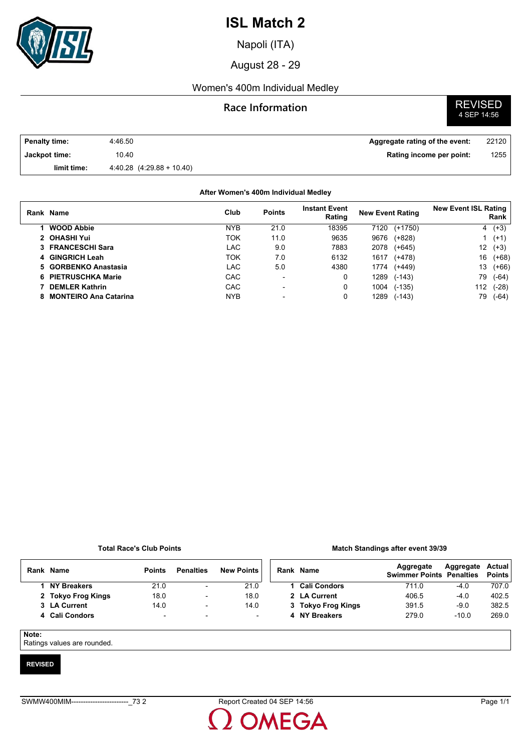

Napoli (ITA)

August 28 - 29

#### Women's 400m Individual Medley

#### **Race Information**

**REVISED**<br>4 SEP 14:56

| <b>Penalty time:</b> | 4:46.50                       | Aggregate rating of the event: | 22120 |
|----------------------|-------------------------------|--------------------------------|-------|
| Jackpot time:        | 10.40                         | Rating income per point:       | 1255  |
| limit time:          | $4.40.28$ $(4.29.88 + 10.40)$ |                                |       |

#### **After Women's 400m Individual Medley**

| Rank Name                    | Club       | <b>Points</b>            | <b>Instant Event</b><br>Rating | <b>New Event Rating</b> |           | <b>New Event ISL Rating</b> | Rank     |
|------------------------------|------------|--------------------------|--------------------------------|-------------------------|-----------|-----------------------------|----------|
| <b>WOOD Abbie</b>            | <b>NYB</b> | 21.0                     | 18395                          | 7120                    | $(+1750)$ |                             | $4(+3)$  |
| 2 OHASHI Yui                 | ток        | 11.0                     | 9635                           | 9676                    | $(+828)$  |                             | 1 $(+1)$ |
| 3 FRANCESCHI Sara            | LAC        | 9.0                      | 7883                           | 2078                    | $(+645)$  | 12                          | $(+3)$   |
| 4 GINGRICH Leah              | ток        | 7.0                      | 6132                           | 1617                    | $(+478)$  | 16                          | $(+68)$  |
| 5 GORBENKO Anastasia         | LAC        | 5.0                      | 4380                           | 1774                    | $(+449)$  | 13                          | $(+66)$  |
| 6 PIETRUSCHKA Marie          | <b>CAC</b> | $\overline{\phantom{0}}$ | 0                              | 1289                    | $(-143)$  | 79                          | (-64)    |
| <b>DEMLER Kathrin</b>        | <b>CAC</b> | $\blacksquare$           | 0                              | 1004                    | $(-135)$  | 112                         | (-28)    |
| <b>MONTEIRO Ana Catarina</b> | <b>NYB</b> |                          | 0                              | 1289                    | $(-143)$  | 79                          | (-64)    |

#### **Total Race's Club Points**

#### **Match Standings after event 39/39**

|  | Rank Name          | <b>Points</b>            | <b>Penalties</b>         | <b>New Points</b> | Rank Na |           |
|--|--------------------|--------------------------|--------------------------|-------------------|---------|-----------|
|  | <b>NY Breakers</b> | 21.0                     | $\overline{\phantom{a}}$ | 21.0              |         | Cа        |
|  | 2 Tokyo Frog Kings | 18.0                     | $\overline{\phantom{a}}$ | 18.0              |         | 2 LA      |
|  | 3 LA Current       | 14.0                     | $\overline{\phantom{0}}$ | 14.0              | 3       | Т٥        |
|  | 4 Cali Condors     | $\overline{\phantom{0}}$ | $\overline{\phantom{a}}$ |                   |         | <b>NY</b> |
|  |                    |                          |                          |                   |         |           |

| Rank Name          | Aggregate<br><b>Swimmer Points Penalties</b> | Aggregate Actual | <b>Points</b> |
|--------------------|----------------------------------------------|------------------|---------------|
| 1 Cali Condors     | 711.0                                        | $-4.0$           | 707.0         |
| 2 LA Current       | 406.5                                        | $-4.0$           | 402.5         |
| 3 Tokyo Frog Kings | 391.5                                        | -90              | 382.5         |
| 4 NY Breakers      | 279.0                                        | $-10.0$          | 2690          |
|                    |                                              |                  |               |

#### **Note:**

Ratings values are rounded.

#### **REVISED**

**OMEGA**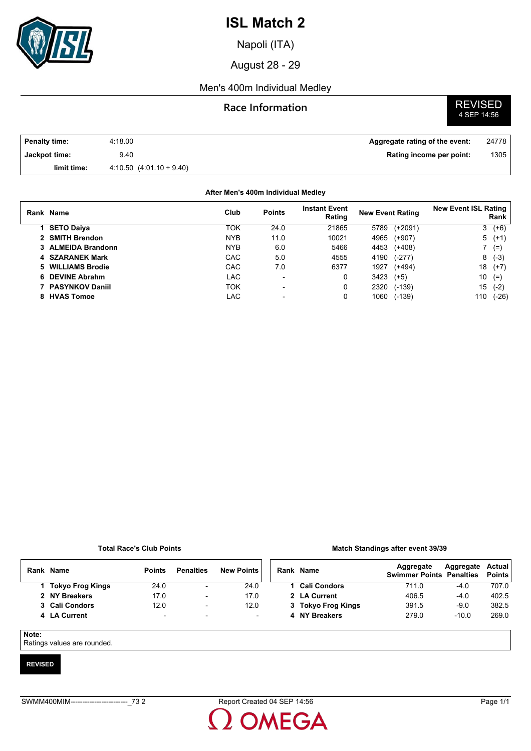

Napoli (ITA)

August 28 - 29

#### Men's 400m Individual Medley

### **Race Information** REVISED

# 4 SEP 14:56

| <b>Penalty time:</b> | 4:18.00                   | Aggregate rating of the event: | 24778 |
|----------------------|---------------------------|--------------------------------|-------|
| Jackpot time:        | 9.40                      | Rating income per point:       | 1305  |
| limit time:          | $4.10.50(4.01.10 + 9.40)$ |                                |       |

#### **Rank Name Points Instant Event Rating New Event Rating New Event ISL Rating Rank After Men's 400m Individual Medley Club 1 SETO Daiya** TOK 24.0 21865 5789 (+2091) 3 (+6) **2 SMITH Brendon** NYB 11.0 10021 4965 (+907) 5 (+1) **3 ALMEIDA Brandonn** NYB 6.0 5466 4453 (+408) 7 (=) **4 SZARANEK Mark** CAC 5.0 4555 4190 (-277) 8 (-3) **5 WILLIAMS Brodie** CAC 7.0 6377 1927 (+494) 18 (+7) **6 DEVINE Abrahm LAC** - 0 3423 (+5) 10 (=) **7 PASYNKOV Daniil** TOK - 0 2320 (-139) 15 (-2) **8 HVAS Tomoe** LAC - 0 1060 (-139) 110 (-26)

#### **Total Race's Club Points**

#### **Match Standings after event 39/39**

| Rank | <b>Name</b>      | <b>Points</b>            | <b>Penalties</b>         | <b>New Points</b> | Rank | <b>Name</b>         | Aggregate<br><b>Swimmer Points Penalties</b> | Aggregate | Actual<br><b>Points</b> |
|------|------------------|--------------------------|--------------------------|-------------------|------|---------------------|----------------------------------------------|-----------|-------------------------|
|      | Tokyo Frog Kings | 24.0                     | $\overline{\phantom{0}}$ | 24.0              |      | <b>Cali Condors</b> | 711.0                                        | $-4.0$    | 707.0                   |
|      | 2 NY Breakers    | 17.0                     | $\overline{\phantom{a}}$ | 17.0              |      | 2 LA Current        | 406.5                                        | $-4.0$    | 402.5                   |
|      | 3 Cali Condors   | 12.0                     | $\overline{\phantom{a}}$ | 12.0              |      | 3 Tokyo Frog Kings  | 391.5                                        | $-9.0$    | 382.5                   |
|      | 4 LA Current     | $\overline{\phantom{a}}$ | $\overline{\phantom{a}}$ |                   |      | 4 NY Breakers       | 279.0                                        | $-10.0$   | 269.0                   |

#### **Note:**

Ratings values are rounded.

#### **REVISED**

**OMEGA**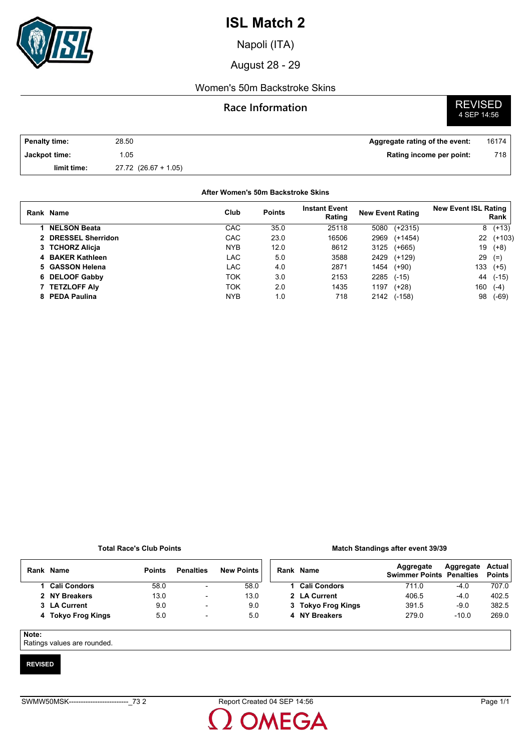

Napoli (ITA)

August 28 - 29

#### Women's 50m Backstroke Skins

### **Race Information**

# **REVISED**<br>4 SEP 14:56

| Penalty time: | 28.50                    | Aggregate rating of the event: | 16174 |
|---------------|--------------------------|--------------------------------|-------|
| Jackpot time: | .05                      | Rating income per point:       | 718   |
| limit time:   | $27.72$ $(26.67 + 1.05)$ |                                |       |

#### **After Women's 50m Backstroke Skins**

| Rank Name           | Club       | <b>Points</b> | <b>Instant Event</b><br>Rating | <b>New Event Rating</b> |           | <b>New Event ISL Rating</b> | Rank     |
|---------------------|------------|---------------|--------------------------------|-------------------------|-----------|-----------------------------|----------|
| <b>NELSON Beata</b> | CAC        | 35.0          | 25118                          | 5080                    | $(+2315)$ | 8                           | $(+13)$  |
| 2 DRESSEL Sherridon | CAC        | 23.0          | 16506                          | 2969                    | $(+1454)$ | 22                          | $(+103)$ |
| 3 TCHORZ Alicia     | <b>NYB</b> | 12.0          | 8612                           | 3125                    | $(+665)$  | 19                          | $(+8)$   |
| 4 BAKER Kathleen    | LAC        | 5.0           | 3588                           | 2429                    | $(+129)$  | 29                          | $(=)$    |
| 5 GASSON Helena     | LAC        | 4.0           | 2871                           | 1454                    | $(+90)$   | 133                         | $(+5)$   |
| 6 DELOOF Gabby      | ток        | 3.0           | 2153                           | 2285                    | $(-15)$   | 44                          | $(-15)$  |
| <b>TETZLOFF Alv</b> | TOK        | 2.0           | 1435                           | 1197                    | $(+28)$   | 160                         | $(-4)$   |
| 8 PEDA Paulina      | <b>NYB</b> | 1.0           | 718                            | 2142                    | $(-158)$  | 98                          | (-69)    |

#### **Total Race's Club Points**

#### **Match Standings after event 39/39**

|       | Rank Name          | <b>Points</b> | <b>Penalties</b>         | <b>New Points</b> | Rank Name           | Aggregate<br><b>Swimmer Points Penalties</b> | Aggregate | Actual<br><b>Points</b> |
|-------|--------------------|---------------|--------------------------|-------------------|---------------------|----------------------------------------------|-----------|-------------------------|
|       | 1 Cali Condors     | 58.0          | $\overline{\phantom{0}}$ | 58.0              | <b>Cali Condors</b> | 711.0                                        | $-4.0$    | 707.0                   |
|       | 2 NY Breakers      | 13.0          | $\overline{\phantom{a}}$ | 13.0              | 2 LA Current        | 406.5                                        | $-4.0$    | 402.5                   |
|       | 3 LA Current       | 9.0           | $\overline{\phantom{0}}$ | 9.0               | 3 Tokyo Frog Kings  | 391.5                                        | $-9.0$    | 382.5                   |
|       | 4 Tokyo Frog Kings | 5.0           | $\overline{\phantom{a}}$ | 5.0               | 4 NY Breakers       | 279.0                                        | $-10.0$   | 269.0                   |
| Note: |                    |               |                          |                   |                     |                                              |           |                         |

Ratings values are rounded.

#### **REVISED**

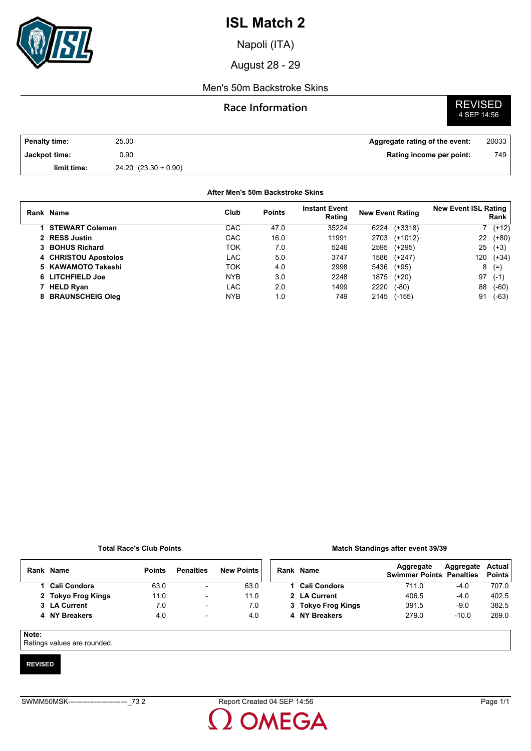

Napoli (ITA)

August 28 - 29

#### Men's 50m Backstroke Skins

### **Race Information**

# **REVISED**<br>4 SEP 14:56

| <b>Penalty time:</b> | 25.00                 | Aggregate rating of the event: | 20033 |
|----------------------|-----------------------|--------------------------------|-------|
| Jackpot time:        | 0.90                  | Rating income per point:       | 749   |
| limit time:          | $24.20(23.30 + 0.90)$ |                                |       |

#### **After Men's 50m Backstroke Skins**

| Rank Name              | Club       | <b>Points</b> | <b>Instant Event</b><br>Rating | <b>New Event Rating</b> | <b>New Event ISL Rating</b><br>Rank |
|------------------------|------------|---------------|--------------------------------|-------------------------|-------------------------------------|
| <b>STEWART Coleman</b> | CAC        | 47.0          | 35224                          | $(+3318)$<br>6224       | $(+12)$                             |
| 2 RESS Justin          | CAC        | 16.0          | 11991                          | 2703<br>$(+1012)$       | 22<br>$(+80)$                       |
| 3 BOHUS Richard        | TOK        | 7.0           | 5246                           | 2595<br>(+295)          | 25<br>$(+3)$                        |
| 4 CHRISTOU Apostolos   | LAC        | 5.0           | 3747                           | 1586<br>$(+247)$        | 120<br>$(+34)$                      |
| 5 KAWAMOTO Takeshi     | TOK        | 4.0           | 2998                           | 5436<br>$(+95)$         | 8<br>$(=)$                          |
| 6 LITCHFIELD Joe       | <b>NYB</b> | 3.0           | 2248                           | 1875<br>$(+20)$         | 97<br>$(-1)$                        |
| 7 HELD Ryan            | LAC        | 2.0           | 1499                           | 2220<br>$(-80)$         | 88<br>$(-60)$                       |
| 8 BRAUNSCHEIG Oleg     | <b>NYB</b> | 1.0           | 749                            | 2145<br>$(-155)$        | 91<br>$(-63)$                       |

#### **Total Race's Club Points**

#### **Match Standings after event 39/39**

| Rank  | Name                | <b>Points</b> | <b>Penalties</b>         | <b>New Points</b> |  | Rank Name           | Aggregate<br><b>Swimmer Points Penalties</b> | Aggregate | Actual<br><b>Points</b> |
|-------|---------------------|---------------|--------------------------|-------------------|--|---------------------|----------------------------------------------|-----------|-------------------------|
|       | <b>Cali Condors</b> | 63.0          | $\overline{\phantom{a}}$ | 63.0              |  | <b>Cali Condors</b> | 711.0                                        | $-4.0$    | 707.0                   |
|       | 2 Tokyo Frog Kings  | 11.0          | $\overline{\phantom{0}}$ | 11.0              |  | 2 LA Current        | 406.5                                        | $-4.0$    | 402.5                   |
|       | 3 LA Current        | 7.0           | $\overline{\phantom{0}}$ | 7.0               |  | 3 Tokyo Frog Kings  | 391.5                                        | $-9.0$    | 382.5                   |
|       | 4 NY Breakers       | 4.0           | $\overline{\phantom{a}}$ | 4.0               |  | 4 NY Breakers       | 279.0                                        | $-10.0$   | 269.0                   |
| Note: |                     |               |                          |                   |  |                     |                                              |           |                         |

Ratings values are rounded.

#### **REVISED**

OMEGA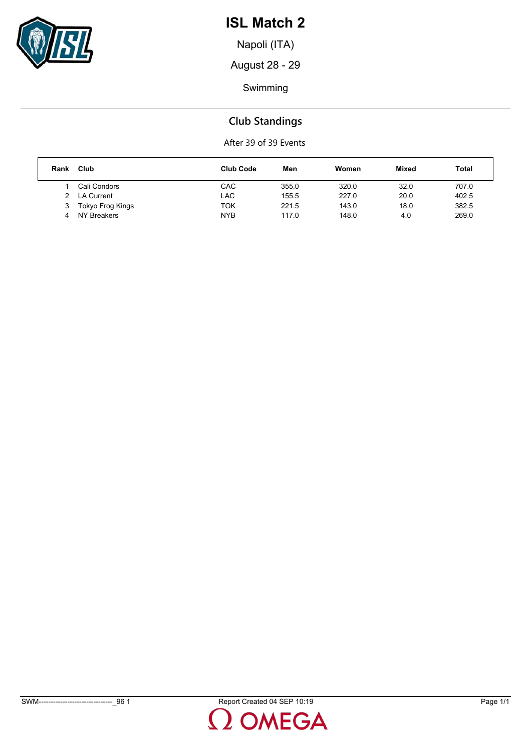

Napoli (ITA)

August 28 - 29

Swimming

### **Club Standings**

After 39 of 39 Events

| Rank | Club             | <b>Club Code</b> | Men   | Women | Mixed | Total |
|------|------------------|------------------|-------|-------|-------|-------|
|      | Cali Condors     | <b>CAC</b>       | 355.0 | 320.0 | 32.0  | 707.0 |
|      | LA Current       | LAC              | 155.5 | 227.0 | 20.0  | 402.5 |
| 3    | Tokyo Frog Kings | TOK              | 221.5 | 143.0 | 18.0  | 382.5 |
|      | NY Breakers      | <b>NYB</b>       | 117.0 | 148.0 | 4.0   | 269.0 |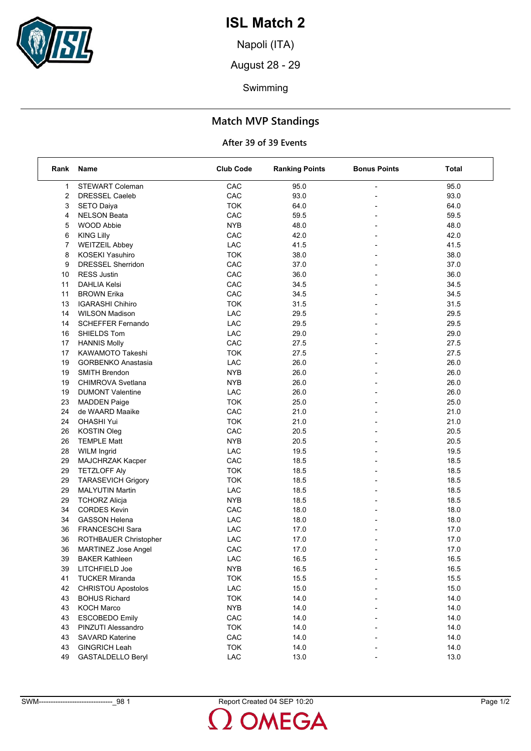

Napoli (ITA)

August 28 - 29

Swimming

### **Match MVP Standings**

#### **After 39 of 39 Events**

| Rank | Name                       | <b>Club Code</b> | <b>Ranking Points</b> | <b>Bonus Points</b>      | Total |
|------|----------------------------|------------------|-----------------------|--------------------------|-------|
| 1    | <b>STEWART Coleman</b>     | CAC              | 95.0                  |                          | 95.0  |
| 2    | <b>DRESSEL Caeleb</b>      | CAC              | 93.0                  |                          | 93.0  |
| 3    | <b>SETO Daiya</b>          | <b>TOK</b>       | 64.0                  |                          | 64.0  |
| 4    | <b>NELSON Beata</b>        | CAC              | 59.5                  | $\overline{a}$           | 59.5  |
| 5    | <b>WOOD Abbie</b>          | <b>NYB</b>       | 48.0                  |                          | 48.0  |
| 6    | <b>KING Lilly</b>          | CAC              | 42.0                  |                          | 42.0  |
| 7    | <b>WEITZEIL Abbey</b>      | LAC              | 41.5                  | $\overline{a}$           | 41.5  |
| 8    | KOSEKI Yasuhiro            | <b>TOK</b>       | 38.0                  |                          | 38.0  |
| 9    | <b>DRESSEL Sherridon</b>   | CAC              | 37.0                  |                          | 37.0  |
| 10   | <b>RESS Justin</b>         | CAC              | 36.0                  |                          | 36.0  |
| 11   | <b>DAHLIA Kelsi</b>        | CAC              | 34.5                  | $\overline{\phantom{0}}$ | 34.5  |
| 11   | <b>BROWN Erika</b>         | CAC              | 34.5                  |                          | 34.5  |
| 13   | <b>IGARASHI Chihiro</b>    | <b>TOK</b>       | 31.5                  | $\overline{a}$           | 31.5  |
| 14   | <b>WILSON Madison</b>      | LAC              | 29.5                  |                          | 29.5  |
| 14   | <b>SCHEFFER Fernando</b>   | LAC              | 29.5                  |                          | 29.5  |
| 16   | SHIELDS Tom                | LAC              | 29.0                  | $\overline{a}$           | 29.0  |
| 17   | <b>HANNIS Molly</b>        | CAC              | 27.5                  | $\overline{a}$           | 27.5  |
| 17   | KAWAMOTO Takeshi           | <b>TOK</b>       | 27.5                  |                          | 27.5  |
| 19   | <b>GORBENKO Anastasia</b>  | LAC              | 26.0                  |                          | 26.0  |
| 19   | <b>SMITH Brendon</b>       | <b>NYB</b>       | 26.0                  |                          | 26.0  |
| 19   | CHIMROVA Svetlana          | <b>NYB</b>       | 26.0                  |                          | 26.0  |
| 19   | <b>DUMONT Valentine</b>    | LAC              | 26.0                  | $\overline{a}$           | 26.0  |
| 23   | <b>MADDEN Paige</b>        | <b>TOK</b>       | 25.0                  |                          | 25.0  |
| 24   | de WAARD Maaike            | CAC              | 21.0                  |                          | 21.0  |
| 24   | <b>OHASHI Yui</b>          | <b>TOK</b>       | 21.0                  |                          | 21.0  |
| 26   | <b>KOSTIN Oleg</b>         | CAC              | 20.5                  |                          | 20.5  |
| 26   | <b>TEMPLE Matt</b>         | <b>NYB</b>       | 20.5                  |                          | 20.5  |
| 28   | <b>WILM Ingrid</b>         | LAC              | 19.5                  | $\overline{a}$           | 19.5  |
| 29   | MAJCHRZAK Kacper           | CAC              | 18.5                  |                          | 18.5  |
| 29   | <b>TETZLOFF Aly</b>        | <b>TOK</b>       | 18.5                  |                          | 18.5  |
| 29   | <b>TARASEVICH Grigory</b>  | <b>TOK</b>       | 18.5                  |                          | 18.5  |
| 29   | <b>MALYUTIN Martin</b>     | LAC              | 18.5                  | $\overline{\phantom{0}}$ | 18.5  |
| 29   | <b>TCHORZ Alicja</b>       | <b>NYB</b>       | 18.5                  |                          | 18.5  |
| 34   | <b>CORDES Kevin</b>        | CAC              | 18.0                  | $\overline{a}$           | 18.0  |
| 34   | <b>GASSON Helena</b>       | LAC              | 18.0                  | $\overline{\phantom{0}}$ | 18.0  |
| 36   | FRANCESCHI Sara            | LAC              | 17.0                  |                          | 17.0  |
| 36   | ROTHBAUER Christopher      | LAC              | 17.0                  |                          | 17.0  |
| 36   | <b>MARTINEZ Jose Angel</b> | CAC              | 17.0                  |                          | 17.0  |
| 39   | <b>BAKER Kathleen</b>      | ${\sf LAC}$      | 16.5                  |                          | 16.5  |
| 39   | LITCHFIELD Joe             | <b>NYB</b>       | 16.5                  |                          | 16.5  |
| 41   | <b>TUCKER Miranda</b>      | <b>TOK</b>       | 15.5                  |                          | 15.5  |
| 42   | <b>CHRISTOU Apostolos</b>  | LAC              | 15.0                  |                          | 15.0  |
| 43   | <b>BOHUS Richard</b>       | <b>TOK</b>       | 14.0                  |                          | 14.0  |
| 43   | <b>KOCH Marco</b>          | <b>NYB</b>       | 14.0                  |                          | 14.0  |
| 43   | <b>ESCOBEDO Emily</b>      | CAC              | 14.0                  |                          | 14.0  |
| 43   | PINZUTI Alessandro         | <b>TOK</b>       | 14.0                  |                          | 14.0  |
| 43   | <b>SAVARD Katerine</b>     | CAC              | 14.0                  |                          | 14.0  |
| 43   | <b>GINGRICH Leah</b>       | <b>TOK</b>       | 14.0                  |                          | 14.0  |
| 49   | <b>GASTALDELLO Beryl</b>   | ${\sf LAC}$      | 13.0                  |                          | 13.0  |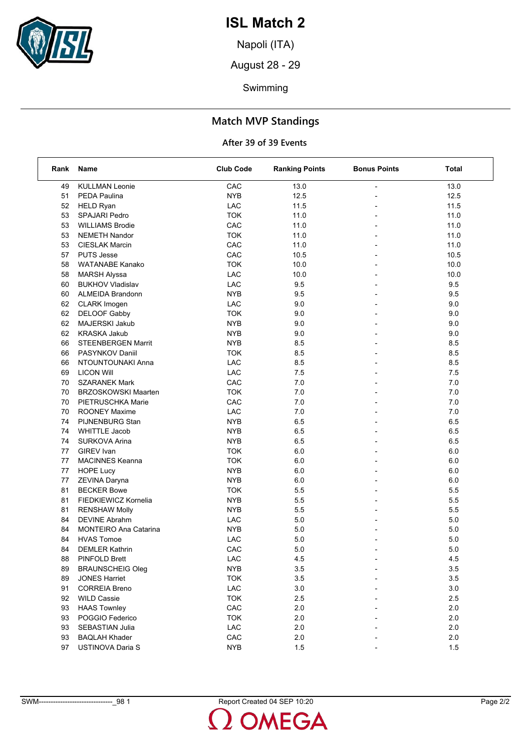

Napoli (ITA)

August 28 - 29

Swimming

### **Match MVP Standings**

#### **After 39 of 39 Events**

| Rank | Name                         | <b>Club Code</b> | <b>Ranking Points</b> | <b>Bonus Points</b>          | Total   |
|------|------------------------------|------------------|-----------------------|------------------------------|---------|
| 49   | <b>KULLMAN Leonie</b>        | CAC              | 13.0                  |                              | 13.0    |
| 51   | PEDA Paulina                 | <b>NYB</b>       | 12.5                  |                              | 12.5    |
| 52   | <b>HELD Ryan</b>             | LAC              | 11.5                  |                              | 11.5    |
| 53   | SPAJARI Pedro                | <b>TOK</b>       | 11.0                  | $\overline{a}$               | 11.0    |
| 53   | <b>WILLIAMS Brodie</b>       | CAC              | 11.0                  |                              | 11.0    |
| 53   | <b>NEMETH Nandor</b>         | <b>TOK</b>       | 11.0                  |                              | 11.0    |
| 53   | <b>CIESLAK Marcin</b>        | CAC              | 11.0                  |                              | 11.0    |
| 57   | <b>PUTS Jesse</b>            | CAC              | 10.5                  |                              | 10.5    |
| 58   | <b>WATANABE Kanako</b>       | <b>TOK</b>       | 10.0                  |                              | 10.0    |
| 58   | <b>MARSH Alyssa</b>          | LAC              | 10.0                  | $\overline{a}$               | 10.0    |
| 60   | <b>BUKHOV Vladislav</b>      | LAC              | 9.5                   |                              | 9.5     |
| 60   | <b>ALMEIDA Brandonn</b>      | <b>NYB</b>       | 9.5                   |                              | 9.5     |
| 62   | <b>CLARK Imogen</b>          | LAC              | 9.0                   |                              | 9.0     |
| 62   | <b>DELOOF Gabby</b>          | <b>TOK</b>       | 9.0                   |                              | 9.0     |
| 62   | MAJERSKI Jakub               | <b>NYB</b>       | 9.0                   |                              | 9.0     |
| 62   | <b>KRASKA Jakub</b>          | <b>NYB</b>       | 9.0                   | $\overline{a}$               | 9.0     |
| 66   | <b>STEENBERGEN Marrit</b>    | <b>NYB</b>       | 8.5                   | $\overline{a}$               | 8.5     |
| 66   | PASYNKOV Daniil              | <b>TOK</b>       | 8.5                   |                              | 8.5     |
| 66   | NTOUNTOUNAKI Anna            | LAC              | 8.5                   | $\overline{a}$               | 8.5     |
| 69   | <b>LICON Will</b>            | LAC              | 7.5                   |                              | 7.5     |
| 70   | <b>SZARANEK Mark</b>         | CAC              | 7.0                   |                              | 7.0     |
| 70   | <b>BRZOSKOWSKI Maarten</b>   | <b>TOK</b>       | 7.0                   |                              | 7.0     |
| 70   | PIETRUSCHKA Marie            | CAC              | 7.0                   |                              | 7.0     |
| 70   | <b>ROONEY Maxime</b>         | LAC              | 7.0                   |                              | 7.0     |
| 74   | <b>PIJNENBURG Stan</b>       | <b>NYB</b>       | 6.5                   | L,                           | 6.5     |
| 74   | <b>WHITTLE Jacob</b>         | <b>NYB</b>       | 6.5                   |                              | 6.5     |
| 74   | SURKOVA Arina                | <b>NYB</b>       | 6.5                   |                              | 6.5     |
| 77   | <b>GIREV</b> Ivan            | <b>TOK</b>       | 6.0                   |                              | 6.0     |
| 77   | <b>MACINNES Keanna</b>       | <b>TOK</b>       | 6.0                   | $\overline{a}$               | 6.0     |
| 77   |                              | <b>NYB</b>       | 6.0                   | $\overline{a}$               |         |
|      | <b>HOPE Lucy</b>             |                  |                       |                              | 6.0     |
| 77   | ZEVINA Daryna                | <b>NYB</b>       | 6.0                   | $\overline{a}$               | 6.0     |
| 81   | <b>BECKER Bowe</b>           | <b>TOK</b>       | 5.5                   |                              | 5.5     |
| 81   | FIEDKIEWICZ Kornelia         | <b>NYB</b>       | 5.5                   | $\overline{a}$               | 5.5     |
| 81   | <b>RENSHAW Molly</b>         | <b>NYB</b>       | 5.5                   | ÷                            | 5.5     |
| 84   | <b>DEVINE Abrahm</b>         | LAC              | 5.0                   | $\qquad \qquad \blacksquare$ | 5.0     |
| 84   | <b>MONTEIRO Ana Catarina</b> | <b>NYB</b>       | 5.0                   |                              | 5.0     |
| 84   | <b>HVAS Tomoe</b>            | LAC              | 5.0                   |                              | 5.0     |
| 84   | <b>DEMLER Kathrin</b>        | CAC              | 5.0                   |                              | 5.0     |
| 88   | PINFOLD Brett                | LAC              | 4.5                   |                              | 4.5     |
| 89   | <b>BRAUNSCHEIG Oleg</b>      | <b>NYB</b>       | 3.5                   |                              | 3.5     |
| 89   | <b>JONES Harriet</b>         | <b>TOK</b>       | 3.5                   |                              | $3.5\,$ |
| 91   | <b>CORREIA Breno</b>         | LAC              | 3.0                   |                              | 3.0     |
| 92   | <b>WILD Cassie</b>           | <b>TOK</b>       | 2.5                   |                              | 2.5     |
| 93   | <b>HAAS Townley</b>          | CAC              | 2.0                   |                              | 2.0     |
| 93   | POGGIO Federico              | <b>TOK</b>       | 2.0                   |                              | 2.0     |
| 93   | <b>SEBASTIAN Julia</b>       | LAC              | 2.0                   |                              | 2.0     |
| 93   | <b>BAQLAH Khader</b>         | CAC              | 2.0                   |                              | 2.0     |
| 97   | USTINOVA Daria S             | <b>NYB</b>       | 1.5                   |                              | 1.5     |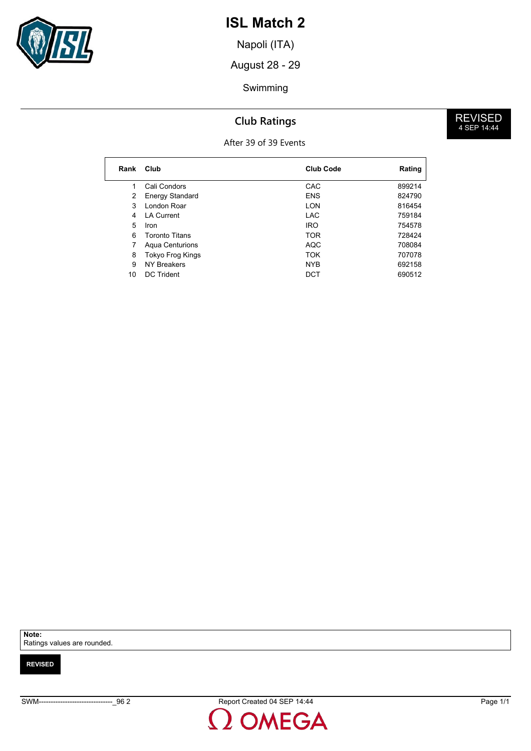

Napoli (ITA)

August 28 - 29

#### Swimming

### **Club Ratings**

#### After 39 of 39 Events

| Rank | Club                   | <b>Club Code</b> | Rating |
|------|------------------------|------------------|--------|
| 1    | Cali Condors           | CAC              | 899214 |
| 2    | <b>Energy Standard</b> | <b>ENS</b>       | 824790 |
| 3    | London Roar            | <b>LON</b>       | 816454 |
| 4    | I A Current            | <b>LAC</b>       | 759184 |
| 5    | Iron                   | <b>IRO</b>       | 754578 |
| 6    | Toronto Titans         | <b>TOR</b>       | 728424 |
| 7    | <b>Agua Centurions</b> | <b>AQC</b>       | 708084 |
| 8    | Tokyo Frog Kings       | <b>TOK</b>       | 707078 |
| 9    | <b>NY Breakers</b>     | <b>NYB</b>       | 692158 |
| 10   | DC Trident             | DCT              | 690512 |

**Note:**

Ratings values are rounded.

**REVISED**

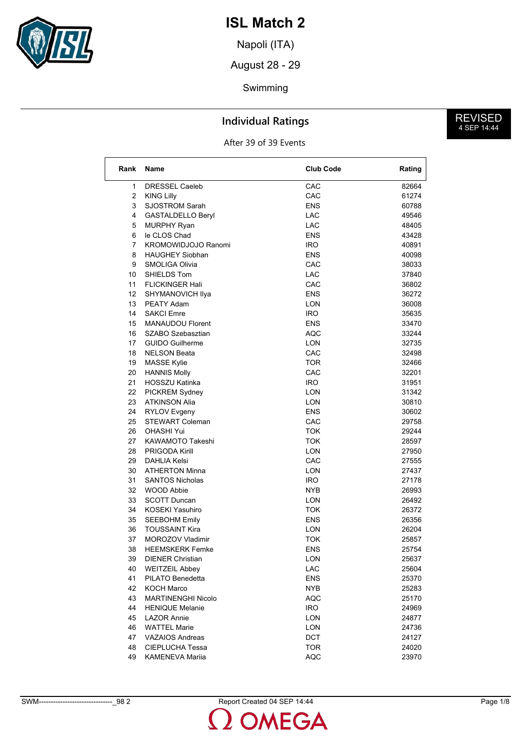

Napoli (ITA)

August 28 - 29

#### Swimming

### **Individual Ratings**

After 39 of 39 Events

| Rank | <b>Name</b>                | <b>Club Code</b> | Rating |
|------|----------------------------|------------------|--------|
| 1    | <b>DRESSEL Caeleb</b>      | CAC              | 82664  |
| 2    | <b>KING Lilly</b>          | CAC              | 61274  |
| 3    |                            |                  |        |
|      | <b>SJOSTROM Sarah</b>      | <b>ENS</b>       | 60788  |
| 4    | <b>GASTALDELLO Beryl</b>   | LAC              | 49546  |
| 5    | <b>MURPHY Ryan</b>         | LAC              | 48405  |
| 6    | le CLOS Chad               | <b>ENS</b>       | 43428  |
| 7    | <b>KROMOWIDJOJO Ranomi</b> | IRO.             | 40891  |
| 8    | <b>HAUGHEY Siobhan</b>     | ENS              | 40098  |
| 9    | SMOLIGA Olivia             | CAC              | 38033  |
| 10   | SHIELDS Tom                | LAC              | 37840  |
| 11   | <b>FLICKINGER Hali</b>     | CAC              | 36802  |
| 12   | SHYMANOVICH IIya           | <b>ENS</b>       | 36272  |
| 13   | PEATY Adam                 | LON              | 36008  |
| 14   | <b>SAKCI Emre</b>          | <b>IRO</b>       | 35635  |
| 15   | <b>MANAUDOU Florent</b>    | ENS              | 33470  |
| 16   | SZABO Szebasztian          | AQC              | 33244  |
| 17   | <b>GUIDO Guilherme</b>     | LON              | 32735  |
| 18   | <b>NELSON Beata</b>        | CAC              | 32498  |
| 19   | <b>MASSE Kylie</b>         | TOR              | 32466  |
| 20   | <b>HANNIS Molly</b>        | CAC              | 32201  |
| 21   | HOSSZU Katinka             | <b>IRO</b>       | 31951  |
| 22   | PICKREM Sydney             | LON              | 31342  |
| 23   | <b>ATKINSON Alia</b>       | LON              | 30810  |
| 24   | RYLOV Evgeny               | <b>ENS</b>       | 30602  |
| 25   | <b>STEWART Coleman</b>     | CAC              | 29758  |
| 26   | <b>OHASHI Yui</b>          | <b>TOK</b>       | 29244  |
| 27   | KAWAMOTO Takeshi           | TOK              | 28597  |
| 28   | <b>PRIGODA Kirill</b>      | LON              | 27950  |
| 29   | <b>DAHLIA Kelsi</b>        | CAC              | 27555  |
| 30   | <b>ATHERTON Minna</b>      | LON              | 27437  |
| 31   | <b>SANTOS Nicholas</b>     | IRO.             | 27178  |
| 32   | <b>WOOD Abbie</b>          | NYB              | 26993  |
| 33   | <b>SCOTT Duncan</b>        | LON              | 26492  |
| 34   | <b>KOSEKI Yasuhiro</b>     | TOK              | 26372  |
| 35   |                            | <b>ENS</b>       | 26356  |
|      | <b>SEEBOHM Emily</b>       |                  |        |
| 36   | <b>TOUSSAINT Kira</b>      | LON              | 26204  |
| 37   | MOROZOV Vladimir           | TOK              | 25857  |
| 38   | <b>HEEMSKERK Femke</b>     | <b>ENS</b>       | 25754  |
| 39   | <b>DIENER Christian</b>    | LON              | 25637  |
| 40   | <b>WEITZEIL Abbey</b>      | LAC              | 25604  |
| 41   | PILATO Benedetta           | <b>ENS</b>       | 25370  |
| 42   | KOCH Marco                 | NYB              | 25283  |
| 43   | <b>MARTINENGHI Nicolo</b>  | <b>AQC</b>       | 25170  |
| 44   | <b>HENIQUE Melanie</b>     | <b>IRO</b>       | 24969  |
| 45   | <b>LAZOR Annie</b>         | LON              | 24877  |
| 46   | <b>WATTEL Marie</b>        | LON              | 24736  |
| 47   | <b>VAZAIOS Andreas</b>     | <b>DCT</b>       | 24127  |
| 48   | CIEPLUCHA Tessa            | TOR              | 24020  |
| 49   | <b>KAMENEVA Mariia</b>     | <b>AQC</b>       | 23970  |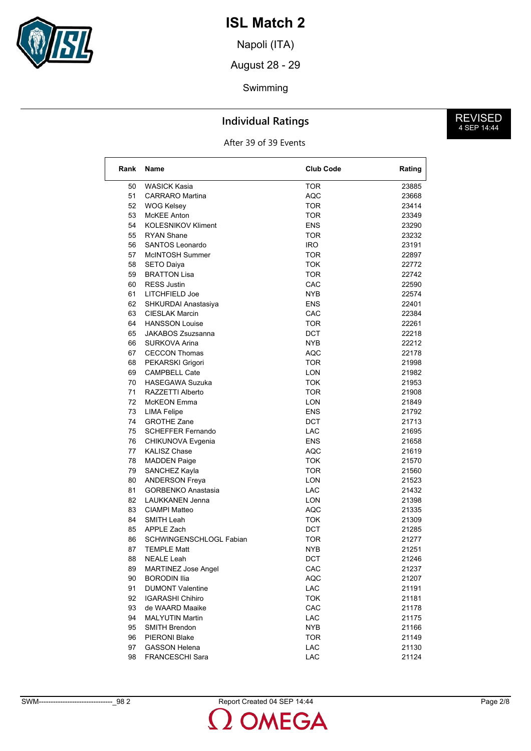

Napoli (ITA)

August 28 - 29

#### Swimming

### **Individual Ratings**

After 39 of 39 Events

| Rank     | <b>Name</b>                | <b>Club Code</b> | Rating |
|----------|----------------------------|------------------|--------|
|          |                            |                  |        |
| 50       | <b>WASICK Kasia</b>        | TOR              | 23885  |
| 51       | <b>CARRARO</b> Martina     | <b>AQC</b>       | 23668  |
| 52       | <b>WOG Kelsey</b>          | TOR              | 23414  |
| 53       | <b>McKEE Anton</b>         | <b>TOR</b>       | 23349  |
| 54       | <b>KOLESNIKOV Kliment</b>  | <b>ENS</b>       | 23290  |
| 55       | <b>RYAN Shane</b>          | <b>TOR</b>       | 23232  |
| 56       | <b>SANTOS Leonardo</b>     | IRO.             | 23191  |
| 57       | McINTOSH Summer            | TOR              | 22897  |
| 58       | <b>SETO Daiya</b>          | TOK              | 22772  |
| 59       | <b>BRATTON Lisa</b>        | TOR.             | 22742  |
| 60       | <b>RESS Justin</b>         | CAC              | 22590  |
| 61       | LITCHFIELD Joe             | <b>NYB</b>       | 22574  |
| 62       | SHKURDAI Anastasiya        | <b>ENS</b>       | 22401  |
| 63       | <b>CIESLAK Marcin</b>      | CAC              | 22384  |
| 64       | <b>HANSSON Louise</b>      | TOR              | 22261  |
| 65       | <b>JAKABOS Zsuzsanna</b>   | DCT              | 22218  |
| 66       | <b>SURKOVA Arina</b>       | NYB.             | 22212  |
| 67       | <b>CECCON Thomas</b>       | <b>AQC</b>       | 22178  |
| 68       | PEKARSKI Grigori           | TOR              | 21998  |
| 69       | <b>CAMPBELL Cate</b>       | <b>LON</b>       | 21982  |
| 70       | <b>HASEGAWA Suzuka</b>     | TOK              | 21953  |
| 71       | RAZZETTI Alberto           | TOR              | 21908  |
| 72       | McKEON Emma                | <b>LON</b>       | 21849  |
| 73       | <b>LIMA Felipe</b>         | <b>ENS</b>       | 21792  |
| 74       | <b>GROTHE Zane</b>         | <b>DCT</b>       | 21713  |
| 75       | <b>SCHEFFER Fernando</b>   | <b>LAC</b>       | 21695  |
| 76       | CHIKUNOVA Evgenia          | ENS              | 21658  |
| 77       | <b>KALISZ Chase</b>        | AQC              | 21619  |
| 78       | <b>MADDEN Paige</b>        | TOK              | 21570  |
| 79       | SANCHEZ Kayla              | <b>TOR</b>       | 21560  |
| 80       | <b>ANDERSON Freya</b>      | LON              | 21523  |
| 81       | <b>GORBENKO Anastasia</b>  | <b>LAC</b>       | 21432  |
| 82       | <b>LAUKKANEN Jenna</b>     | LON              | 21398  |
| 83       | <b>CIAMPI Matteo</b>       | AQC              | 21335  |
| 84       | SMITH Leah                 | TOK              | 21309  |
|          |                            |                  |        |
| 85<br>86 | APPLE Zach                 | DCT              | 21285  |
|          | SCHWINGENSCHLOGL Fabian    | TOR              | 21277  |
| 87       | <b>TEMPLE Matt</b>         | NYB              | 21251  |
| 88       | <b>NEALE Leah</b>          | <b>DCT</b>       | 21246  |
| 89       | <b>MARTINEZ Jose Angel</b> | CAC              | 21237  |
| 90       | <b>BORODIN Ilia</b>        | <b>AQC</b>       | 21207  |
| 91       | <b>DUMONT Valentine</b>    | LAC              | 21191  |
| 92       | <b>IGARASHI Chihiro</b>    | <b>TOK</b>       | 21181  |
| 93       | de WAARD Maaike            | CAC              | 21178  |
| 94       | <b>MALYUTIN Martin</b>     | LAC              | 21175  |
| 95       | <b>SMITH Brendon</b>       | <b>NYB</b>       | 21166  |
| 96       | PIERONI Blake              | <b>TOR</b>       | 21149  |
| 97       | <b>GASSON Helena</b>       | LAC              | 21130  |
| 98       | FRANCESCHI Sara            | LAC              | 21124  |

**MEGA**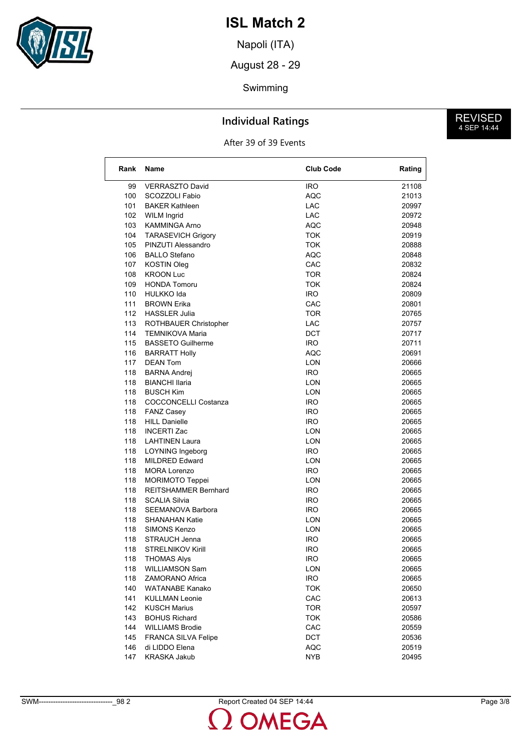

Napoli (ITA)

August 28 - 29

#### Swimming

### **Individual Ratings**

After 39 of 39 Events

| Rank       | <b>Name</b>                                      | <b>Club Code</b>  | Rating         |
|------------|--------------------------------------------------|-------------------|----------------|
| 99         | <b>VERRASZTO David</b>                           | <b>IRO</b>        | 21108          |
| 100        | SCOZZOLI Fabio                                   | <b>AQC</b>        | 21013          |
| 101        | <b>BAKER Kathleen</b>                            | LAC               | 20997          |
| 102        | <b>WILM Ingrid</b>                               | <b>LAC</b>        | 20972          |
| 103        | <b>KAMMINGA Arno</b>                             | AQC               | 20948          |
| 104        | <b>TARASEVICH Grigory</b>                        | <b>TOK</b>        | 20919          |
| 105        | PINZUTI Alessandro                               | <b>TOK</b>        | 20888          |
| 106        | <b>BALLO Stefano</b>                             | <b>AQC</b>        | 20848          |
| 107        | <b>KOSTIN Oleg</b>                               | CAC               | 20832          |
| 108        | <b>KROON Luc</b>                                 | TOR               | 20824          |
| 109        | <b>HONDA Tomoru</b>                              | TOK               | 20824          |
| 110        | <b>HULKKO</b> Ida                                | <b>IRO</b>        | 20809          |
| 111        | <b>BROWN Erika</b>                               | CAC               | 20801          |
| 112        | <b>HASSLER Julia</b>                             | <b>TOR</b>        | 20765          |
| 113        | ROTHBAUER Christopher                            | LAC               | 20757          |
| 114        | <b>TEMNIKOVA Maria</b>                           | DCT               | 20717          |
| 115        | <b>BASSETO Guilherme</b>                         | <b>IRO</b>        | 20711          |
| 116        | <b>BARRATT Holly</b>                             | AQC               | 20691          |
| 117        | <b>DEAN Tom</b>                                  | LON               | 20666          |
| 118        | <b>BARNA Andrej</b>                              | <b>IRO</b>        | 20665          |
| 118        | <b>BIANCHI Ilaria</b>                            | LON               | 20665          |
| 118        | <b>BUSCH Kim</b>                                 | <b>LON</b>        | 20665          |
| 118        | <b>COCCONCELLI Costanza</b>                      | <b>IRO</b>        | 20665          |
| 118        | <b>FANZ Casey</b>                                | <b>IRO</b>        | 20665          |
| 118        | <b>HILL Danielle</b>                             | <b>IRO</b>        | 20665          |
| 118        | <b>INCERTI Zac</b>                               | LON               | 20665          |
|            |                                                  |                   |                |
| 118        | <b>LAHTINEN Laura</b>                            | LON               | 20665          |
| 118<br>118 | <b>LOYNING Ingeborg</b><br><b>MILDRED Edward</b> | <b>IRO</b><br>LON | 20665<br>20665 |
|            |                                                  |                   |                |
| 118        | <b>MORA Lorenzo</b>                              | <b>IRO</b>        | 20665          |
| 118        | <b>MORIMOTO Teppei</b>                           | LON               | 20665          |
| 118        | <b>REITSHAMMER Bernhard</b>                      | <b>IRO</b>        | 20665          |
| 118        | <b>SCALIA Silvia</b>                             | <b>IRO</b>        | 20665          |
| 118        | <b>SEEMANOVA Barbora</b>                         | <b>IRO</b>        | 20665          |
| 118        | <b>SHANAHAN Katie</b>                            | LON               | 20665          |
| 118        | <b>SIMONS Kenzo</b>                              | LON               | 20665          |
| 118        | STRAUCH Jenna                                    | <b>IRO</b>        | 20665          |
| 118        | <b>STRELNIKOV Kirill</b>                         | IRO               | 20665          |
| 118        | <b>THOMAS Alys</b>                               | <b>IRO</b>        | 20665          |
| 118        | <b>WILLIAMSON Sam</b>                            | LON               | 20665          |
| 118        | ZAMORANO Africa                                  | <b>IRO</b>        | 20665          |
| 140        | WATANABE Kanako                                  | <b>TOK</b>        | 20650          |
| 141        | <b>KULLMAN Leonie</b>                            | CAC               | 20613          |
| 142        | <b>KUSCH Marius</b>                              | <b>TOR</b>        | 20597          |
| 143        | <b>BOHUS Richard</b>                             | <b>TOK</b>        | 20586          |
| 144        | <b>WILLIAMS Brodie</b>                           | CAC               | 20559          |
| 145        | FRANCA SILVA Felipe                              | <b>DCT</b>        | 20536          |
| 146        | di LIDDO Elena                                   | <b>AQC</b>        | 20519          |
| 147        | <b>KRASKA Jakub</b>                              | <b>NYB</b>        | 20495          |

**MEGA**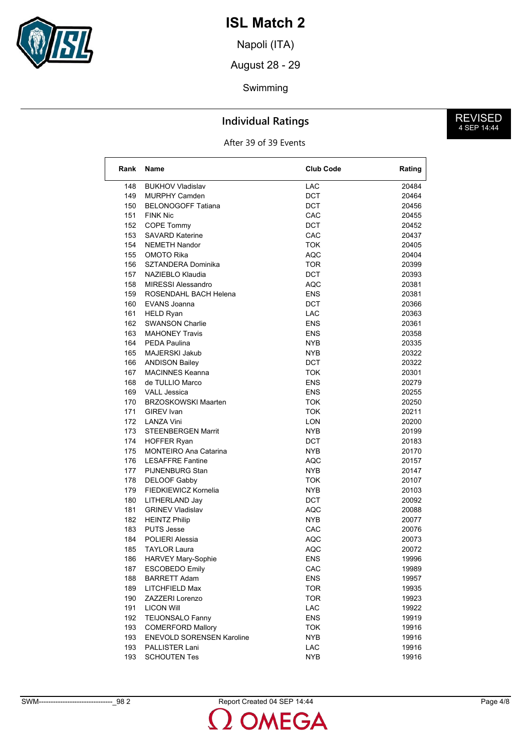

Napoli (ITA)

August 28 - 29

### Swimming

### **Individual Ratings**

After 39 of 39 Events

| Rank | Name                         | <b>Club Code</b> | Rating |
|------|------------------------------|------------------|--------|
| 148  | <b>BUKHOV Vladislav</b>      | <b>LAC</b>       | 20484  |
| 149  | <b>MURPHY Camden</b>         | <b>DCT</b>       | 20464  |
| 150  | <b>BELONOGOFF Tatiana</b>    | <b>DCT</b>       | 20456  |
| 151  | <b>FINK Nic</b>              | CAC              | 20455  |
| 152  | COPE Tommy                   | DCT              | 20452  |
| 153  | <b>SAVARD Katerine</b>       | CAC              | 20437  |
| 154  | <b>NEMETH Nandor</b>         | <b>TOK</b>       | 20405  |
| 155  | OMOTO Rika                   | <b>AQC</b>       | 20404  |
| 156  | SZTANDERA Dominika           | TOR              | 20399  |
| 157  | NAZIEBLO Klaudia             | DCT              | 20393  |
| 158  | <b>MIRESSI Alessandro</b>    | AQC              | 20381  |
| 159  | ROSENDAHL BACH Helena        | <b>ENS</b>       | 20381  |
| 160  | EVANS Joanna                 | <b>DCT</b>       | 20366  |
| 161  | <b>HELD Ryan</b>             | LAC              | 20363  |
| 162  | <b>SWANSON Charlie</b>       | ENS              | 20361  |
| 163  | <b>MAHONEY Travis</b>        | ENS              | 20358  |
| 164  | <b>PEDA Paulina</b>          | <b>NYB</b>       | 20335  |
| 165  | MAJERSKI Jakub               | <b>NYB</b>       | 20322  |
| 166  | <b>ANDISON Bailey</b>        | <b>DCT</b>       | 20322  |
| 167  | <b>MACINNES Keanna</b>       | TOK              | 20301  |
| 168  | de TULLIO Marco              | ENS              | 20279  |
| 169  | <b>VALL Jessica</b>          | ENS              | 20255  |
| 170  | <b>BRZOSKOWSKI Maarten</b>   | TOK              | 20250  |
| 171  | GIREV Ivan                   | <b>TOK</b>       | 20211  |
| 172  | LANZA Vini                   | LON              | 20200  |
| 173  | <b>STEENBERGEN Marrit</b>    | NYB              | 20199  |
| 174  | <b>HOFFER Ryan</b>           | DCT              | 20183  |
| 175  | <b>MONTEIRO Ana Catarina</b> | NYB              | 20170  |
| 176  | <b>LESAFFRE Fantine</b>      | AQC              | 20157  |
| 177  | PIJNENBURG Stan              | <b>NYB</b>       | 20147  |
| 178  | <b>DELOOF Gabby</b>          | TOK              | 20107  |
| 179  | FIEDKIEWICZ Kornelia         | NYB              | 20103  |
| 180  | LITHERLAND Jay               | DCT              | 20092  |
| 181  | <b>GRINEV Vladislav</b>      | AQC              | 20088  |
| 182  | <b>HEINTZ Philip</b>         | NYB.             | 20077  |
| 183  | <b>PUTS Jesse</b>            | CAC              | 20076  |
| 184  | POLIERI Alessia              | AQC              | 20073  |
| 185  | <b>TAYLOR Laura</b>          | <b>AQC</b>       | 20072  |
| 186  | HARVEY Mary-Sophie           | ENS              | 19996  |
| 187  | <b>ESCOBEDO Emily</b>        | CAC              | 19989  |
| 188  | <b>BARRETT Adam</b>          | <b>ENS</b>       | 19957  |
| 189  | LITCHFIELD Max               | <b>TOR</b>       | 19935  |
| 190  | <b>ZAZZERI Lorenzo</b>       | <b>TOR</b>       | 19923  |
| 191  | <b>LICON Will</b>            | LAC              | 19922  |
| 192  | <b>TEIJONSALO Fanny</b>      | <b>ENS</b>       | 19919  |
| 193  | <b>COMERFORD Mallory</b>     | <b>TOK</b>       | 19916  |
| 193  | ENEVOLD SORENSEN Karoline    | <b>NYB</b>       | 19916  |
| 193  | PALLISTER Lani               | LAC              | 19916  |
| 193  | <b>SCHOUTEN Tes</b>          | <b>NYB</b>       | 19916  |

SWM-------------------------------\_98 2 Report Created 04 SEP 14:44 Page 4/8

**OMEGA**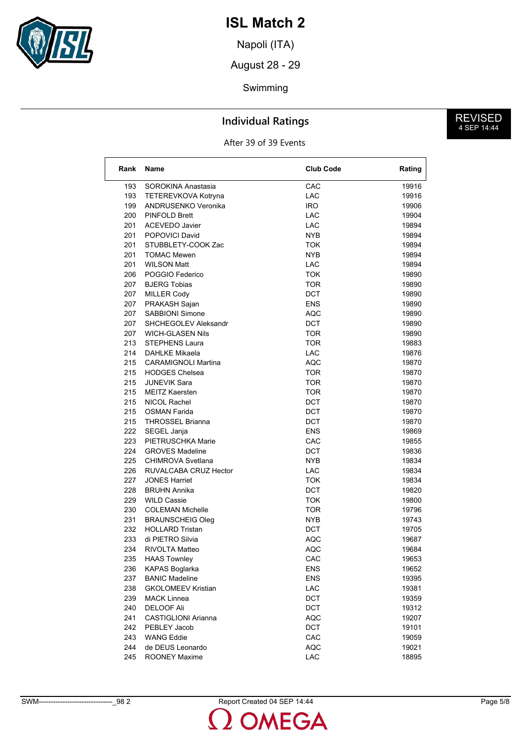

Napoli (ITA)

August 28 - 29

### Swimming

### **Individual Ratings**

After 39 of 39 Events

| Rank | Name                        | <b>Club Code</b> | Rating |
|------|-----------------------------|------------------|--------|
| 193  | SOROKINA Anastasia          | CAC              | 19916  |
| 193  | TETEREVKOVA Kotryna         | LAC              | 19916  |
| 199  | ANDRUSENKO Veronika         | IRO.             | 19906  |
| 200  | PINFOLD Brett               | <b>LAC</b>       | 19904  |
| 201  | <b>ACEVEDO Javier</b>       | <b>LAC</b>       | 19894  |
| 201  | POPOVICI David              | NYB.             | 19894  |
| 201  | STUBBLETY-COOK Zac          | TOK              | 19894  |
| 201  | <b>TOMAC Mewen</b>          | NYB.             | 19894  |
| 201  | <b>WILSON Matt</b>          | LAC.             | 19894  |
| 206  | POGGIO Federico             | <b>TOK</b>       | 19890  |
| 207  | <b>BJERG Tobias</b>         | <b>TOR</b>       | 19890  |
| 207  | <b>MILLER Cody</b>          | <b>DCT</b>       | 19890  |
| 207  | PRAKASH Sajan               | <b>ENS</b>       | 19890  |
| 207  | <b>SABBIONI Simone</b>      | AQC              | 19890  |
| 207  | <b>SHCHEGOLEV Aleksandr</b> | DCT              | 19890  |
| 207  | <b>WICH-GLASEN Nils</b>     | <b>TOR</b>       | 19890  |
| 213  | STEPHENS Laura              | <b>TOR</b>       | 19883  |
| 214  | <b>DAHLKE Mikaela</b>       | <b>LAC</b>       | 19876  |
| 215  | <b>CARAMIGNOLI Martina</b>  | <b>AQC</b>       | 19870  |
| 215  | <b>HODGES Chelsea</b>       | TOR              | 19870  |
| 215  | <b>JUNEVIK Sara</b>         | TOR              | 19870  |
| 215  | MEITZ Kaersten              | <b>TOR</b>       | 19870  |
| 215  | NICOL Rachel                | <b>DCT</b>       | 19870  |
| 215  | OSMAN Farida                | <b>DCT</b>       | 19870  |
| 215  | <b>THROSSEL Brianna</b>     | DCT              | 19870  |
| 222  | SEGEL Janja                 | <b>ENS</b>       | 19869  |
| 223  | PIETRUSCHKA Marie           | CAC              | 19855  |
| 224  | <b>GROVES Madeline</b>      | <b>DCT</b>       | 19836  |
| 225  | CHIMROVA Svetlana           | NYB.             | 19834  |
| 226  | RUVALCABA CRUZ Hector       | LAC              | 19834  |
| 227  | JONES Harriet               | TOK              | 19834  |
| 228  | <b>BRUHN Annika</b>         | DCT              | 19820  |
| 229  | <b>WILD Cassie</b>          | TOK              | 19800  |
| 230  | <b>COLEMAN Michelle</b>     | TOR              | 19796  |
| 231  | <b>BRAUNSCHEIG Oleg</b>     | <b>NYB</b>       | 19743  |
| 232  | <b>HOLLARD Tristan</b>      | <b>DCT</b>       | 19705  |
| 233  | di PIETRO Silvia            | <b>AQC</b>       | 19687  |
| 234  | RIVOLTA Matteo              | <b>AQC</b>       | 19684  |
| 235  | <b>HAAS Townley</b>         | CAC              | 19653  |
| 236  | KAPAS Boglarka              | ENS              | 19652  |
| 237  | <b>BANIC Madeline</b>       | <b>ENS</b>       | 19395  |
| 238  | <b>GKOLOMEEV Kristian</b>   | LAC              | 19381  |
| 239  | <b>MACK Linnea</b>          | DCT              | 19359  |
| 240  | <b>DELOOF Ali</b>           | DCT              | 19312  |
| 241  | <b>CASTIGLIONI Arianna</b>  | <b>AQC</b>       | 19207  |
| 242  | PEBLEY Jacob                | DCT              | 19101  |
| 243  | <b>WANG Eddie</b>           | CAC              | 19059  |
| 244  | de DEUS Leonardo            | AQC              | 19021  |
| 245  | <b>ROONEY Maxime</b>        | LAC              | 18895  |

SWM-------------------------------\_98 2 Report Created 04 SEP 14:44 Page 5/8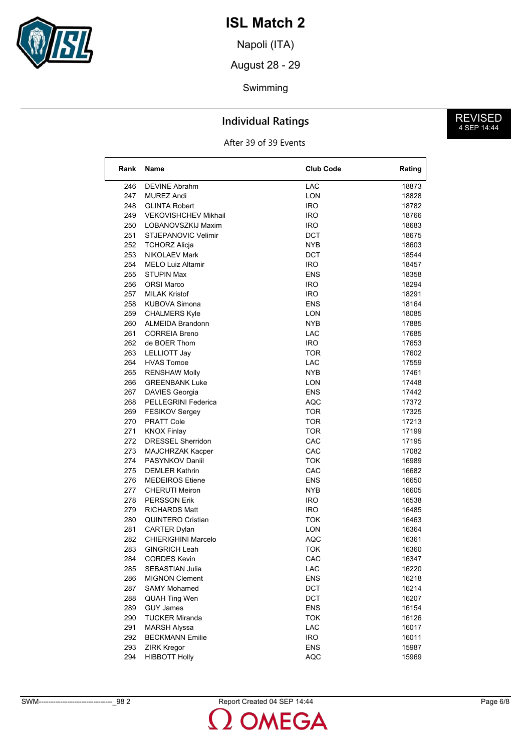

Napoli (ITA)

August 28 - 29

### Swimming

### **Individual Ratings**

After 39 of 39 Events

| Rank | Name                        | <b>Club Code</b> | Rating |
|------|-----------------------------|------------------|--------|
| 246  | <b>DEVINE Abrahm</b>        | <b>LAC</b>       | 18873  |
| 247  | <b>MUREZ Andi</b>           | LON              | 18828  |
| 248  | <b>GLINTA Robert</b>        | IRO.             | 18782  |
| 249  | <b>VEKOVISHCHEV Mikhail</b> | IRO.             | 18766  |
| 250  | LOBANOVSZKIJ Maxim          | IRO.             | 18683  |
| 251  | STJEPANOVIC Velimir         | DCT              | 18675  |
| 252  | TCHORZ Alicja               | NYB              | 18603  |
| 253  | <b>NIKOLAEV Mark</b>        | DCT              | 18544  |
| 254  | <b>MELO Luiz Altamir</b>    | IRO.             | 18457  |
| 255  | <b>STUPIN Max</b>           | ENS              | 18358  |
| 256  | <b>ORSI Marco</b>           | IRO.             | 18294  |
| 257  | <b>MILAK Kristof</b>        | IRO.             | 18291  |
| 258  | <b>KUBOVA Simona</b>        | ENS              | 18164  |
| 259  | <b>CHALMERS Kyle</b>        | LON              | 18085  |
| 260  | <b>ALMEIDA Brandonn</b>     | NYB              | 17885  |
| 261  | <b>CORREIA Breno</b>        | LAC              | 17685  |
| 262  | de BOER Thom                | IRO.             | 17653  |
| 263  | LELLIOTT Jay                | TOR              | 17602  |
| 264  | <b>HVAS Tomoe</b>           | LAC              | 17559  |
| 265  | <b>RENSHAW Molly</b>        | NYB.             | 17461  |
| 266  | <b>GREENBANK Luke</b>       | LON              | 17448  |
| 267  | <b>DAVIES Georgia</b>       | ENS              | 17442  |
| 268  | <b>PELLEGRINI Federica</b>  | AQC              | 17372  |
| 269  | <b>FESIKOV Sergey</b>       | TOR              | 17325  |
| 270  | PRATT Cole                  | TOR              | 17213  |
| 271  | <b>KNOX Finlay</b>          | TOR.             | 17199  |
| 272  | DRESSEL Sherridon           | CAC              | 17195  |
| 273  | MAJCHRZAK Kacper            | CAC              | 17082  |
| 274  | PASYNKOV Daniil             | <b>TOK</b>       | 16989  |
| 275  | <b>DEMLER Kathrin</b>       | CAC              | 16682  |
| 276  | <b>MEDEIROS Etiene</b>      | ENS              | 16650  |
| 277  | <b>CHERUTI Meiron</b>       | NYB              | 16605  |
| 278  | <b>PERSSON Erik</b>         | <b>IRO</b>       | 16538  |
| 279  | <b>RICHARDS Matt</b>        | IRO.             | 16485  |
| 280  | <b>QUINTERO Cristian</b>    | TOK              | 16463  |
| 281  | <b>CARTER Dylan</b>         | <b>LON</b>       | 16364  |
| 282  | <b>CHIERIGHINI Marcelo</b>  | <b>AQC</b>       | 16361  |
| 283  | <b>GINGRICH Leah</b>        | TOK              | 16360  |
| 284  | <b>CORDES Kevin</b>         | CAC              | 16347  |
| 285  | SEBASTIAN Julia             | LAC              | 16220  |
| 286  | <b>MIGNON Clement</b>       | <b>ENS</b>       | 16218  |
| 287  | <b>SAMY Mohamed</b>         | DCT              | 16214  |
| 288  | <b>QUAH Ting Wen</b>        | DCT              | 16207  |
| 289  | <b>GUY James</b>            | <b>ENS</b>       | 16154  |
| 290  | <b>TUCKER Miranda</b>       | <b>TOK</b>       | 16126  |
| 291  | <b>MARSH Alyssa</b>         | LAC              | 16017  |
| 292  | <b>BECKMANN Emilie</b>      | <b>IRO</b>       | 16011  |
| 293  | <b>ZIRK Kregor</b>          | <b>ENS</b>       | 15987  |
| 294  | <b>HIBBOTT Holly</b>        | <b>AQC</b>       | 15969  |

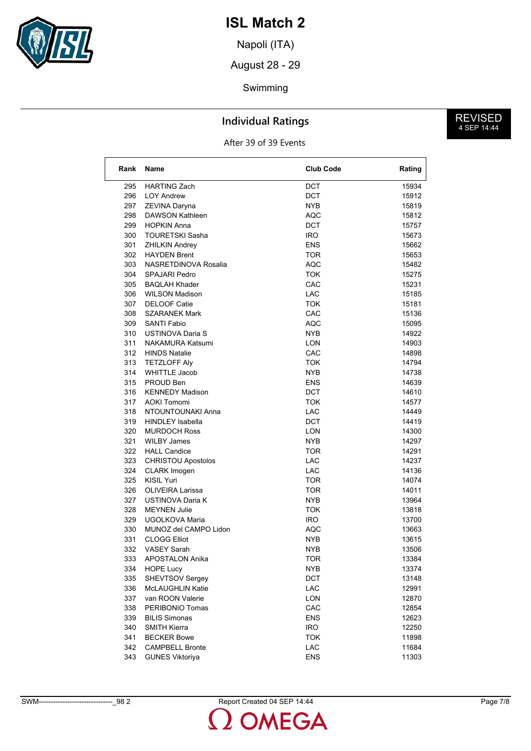

Napoli (ITA)

August 28 - 29

### Swimming

### **Individual Ratings**

After 39 of 39 Events

| Rank | <b>Name</b>             | <b>Club Code</b> | Rating |
|------|-------------------------|------------------|--------|
| 295  | <b>HARTING Zach</b>     | <b>DCT</b>       | 15934  |
| 296  | <b>LOY Andrew</b>       | DCT              | 15912  |
| 297  | ZEVINA Daryna           | <b>NYB</b>       | 15819  |
| 298  | DAWSON Kathleen         | AQC              | 15812  |
| 299  | <b>HOPKIN Anna</b>      | DCT              | 15757  |
| 300  | <b>TOURETSKI Sasha</b>  | <b>IRO</b>       | 15673  |
| 301  | <b>ZHILKIN Andrey</b>   | <b>ENS</b>       | 15662  |
| 302  | <b>HAYDEN Brent</b>     | <b>TOR</b>       | 15653  |
| 303  | NASRETDINOVA Rosalia    | AQC              | 15482  |
| 304  | <b>SPAJARI Pedro</b>    | <b>TOK</b>       | 15275  |
| 305  | <b>BAQLAH Khader</b>    | CAC              | 15231  |
| 306  | <b>WILSON Madison</b>   | <b>LAC</b>       | 15185  |
| 307  | <b>DELOOF Catie</b>     | TOK              | 15181  |
| 308  | <b>SZARANEK Mark</b>    | CAC              | 15136  |
| 309  | <b>SANTI Fabio</b>      | <b>AQC</b>       | 15095  |
| 310  | USTINOVA Daria S        | NYB              | 14922  |
| 311  | <b>NAKAMURA Katsumi</b> | <b>LON</b>       | 14903  |
| 312  | <b>HINDS Natalie</b>    | CAC              | 14898  |
| 313  | <b>TETZLOFF Alv</b>     | TOK              | 14794  |
| 314  | <b>WHITTLE Jacob</b>    | NYB              | 14738  |
| 315  | PROUD Ben               | <b>ENS</b>       | 14639  |
| 316  | <b>KENNEDY Madison</b>  | <b>DCT</b>       | 14610  |
| 317  | <b>AOKI Tomomi</b>      | <b>TOK</b>       | 14577  |
| 318  | NTOUNTOUNAKI Anna       | <b>LAC</b>       | 14449  |
| 319  | <b>HINDLEY Isabella</b> | DCT              | 14419  |
| 320  | <b>MURDOCH Ross</b>     | <b>LON</b>       | 14300  |
| 321  | <b>WILBY James</b>      | <b>NYB</b>       | 14297  |
| 322  | <b>HALL Candice</b>     | TOR              | 14291  |
| 323  | CHRISTOU Apostolos      | <b>LAC</b>       | 14237  |
| 324  | <b>CLARK Imogen</b>     | LAC.             | 14136  |
| 325  | <b>KISIL Yuri</b>       | TOR              | 14074  |
| 326  | <b>OLIVEIRA Larissa</b> | <b>TOR</b>       | 14011  |
| 327  | USTINOVA Daria K        | NYB              | 13964  |
| 328  | <b>MEYNEN Julie</b>     | TOK              | 13818  |
| 329  | UGOLKOVA Maria          | IRO.             | 13700  |
| 330  | MUNOZ del CAMPO Lidon   | AQC              | 13663  |
| 331  | <b>CLOGG Elliot</b>     | NYB.             | 13615  |
| 332  | <b>VASEY Sarah</b>      | NYB              | 13506  |
| 333  | <b>APOSTALON Anika</b>  | TOR              | 13384  |
| 334  | <b>HOPE Lucy</b>        | NYB              | 13374  |
| 335  | SHEVTSOV Sergey         | <b>DCT</b>       | 13148  |
| 336  | McLAUGHLIN Katie        | LAC              | 12991  |
| 337  | van ROON Valerie        | <b>LON</b>       | 12870  |
| 338  | PERIBONIO Tomas         | ${\sf CAC}$      | 12854  |
| 339  | <b>BILIS Simonas</b>    | <b>ENS</b>       | 12623  |
| 340  | <b>SMITH Kierra</b>     | <b>IRO</b>       | 12250  |
| 341  | <b>BECKER Bowe</b>      | <b>TOK</b>       | 11898  |
| 342  | <b>CAMPBELL Bronte</b>  | LAC              | 11684  |
| 343  | <b>GUNES Viktoriya</b>  | <b>ENS</b>       | 11303  |

**MEGA**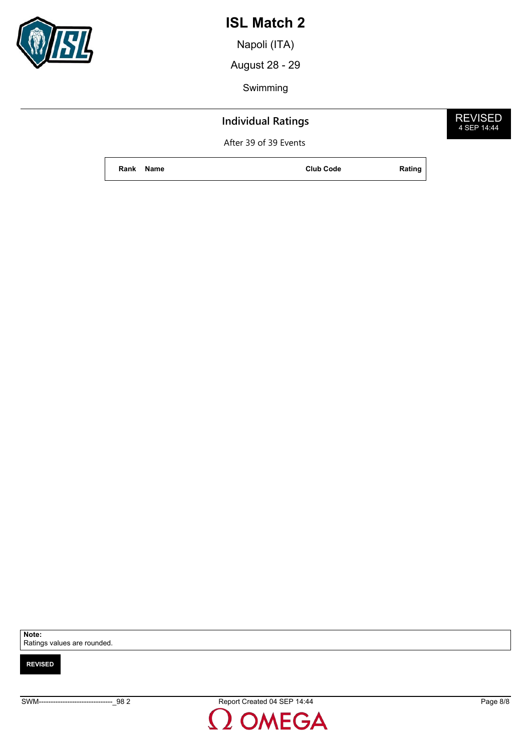

## **Individual Ratings**

After 39 of 39 Events

Napoli (ITA)

**Rank Name Club Code Rating**







REVISED 4 SEP 14:44

SWM-------------------------------\_98 2 Report Created 04 SEP 14:44 Page 8/8OMEGA



Ratings values are rounded.

**Note:**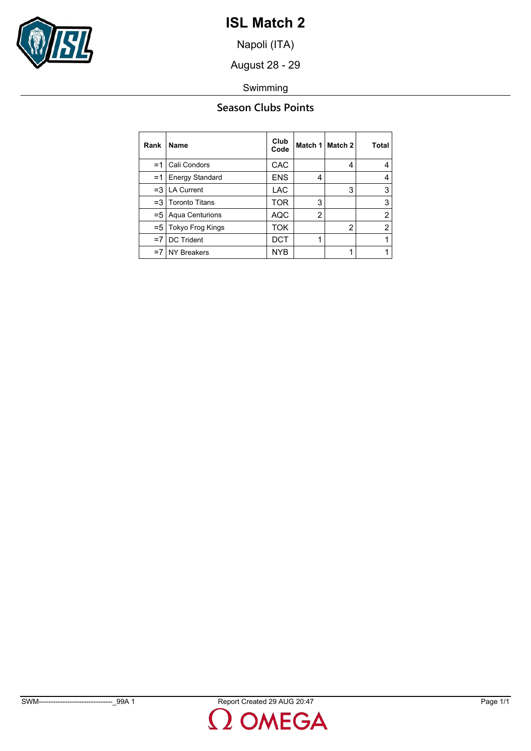

Napoli (ITA)

August 28 - 29

Swimming

### **Season Clubs Points**

| Rank   | Name                   | Club<br>Code | Match 1        | Match 2 | Total |
|--------|------------------------|--------------|----------------|---------|-------|
| =1     | Cali Condors           | CAC          |                | 4       | 4     |
| $=1$   | <b>Energy Standard</b> | <b>ENS</b>   | 4              |         | 4     |
| $=$ 3  | <b>LA Current</b>      | <b>LAC</b>   |                | 3       | 3     |
| $=$ 3  | <b>Toronto Titans</b>  | TOR          | 3              |         | 3     |
| $= 51$ | Aqua Centurions        | AQC          | $\overline{2}$ |         | 2     |
| $= 51$ | Tokyo Frog Kings       | ток          |                | 2       | 2     |
| $=7$   | <b>DC Trident</b>      | DCT          |                |         |       |
| $=7$   | <b>NY Breakers</b>     | <b>NYB</b>   |                |         |       |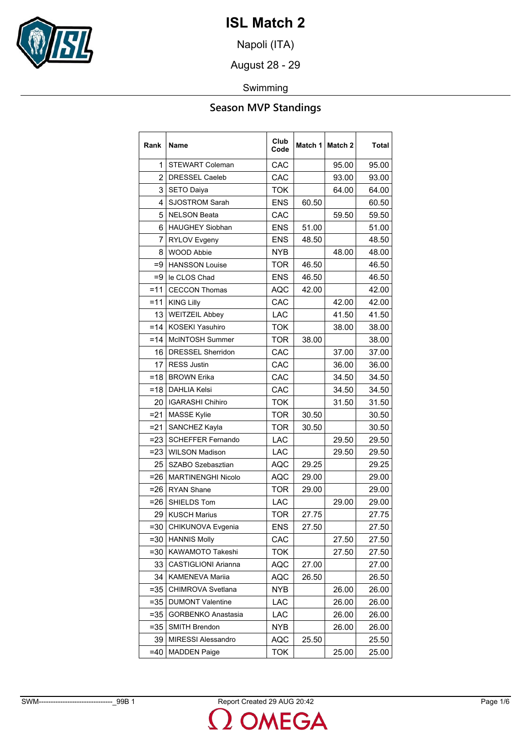

Napoli (ITA)

August 28 - 29

### Swimming

| Rank           | <b>Name</b>                | Club<br>Code |       | Match 1 Match 2 | Total |
|----------------|----------------------------|--------------|-------|-----------------|-------|
| 1              | <b>STEWART Coleman</b>     | CAC          |       | 95.00           | 95.00 |
| $\overline{2}$ | <b>DRESSEL Caeleb</b>      | CAC          |       | 93.00           | 93.00 |
| 3              | <b>SETO Daiya</b>          | <b>TOK</b>   |       | 64.00           | 64.00 |
| 4              | <b>SJOSTROM Sarah</b>      | <b>ENS</b>   | 60.50 |                 | 60.50 |
| 5              | <b>NELSON Beata</b>        | CAC          |       | 59.50           | 59.50 |
| 6              | <b>HAUGHEY Siobhan</b>     | <b>ENS</b>   | 51.00 |                 | 51.00 |
| 7              | <b>RYLOV Evgeny</b>        | <b>ENS</b>   | 48.50 |                 | 48.50 |
| 8              | <b>WOOD Abbie</b>          | <b>NYB</b>   |       | 48.00           | 48.00 |
| $=9$           | <b>HANSSON Louise</b>      | <b>TOR</b>   | 46.50 |                 | 46.50 |
| $=9$           | le CLOS Chad               | <b>ENS</b>   | 46.50 |                 | 46.50 |
| $=11$          | <b>CECCON Thomas</b>       | AQC          | 42.00 |                 | 42.00 |
| $=11$          | <b>KING Lilly</b>          | CAC          |       | 42.00           | 42.00 |
| 13             | <b>WEITZEIL Abbey</b>      | LAC          |       | 41.50           | 41.50 |
| $=14$          | <b>KOSEKI Yasuhiro</b>     | <b>TOK</b>   |       | 38.00           | 38.00 |
| $=14$          | McINTOSH Summer            | <b>TOR</b>   | 38.00 |                 | 38.00 |
| 16             | <b>DRESSEL Sherridon</b>   | CAC          |       | 37.00           | 37.00 |
| 17             | <b>RESS Justin</b>         | CAC          |       | 36.00           | 36.00 |
| $=18$          | <b>BROWN Erika</b>         | CAC          |       | 34.50           | 34.50 |
| $=18$          | <b>DAHLIA Kelsi</b>        | CAC          |       | 34.50           | 34.50 |
| 20             | <b>IGARASHI Chihiro</b>    | <b>TOK</b>   |       | 31.50           | 31.50 |
| $= 21$         | MASSE Kylie                | <b>TOR</b>   | 30.50 |                 | 30.50 |
| $= 21$         | SANCHEZ Kayla              | <b>TOR</b>   | 30.50 |                 | 30.50 |
| $= 23$         | <b>SCHEFFER Fernando</b>   | LAC          |       | 29.50           | 29.50 |
| $= 23$         | <b>WILSON Madison</b>      | LAC          |       | 29.50           | 29.50 |
| 25             | SZABO Szebasztian          | AQC          | 29.25 |                 | 29.25 |
| $= 26$         | <b>MARTINENGHI Nicolo</b>  | AQC          | 29.00 |                 | 29.00 |
| $= 26$         | <b>RYAN Shane</b>          | <b>TOR</b>   | 29.00 |                 | 29.00 |
| $= 26$         | SHIELDS Tom                | LAC          |       | 29.00           | 29.00 |
| 29             | <b>KUSCH Marius</b>        | <b>TOR</b>   | 27.75 |                 | 27.75 |
| $=30$          | CHIKUNOVA Evgenia          | <b>ENS</b>   | 27.50 |                 | 27.50 |
| $= 30$         | <b>HANNIS Molly</b>        | CAC          |       | 27.50           | 27.50 |
| $= 30$         | KAWAMOTO Takeshi           | <b>TOK</b>   |       | 27.50           | 27.50 |
| 33             | <b>CASTIGLIONI Arianna</b> | AQC          | 27.00 |                 | 27.00 |
| 34             | KAMENEVA Mariia            | AQC          | 26.50 |                 | 26.50 |
| $= 35$         | CHIMROVA Svetlana          | NYB          |       | 26.00           | 26.00 |
| $= 35$         | <b>DUMONT Valentine</b>    | LAC          |       | 26.00           | 26.00 |
| $= 35$         | <b>GORBENKO Anastasia</b>  | LAC          |       | 26.00           | 26.00 |
| $= 35$         | SMITH Brendon              | NYB          |       | 26.00           | 26.00 |
| 39             | <b>MIRESSI Alessandro</b>  | AQC          | 25.50 |                 | 25.50 |
| $=40$          | <b>MADDEN Paige</b>        | TOK          |       | 25.00           | 25.00 |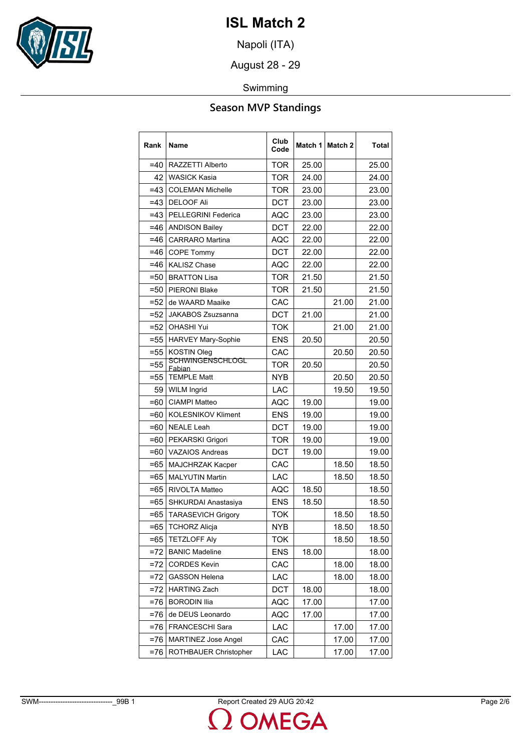

Napoli (ITA)

August 28 - 29

### Swimming

| Rank   | Name                              | Club<br>Code |       | Match 1   Match 2 | Total |
|--------|-----------------------------------|--------------|-------|-------------------|-------|
| $=40$  | RAZZETTI Alberto                  | <b>TOR</b>   | 25.00 |                   | 25.00 |
| 42     | <b>WASICK Kasia</b>               | <b>TOR</b>   | 24.00 |                   | 24.00 |
| $=43$  | <b>COLEMAN Michelle</b>           | <b>TOR</b>   | 23.00 |                   | 23.00 |
| $=43$  | <b>DELOOF Ali</b>                 | <b>DCT</b>   | 23.00 |                   | 23.00 |
| $=43$  | <b>PELLEGRINI Federica</b>        | AQC          | 23.00 |                   | 23.00 |
| $=46$  | <b>ANDISON Bailey</b>             | <b>DCT</b>   | 22.00 |                   | 22.00 |
| $=46$  | <b>CARRARO</b> Martina            | <b>AQC</b>   | 22.00 |                   | 22.00 |
| =46    | <b>COPE Tommy</b>                 | <b>DCT</b>   | 22.00 |                   | 22.00 |
| $=46$  | <b>KALISZ Chase</b>               | <b>AQC</b>   | 22.00 |                   | 22.00 |
| $=50$  | <b>BRATTON Lisa</b>               | TOR          | 21.50 |                   | 21.50 |
| $= 50$ | <b>PIERONI Blake</b>              | TOR          | 21.50 |                   | 21.50 |
| =52    | de WAARD Maaike                   | CAC          |       | 21.00             | 21.00 |
| $=52$  | JAKABOS Zsuzsanna                 | <b>DCT</b>   | 21.00 |                   | 21.00 |
| $= 52$ | <b>OHASHI Yui</b>                 | TOK          |       | 21.00             | 21.00 |
| $= 55$ | <b>HARVEY Mary-Sophie</b>         | <b>ENS</b>   | 20.50 |                   | 20.50 |
| $= 55$ | KOSTIN Oleg                       | CAC          |       | 20.50             | 20.50 |
| $= 55$ | <b>SCHWINGENSCHLOGL</b><br>Fabian | <b>TOR</b>   | 20.50 |                   | 20.50 |
| $= 55$ | <b>TEMPLE Matt</b>                | NYB.         |       | 20.50             | 20.50 |
| 59     | <b>WILM Ingrid</b>                | <b>LAC</b>   |       | 19.50             | 19.50 |
| =60    | <b>CIAMPI Matteo</b>              | AQC          | 19.00 |                   | 19.00 |
| =60    | <b>KOLESNIKOV Kliment</b>         | <b>ENS</b>   | 19.00 |                   | 19.00 |
| =60    | <b>NEALE Leah</b>                 | <b>DCT</b>   | 19.00 |                   | 19.00 |
| =60    | PEKARSKI Grigori                  | TOR          | 19.00 |                   | 19.00 |
| =60    | <b>VAZAIOS Andreas</b>            | <b>DCT</b>   | 19.00 |                   | 19.00 |
| $=65$  | MAJCHRZAK Kacper                  | CAC          |       | 18.50             | 18.50 |
| $=65$  | <b>MALYUTIN Martin</b>            | LAC          |       | 18.50             | 18.50 |
| =65    | <b>RIVOLTA Matteo</b>             | AQC          | 18.50 |                   | 18.50 |
| $=65$  | SHKURDAI Anastasiya               | <b>ENS</b>   | 18.50 |                   | 18.50 |
| =65    | <b>TARASEVICH Grigory</b>         | TOK          |       | 18.50             | 18.50 |
| =65    | <b>TCHORZ Alicia</b>              | NYB          |       | 18.50             | 18.50 |
| $=65$  | <b>TETZLOFF Aly</b>               | <b>TOK</b>   |       | 18.50             | 18.50 |
| $= 72$ | <b>BANIC Madeline</b>             | <b>ENS</b>   | 18.00 |                   | 18.00 |
| $=72$  | <b>CORDES Kevin</b>               | CAC          |       | 18.00             | 18.00 |
| $=72$  | <b>GASSON Helena</b>              | LAC          |       | 18.00             | 18.00 |
| $= 72$ | <b>HARTING Zach</b>               | <b>DCT</b>   | 18.00 |                   | 18.00 |
| $= 76$ | <b>BORODIN Ilia</b>               | AQC          | 17.00 |                   | 17.00 |
| $= 76$ | de DEUS Leonardo                  | AQC          | 17.00 |                   | 17.00 |
| $= 76$ | FRANCESCHI Sara                   | LAC          |       | 17.00             | 17.00 |
| $= 76$ | <b>MARTINEZ Jose Angel</b>        | CAC          |       | 17.00             | 17.00 |
| $= 76$ | ROTHBAUER Christopher             | LAC          |       | 17.00             | 17.00 |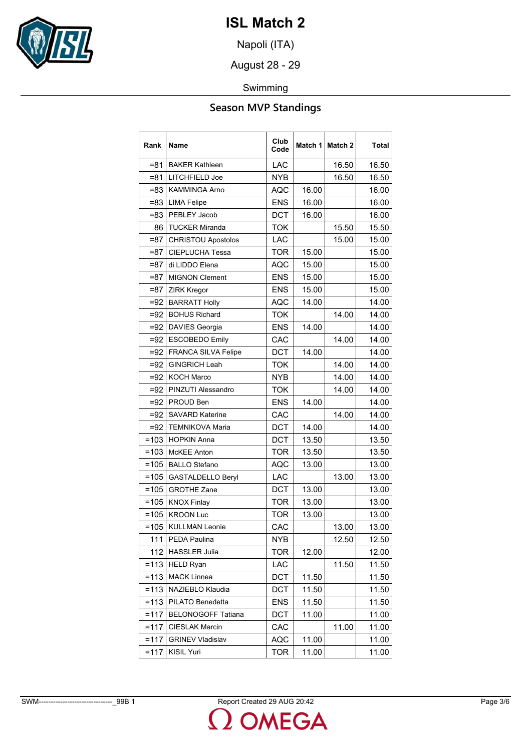

Napoli (ITA)

August 28 - 29

### Swimming

| Rank    | Name                       | Club<br>Code | Match 1 | Match 2 | Total |
|---------|----------------------------|--------------|---------|---------|-------|
| $= 81$  | <b>BAKER Kathleen</b>      | LAC          |         | 16.50   | 16.50 |
| =81     | LITCHFIELD Joe             | NYB          |         | 16.50   | 16.50 |
| $= 83$  | <b>KAMMINGA Arno</b>       | <b>AQC</b>   | 16.00   |         | 16.00 |
| $= 83$  | <b>LIMA Felipe</b>         | <b>ENS</b>   | 16.00   |         | 16.00 |
| =83     | PEBLEY Jacob               | DCT          | 16.00   |         | 16.00 |
| 86      | <b>TUCKER Miranda</b>      | <b>TOK</b>   |         | 15.50   | 15.50 |
| $= 87$  | <b>CHRISTOU Apostolos</b>  | LAC          |         | 15.00   | 15.00 |
| $= 87$  | <b>CIEPLUCHA Tessa</b>     | <b>TOR</b>   | 15.00   |         | 15.00 |
| $= 87$  | di LIDDO Elena             | <b>AQC</b>   | 15.00   |         | 15.00 |
| =87     | <b>MIGNON Clement</b>      | <b>ENS</b>   | 15.00   |         | 15.00 |
| $= 87$  | <b>ZIRK Kregor</b>         | <b>ENS</b>   | 15.00   |         | 15.00 |
| $=92$   | <b>BARRATT Holly</b>       | <b>AQC</b>   | 14.00   |         | 14.00 |
| $= 92$  | <b>BOHUS Richard</b>       | <b>TOK</b>   |         | 14.00   | 14.00 |
| $=92$   | <b>DAVIES Georgia</b>      | <b>ENS</b>   | 14.00   |         | 14.00 |
| $=92$   | <b>ESCOBEDO Emily</b>      | CAC          |         | 14.00   | 14.00 |
| $=92$   | <b>FRANCA SILVA Felipe</b> | <b>DCT</b>   | 14.00   |         | 14.00 |
| $=92$   | <b>GINGRICH Leah</b>       | <b>TOK</b>   |         | 14.00   | 14.00 |
| $=92$   | <b>KOCH Marco</b>          | <b>NYB</b>   |         | 14.00   | 14.00 |
| $= 92$  | PINZUTI Alessandro         | <b>TOK</b>   |         | 14.00   | 14.00 |
| $=92$   | PROUD Ben                  | <b>ENS</b>   | 14.00   |         | 14.00 |
| $=92$   | <b>SAVARD Katerine</b>     | CAC          |         | 14.00   | 14.00 |
| $=92$   | <b>TEMNIKOVA Maria</b>     | <b>DCT</b>   | 14.00   |         | 14.00 |
| $=103$  | <b>HOPKIN Anna</b>         | <b>DCT</b>   | 13.50   |         | 13.50 |
| $=103$  | <b>McKEE Anton</b>         | <b>TOR</b>   | 13.50   |         | 13.50 |
| $=105$  | <b>BALLO Stefano</b>       | AQC          | 13.00   |         | 13.00 |
| $=105$  | <b>GASTALDELLO Beryl</b>   | LAC          |         | 13.00   | 13.00 |
| $=105$  | <b>GROTHE Zane</b>         | <b>DCT</b>   | 13.00   |         | 13.00 |
| $=105$  | <b>KNOX Finlay</b>         | <b>TOR</b>   | 13.00   |         | 13.00 |
| $=105$  | <b>KROON Luc</b>           | <b>TOR</b>   | 13.00   |         | 13.00 |
| $=105$  | <b>KULLMAN Leonie</b>      | CAC          |         | 13.00   | 13.00 |
| 111     | PEDA Paulina               | <b>NYB</b>   |         | 12.50   | 12.50 |
| 112     | <b>HASSLER Julia</b>       | <b>TOR</b>   | 12.00   |         | 12.00 |
| $= 113$ | <b>HELD Ryan</b>           | LAC          |         | 11.50   | 11.50 |
| $= 113$ | <b>MACK Linnea</b>         | DCT          | 11.50   |         | 11.50 |
| $= 113$ | NAZIEBLO Klaudia           | DCT          | 11.50   |         | 11.50 |
| $= 113$ | PILATO Benedetta           | <b>ENS</b>   | 11.50   |         | 11.50 |
| $= 117$ | <b>BELONOGOFF Tatiana</b>  | DCT          | 11.00   |         | 11.00 |
| $= 117$ | CIESLAK Marcin             | CAC          |         | 11.00   | 11.00 |
| $= 117$ | <b>GRINEV Vladislav</b>    | <b>AQC</b>   | 11.00   |         | 11.00 |
| $= 117$ | <b>KISIL Yuri</b>          | <b>TOR</b>   | 11.00   |         | 11.00 |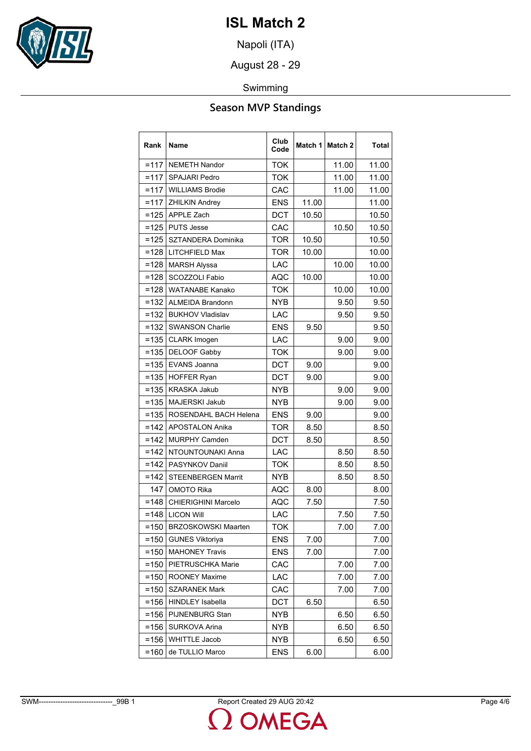

Napoli (ITA)

August 28 - 29

### Swimming

| Rank    | <b>Name</b>                | Club<br>Code |       | Match 1   Match 2 | Total |
|---------|----------------------------|--------------|-------|-------------------|-------|
| $=117$  | <b>NEMETH Nandor</b>       | <b>TOK</b>   |       | 11.00             | 11.00 |
| $=117$  | <b>SPAJARI Pedro</b>       | <b>TOK</b>   |       | 11.00             | 11.00 |
| $=117$  | <b>WILLIAMS Brodie</b>     | CAC          |       | 11.00             | 11.00 |
| $=117$  | <b>ZHILKIN Andrey</b>      | <b>ENS</b>   | 11.00 |                   | 11.00 |
| $=125$  | <b>APPLE Zach</b>          | <b>DCT</b>   | 10.50 |                   | 10.50 |
| $=125$  | <b>PUTS Jesse</b>          | CAC          |       | 10.50             | 10.50 |
| $=125$  | SZTANDERA Dominika         | <b>TOR</b>   | 10.50 |                   | 10.50 |
| $=128$  | LITCHFIELD Max             | <b>TOR</b>   | 10.00 |                   | 10.00 |
| $=128$  | <b>MARSH Alyssa</b>        | LAC          |       | 10.00             | 10.00 |
| $=128$  | SCOZZOLI Fabio             | AQC          | 10.00 |                   | 10.00 |
| $=128$  | WATANABE Kanako            | <b>TOK</b>   |       | 10.00             | 10.00 |
| $=132$  | <b>ALMEIDA Brandonn</b>    | <b>NYB</b>   |       | 9.50              | 9.50  |
| $=132$  | <b>BUKHOV Vladislav</b>    | <b>LAC</b>   |       | 9.50              | 9.50  |
| $=132$  | <b>SWANSON Charlie</b>     | <b>ENS</b>   | 9.50  |                   | 9.50  |
| $= 135$ | <b>CLARK Imogen</b>        | LAC          |       | 9.00              | 9.00  |
| $= 135$ | <b>DELOOF Gabby</b>        | <b>TOK</b>   |       | 9.00              | 9.00  |
| $= 135$ | <b>EVANS Joanna</b>        | <b>DCT</b>   | 9.00  |                   | 9.00  |
| $= 135$ | <b>HOFFER Ryan</b>         | <b>DCT</b>   | 9.00  |                   | 9.00  |
| $=135$  | <b>KRASKA Jakub</b>        | <b>NYB</b>   |       | 9.00              | 9.00  |
| $=135$  | MAJERSKI Jakub             | <b>NYB</b>   |       | 9.00              | 9.00  |
| $= 135$ | ROSENDAHL BACH Helena      | <b>ENS</b>   | 9.00  |                   | 9.00  |
| $=142$  | <b>APOSTALON Anika</b>     | <b>TOR</b>   | 8.50  |                   | 8.50  |
| $=142$  | <b>MURPHY Camden</b>       | <b>DCT</b>   | 8.50  |                   | 8.50  |
| $=142$  | NTOUNTOUNAKI Anna          | LAC          |       | 8.50              | 8.50  |
| $=142$  | PASYNKOV Daniil            | <b>TOK</b>   |       | 8.50              | 8.50  |
| $=142$  | <b>STEENBERGEN Marrit</b>  | <b>NYB</b>   |       | 8.50              | 8.50  |
| 147     | <b>OMOTO Rika</b>          | <b>AQC</b>   | 8.00  |                   | 8.00  |
| $= 148$ | <b>CHIERIGHINI Marcelo</b> | AQC          | 7.50  |                   | 7.50  |
| $= 148$ | <b>LICON Will</b>          | LAC          |       | 7.50              | 7.50  |
| $= 150$ | <b>BRZOSKOWSKI Maarten</b> | <b>TOK</b>   |       | 7.00              | 7.00  |
| $=150$  | <b>GUNES Viktoriya</b>     | <b>ENS</b>   | 7.00  |                   | 7.00  |
| $= 150$ | <b>MAHONEY Travis</b>      | <b>ENS</b>   | 7.00  |                   | 7.00  |
| $= 150$ | PIETRUSCHKA Marie          | CAC          |       | 7.00              | 7.00  |
| $= 150$ | <b>ROONEY Maxime</b>       | LAC          |       | 7.00              | 7.00  |
| $= 150$ | <b>SZARANEK Mark</b>       | CAC          |       | 7.00              | 7.00  |
| $= 156$ | <b>HINDLEY Isabella</b>    | <b>DCT</b>   | 6.50  |                   | 6.50  |
| $= 156$ | PIJNENBURG Stan            | NYB          |       | 6.50              | 6.50  |
| $= 156$ | <b>SURKOVA Arina</b>       | NYB          |       | 6.50              | 6.50  |
| $= 156$ | <b>WHITTLE Jacob</b>       | <b>NYB</b>   |       | 6.50              | 6.50  |
| $= 160$ | de TULLIO Marco            | <b>ENS</b>   | 6.00  |                   | 6.00  |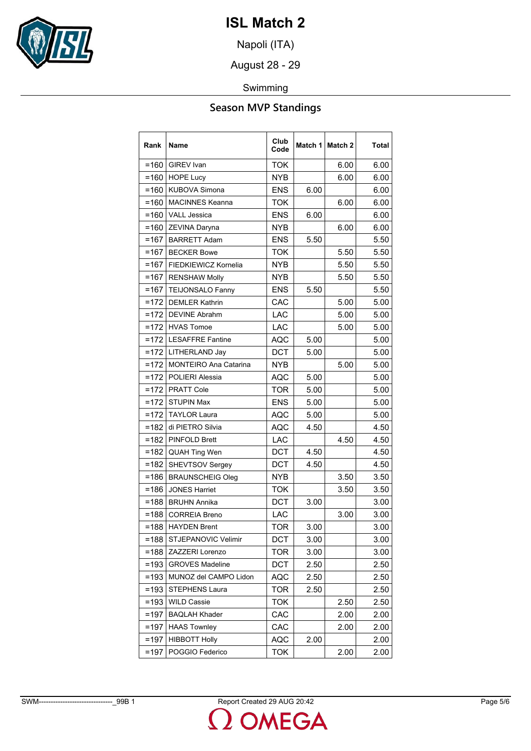

Napoli (ITA)

August 28 - 29

### Swimming

| Rank    | <b>Name</b>                  | Club<br>Code |      | Match 1 Match 2 | Total |
|---------|------------------------------|--------------|------|-----------------|-------|
| $= 160$ | <b>GIREV</b> Ivan            | <b>TOK</b>   |      | 6.00            | 6.00  |
| $= 160$ | <b>HOPE Lucy</b>             | NYB          |      | 6.00            | 6.00  |
| $= 160$ | KUBOVA Simona                | <b>ENS</b>   | 6.00 |                 | 6.00  |
| $= 160$ | <b>MACINNES Keanna</b>       | <b>TOK</b>   |      | 6.00            | 6.00  |
| $= 160$ | <b>VALL Jessica</b>          | <b>ENS</b>   | 6.00 |                 | 6.00  |
| $=160$  | ZEVINA Daryna                | <b>NYB</b>   |      | 6.00            | 6.00  |
| $=167$  | <b>BARRETT Adam</b>          | <b>ENS</b>   | 5.50 |                 | 5.50  |
| $=167$  | <b>BECKER Bowe</b>           | <b>TOK</b>   |      | 5.50            | 5.50  |
| $=167$  | FIEDKIEWICZ Kornelia         | <b>NYB</b>   |      | 5.50            | 5.50  |
| $=167$  | <b>RENSHAW Molly</b>         | <b>NYB</b>   |      | 5.50            | 5.50  |
| $=167$  | <b>TEIJONSALO Fanny</b>      | <b>ENS</b>   | 5.50 |                 | 5.50  |
| $=172$  | <b>DEMLER Kathrin</b>        | CAC          |      | 5.00            | 5.00  |
| $=172$  | <b>DEVINE Abrahm</b>         | LAC          |      | 5.00            | 5.00  |
| $=172$  | <b>HVAS Tomoe</b>            | LAC          |      | 5.00            | 5.00  |
| $=172$  | <b>LESAFFRE Fantine</b>      | <b>AQC</b>   | 5.00 |                 | 5.00  |
|         | =172   LITHERLAND Jay        | DCT          | 5.00 |                 | 5.00  |
| $=172$  | <b>MONTEIRO Ana Catarina</b> | NYB          |      | 5.00            | 5.00  |
| $=172$  | POLIERI Alessia              | <b>AQC</b>   | 5.00 |                 | 5.00  |
|         | =172 PRATT Cole              | <b>TOR</b>   | 5.00 |                 | 5.00  |
| $=172$  | <b>STUPIN Max</b>            | <b>ENS</b>   | 5.00 |                 | 5.00  |
| $=172$  | <b>TAYLOR Laura</b>          | <b>AQC</b>   | 5.00 |                 | 5.00  |
| $=182$  | di PIETRO Silvia             | AQC          | 4.50 |                 | 4.50  |
| $=182$  | <b>PINFOLD Brett</b>         | LAC          |      | 4.50            | 4.50  |
| $=182$  | QUAH Ting Wen                | <b>DCT</b>   | 4.50 |                 | 4.50  |
| $=182$  | SHEVTSOV Sergey              | <b>DCT</b>   | 4.50 |                 | 4.50  |
| $=186$  | <b>BRAUNSCHEIG Oleg</b>      | NYB          |      | 3.50            | 3.50  |
| $= 186$ | <b>JONES Harriet</b>         | <b>TOK</b>   |      | 3.50            | 3.50  |
| $=188$  | <b>BRUHN Annika</b>          | DCT          | 3.00 |                 | 3.00  |
| $= 188$ | <b>CORREIA Breno</b>         | LAC          |      | 3.00            | 3.00  |
| $= 188$ | <b>HAYDEN Brent</b>          | <b>TOR</b>   | 3.00 |                 | 3.00  |
| $=188$  | STJEPANOVIC Velimir          | DCT          | 3.00 |                 | 3.00  |
| $=188$  | ZAZZERI Lorenzo              | <b>TOR</b>   | 3.00 |                 | 3.00  |
| $= 193$ | <b>GROVES Madeline</b>       | <b>DCT</b>   | 2.50 |                 | 2.50  |
| $= 193$ | MUNOZ del CAMPO Lidon        | AQC          | 2.50 |                 | 2.50  |
| $= 193$ | STEPHENS Laura               | <b>TOR</b>   | 2.50 |                 | 2.50  |
| $= 193$ | <b>WILD Cassie</b>           | <b>TOK</b>   |      | 2.50            | 2.50  |
| $=197$  | <b>BAQLAH Khader</b>         | CAC          |      | 2.00            | 2.00  |
| $=197$  | <b>HAAS Townley</b>          | CAC          |      | 2.00            | 2.00  |
| $=197$  | <b>HIBBOTT Holly</b>         | AQC          | 2.00 |                 | 2.00  |
| $=197$  | POGGIO Federico              | <b>TOK</b>   |      | 2.00            | 2.00  |